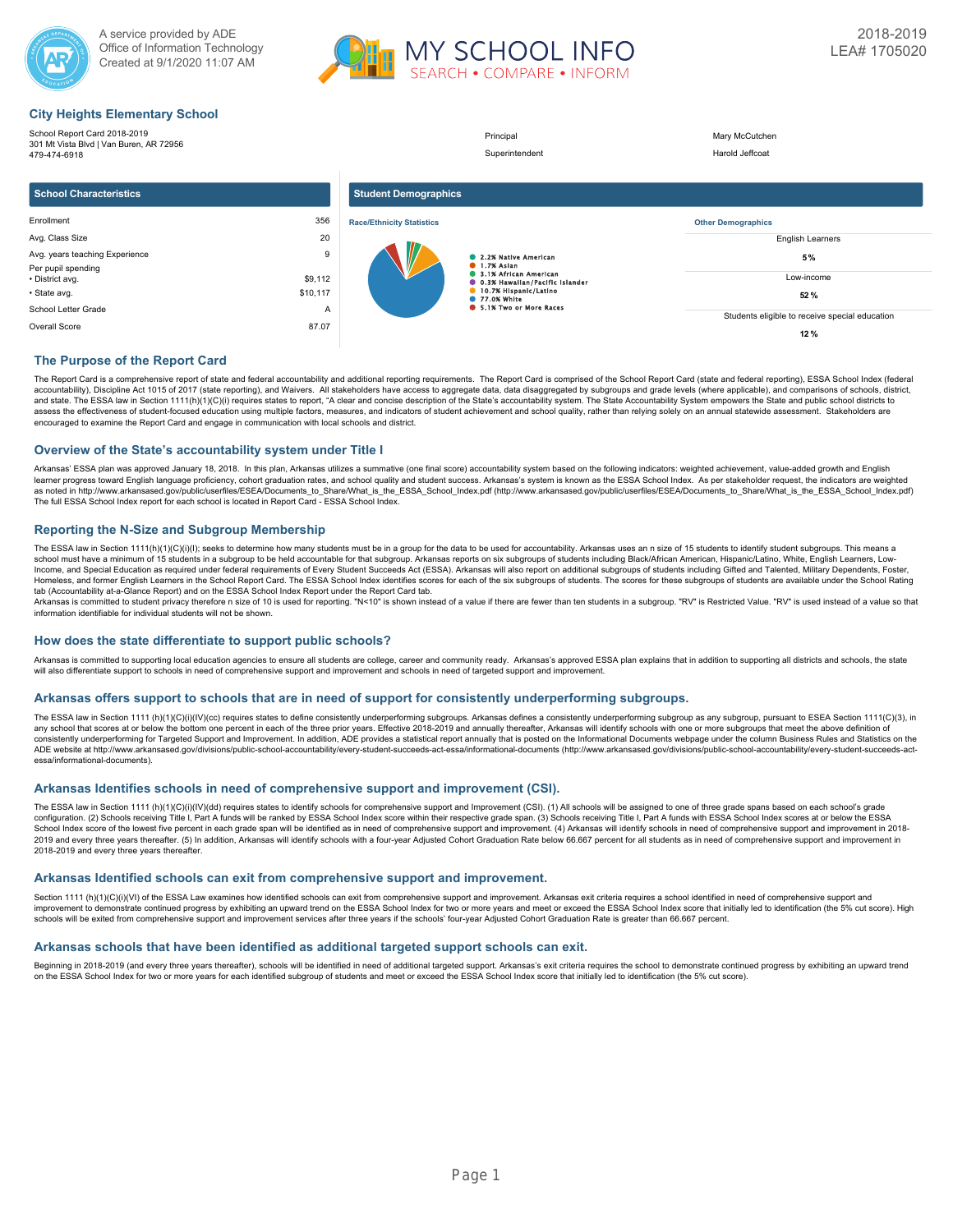



## **City Heights Elementary School**

| School Report Card 2018-2019<br>301 Mt Vista Blvd   Van Buren, AR 72956<br>479-474-6918 |                     |                                  | Principal<br>Superintendent                                        | Mary McCutchen<br>Harold Jeffcoat              |
|-----------------------------------------------------------------------------------------|---------------------|----------------------------------|--------------------------------------------------------------------|------------------------------------------------|
| <b>School Characteristics</b>                                                           |                     | <b>Student Demographics</b>      |                                                                    |                                                |
| Enrollment                                                                              | 356                 | <b>Race/Ethnicity Statistics</b> |                                                                    | <b>Other Demographics</b>                      |
| Avg. Class Size                                                                         | 20                  |                                  |                                                                    | <b>English Learners</b>                        |
| Avg. years teaching Experience<br>Per pupil spending                                    | 9                   |                                  | 2.2% Native American<br><b>1.7% Aslan</b><br>3.1% African American | 5%<br>Low-income                               |
| • District avg.<br>· State avg.                                                         | \$9,112<br>\$10,117 |                                  | <b>0.3% Hawallan/Pacific Islander</b><br>10.7% Hispanic/Latino     |                                                |
|                                                                                         |                     |                                  | <b>125 77.0% White</b><br>6 5.1% Two or More Races                 | 52%                                            |
| School Letter Grade                                                                     | A                   |                                  |                                                                    | Students eligible to receive special education |
| 87.07<br>Overall Score                                                                  |                     |                                  |                                                                    | 12%                                            |

## **The Purpose of the Report Card**

The Report Card is a comprehensive report of state and federal accountability and additional reporting requirements. The Report Card is comprised of the School Report Card (state and federal reporting), ESSA School Index ( accountability), Discipline Act 1015 of 2017 (state reporting), and Waivers. All stakeholders have access to aggregate data, data disaggregated by subgroups and grade levels (where applicable), and comparisons of schools, and state. The ESSA law in Section 1111(h)(1)(C)(i) requires states to report, "A clear and concise description of the State's accountability system. The State Accountability System empowers the State and public school dis encouraged to examine the Report Card and engage in communication with local schools and district.

## **Overview of the State's accountability system under Title I**

Arkansas' ESSA plan was approved January 18, 2018. In this plan, Arkansas utilizes a summative (one final score) accountability system based on the following indicators: weighted achievement, value-added growth and English learner progress toward English language proficiency, cohort graduation rates, and school quality and student success. Arkansas's system is known as the ESSA School Index. As per stakeholder request, the indicators are wei as noted in http://www.arkansased.gov/public/userfiles/ESEA/Documents\_to\_Share/What\_is\_the\_ESSA\_School\_Index.pdf) (http://www.arkansased.gov/public/userfiles/ESEA/Documents\_to\_Share/What\_is\_the\_ESSA\_School\_Index.pdf) The full ESSA School Index report for each school is located in Report Card - ESSA School Index.

## **Reporting the N-Size and Subgroup Membership**

The ESSA law in Section 1111(h)(1)(C)(i)(l); seeks to determine how many students must be in a group for the data to be used for accountability. Arkansas uses an n size of 15 students to identify student subgroups. This me Income, and Special Education as required under federal requirements of Every Student Succeeds Act (ESSA). Arkansas will also report on additional subgroups of students including Gifted and Talented, Military Dependents, F Homeless, and former English Learners in the School Report Card. The ESSA School Index identifies scores for each of the six subgroups of students. The scores for these subgroups of students are available under the School tab (Accountability at-a-Glance Report) and on the ESSA School Index Report under the Report Card tab.

Arkansas is committed to student privacy therefore n size of 10 is used for reporting. "N<10" is shown instead of a value if there are fewer than ten students in a subgroup. "RV" is Restricted Value. "RV" is used instead

## **How does the state differentiate to support public schools?**

Arkansas is committed to supporting local education agencies to ensure all students are college, career and community ready. Arkansas's approved ESSA plan explains that in addition to supporting all districts and schools, will also differentiate support to schools in need of comprehensive support and improvement and schools in need of targeted support and improvement

## **Arkansas offers support to schools that are in need of support for consistently underperforming subgroups.**

The ESSA law in Section 1111 (h)(1)(O)(i)(IV)(cc) requires states to define consistently underperforming subgroups. Arkansas defines a consistently underperforming subgroups as any subgroup, pursuant to ESEA Section 1111(C any school that scores at or below the bottom one percent in each of the three prior years. Effective 2018-2019 and annually thereafter. Arkansas will identify schools with one or more subgroups that meet the above definit consistently underperforming for Targeted Support and Improvement. In addition, ADE provides a statistical report annually that is posted on the Informational Documents webpage under the column Business Rules and Statistic ADE website at http://www.arkansased.gov/divisions/public-school-accountability/every-student-succeeds-act-essa/informational-documents (http://www.arkansased.gov/divisions/public-school-accountability/every-student-succee essa/informational-documents).

## **Arkansas Identifies schools in need of comprehensive support and improvement (CSI).**

The ESSA law in Section 1111 (h)(1)(C)(i)(IV)(dd) requires states to identify schools for comprehensive support and Improvement (CSI). (1) All schools will be assigned to one of three grade spans based on each school's gra School Index score of the lowest five percent in each grade span will be identified as in need of comprehensive support and improvement. (4) Arkansas will identify schools in need of comprehensive support and improvement 2019 and every three years thereafter. (5) In addition, Arkansas will identify schools with a four-year Adjusted Cohort Graduation Rate below 66.667 percent for all students as in need of comprehensive support and improvem 2018-2019 and every three years thereafter.

## **Arkansas Identified schools can exit from comprehensive support and improvement.**

Section 1111 (h)(1)(C)(i)(VI) of the ESSA Law examines how identified schools can exit from comprehensive support and improvement. Arkansas exit criteria requires a school identified in need of comprehensive support and improvement to demonstrate continued progress by exhibiting an upward trend on the ESSA School Index for two or more years and meet or exceed the ESSA School Index score that initially led to identification (the 5% cut sco schools will be exited from comprehensive support and improvement services after three years if the schools' four-year Adjusted Cohort Graduation Rate is greater than 66.667 percent.

## **Arkansas schools that have been identified as additional targeted support schools can exit.**

Beginning in 2018-2019 (and every three years thereafter), schools will be identified in need of additional targeted support. Arkansas's exit criteria requires the school to demonstrate continued progress by exhibiting an on the ESSA School Index for two or more years for each identified subgroup of students and meet or exceed the ESSA School Index score that initially led to identification (the 5% cut score).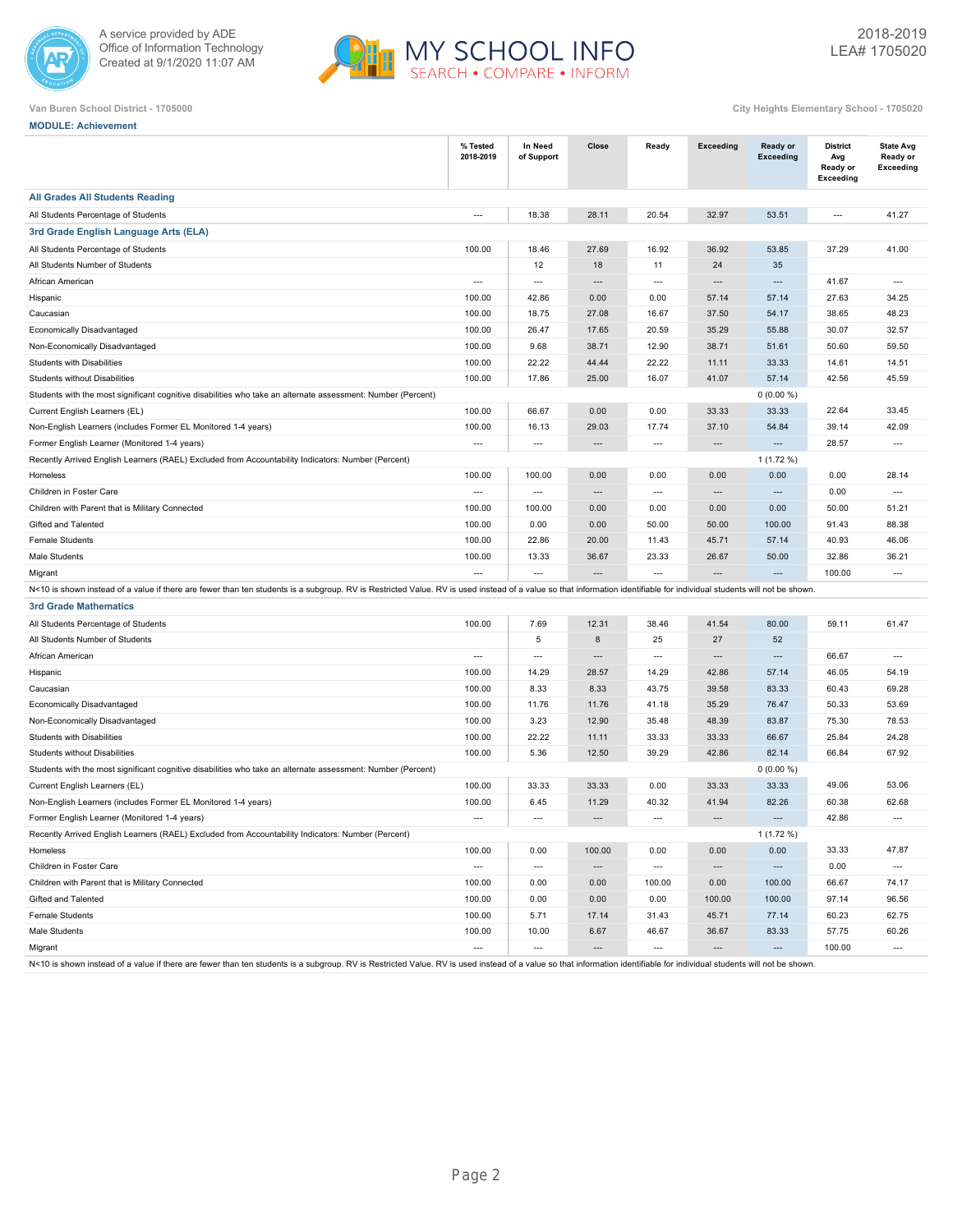



| Van Buren School District - 1705000 | City Heights Elementary School - 1705020 |
|-------------------------------------|------------------------------------------|
|                                     |                                          |

| <b>MODULE: Achievement</b>                                                                                                                                                                                             |                          |                          |                          |                          |                          |                              |                                                        |                                                  |
|------------------------------------------------------------------------------------------------------------------------------------------------------------------------------------------------------------------------|--------------------------|--------------------------|--------------------------|--------------------------|--------------------------|------------------------------|--------------------------------------------------------|--------------------------------------------------|
|                                                                                                                                                                                                                        | % Tested<br>2018-2019    | In Need<br>of Support    | Close                    | Ready                    | <b>Exceeding</b>         | <b>Ready or</b><br>Exceeding | <b>District</b><br>Avg<br>Ready or<br><b>Exceeding</b> | <b>State Avg</b><br>Ready or<br><b>Exceeding</b> |
| <b>All Grades All Students Reading</b>                                                                                                                                                                                 |                          |                          |                          |                          |                          |                              |                                                        |                                                  |
| All Students Percentage of Students                                                                                                                                                                                    | $\overline{\phantom{a}}$ | 18.38                    | 28.11                    | 20.54                    | 32.97                    | 53.51                        | $\overline{\phantom{a}}$                               | 41.27                                            |
| 3rd Grade English Language Arts (ELA)                                                                                                                                                                                  |                          |                          |                          |                          |                          |                              |                                                        |                                                  |
| All Students Percentage of Students                                                                                                                                                                                    | 100.00                   | 18.46                    | 27.69                    | 16.92                    | 36.92                    | 53.85                        | 37.29                                                  | 41.00                                            |
| All Students Number of Students                                                                                                                                                                                        |                          | 12                       | 18                       | 11                       | 24                       | 35                           |                                                        |                                                  |
| African American                                                                                                                                                                                                       | $\cdots$                 | $\overline{\phantom{a}}$ | $\overline{\phantom{a}}$ | $\overline{\phantom{a}}$ | ---                      | $\overline{\phantom{a}}$     | 41.67                                                  | $\overline{\phantom{a}}$                         |
| Hispanic                                                                                                                                                                                                               | 100.00                   | 42.86                    | 0.00                     | 0.00                     | 57.14                    | 57.14                        | 27.63                                                  | 34.25                                            |
| Caucasian                                                                                                                                                                                                              | 100.00                   | 18.75                    | 27.08                    | 16.67                    | 37.50                    | 54.17                        | 38.65                                                  | 48.23                                            |
| Economically Disadvantaged                                                                                                                                                                                             | 100.00                   | 26.47                    | 17.65                    | 20.59                    | 35.29                    | 55.88                        | 30.07                                                  | 32.57                                            |
| Non-Economically Disadvantaged                                                                                                                                                                                         | 100.00                   | 9.68                     | 38.71                    | 12.90                    | 38.71                    | 51.61                        | 50.60                                                  | 59.50                                            |
| Students with Disabilities                                                                                                                                                                                             | 100.00                   | 22.22                    | 44.44                    | 22.22                    | 11.11                    | 33.33                        | 14.61                                                  | 14.51                                            |
| Students without Disabilities                                                                                                                                                                                          | 100.00                   | 17.86                    | 25.00                    | 16.07                    | 41.07                    | 57.14                        | 42.56                                                  | 45.59                                            |
| Students with the most significant cognitive disabilities who take an alternate assessment: Number (Percent)                                                                                                           |                          |                          |                          |                          |                          | $0(0.00\%)$                  |                                                        |                                                  |
| Current English Learners (EL)                                                                                                                                                                                          | 100.00                   | 66.67                    | 0.00                     | 0.00                     | 33.33                    | 33.33                        | 22.64                                                  | 33.45                                            |
| Non-English Learners (includes Former EL Monitored 1-4 years)                                                                                                                                                          | 100.00                   | 16.13                    | 29.03                    | 17.74                    | 37.10                    | 54.84                        | 39.14                                                  | 42.09                                            |
| Former English Learner (Monitored 1-4 years)                                                                                                                                                                           | $\cdots$                 | $\hspace{0.05cm} \ldots$ | $\overline{\phantom{a}}$ | $\hspace{0.05cm} \ldots$ | $\hspace{0.05cm} \ldots$ | $\cdots$                     | 28.57                                                  | $\hspace{0.05cm} \ldots$                         |
| Recently Arrived English Learners (RAEL) Excluded from Accountability Indicators: Number (Percent)                                                                                                                     |                          |                          |                          |                          |                          | $1(1.72\%)$                  |                                                        |                                                  |
| Homeless                                                                                                                                                                                                               | 100.00                   | 100.00                   | 0.00                     | 0.00                     | 0.00                     | 0.00                         | 0.00                                                   | 28.14                                            |
| Children in Foster Care                                                                                                                                                                                                | $\overline{a}$           | $\overline{\phantom{a}}$ | $\overline{a}$           | $\overline{\phantom{a}}$ | ---                      | $\overline{\phantom{a}}$     | 0.00                                                   | $\overline{\phantom{a}}$                         |
| Children with Parent that is Military Connected                                                                                                                                                                        | 100.00                   | 100.00                   | 0.00                     | 0.00                     | 0.00                     | 0.00                         | 50.00                                                  | 51.21                                            |
| Gifted and Talented                                                                                                                                                                                                    | 100.00                   | 0.00                     | 0.00                     | 50.00                    | 50.00                    | 100.00                       | 91.43                                                  | 88.38                                            |
| <b>Female Students</b>                                                                                                                                                                                                 | 100.00                   | 22.86                    | 20.00                    | 11.43                    | 45.71                    | 57.14                        | 40.93                                                  | 46.06                                            |
| Male Students                                                                                                                                                                                                          | 100.00                   | 13.33                    | 36.67                    | 23.33                    | 26.67                    | 50.00                        | 32.86                                                  | 36.21                                            |
| Migrant                                                                                                                                                                                                                | $\overline{\phantom{a}}$ | $\overline{\phantom{a}}$ | $\overline{\phantom{a}}$ | $\overline{\phantom{a}}$ | ---                      | $\overline{a}$               | 100.00                                                 | $\overline{\phantom{a}}$                         |
| N<10 is shown instead of a value if there are fewer than ten students is a subgroup. RV is Restricted Value. RV is used instead of a value so that information identifiable for individual students will not be shown. |                          |                          |                          |                          |                          |                              |                                                        |                                                  |
| <b>3rd Grade Mathematics</b>                                                                                                                                                                                           |                          |                          |                          |                          |                          |                              |                                                        |                                                  |
| All Students Percentage of Students                                                                                                                                                                                    | 100.00                   | 7.69                     | 12.31                    | 38.46                    | 41.54                    | 80.00                        | 59.11                                                  | 61.47                                            |
| All Students Number of Students                                                                                                                                                                                        |                          | 5                        | 8                        | 25                       | 27                       | 52                           |                                                        |                                                  |
| African American                                                                                                                                                                                                       | $\hspace{0.05cm} \ldots$ | $\overline{\phantom{a}}$ | $\overline{\phantom{a}}$ | $\overline{\phantom{a}}$ | ---                      | $\overline{\phantom{a}}$     | 66.67                                                  | $\overline{\phantom{a}}$                         |
| Hispanic                                                                                                                                                                                                               | 100.00                   | 14.29                    | 28.57                    | 14.29                    | 42.86                    | 57.14                        | 46.05                                                  | 54.19                                            |
| Caucasian                                                                                                                                                                                                              | 100.00                   | 8.33                     | 8.33                     | 43.75                    | 39.58                    | 83.33                        | 60.43                                                  | 69.28                                            |
| Economically Disadvantaged                                                                                                                                                                                             | 100.00                   | 11.76                    | 11.76                    | 41.18                    | 35.29                    | 76.47                        | 50.33                                                  | 53.69                                            |
| Non-Economically Disadvantaged                                                                                                                                                                                         | 100.00                   | 3.23                     | 12.90                    | 35.48                    | 48.39                    | 83.87                        | 75.30                                                  | 78.53                                            |
| Students with Disabilities                                                                                                                                                                                             | 100.00                   | 22.22                    | 11.11                    | 33.33                    | 33.33                    | 66.67                        | 25.84                                                  | 24.28                                            |
| <b>Students without Disabilities</b>                                                                                                                                                                                   | 100.00                   | 5.36                     | 12.50                    | 39.29                    | 42.86                    | 82.14                        | 66.84                                                  | 67.92                                            |
| Students with the most significant cognitive disabilities who take an alternate assessment: Number (Percent)                                                                                                           |                          |                          |                          |                          |                          | $0(0.00\%)$                  |                                                        |                                                  |
| Current English Learners (EL)                                                                                                                                                                                          | 100.00                   | 33.33                    | 33.33                    | 0.00                     | 33.33                    | 33.33                        | 49.06                                                  | 53.06                                            |
| Non-English Learners (includes Former EL Monitored 1-4 years)                                                                                                                                                          | 100.00                   | 6.45                     | 11.29                    | 40.32                    | 41.94                    | 82.26                        | 60.38                                                  | 62.68                                            |
| Former English Learner (Monitored 1-4 years)                                                                                                                                                                           | $\hspace{0.05cm} \ldots$ | $\overline{\phantom{a}}$ |                          | $\overline{\phantom{a}}$ |                          | $\cdots$                     | 42.86                                                  | $\overline{\phantom{a}}$                         |
| Recently Arrived English Learners (RAEL) Excluded from Accountability Indicators: Number (Percent)                                                                                                                     |                          |                          |                          |                          |                          | $1(1.72\%)$                  |                                                        |                                                  |
| Homeless                                                                                                                                                                                                               | 100.00                   | 0.00                     | 100.00                   | 0.00                     | 0.00                     | 0.00                         | 33.33                                                  | 47.87                                            |
| Children in Foster Care                                                                                                                                                                                                | $\hspace{0.05cm} \cdots$ | $\hspace{0.05cm} \cdots$ | $\hspace{0.05cm} \cdots$ | $\hspace{0.05cm} \cdots$ | $\hspace{0.05cm} \cdots$ | $\cdots$                     | 0.00                                                   | $\hspace{0.05cm} \cdots$                         |
| Children with Parent that is Military Connected                                                                                                                                                                        | 100.00                   | 0.00                     | 0.00                     | 100.00                   | 0.00                     | 100.00                       | 66.67                                                  | 74.17                                            |
| Gifted and Talented                                                                                                                                                                                                    | 100.00                   | 0.00                     | 0.00                     | 0.00                     | 100.00                   | 100.00                       | 97.14                                                  | 96.56                                            |
| Female Students                                                                                                                                                                                                        | 100.00                   | 5.71                     | 17.14                    | 31.43                    | 45.71                    | 77.14                        | 60.23                                                  | 62.75                                            |
| Male Students                                                                                                                                                                                                          | 100.00                   | 10.00                    | 6.67                     | 46.67                    | 36.67                    | 83.33                        | 57.75                                                  | 60.26                                            |
| Migrant                                                                                                                                                                                                                | $\cdots$                 | $\cdots$                 | $\cdots$                 | $\cdots$                 | $\hspace{0.05cm} \cdots$ | $\cdots$                     | 100.00                                                 | $\cdots$                                         |

N<10 is shown instead of a value if there are fewer than ten students is a subgroup. RV is Restricted Value. RV is used instead of a value so that information identifiable for individual students will not be shown.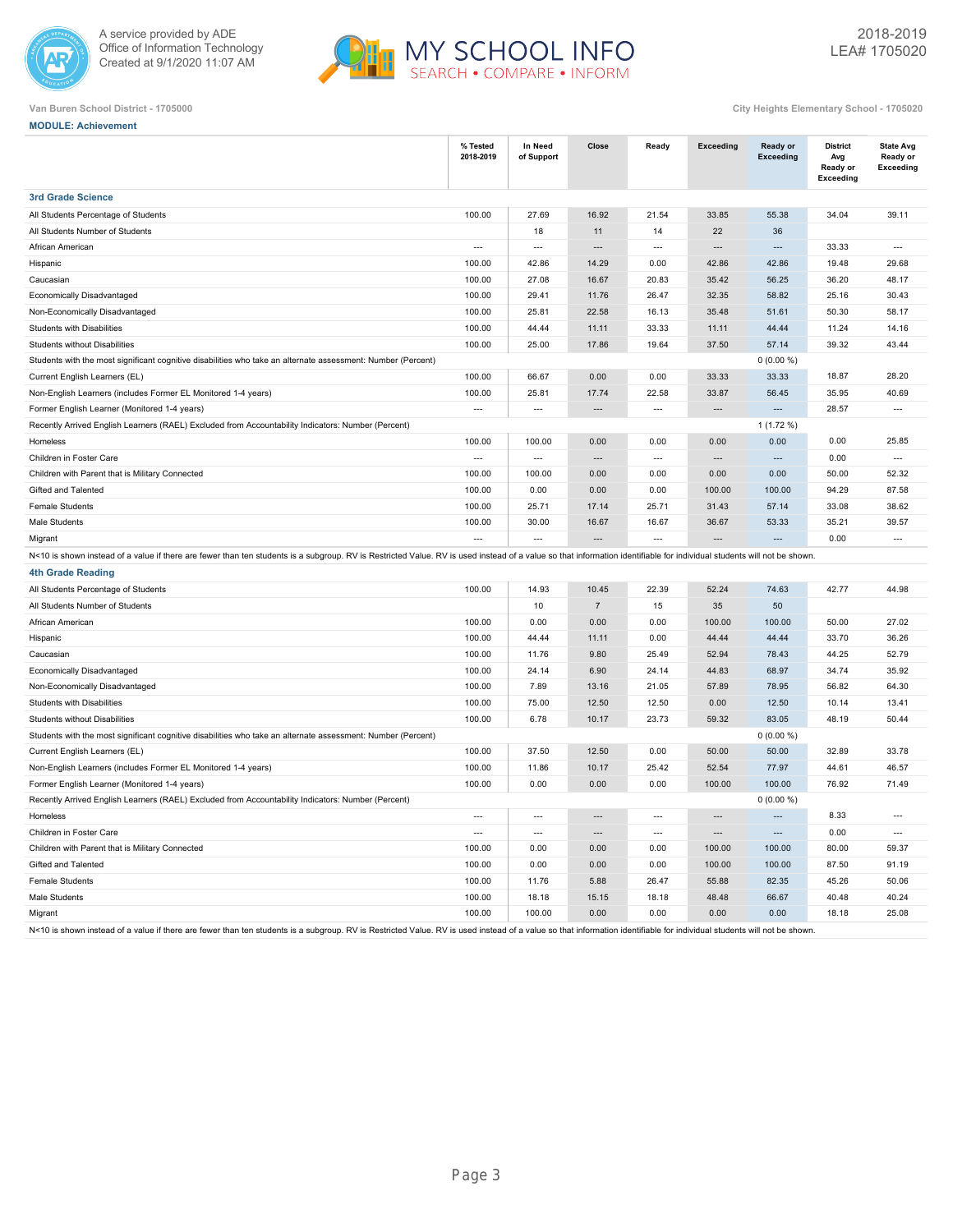



| <b>MODULE: Achievement</b>                                                                                                                                                                                             |                          |                          |                          |                          |                          |                                     |                                                        |                                                  |
|------------------------------------------------------------------------------------------------------------------------------------------------------------------------------------------------------------------------|--------------------------|--------------------------|--------------------------|--------------------------|--------------------------|-------------------------------------|--------------------------------------------------------|--------------------------------------------------|
|                                                                                                                                                                                                                        | % Tested<br>2018-2019    | In Need<br>of Support    | Close                    | Ready                    | <b>Exceeding</b>         | <b>Ready or</b><br><b>Exceeding</b> | <b>District</b><br>Avg<br>Ready or<br><b>Exceeding</b> | <b>State Avg</b><br>Ready or<br><b>Exceeding</b> |
| <b>3rd Grade Science</b>                                                                                                                                                                                               |                          |                          |                          |                          |                          |                                     |                                                        |                                                  |
| All Students Percentage of Students                                                                                                                                                                                    | 100.00                   | 27.69                    | 16.92                    | 21.54                    | 33.85                    | 55.38                               | 34.04                                                  | 39.11                                            |
| All Students Number of Students                                                                                                                                                                                        |                          | 18                       | 11                       | 14                       | 22                       | 36                                  |                                                        |                                                  |
| African American                                                                                                                                                                                                       | $\overline{\phantom{a}}$ | $\hspace{0.05cm} \ldots$ | ---                      | $\cdots$                 | ---                      | $\overline{\phantom{a}}$            | 33.33                                                  | $\overline{\phantom{a}}$                         |
| Hispanic                                                                                                                                                                                                               | 100.00                   | 42.86                    | 14.29                    | 0.00                     | 42.86                    | 42.86                               | 19.48                                                  | 29.68                                            |
| Caucasian                                                                                                                                                                                                              | 100.00                   | 27.08                    | 16.67                    | 20.83                    | 35.42                    | 56.25                               | 36.20                                                  | 48.17                                            |
| Economically Disadvantaged                                                                                                                                                                                             | 100.00                   | 29.41                    | 11.76                    | 26.47                    | 32.35                    | 58.82                               | 25.16                                                  | 30.43                                            |
| Non-Economically Disadvantaged                                                                                                                                                                                         | 100.00                   | 25.81                    | 22.58                    | 16.13                    | 35.48                    | 51.61                               | 50.30                                                  | 58.17                                            |
| Students with Disabilities                                                                                                                                                                                             | 100.00                   | 44.44                    | 11.11                    | 33.33                    | 11.11                    | 44.44                               | 11.24                                                  | 14.16                                            |
| Students without Disabilities                                                                                                                                                                                          | 100.00                   | 25.00                    | 17.86                    | 19.64                    | 37.50                    | 57.14                               | 39.32                                                  | 43.44                                            |
| Students with the most significant cognitive disabilities who take an alternate assessment: Number (Percent)                                                                                                           |                          |                          |                          |                          |                          | $0(0.00\%)$                         |                                                        |                                                  |
| Current English Learners (EL)                                                                                                                                                                                          | 100.00                   | 66.67                    | 0.00                     | 0.00                     | 33.33                    | 33.33                               | 18.87                                                  | 28.20                                            |
| Non-English Learners (includes Former EL Monitored 1-4 years)                                                                                                                                                          | 100.00                   | 25.81                    | 17.74                    | 22.58                    | 33.87                    | 56.45                               | 35.95                                                  | 40.69                                            |
| Former English Learner (Monitored 1-4 years)                                                                                                                                                                           | $\overline{\phantom{a}}$ | $\overline{\phantom{a}}$ | $\overline{a}$           | $\overline{\phantom{a}}$ | $\overline{\phantom{a}}$ | $\overline{a}$                      | 28.57                                                  | $\overline{\phantom{a}}$                         |
| Recently Arrived English Learners (RAEL) Excluded from Accountability Indicators: Number (Percent)                                                                                                                     |                          |                          |                          |                          |                          | $1(1.72\%)$                         |                                                        |                                                  |
| Homeless                                                                                                                                                                                                               | 100.00                   | 100.00                   | 0.00                     | 0.00                     | 0.00                     | 0.00                                | 0.00                                                   | 25.85                                            |
| Children in Foster Care                                                                                                                                                                                                | $\overline{\phantom{a}}$ | $\overline{\phantom{a}}$ | $\overline{\phantom{a}}$ | $\overline{\phantom{a}}$ | $\overline{\phantom{a}}$ | $\overline{\phantom{a}}$            | 0.00                                                   | $\overline{\phantom{a}}$                         |
| Children with Parent that is Military Connected                                                                                                                                                                        | 100.00                   | 100.00                   | 0.00                     | 0.00                     | 0.00                     | 0.00                                | 50.00                                                  | 52.32                                            |
| Gifted and Talented                                                                                                                                                                                                    | 100.00                   | 0.00                     | 0.00                     | 0.00                     | 100.00                   | 100.00                              | 94.29                                                  | 87.58                                            |
| <b>Female Students</b>                                                                                                                                                                                                 | 100.00                   | 25.71                    | 17.14                    | 25.71                    | 31.43                    | 57.14                               | 33.08                                                  | 38.62                                            |
| Male Students                                                                                                                                                                                                          | 100.00                   | 30.00                    | 16.67                    | 16.67                    | 36.67                    | 53.33                               | 35.21                                                  | 39.57                                            |
| Migrant                                                                                                                                                                                                                | $\overline{a}$           | $\overline{a}$           |                          | $\overline{\phantom{a}}$ |                          | $\overline{a}$                      | 0.00                                                   | $\overline{a}$                                   |
| N<10 is shown instead of a value if there are fewer than ten students is a subgroup. RV is Restricted Value. RV is used instead of a value so that information identifiable for individual students will not be shown. |                          |                          |                          |                          |                          |                                     |                                                        |                                                  |
| <b>4th Grade Reading</b>                                                                                                                                                                                               |                          |                          |                          |                          |                          |                                     |                                                        |                                                  |
| All Students Percentage of Students                                                                                                                                                                                    | 100.00                   | 14.93                    | 10.45                    | 22.39                    | 52.24                    | 74.63                               | 42.77                                                  | 44.98                                            |
| All Students Number of Students                                                                                                                                                                                        |                          | 10                       | $\sqrt{7}$               | 15                       | 35                       | 50                                  |                                                        |                                                  |
| African American                                                                                                                                                                                                       | 100.00                   | 0.00                     | 0.00                     | 0.00                     | 100.00                   | 100.00                              | 50.00                                                  | 27.02                                            |
| Hispanic                                                                                                                                                                                                               | 100.00                   | 44.44                    | 11.11                    | 0.00                     | 44.44                    | 44.44                               | 33.70                                                  | 36.26                                            |
| Caucasian                                                                                                                                                                                                              | 100.00                   | 11.76                    | 9.80                     | 25.49                    | 52.94                    | 78.43                               | 44.25                                                  | 52.79                                            |
| Economically Disadvantaged                                                                                                                                                                                             | 100.00                   | 24.14                    | 6.90                     | 24.14                    | 44.83                    | 68.97                               | 34.74                                                  | 35.92                                            |
| Non-Economically Disadvantaged                                                                                                                                                                                         | 100.00                   | 7.89                     | 13.16                    | 21.05                    | 57.89                    | 78.95                               | 56.82                                                  | 64.30                                            |
| Students with Disabilities                                                                                                                                                                                             | 100.00                   | 75.00                    | 12.50                    | 12.50                    | 0.00                     | 12.50                               | 10.14                                                  | 13.41                                            |
| <b>Students without Disabilities</b>                                                                                                                                                                                   | 100.00                   | 6.78                     | 10.17                    | 23.73                    | 59.32                    | 83.05                               | 48.19                                                  | 50.44                                            |
| Students with the most significant cognitive disabilities who take an alternate assessment: Number (Percent)                                                                                                           |                          |                          |                          |                          |                          | $0(0.00\%)$                         |                                                        |                                                  |
| Current English Learners (EL)                                                                                                                                                                                          | 100.00                   | 37.50                    | 12.50                    | 0.00                     | 50.00                    | 50.00                               | 32.89                                                  | 33.78                                            |
| Non-English Learners (includes Former EL Monitored 1-4 years)                                                                                                                                                          | 100.00                   | 11.86                    | 10.17                    | 25.42                    | 52.54                    | 77.97                               | 44.61                                                  | 46.57                                            |
| Former English Learner (Monitored 1-4 years)                                                                                                                                                                           | 100.00                   | 0.00                     | 0.00                     | 0.00                     | 100.00                   | 100.00                              | 76.92                                                  | 71.49                                            |
| Recently Arrived English Learners (RAEL) Excluded from Accountability Indicators: Number (Percent)                                                                                                                     |                          |                          |                          |                          |                          | $0(0.00\%)$                         |                                                        |                                                  |
| Homeless                                                                                                                                                                                                               | $---$                    | $---$                    |                          | $---$                    |                          |                                     | 8.33                                                   |                                                  |
| Children in Foster Care                                                                                                                                                                                                | $\overline{\phantom{a}}$ | $\overline{\phantom{a}}$ | $\cdots$                 | $\overline{\phantom{a}}$ | $\hspace{0.05cm} \cdots$ | $\cdots$                            | 0.00                                                   | $\overline{\phantom{a}}$                         |
| Children with Parent that is Military Connected                                                                                                                                                                        | 100.00                   | 0.00                     | 0.00                     | 0.00                     | 100.00                   | 100.00                              | 80.00                                                  | 59.37                                            |
| Gifted and Talented                                                                                                                                                                                                    | 100.00                   | 0.00                     | 0.00                     | 0.00                     | 100.00                   | 100.00                              | 87.50                                                  | 91.19                                            |
| Female Students                                                                                                                                                                                                        | 100.00                   | 11.76                    | 5.88                     | 26.47                    | 55.88                    | 82.35                               | 45.26                                                  | 50.06                                            |
| Male Students                                                                                                                                                                                                          | 100.00                   | 18.18                    | 15.15                    | 18.18                    | 48.48                    | 66.67                               | 40.48                                                  | 40.24                                            |
| Migrant                                                                                                                                                                                                                | 100.00                   | 100.00                   | 0.00                     | 0.00                     | 0.00                     | 0.00                                | 18.18                                                  | 25.08                                            |
| N<10 is shown instead of a value if there are fewer than ten students is a subgroup. RV is Restricted Value. RV is used instead of a value so that information identifiable for individual students will not be shown. |                          |                          |                          |                          |                          |                                     |                                                        |                                                  |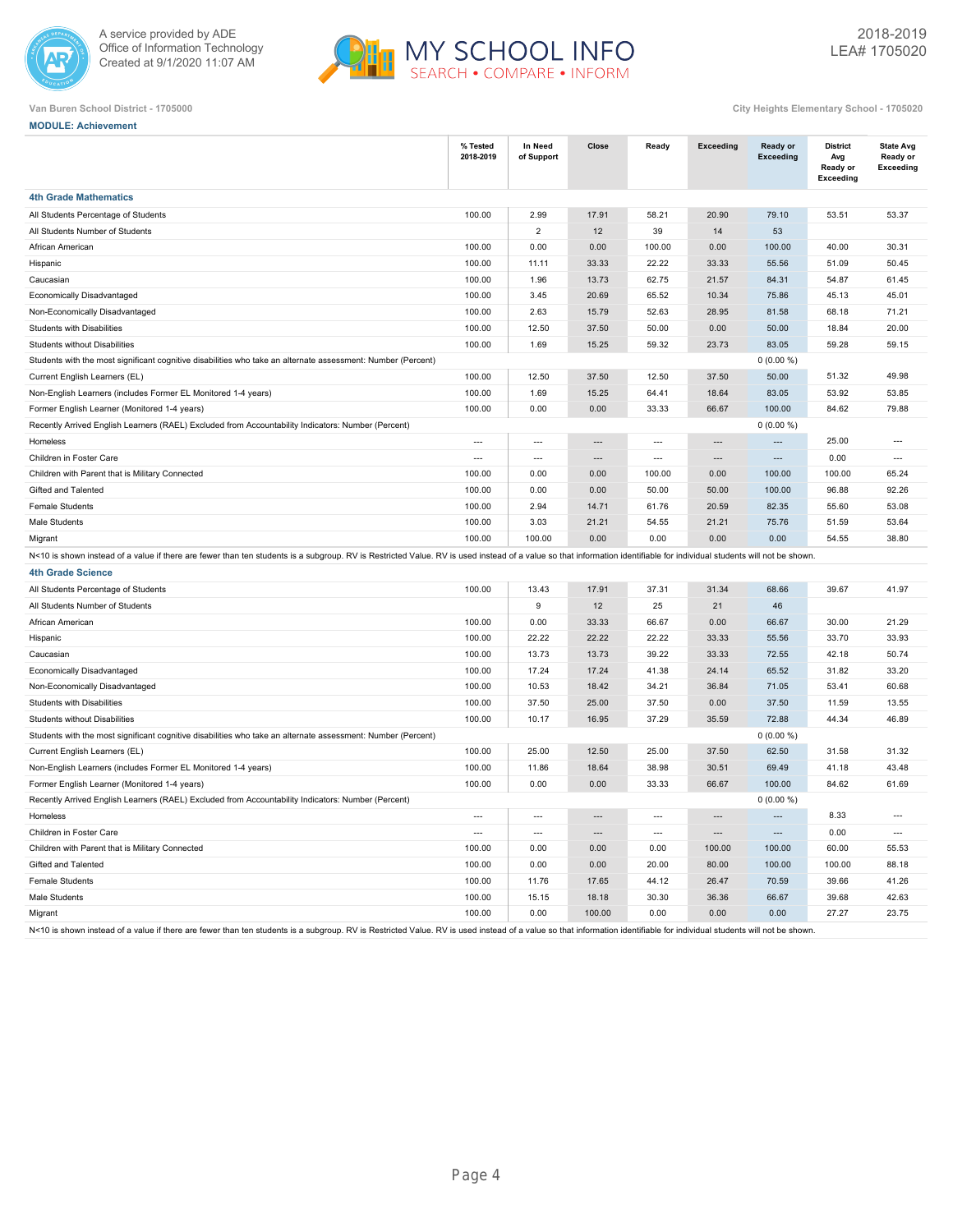



| <b>MODULE: Achievement</b>                                                                                                                                                                                             |                          |                          |                          |                          |                          |                              |                                                        |                                           |
|------------------------------------------------------------------------------------------------------------------------------------------------------------------------------------------------------------------------|--------------------------|--------------------------|--------------------------|--------------------------|--------------------------|------------------------------|--------------------------------------------------------|-------------------------------------------|
|                                                                                                                                                                                                                        | % Tested<br>2018-2019    | In Need<br>of Support    | Close                    | Ready                    | Exceeding                | Ready or<br><b>Exceeding</b> | <b>District</b><br>Avg<br>Ready or<br><b>Exceeding</b> | <b>State Avg</b><br>Ready or<br>Exceeding |
| <b>4th Grade Mathematics</b>                                                                                                                                                                                           |                          |                          |                          |                          |                          |                              |                                                        |                                           |
| All Students Percentage of Students                                                                                                                                                                                    | 100.00                   | 2.99                     | 17.91                    | 58.21                    | 20.90                    | 79.10                        | 53.51                                                  | 53.37                                     |
| All Students Number of Students                                                                                                                                                                                        |                          | $\overline{2}$           | 12                       | 39                       | 14                       | 53                           |                                                        |                                           |
| African American                                                                                                                                                                                                       | 100.00                   | 0.00                     | 0.00                     | 100.00                   | 0.00                     | 100.00                       | 40.00                                                  | 30.31                                     |
| Hispanic                                                                                                                                                                                                               | 100.00                   | 11.11                    | 33.33                    | 22.22                    | 33.33                    | 55.56                        | 51.09                                                  | 50.45                                     |
| Caucasian                                                                                                                                                                                                              | 100.00                   | 1.96                     | 13.73                    | 62.75                    | 21.57                    | 84.31                        | 54.87                                                  | 61.45                                     |
| Economically Disadvantaged                                                                                                                                                                                             | 100.00                   | 3.45                     | 20.69                    | 65.52                    | 10.34                    | 75.86                        | 45.13                                                  | 45.01                                     |
| Non-Economically Disadvantaged                                                                                                                                                                                         | 100.00                   | 2.63                     | 15.79                    | 52.63                    | 28.95                    | 81.58                        | 68.18                                                  | 71.21                                     |
| Students with Disabilities                                                                                                                                                                                             | 100.00                   | 12.50                    | 37.50                    | 50.00                    | 0.00                     | 50.00                        | 18.84                                                  | 20.00                                     |
| <b>Students without Disabilities</b>                                                                                                                                                                                   | 100.00                   | 1.69                     | 15.25                    | 59.32                    | 23.73                    | 83.05                        | 59.28                                                  | 59.15                                     |
| Students with the most significant cognitive disabilities who take an alternate assessment: Number (Percent)                                                                                                           |                          |                          |                          |                          |                          | $0(0.00\%)$                  |                                                        |                                           |
| Current English Learners (EL)                                                                                                                                                                                          | 100.00                   | 12.50                    | 37.50                    | 12.50                    | 37.50                    | 50.00                        | 51.32                                                  | 49.98                                     |
| Non-English Learners (includes Former EL Monitored 1-4 years)                                                                                                                                                          | 100.00                   | 1.69                     | 15.25                    | 64.41                    | 18.64                    | 83.05                        | 53.92                                                  | 53.85                                     |
| Former English Learner (Monitored 1-4 years)                                                                                                                                                                           | 100.00                   | 0.00                     | 0.00                     | 33.33                    | 66.67                    | 100.00                       | 84.62                                                  | 79.88                                     |
| Recently Arrived English Learners (RAEL) Excluded from Accountability Indicators: Number (Percent)                                                                                                                     |                          |                          |                          |                          |                          | $0(0.00\%)$                  |                                                        |                                           |
| Homeless                                                                                                                                                                                                               | $\overline{\phantom{a}}$ | $\overline{\phantom{a}}$ | ---                      | $\cdots$                 | ---                      | $\overline{\phantom{a}}$     | 25.00                                                  | $---$                                     |
| Children in Foster Care                                                                                                                                                                                                | $\overline{a}$           | $\overline{\phantom{a}}$ | $\overline{\phantom{a}}$ | $\hspace{0.05cm} \ldots$ | $\overline{\phantom{a}}$ | $\overline{\phantom{a}}$     | 0.00                                                   | $\hspace{0.05cm} \ldots$                  |
| Children with Parent that is Military Connected                                                                                                                                                                        | 100.00                   | 0.00                     | 0.00                     | 100.00                   | 0.00                     | 100.00                       | 100.00                                                 | 65.24                                     |
| Gifted and Talented                                                                                                                                                                                                    | 100.00                   | 0.00                     | 0.00                     | 50.00                    | 50.00                    | 100.00                       | 96.88                                                  | 92.26                                     |
| <b>Female Students</b>                                                                                                                                                                                                 | 100.00                   | 2.94                     | 14.71                    | 61.76                    | 20.59                    | 82.35                        | 55.60                                                  | 53.08                                     |
| Male Students                                                                                                                                                                                                          | 100.00                   | 3.03                     | 21.21                    | 54.55                    | 21.21                    | 75.76                        | 51.59                                                  | 53.64                                     |
| Migrant                                                                                                                                                                                                                | 100.00                   | 100.00                   | 0.00                     | 0.00                     | 0.00                     | 0.00                         | 54.55                                                  | 38.80                                     |
| N<10 is shown instead of a value if there are fewer than ten students is a subgroup. RV is Restricted Value. RV is used instead of a value so that information identifiable for individual students will not be shown  |                          |                          |                          |                          |                          |                              |                                                        |                                           |
| <b>4th Grade Science</b>                                                                                                                                                                                               |                          |                          |                          |                          |                          |                              |                                                        |                                           |
| All Students Percentage of Students                                                                                                                                                                                    | 100.00                   | 13.43                    | 17.91                    | 37.31                    | 31.34                    | 68.66                        | 39.67                                                  | 41.97                                     |
| All Students Number of Students                                                                                                                                                                                        |                          | 9                        | 12                       | 25                       | 21                       | 46                           |                                                        |                                           |
| African American                                                                                                                                                                                                       | 100.00                   | 0.00                     | 33.33                    | 66.67                    | 0.00                     | 66.67                        | 30.00                                                  | 21.29                                     |
| Hispanic                                                                                                                                                                                                               | 100.00                   | 22.22                    | 22.22                    | 22.22                    | 33.33                    | 55.56                        | 33.70                                                  | 33.93                                     |
| Caucasian                                                                                                                                                                                                              | 100.00                   | 13.73                    | 13.73                    | 39.22                    | 33.33                    | 72.55                        | 42.18                                                  | 50.74                                     |
| Economically Disadvantaged                                                                                                                                                                                             | 100.00                   | 17.24                    | 17.24                    | 41.38                    | 24.14                    | 65.52                        | 31.82                                                  | 33.20                                     |
| Non-Economically Disadvantaged                                                                                                                                                                                         | 100.00                   | 10.53                    | 18.42                    | 34.21                    | 36.84                    | 71.05                        | 53.41                                                  | 60.68                                     |
| Students with Disabilities                                                                                                                                                                                             | 100.00                   | 37.50                    | 25.00                    | 37.50                    | 0.00                     | 37.50                        | 11.59                                                  | 13.55                                     |
| Students without Disabilities                                                                                                                                                                                          | 100.00                   | 10.17                    | 16.95                    | 37.29                    | 35.59                    | 72.88                        | 44.34                                                  | 46.89                                     |
| Students with the most significant cognitive disabilities who take an alternate assessment: Number (Percent)                                                                                                           |                          |                          |                          |                          |                          | $0(0.00\%)$                  |                                                        |                                           |
| Current English Learners (EL)                                                                                                                                                                                          | 100.00                   | 25.00                    | 12.50                    | 25.00                    | 37.50                    | 62.50                        | 31.58                                                  | 31.32                                     |
| Non-English Learners (includes Former EL Monitored 1-4 years)                                                                                                                                                          | 100.00                   | 11.86                    | 18.64                    | 38.98                    | 30.51                    | 69.49                        | 41.18                                                  | 43.48                                     |
| Former English Learner (Monitored 1-4 years)                                                                                                                                                                           | 100.00                   | 0.00                     | 0.00                     | 33.33                    | 66.67                    | 100.00                       | 84.62                                                  | 61.69                                     |
| Recently Arrived English Learners (RAEL) Excluded from Accountability Indicators: Number (Percent)                                                                                                                     |                          |                          |                          |                          |                          | $0(0.00\%)$                  |                                                        |                                           |
| Homeless                                                                                                                                                                                                               |                          |                          |                          |                          |                          |                              | 8.33                                                   |                                           |
| Children in Foster Care                                                                                                                                                                                                | $\cdots$                 | $\hspace{0.05cm} \ldots$ | $\hspace{1.5cm} \cdots$  | $\hspace{0.05cm} \ldots$ | $\hspace{0.05cm} \cdots$ | $\hspace{0.05cm} \ldots$     | 0.00                                                   | $\hspace{0.05cm} \ldots$                  |
| Children with Parent that is Military Connected                                                                                                                                                                        | 100.00                   | 0.00                     | 0.00                     | 0.00                     | 100.00                   | 100.00                       | 60.00                                                  | 55.53                                     |
| Gifted and Talented                                                                                                                                                                                                    | 100.00                   | 0.00                     | 0.00                     | 20.00                    | 80.00                    | 100.00                       | 100.00                                                 | 88.18                                     |
| Female Students                                                                                                                                                                                                        | 100.00                   | 11.76                    | 17.65                    | 44.12                    | 26.47                    | 70.59                        | 39.66                                                  | 41.26                                     |
| Male Students                                                                                                                                                                                                          | 100.00                   | 15.15                    | 18.18                    | 30.30                    | 36.36                    | 66.67                        | 39.68                                                  | 42.63                                     |
| Migrant                                                                                                                                                                                                                | 100.00                   | 0.00                     | 100.00                   | 0.00                     | 0.00                     | 0.00                         | 27.27                                                  | 23.75                                     |
| N<10 is shown instead of a value if there are fewer than ten students is a subgroup. RV is Restricted Value. RV is used instead of a value so that information identifiable for individual students will not be shown. |                          |                          |                          |                          |                          |                              |                                                        |                                           |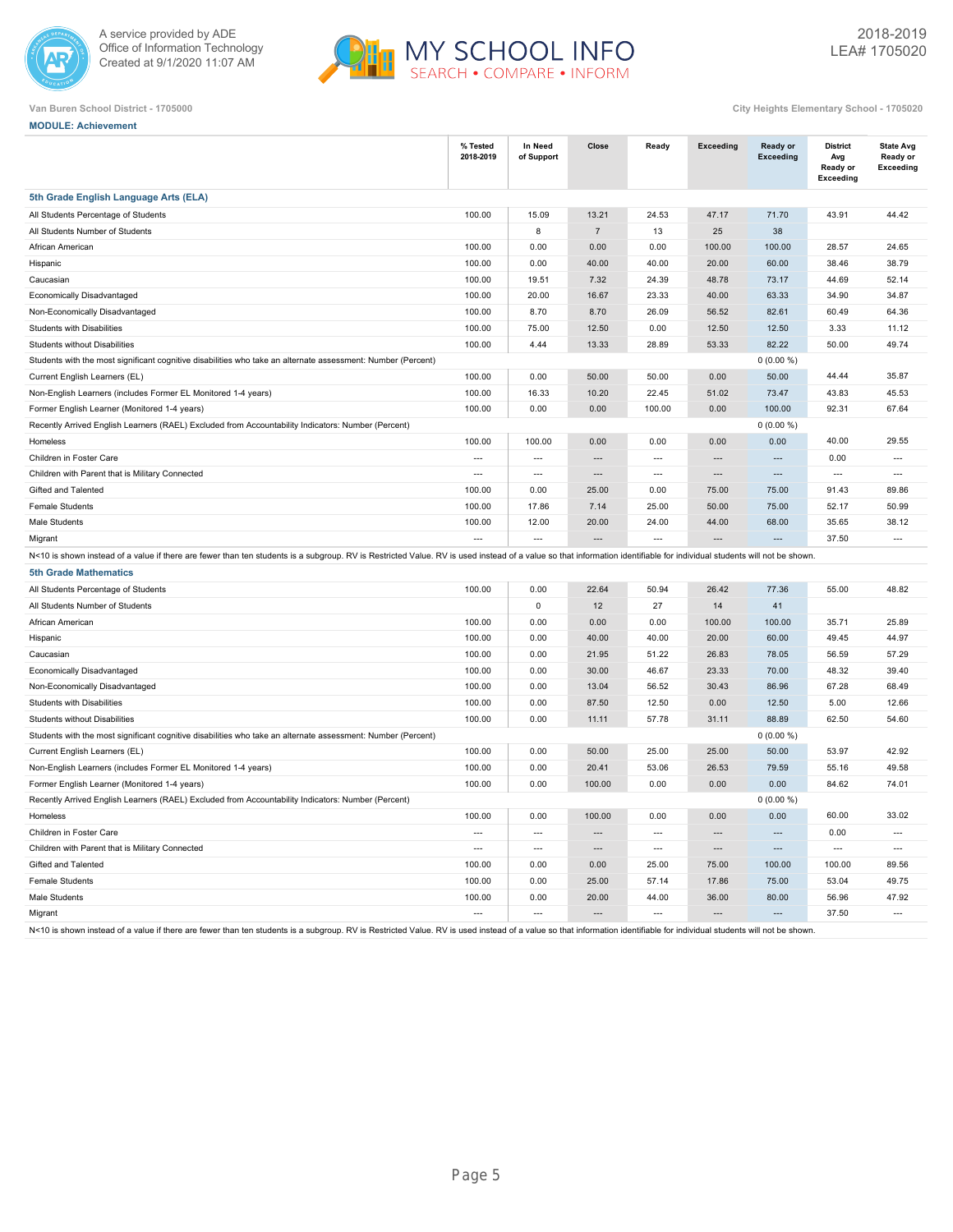



| <b>MODULE: Achievement</b> |
|----------------------------|
|                            |

|                                                                                                                                                                                                                        | % Tested<br>2018-2019    | In Need<br>of Support    | Close                    | Ready                    | Exceeding                | Ready or<br>Exceeding | <b>District</b><br>Avg<br>Ready or<br><b>Exceeding</b> | <b>State Avg</b><br>Ready or<br><b>Exceeding</b> |
|------------------------------------------------------------------------------------------------------------------------------------------------------------------------------------------------------------------------|--------------------------|--------------------------|--------------------------|--------------------------|--------------------------|-----------------------|--------------------------------------------------------|--------------------------------------------------|
| 5th Grade English Language Arts (ELA)                                                                                                                                                                                  |                          |                          |                          |                          |                          |                       |                                                        |                                                  |
| All Students Percentage of Students                                                                                                                                                                                    | 100.00                   | 15.09                    | 13.21                    | 24.53                    | 47.17                    | 71.70                 | 43.91                                                  | 44.42                                            |
| All Students Number of Students                                                                                                                                                                                        |                          | 8                        | $\sqrt{7}$               | 13                       | 25                       | 38                    |                                                        |                                                  |
| African American                                                                                                                                                                                                       | 100.00                   | 0.00                     | 0.00                     | 0.00                     | 100.00                   | 100.00                | 28.57                                                  | 24.65                                            |
| Hispanic                                                                                                                                                                                                               | 100.00                   | 0.00                     | 40.00                    | 40.00                    | 20.00                    | 60.00                 | 38.46                                                  | 38.79                                            |
| Caucasian                                                                                                                                                                                                              | 100.00                   | 19.51                    | 7.32                     | 24.39                    | 48.78                    | 73.17                 | 44.69                                                  | 52.14                                            |
| Economically Disadvantaged                                                                                                                                                                                             | 100.00                   | 20.00                    | 16.67                    | 23.33                    | 40.00                    | 63.33                 | 34.90                                                  | 34.87                                            |
| Non-Economically Disadvantaged                                                                                                                                                                                         | 100.00                   | 8.70                     | 8.70                     | 26.09                    | 56.52                    | 82.61                 | 60.49                                                  | 64.36                                            |
| <b>Students with Disabilities</b>                                                                                                                                                                                      | 100.00                   | 75.00                    | 12.50                    | 0.00                     | 12.50                    | 12.50                 | 3.33                                                   | 11.12                                            |
| <b>Students without Disabilities</b>                                                                                                                                                                                   | 100.00                   | 4.44                     | 13.33                    | 28.89                    | 53.33                    | 82.22                 | 50.00                                                  | 49.74                                            |
| Students with the most significant cognitive disabilities who take an alternate assessment: Number (Percent)                                                                                                           |                          |                          |                          |                          |                          | $0(0.00\%)$           |                                                        |                                                  |
| Current English Learners (EL)                                                                                                                                                                                          | 100.00                   | 0.00                     | 50.00                    | 50.00                    | 0.00                     | 50.00                 | 44.44                                                  | 35.87                                            |
| Non-English Learners (includes Former EL Monitored 1-4 years)                                                                                                                                                          | 100.00                   | 16.33                    | 10.20                    | 22.45                    | 51.02                    | 73.47                 | 43.83                                                  | 45.53                                            |
| Former English Learner (Monitored 1-4 years)                                                                                                                                                                           | 100.00                   | 0.00                     | 0.00                     | 100.00                   | 0.00                     | 100.00                | 92.31                                                  | 67.64                                            |
| Recently Arrived English Learners (RAEL) Excluded from Accountability Indicators: Number (Percent)                                                                                                                     |                          |                          |                          |                          |                          | $0(0.00\%)$           |                                                        |                                                  |
| Homeless                                                                                                                                                                                                               | 100.00                   | 100.00                   | 0.00                     | 0.00                     | 0.00                     | 0.00                  | 40.00                                                  | 29.55                                            |
| Children in Foster Care                                                                                                                                                                                                | $\overline{a}$           | $-$                      | $\overline{a}$           | $---$                    | $\sim$                   | $\sim$                | 0.00                                                   | $---$                                            |
| Children with Parent that is Military Connected                                                                                                                                                                        | $\overline{a}$           | $\overline{\phantom{a}}$ | $\overline{\phantom{a}}$ | $\overline{a}$           | $\sim$                   | $\overline{a}$        | $\overline{\phantom{a}}$                               | $\overline{a}$                                   |
| Gifted and Talented                                                                                                                                                                                                    | 100.00                   | 0.00                     | 25.00                    | 0.00                     | 75.00                    | 75.00                 | 91.43                                                  | 89.86                                            |
| <b>Female Students</b>                                                                                                                                                                                                 | 100.00                   | 17.86                    | 7.14                     | 25.00                    | 50.00                    | 75.00                 | 52.17                                                  | 50.99                                            |
| Male Students                                                                                                                                                                                                          | 100.00                   | 12.00                    | 20.00                    | 24.00                    | 44.00                    | 68.00                 | 35.65                                                  | 38.12                                            |
| Migrant                                                                                                                                                                                                                | $\overline{\phantom{a}}$ | $\overline{a}$           |                          | $\overline{\phantom{a}}$ | $\sim$                   |                       | 37.50                                                  | $\overline{\phantom{a}}$                         |
| N<10 is shown instead of a value if there are fewer than ten students is a subgroup. RV is Restricted Value. RV is used instead of a value so that information identifiable for individual students will not be shown. |                          |                          |                          |                          |                          |                       |                                                        |                                                  |
| <b>5th Grade Mathematics</b>                                                                                                                                                                                           |                          |                          |                          |                          |                          |                       |                                                        |                                                  |
| All Students Percentage of Students                                                                                                                                                                                    | 100.00                   | 0.00                     | 22.64                    | 50.94                    | 26.42                    | 77.36                 | 55.00                                                  | 48.82                                            |
| All Students Number of Students                                                                                                                                                                                        |                          | $\mathbf 0$              | 12                       | 27                       | 14                       | 41                    |                                                        |                                                  |
| African American                                                                                                                                                                                                       | 100.00                   | 0.00                     | 0.00                     | 0.00                     | 100.00                   | 100.00                | 35.71                                                  | 25.89                                            |
| Hispanic                                                                                                                                                                                                               | 100.00                   | 0.00                     | 40.00                    | 40.00                    | 20.00                    | 60.00                 | 49.45                                                  | 44.97                                            |
| Caucasian                                                                                                                                                                                                              | 100.00                   | 0.00                     | 21.95                    | 51.22                    | 26.83                    | 78.05                 | 56.59                                                  | 57.29                                            |
| Economically Disadvantaged                                                                                                                                                                                             | 100.00                   | 0.00                     | 30.00                    | 46.67                    | 23.33                    | 70.00                 | 48.32                                                  | 39.40                                            |
| Non-Economically Disadvantaged                                                                                                                                                                                         | 100.00                   | 0.00                     | 13.04                    | 56.52                    | 30.43                    | 86.96                 | 67.28                                                  | 68.49                                            |
| <b>Students with Disabilities</b>                                                                                                                                                                                      | 100.00                   | 0.00                     | 87.50                    | 12.50                    | 0.00                     | 12.50                 | 5.00                                                   | 12.66                                            |
| <b>Students without Disabilities</b>                                                                                                                                                                                   | 100.00                   | 0.00                     | 11.11                    | 57.78                    | 31.11                    | 88.89                 | 62.50                                                  | 54.60                                            |
| Students with the most significant cognitive disabilities who take an alternate assessment: Number (Percent)                                                                                                           |                          |                          |                          |                          |                          | $0(0.00\%)$           |                                                        |                                                  |
| Current English Learners (EL)                                                                                                                                                                                          | 100.00                   | 0.00                     | 50.00                    | 25.00                    | 25.00                    | 50.00                 | 53.97                                                  | 42.92                                            |
| Non-English Learners (includes Former EL Monitored 1-4 years)                                                                                                                                                          | 100.00                   | 0.00                     | 20.41                    | 53.06                    | 26.53                    | 79.59                 | 55.16                                                  | 49.58                                            |
| Former English Learner (Monitored 1-4 years)                                                                                                                                                                           | 100.00                   | 0.00                     | 100.00                   | 0.00                     | 0.00                     | 0.00                  | 84.62                                                  | 74.01                                            |
| Recently Arrived English Learners (RAEL) Excluded from Accountability Indicators: Number (Percent)                                                                                                                     |                          |                          |                          |                          |                          | $0(0.00\%)$           |                                                        |                                                  |
| Homeless                                                                                                                                                                                                               | 100.00                   | 0.00                     | 100.00                   | 0.00                     | 0.00                     | 0.00                  | 60.00                                                  | 33.02                                            |
| Children in Foster Care                                                                                                                                                                                                | $\overline{\phantom{a}}$ | $\overline{a}$           | $\overline{\phantom{a}}$ | $\overline{\phantom{a}}$ | $\overline{\phantom{a}}$ | $---$                 | 0.00                                                   | $\overline{a}$                                   |
| Children with Parent that is Military Connected                                                                                                                                                                        | $\overline{\phantom{a}}$ | $\overline{\phantom{a}}$ | $\overline{\phantom{a}}$ | $\overline{a}$           | $\overline{a}$           | $\overline{a}$        | $\overline{a}$                                         | $\overline{\phantom{a}}$                         |
| Gifted and Talented                                                                                                                                                                                                    | 100.00                   | 0.00                     | 0.00                     | 25.00                    | 75.00                    | 100.00                | 100.00                                                 | 89.56                                            |
| <b>Female Students</b>                                                                                                                                                                                                 | 100.00                   | 0.00                     | 25.00                    | 57.14                    | 17.86                    | 75.00                 | 53.04                                                  | 49.75                                            |
| Male Students                                                                                                                                                                                                          | 100.00                   | 0.00                     | 20.00                    | 44.00                    | 36.00                    | 80.00                 | 56.96                                                  | 47.92                                            |
| Migrant                                                                                                                                                                                                                | $\overline{a}$           | $\overline{a}$           |                          | $\overline{\phantom{a}}$ |                          |                       | 37.50                                                  | $\overline{\phantom{a}}$                         |
| N<10 is shown instead of a value if there are fewer than ten students is a subgroup. RV is Restricted Value. RV is used instead of a value so that information identifiable for individual students will not be shown. |                          |                          |                          |                          |                          |                       |                                                        |                                                  |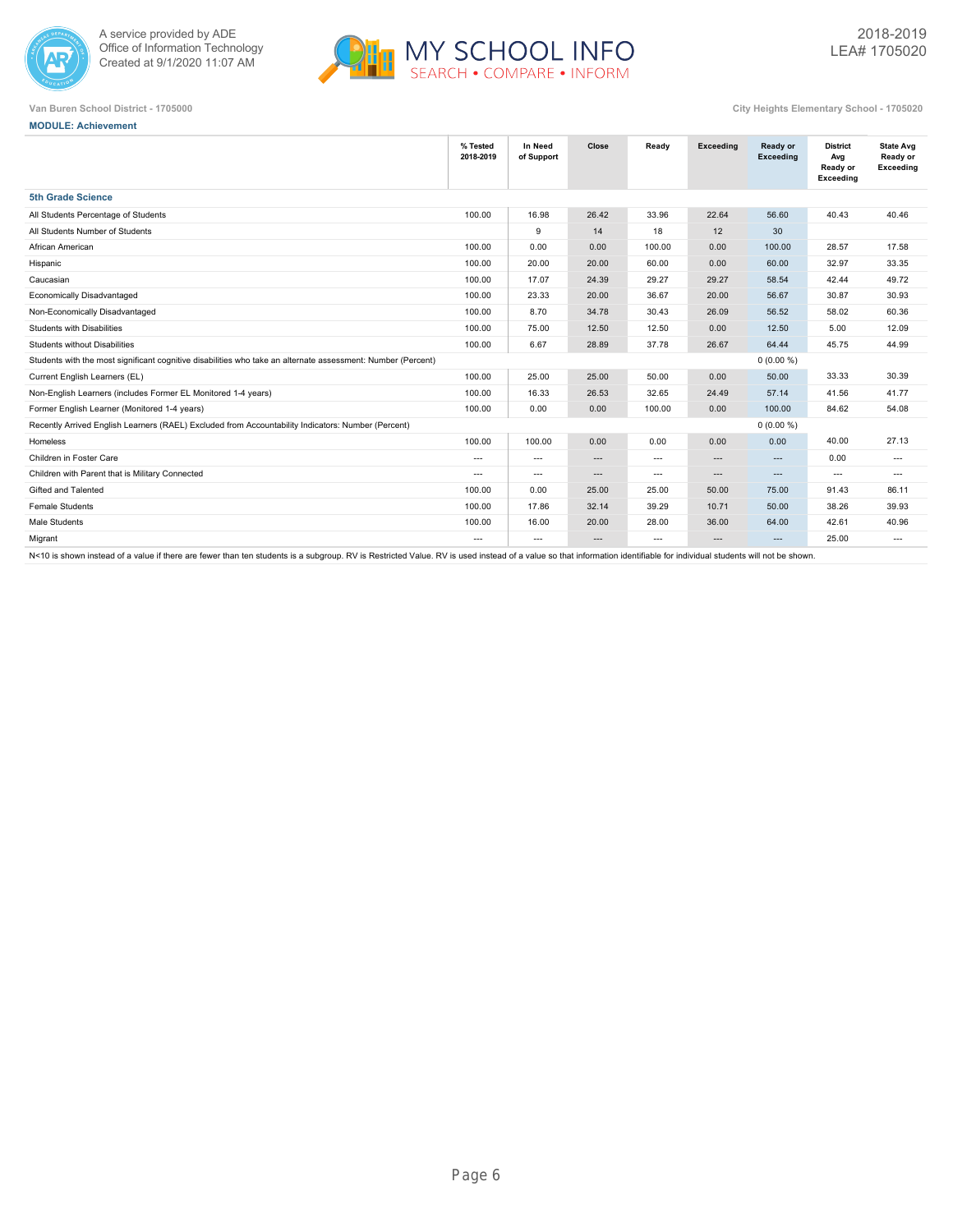



**MODULE: Achievement**

**Van Buren School District - 1705000 City Heights Elementary School - 1705020**

|                                                                                                              | % Tested<br>2018-2019    | In Need<br>of Support    | Close    | Ready  | Exceeding                | Ready or<br><b>Exceeding</b> | <b>District</b><br>Avg<br>Ready or<br>Exceeding | <b>State Avg</b><br>Ready or<br>Exceeding |
|--------------------------------------------------------------------------------------------------------------|--------------------------|--------------------------|----------|--------|--------------------------|------------------------------|-------------------------------------------------|-------------------------------------------|
| <b>5th Grade Science</b>                                                                                     |                          |                          |          |        |                          |                              |                                                 |                                           |
| All Students Percentage of Students                                                                          | 100.00                   | 16.98                    | 26.42    | 33.96  | 22.64                    | 56.60                        | 40.43                                           | 40.46                                     |
| All Students Number of Students                                                                              |                          | 9                        | 14       | 18     | 12                       | 30                           |                                                 |                                           |
| African American                                                                                             | 100.00                   | 0.00                     | 0.00     | 100.00 | 0.00                     | 100.00                       | 28.57                                           | 17.58                                     |
| Hispanic                                                                                                     | 100.00                   | 20.00                    | 20.00    | 60.00  | 0.00                     | 60.00                        | 32.97                                           | 33.35                                     |
| Caucasian                                                                                                    | 100.00                   | 17.07                    | 24.39    | 29.27  | 29.27                    | 58.54                        | 42.44                                           | 49.72                                     |
| Economically Disadvantaged                                                                                   | 100.00                   | 23.33                    | 20.00    | 36.67  | 20.00                    | 56.67                        | 30.87                                           | 30.93                                     |
| Non-Economically Disadvantaged                                                                               | 100.00                   | 8.70                     | 34.78    | 30.43  | 26.09                    | 56.52                        | 58.02                                           | 60.36                                     |
| <b>Students with Disabilities</b>                                                                            | 100.00                   | 75.00                    | 12.50    | 12.50  | 0.00                     | 12.50                        | 5.00                                            | 12.09                                     |
| <b>Students without Disabilities</b>                                                                         | 100.00                   | 6.67                     | 28.89    | 37.78  | 26.67                    | 64.44                        | 45.75                                           | 44.99                                     |
| Students with the most significant cognitive disabilities who take an alternate assessment: Number (Percent) |                          |                          |          |        |                          | $0(0.00\%)$                  |                                                 |                                           |
| Current English Learners (EL)                                                                                | 100.00                   | 25.00                    | 25.00    | 50.00  | 0.00                     | 50.00                        | 33.33                                           | 30.39                                     |
| Non-English Learners (includes Former EL Monitored 1-4 years)                                                | 100.00                   | 16.33                    | 26.53    | 32.65  | 24.49                    | 57.14                        | 41.56                                           | 41.77                                     |
| Former English Learner (Monitored 1-4 years)                                                                 | 100.00                   | 0.00                     | 0.00     | 100.00 | 0.00                     | 100.00                       | 84.62                                           | 54.08                                     |
| Recently Arrived English Learners (RAEL) Excluded from Accountability Indicators: Number (Percent)           |                          |                          |          |        |                          | $0(0.00\%)$                  |                                                 |                                           |
| Homeless                                                                                                     | 100.00                   | 100.00                   | 0.00     | 0.00   | 0.00                     | 0.00                         | 40.00                                           | 27.13                                     |
| Children in Foster Care                                                                                      | $\hspace{0.05cm} \cdots$ | $\overline{\phantom{a}}$ | ---      | ---    | $\overline{\phantom{a}}$ | $\cdots$                     | 0.00                                            | $\overline{\phantom{a}}$                  |
| Children with Parent that is Military Connected                                                              | $\sim$ $\sim$            | $---$                    | ---      | $---$  | $\cdots$                 | $\cdots$                     | $\cdots$                                        | $---$                                     |
| Gifted and Talented                                                                                          | 100.00                   | 0.00                     | 25.00    | 25.00  | 50.00                    | 75.00                        | 91.43                                           | 86.11                                     |
| <b>Female Students</b>                                                                                       | 100.00                   | 17.86                    | 32.14    | 39.29  | 10.71                    | 50.00                        | 38.26                                           | 39.93                                     |
| Male Students                                                                                                | 100.00                   | 16.00                    | 20.00    | 28.00  | 36.00                    | 64.00                        | 42.61                                           | 40.96                                     |
| Migrant                                                                                                      | $\sim$ $\sim$            | $---$                    | $\cdots$ | $---$  | $\cdots$                 | $---$                        | 25.00                                           | $---$                                     |
|                                                                                                              |                          |                          |          |        |                          |                              |                                                 |                                           |

N<10 is shown instead of a value if there are fewer than ten students is a subgroup. RV is Restricted Value. RV is used instead of a value so that information identifiable for individual students will not be shown.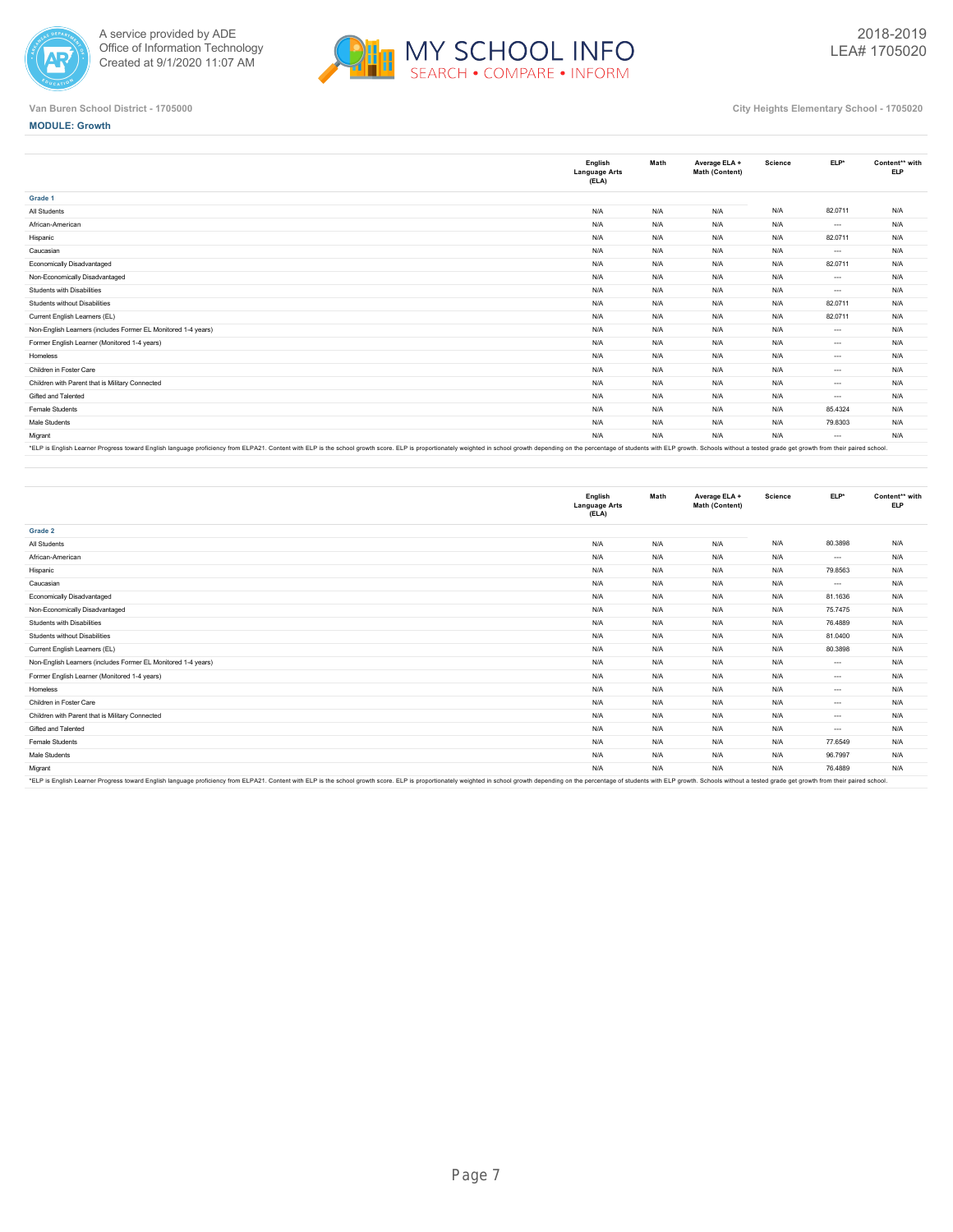



**MODULE: Growth**

|                                                                                                                                                                                                                               | English<br><b>Language Arts</b><br>(ELA) | Math | Average ELA +<br>Math (Content) | Science | ELP*     | Content** with<br><b>ELP</b> |
|-------------------------------------------------------------------------------------------------------------------------------------------------------------------------------------------------------------------------------|------------------------------------------|------|---------------------------------|---------|----------|------------------------------|
| Grade 1                                                                                                                                                                                                                       |                                          |      |                                 |         |          |                              |
| All Students                                                                                                                                                                                                                  | N/A                                      | N/A  | N/A                             | N/A     | 82.0711  | N/A                          |
| African-American                                                                                                                                                                                                              | N/A                                      | N/A  | N/A                             | N/A     | $\cdots$ | N/A                          |
| Hispanic                                                                                                                                                                                                                      | N/A                                      | N/A  | N/A                             | N/A     | 82.0711  | N/A                          |
| Caucasian                                                                                                                                                                                                                     | N/A                                      | N/A  | N/A                             | N/A     | $\cdots$ | N/A                          |
| Economically Disadvantaged                                                                                                                                                                                                    | N/A                                      | N/A  | N/A                             | N/A     | 82.0711  | N/A                          |
| Non-Economically Disadvantaged                                                                                                                                                                                                | N/A                                      | N/A  | N/A                             | N/A     | $\cdots$ | N/A                          |
| Students with Disabilities                                                                                                                                                                                                    | N/A                                      | N/A  | N/A                             | N/A     | $\cdots$ | N/A                          |
| Students without Disabilities                                                                                                                                                                                                 | N/A                                      | N/A  | N/A                             | N/A     | 82.0711  | N/A                          |
| Current English Learners (EL)                                                                                                                                                                                                 | N/A                                      | N/A  | N/A                             | N/A     | 82.0711  | N/A                          |
| Non-English Learners (includes Former EL Monitored 1-4 years)                                                                                                                                                                 | N/A                                      | N/A  | N/A                             | N/A     | $\cdots$ | N/A                          |
| Former English Learner (Monitored 1-4 years)                                                                                                                                                                                  | N/A                                      | N/A  | N/A                             | N/A     | $\cdots$ | N/A                          |
| Homeless                                                                                                                                                                                                                      | N/A                                      | N/A  | N/A                             | N/A     | $\cdots$ | N/A                          |
| Children in Foster Care                                                                                                                                                                                                       | N/A                                      | N/A  | N/A                             | N/A     | $\cdots$ | N/A                          |
| Children with Parent that is Military Connected                                                                                                                                                                               | N/A                                      | N/A  | N/A                             | N/A     | $\cdots$ | N/A                          |
| Gifted and Talented                                                                                                                                                                                                           | N/A                                      | N/A  | N/A                             | N/A     | $\cdots$ | N/A                          |
| <b>Female Students</b>                                                                                                                                                                                                        | N/A                                      | N/A  | N/A                             | N/A     | 85.4324  | N/A                          |
| Male Students                                                                                                                                                                                                                 | N/A                                      | N/A  | N/A                             | N/A     | 79.8303  | N/A                          |
| Migrant                                                                                                                                                                                                                       | N/A                                      | N/A  | N/A                             | N/A     | $\cdots$ | N/A                          |
| ICLD in English Longons Drogram found English longuage proficiency from ELDAM, Contact with ELD is the ophoel created account concertionately weighted in ophoel groups depend an one of drudouts with ELD groups Change with |                                          |      |                                 |         |          |                              |

"ELP is English Learner Progress toward English language proficiency from ELPA21. Content with ELP is the school growth score. ELP is proportionately weighted in school growth depending on the percentage of students with E

|                                                                                                                                                                                                                                | English<br><b>Language Arts</b><br>(ELA) | Math | Average ELA +<br>Math (Content) | Science | ELP*     | Content** with<br><b>ELP</b> |
|--------------------------------------------------------------------------------------------------------------------------------------------------------------------------------------------------------------------------------|------------------------------------------|------|---------------------------------|---------|----------|------------------------------|
| Grade 2                                                                                                                                                                                                                        |                                          |      |                                 |         |          |                              |
| All Students                                                                                                                                                                                                                   | N/A                                      | N/A  | N/A                             | N/A     | 80.3898  | N/A                          |
| African-American                                                                                                                                                                                                               | N/A                                      | N/A  | N/A                             | N/A     | $\cdots$ | N/A                          |
| Hispanic                                                                                                                                                                                                                       | N/A                                      | N/A  | N/A                             | N/A     | 79.8563  | N/A                          |
| Caucasian                                                                                                                                                                                                                      | N/A                                      | N/A  | N/A                             | N/A     | $\cdots$ | N/A                          |
| Economically Disadvantaged                                                                                                                                                                                                     | N/A                                      | N/A  | N/A                             | N/A     | 81.1636  | N/A                          |
| Non-Economically Disadvantaged                                                                                                                                                                                                 | N/A                                      | N/A  | N/A                             | N/A     | 75.7475  | N/A                          |
| Students with Disabilities                                                                                                                                                                                                     | N/A                                      | N/A  | N/A                             | N/A     | 76.4889  | N/A                          |
| Students without Disabilities                                                                                                                                                                                                  | N/A                                      | N/A  | N/A                             | N/A     | 81.0400  | N/A                          |
| Current English Learners (EL)                                                                                                                                                                                                  | N/A                                      | N/A  | N/A                             | N/A     | 80,3898  | N/A                          |
| Non-English Learners (includes Former EL Monitored 1-4 years)                                                                                                                                                                  | N/A                                      | N/A  | N/A                             | N/A     | $\cdots$ | N/A                          |
| Former English Learner (Monitored 1-4 years)                                                                                                                                                                                   | N/A                                      | N/A  | N/A                             | N/A     | $\cdots$ | N/A                          |
| Homeless                                                                                                                                                                                                                       | N/A                                      | N/A  | N/A                             | N/A     | $\cdots$ | N/A                          |
| Children in Foster Care                                                                                                                                                                                                        | N/A                                      | N/A  | N/A                             | N/A     | $\cdots$ | N/A                          |
| Children with Parent that is Military Connected                                                                                                                                                                                | N/A                                      | N/A  | N/A                             | N/A     | $\cdots$ | N/A                          |
| Gifted and Talented                                                                                                                                                                                                            | N/A                                      | N/A  | N/A                             | N/A     | $---$    | N/A                          |
| Female Students                                                                                                                                                                                                                | N/A                                      | N/A  | N/A                             | N/A     | 77.6549  | N/A                          |
| Male Students                                                                                                                                                                                                                  | N/A                                      | N/A  | N/A                             | N/A     | 96.7997  | N/A                          |
| Migrant                                                                                                                                                                                                                        | N/A                                      | N/A  | N/A                             | N/A     | 76.4889  | N/A                          |
| *FI P is English Learner Progress toward English language proficiency from ELP421. Content with ELP is the school growth score. ELP is thoused a proportionately weighted in school growth depending on the perceptage of stud |                                          |      |                                 |         |          |                              |

\*ELP is English Learner Progress toward English language proficiency from ELPA21. Content with ELP is the school growth score. ELP is proportionately weighted in school growth depending on the percentage of students with E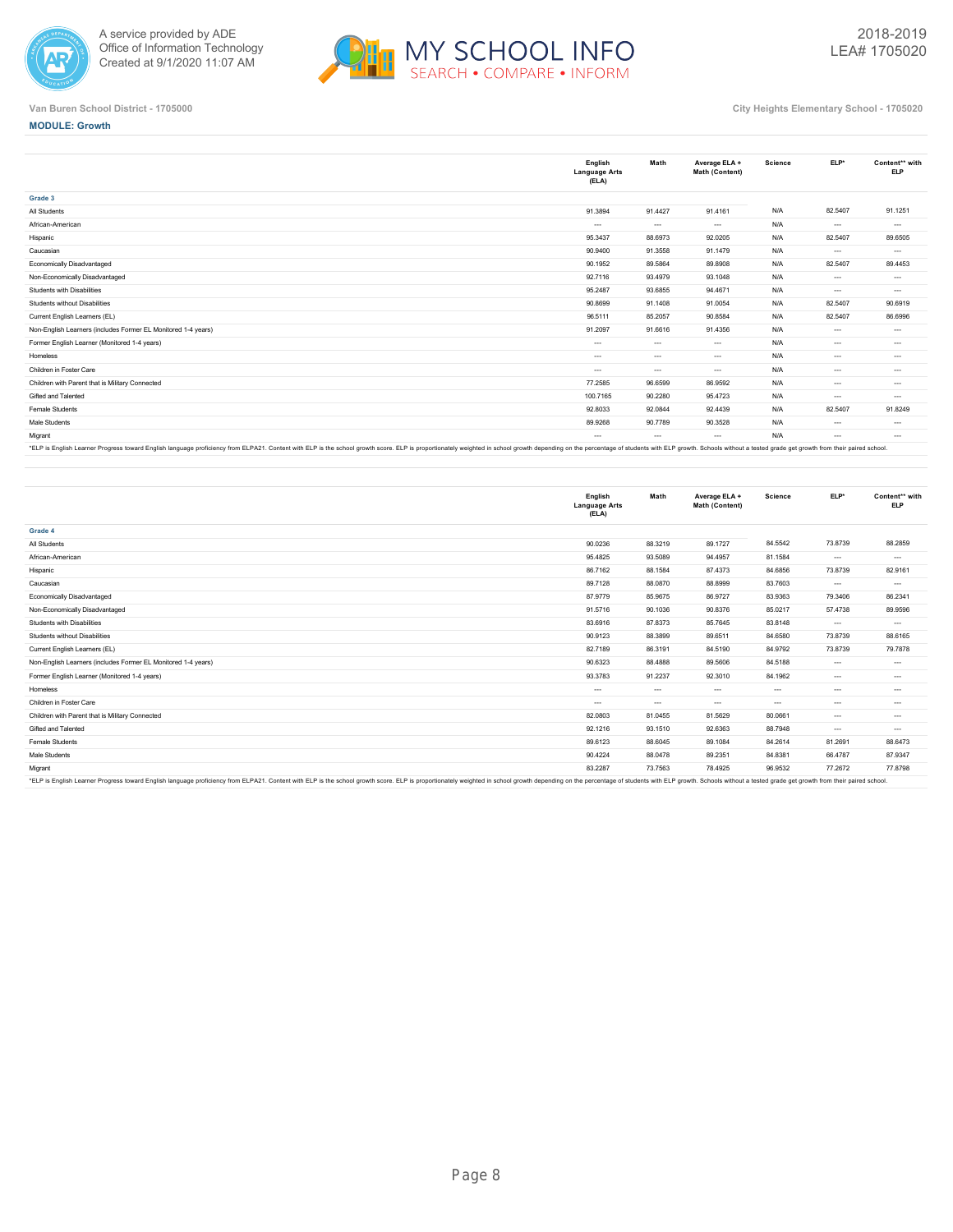



## **MODULE: Growth**

|                                                               | English<br><b>Language Arts</b><br>(ELA) | Math     | Average ELA +<br>Math (Content) | Science | $ELP*$<br>82.5407<br>$\cdots$ | Content** with<br><b>ELP</b> |
|---------------------------------------------------------------|------------------------------------------|----------|---------------------------------|---------|-------------------------------|------------------------------|
| Grade 3                                                       |                                          |          |                                 |         |                               |                              |
| All Students                                                  | 91.3894                                  | 91.4427  | 91.4161                         | N/A     |                               | 91.1251                      |
| African-American                                              | $\cdots$                                 | $\cdots$ | $\cdots$                        | N/A     |                               | $\cdots$                     |
| Hispanic                                                      | 95.3437                                  | 88.6973  | 92.0205                         | N/A     | 82.5407                       | 89.6505                      |
| Caucasian                                                     | 90.9400                                  | 91.3558  | 91.1479                         | N/A     | $\cdots$                      | $\cdots$                     |
| Economically Disadvantaged                                    | 90.1952                                  | 89.5864  | 89.8908                         | N/A     | 82.5407                       | 89.4453                      |
| Non-Economically Disadvantaged                                | 92.7116                                  | 93.4979  | 93.1048                         | N/A     | $\cdots$                      | $\cdots$                     |
| Students with Disabilities                                    | 95.2487                                  | 93.6855  | 94.4671                         | N/A     | $\cdots$                      | $\cdots$                     |
| Students without Disabilities                                 | 90.8699                                  | 91.1408  | 91.0054                         | N/A     | 82.5407                       | 90.6919                      |
| Current English Learners (EL)                                 | 96.5111                                  | 85.2057  | 90.8584                         | N/A     | 82.5407                       | 86,6996                      |
| Non-English Learners (includes Former EL Monitored 1-4 years) | 91.2097                                  | 91.6616  | 91.4356                         | N/A     | $\cdots$                      | $\cdots$                     |
| Former English Learner (Monitored 1-4 years)                  | $\cdots$                                 | $\cdots$ | $\cdots$                        | N/A     | $\cdots$                      | $\cdots$                     |
| Homeless                                                      | $\cdots$                                 | $\cdots$ | $\cdots$                        | N/A     | $\cdots$                      | $\cdots$                     |
| Children in Foster Care                                       | $\cdots$                                 | $\cdots$ | $\cdots$                        | N/A     | $\cdots$                      | $\cdots$                     |
| Children with Parent that is Military Connected               | 77.2585                                  | 96,6599  | 86,9592                         | N/A     | $\cdots$                      | $\cdots$                     |
| Gifted and Talented                                           | 100.7165                                 | 90.2280  | 95.4723                         | N/A     | $\cdots$                      | $\cdots$                     |
| Female Students                                               | 92.8033                                  | 92.0844  | 92.4439                         | N/A     | 82.5407                       | 91.8249                      |
| Male Students                                                 | 89.9268                                  | 90.7789  | 90.3528                         | N/A     | $---$                         | $\cdots$                     |
| Migrant                                                       | $\cdots$                                 | $\cdots$ | $\cdots$                        | N/A     | $\cdots$                      | $\cdots$                     |

"ELP is English Learner Progress toward English language proficiency from ELPA21. Content with ELP is the school growth score. ELP is proportionately weighted in school growth depending on the percentage of students with E

|                                                                                                                                                                                                                                | English<br><b>Language Arts</b><br>(ELA) | Math          | Average ELA +<br>Math (Content) | <b>Science</b> | $ELP*$   | Content** with<br><b>ELP</b> |
|--------------------------------------------------------------------------------------------------------------------------------------------------------------------------------------------------------------------------------|------------------------------------------|---------------|---------------------------------|----------------|----------|------------------------------|
| Grade 4                                                                                                                                                                                                                        |                                          |               |                                 |                |          |                              |
| All Students                                                                                                                                                                                                                   | 90.0236                                  | 88.3219       | 89.1727                         | 84.5542        | 73.8739  | 88.2859                      |
| African-American                                                                                                                                                                                                               | 95.4825                                  | 93.5089       | 94.4957                         | 81.1584        | $\cdots$ | $\cdots$                     |
| Hispanic                                                                                                                                                                                                                       | 86.7162                                  | 88.1584       | 87.4373                         | 84.6856        | 73.8739  | 82.9161                      |
| Caucasian                                                                                                                                                                                                                      | 89.7128                                  | 88.0870       | 88.8999                         | 83.7603        | $\cdots$ | $\cdots$                     |
| Economically Disadvantaged                                                                                                                                                                                                     | 87.9779                                  | 85.9675       | 86.9727                         | 83.9363        | 79.3406  | 86.2341                      |
| Non-Economically Disadvantaged                                                                                                                                                                                                 | 91.5716                                  | 90.1036       | 90.8376                         | 85.0217        | 57.4738  | 89.9596                      |
| Students with Disabilities                                                                                                                                                                                                     | 83.6916                                  | 87.8373       | 85.7645                         | 83.8148        | $\cdots$ | $\cdots$                     |
| Students without Disabilities                                                                                                                                                                                                  | 90.9123                                  | 88.3899       | 89.6511                         | 84.6580        | 73.8739  | 88.6165                      |
| Current English Learners (EL)                                                                                                                                                                                                  | 82.7189                                  | 86.3191       | 84.5190                         | 84.9792        | 73.8739  | 79.7878                      |
| Non-English Learners (includes Former EL Monitored 1-4 years)                                                                                                                                                                  | 90.6323                                  | 88.4888       | 89.5606                         | 84.5188        | $\cdots$ | $\cdots$                     |
| Former English Learner (Monitored 1-4 years)                                                                                                                                                                                   | 93.3783                                  | 91.2237       | 92.3010                         | 84.1962        | $\cdots$ | $\cdots$                     |
| Homeless                                                                                                                                                                                                                       | $---$                                    | $\cdots$      | $\cdots$                        | $\sim$         | $\cdots$ | $\cdots$                     |
| Children in Foster Care                                                                                                                                                                                                        | $\cdots$                                 | $\sim$ $\sim$ | $\cdots$                        | $\cdots$       | $\cdots$ | $\cdots$                     |
| Children with Parent that is Military Connected                                                                                                                                                                                | 82.0803                                  | 81.0455       | 81.5629                         | 80.0661        | $\cdots$ | $\cdots$                     |
| Gifted and Talented                                                                                                                                                                                                            | 92.1216                                  | 93.1510       | 92.6363                         | 88.7948        | $\cdots$ | $\cdots$                     |
| Female Students                                                                                                                                                                                                                | 89.6123                                  | 88,6045       | 89.1084                         | 84.2614        | 81.2691  | 88.6473                      |
| Male Students                                                                                                                                                                                                                  | 90.4224                                  | 88.0478       | 89.2351                         | 84.8381        | 66.4787  | 87.9347                      |
| Migrant                                                                                                                                                                                                                        | 83.2287                                  | 73.7563       | 78.4925                         | 96.9532        | 77.2672  | 77,8798                      |
| *ELP is English Learner Progress toward English language proficiency from ELPA21. Content with ELP is the school growth score. ELP is proportionately weighted in school growth depending on the percentage of students with E |                                          |               |                                 |                |          |                              |

\*ELP is English Learner Progress toward English language proficiency from ELPA21. Content with ELP is the school growth score. ELP is proportionately weighted in school growth depending on the percentage of students with E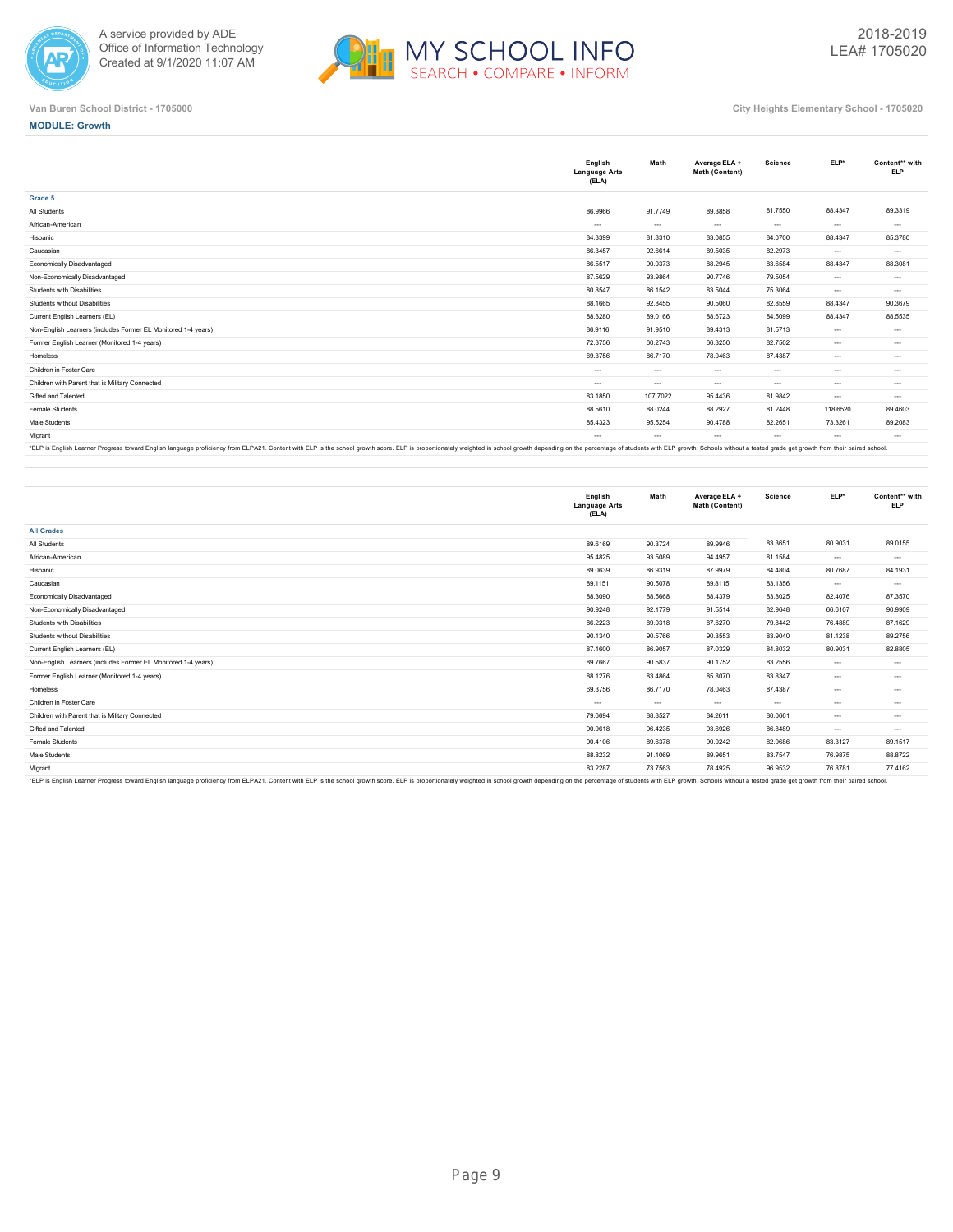



**MODULE: Growth**

|                                                               | English<br><b>Language Arts</b><br>(ELA) | Math     | Average ELA +<br>Math (Content) | Science  | ELP*     | Content** with<br><b>ELP</b> |
|---------------------------------------------------------------|------------------------------------------|----------|---------------------------------|----------|----------|------------------------------|
| Grade 5                                                       |                                          |          |                                 |          |          |                              |
| All Students                                                  | 86.9966                                  | 91.7749  | 89.3858                         | 81.7550  | 88.4347  | 89.3319                      |
| African-American                                              | $---$                                    | $\cdots$ | $\sim$                          | $\cdots$ | $---$    | $\cdots$                     |
| Hispanic                                                      | 84.3399                                  | 81.8310  | 83.0855                         | 84.0700  | 88.4347  | 85,3780                      |
| Caucasian                                                     | 86.3457                                  | 92.6614  | 89.5035                         | 82.2973  | $\cdots$ | $\cdots$                     |
| Economically Disadvantaged                                    | 86.5517                                  | 90.0373  | 88.2945                         | 83.6584  | 88.4347  | 88.3081                      |
| Non-Economically Disadvantaged                                | 87.5629                                  | 93.9864  | 90.7746                         | 79.5054  | $---$    | $\cdots$                     |
| Students with Disabilities                                    | 80.8547                                  | 86.1542  | 83.5044                         | 75.3064  | $---$    | $\cdots$                     |
| Students without Disabilities                                 | 88.1665                                  | 92.8455  | 90.5060                         | 82.8559  | 88.4347  | 90.3679                      |
| Current English Learners (EL)                                 | 88.3280                                  | 89.0166  | 88.6723                         | 84.5099  | 88.4347  | 88.5535                      |
| Non-English Learners (includes Former EL Monitored 1-4 years) | 86.9116                                  | 91.9510  | 89.4313                         | 81.5713  | $\cdots$ | $\cdots$                     |
| Former English Learner (Monitored 1-4 years)                  | 72.3756                                  | 60.2743  | 66.3250                         | 82.7502  | $\cdots$ | $\cdots$                     |
| Homeless                                                      | 69.3756                                  | 86.7170  | 78.0463                         | 87.4387  | $---$    | $\cdots$                     |
| Children in Foster Care                                       | $\cdots$                                 | $\cdots$ | $\cdots$                        | $\cdots$ | $\cdots$ | $\cdots$                     |
| Children with Parent that is Military Connected               | $\cdots$                                 | $\cdots$ | $\cdots$                        | $\cdots$ | $\cdots$ | $\cdots$                     |
| Gifted and Talented                                           | 83.1850                                  | 107.7022 | 95.4436                         | 81.9842  | $\cdots$ | $\cdots$                     |
| Female Students                                               | 88.5610                                  | 88.0244  | 88.2927                         | 81.2448  | 118.6520 | 89.4603                      |
| Male Students                                                 | 85.4323                                  | 95.5254  | 90.4788                         | 82.2651  | 73.3261  | 89.2083                      |
| Migrant                                                       | $\cdots$                                 | $\cdots$ | $\cdots$                        | $\cdots$ | $\cdots$ | $\cdots$                     |

"ELP is English Learner Progress toward English language proficiency from ELPA21. Content with ELP is the school growth score. ELP is proportionately weighted in school growth depending on the percentage of students with E

|                                                                                                                                                                                                                                | English<br><b>Language Arts</b><br>(ELA) | Math     | Average ELA +<br>Math (Content) | <b>Science</b> | ELP*     | Content** with<br><b>ELP</b> |
|--------------------------------------------------------------------------------------------------------------------------------------------------------------------------------------------------------------------------------|------------------------------------------|----------|---------------------------------|----------------|----------|------------------------------|
| <b>All Grades</b>                                                                                                                                                                                                              |                                          |          |                                 |                |          |                              |
| All Students                                                                                                                                                                                                                   | 89.6169                                  | 90.3724  | 89.9946                         | 83.3651        | 80.9031  | 89.0155                      |
| African-American                                                                                                                                                                                                               | 95.4825                                  | 93.5089  | 94.4957                         | 81.1584        | $\cdots$ | $\cdots$                     |
| Hispanic                                                                                                                                                                                                                       | 89.0639                                  | 86.9319  | 87.9979                         | 84.4804        | 80.7687  | 84.1931                      |
| Caucasian                                                                                                                                                                                                                      | 89.1151                                  | 90.5078  | 89.8115                         | 83.1356        | $\cdots$ | $\cdots$                     |
| Economically Disadvantaged                                                                                                                                                                                                     | 88.3090                                  | 88.5668  | 88.4379                         | 83.8025        | 82.4076  | 87.3570                      |
| Non-Economically Disadvantaged                                                                                                                                                                                                 | 90.9248                                  | 92.1779  | 91.5514                         | 82.9648        | 66.6107  | 90.9909                      |
| Students with Disabilities                                                                                                                                                                                                     | 86.2223                                  | 89.0318  | 87.6270                         | 79.8442        | 76.4889  | 87.1629                      |
| Students without Disabilities                                                                                                                                                                                                  | 90.1340                                  | 90.5766  | 90.3553                         | 83.9040        | 81.1238  | 89.2756                      |
| Current English Learners (EL)                                                                                                                                                                                                  | 87,1600                                  | 86,9057  | 87.0329                         | 84.8032        | 80.9031  | 82.8805                      |
| Non-English Learners (includes Former EL Monitored 1-4 years)                                                                                                                                                                  | 89.7667                                  | 90.5837  | 90.1752                         | 83.2556        | $\cdots$ | $\cdots$                     |
| Former English Learner (Monitored 1-4 years)                                                                                                                                                                                   | 88.1276                                  | 83.4864  | 85.8070                         | 83.8347        | $\cdots$ | $\cdots$                     |
| Homeless                                                                                                                                                                                                                       | 69.3756                                  | 86,7170  | 78.0463                         | 87.4387        | $\cdots$ | $\cdots$                     |
| Children in Foster Care                                                                                                                                                                                                        | $\cdots$                                 | $\cdots$ | $\sim$                          | $\cdots$       | $\cdots$ | $\cdots$                     |
| Children with Parent that is Military Connected                                                                                                                                                                                | 79.6694                                  | 88.8527  | 84.2611                         | 80.0661        | $\cdots$ | $\cdots$                     |
| Gifted and Talented                                                                                                                                                                                                            | 90.9618                                  | 96.4235  | 93.6926                         | 86.8489        | $\cdots$ | $\cdots$                     |
| Female Students                                                                                                                                                                                                                | 90.4106                                  | 89.6378  | 90.0242                         | 82.9686        | 83.3127  | 89.1517                      |
| Male Students                                                                                                                                                                                                                  | 88.8232                                  | 91.1069  | 89.9651                         | 83.7547        | 76.9875  | 88.8722                      |
| Migrant                                                                                                                                                                                                                        | 83.2287                                  | 73.7563  | 78.4925                         | 96.9532        | 76.8781  | 77,4162                      |
| *ELP is English Learner Progress toward English language proficiency from ELPA21. Content with ELP is the school growth score. ELP is proportionately weighted in school growth depending on the percentage of students with E |                                          |          |                                 |                |          |                              |

\*ELP is English Learner Progress toward English language proficiency from ELPA21. Content with ELP is the school growth score. ELP is proportionately weighted in school growth depending on the percentage of students with E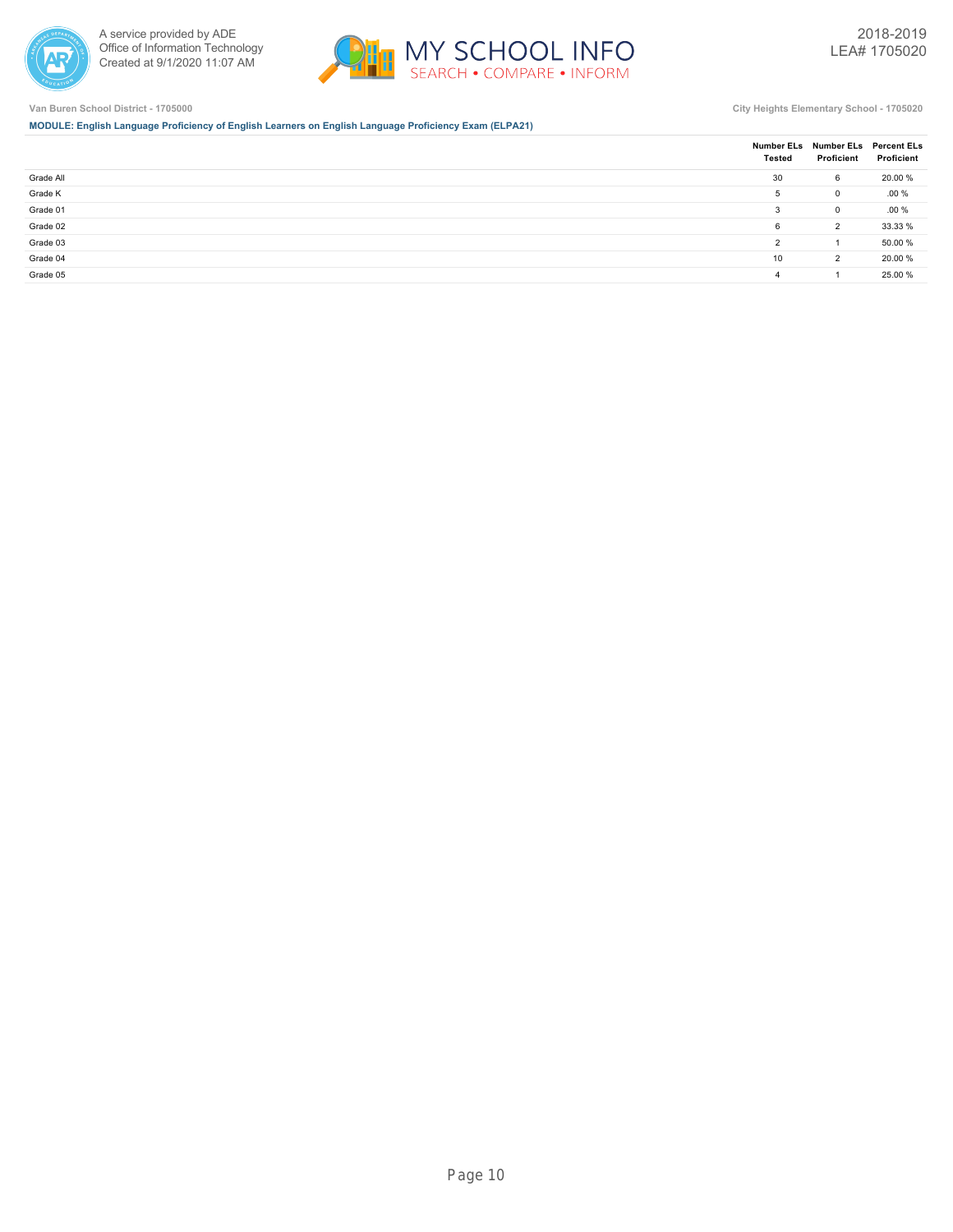



**MODULE: English Language Proficiency of English Learners on English Language Proficiency Exam (ELPA21)**

|           | Tested         | Number ELs Number ELs Percent ELs<br>Proficient | Proficient |
|-----------|----------------|-------------------------------------------------|------------|
| Grade All | 30             | 6                                               | 20.00 %    |
| Grade K   | 5              | 0                                               | .00%       |
| Grade 01  | 3              | 0                                               | $.00 \%$   |
| Grade 02  | 6              | $\overline{2}$                                  | 33.33 %    |
| Grade 03  | $\overline{2}$ |                                                 | 50.00 %    |
| Grade 04  | 10             | $\overline{2}$                                  | 20.00 %    |
| Grade 05  | 4              |                                                 | 25.00 %    |
|           |                |                                                 |            |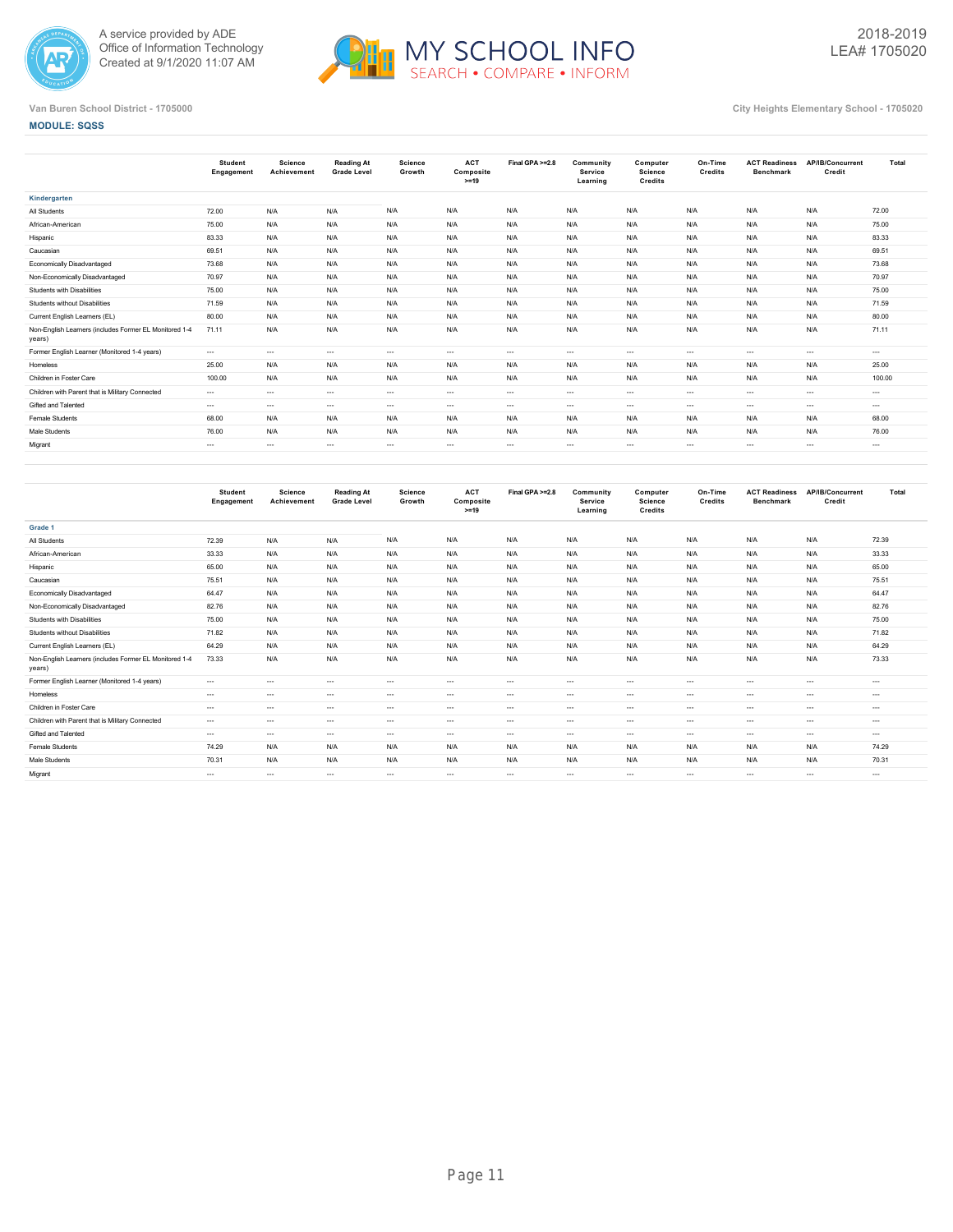



## **MODULE: SQSS**

|                                                                  | <b>Student</b><br>Engagement | <b>Science</b><br>Achievement | <b>Reading At</b><br><b>Grade Level</b> | Science<br>Growth | <b>ACT</b><br>Composite<br>$>=19$ | Final GPA >=2.8 | Community<br>Service<br>Learning | Computer<br>Science<br><b>Credits</b> | On-Time<br>Credits | <b>ACT Readiness</b><br><b>Benchmark</b> | AP/IB/Concurrent<br>Credit | Total    |
|------------------------------------------------------------------|------------------------------|-------------------------------|-----------------------------------------|-------------------|-----------------------------------|-----------------|----------------------------------|---------------------------------------|--------------------|------------------------------------------|----------------------------|----------|
| Kindergarten                                                     |                              |                               |                                         |                   |                                   |                 |                                  |                                       |                    |                                          |                            |          |
| All Students                                                     | 72.00                        | N/A                           | N/A                                     | N/A               | N/A                               | N/A             | N/A                              | N/A                                   | N/A                | N/A                                      | N/A                        | 72.00    |
| African-American                                                 | 75.00                        | N/A                           | N/A                                     | N/A               | N/A                               | N/A             | N/A                              | N/A                                   | N/A                | N/A                                      | N/A                        | 75.00    |
| Hispanic                                                         | 83.33                        | N/A                           | N/A                                     | N/A               | N/A                               | N/A             | N/A                              | N/A                                   | N/A                | N/A                                      | N/A                        | 83.33    |
| Caucasian                                                        | 69.51                        | N/A                           | N/A                                     | N/A               | N/A                               | N/A             | N/A                              | N/A                                   | N/A                | N/A                                      | N/A                        | 69.51    |
| <b>Economically Disadvantaged</b>                                | 73.68                        | N/A                           | N/A                                     | N/A               | N/A                               | N/A             | N/A                              | N/A                                   | N/A                | N/A                                      | N/A                        | 73.68    |
| Non-Economically Disadvantaged                                   | 70.97                        | N/A                           | N/A                                     | N/A               | N/A                               | N/A             | N/A                              | N/A                                   | N/A                | N/A                                      | N/A                        | 70.97    |
| Students with Disabilities                                       | 75.00                        | N/A                           | N/A                                     | N/A               | N/A                               | N/A             | N/A                              | N/A                                   | N/A                | N/A                                      | N/A                        | 75.00    |
| Students without Disabilities                                    | 71.59                        | N/A                           | N/A                                     | N/A               | N/A                               | N/A             | N/A                              | N/A                                   | N/A                | N/A                                      | N/A                        | 71.59    |
| Current English Learners (EL)                                    | 80.00                        | N/A                           | N/A                                     | N/A               | N/A                               | N/A             | N/A                              | N/A                                   | N/A                | N/A                                      | N/A                        | 80.00    |
| Non-English Learners (includes Former EL Monitored 1-4<br>years) | 71.11                        | N/A                           | N/A                                     | N/A               | N/A                               | N/A             | N/A                              | N/A                                   | N/A                | N/A                                      | N/A                        | 71.11    |
| Former English Learner (Monitored 1-4 years)                     | $---$                        | $\cdots$                      | $\sim$                                  | $\cdots$          | $\cdots$                          | $\cdots$        | $\sim$ $\sim$                    | $\cdots$                              | $\sim$             | $---$                                    | $\cdots$                   | $\cdots$ |
| Homeless                                                         | 25.00                        | N/A                           | N/A                                     | N/A               | N/A                               | N/A             | N/A                              | N/A                                   | N/A                | N/A                                      | N/A                        | 25.00    |
| Children in Foster Care                                          | 100.00                       | N/A                           | N/A                                     | N/A               | N/A                               | N/A             | N/A                              | N/A                                   | N/A                | N/A                                      | N/A                        | 100.00   |
| Children with Parent that is Military Connected                  | $---$                        | $\cdots$                      | $\sim$                                  | $-1$              | $\cdots$                          | $\cdots$        | $\sim$ $\sim$                    | $\cdots$                              | $\sim$             | $---$                                    | $\sim$                     | $\cdots$ |
| Gifted and Talented                                              | $---$                        | $\cdots$                      | $\sim$                                  | $\cdots$          | $\cdots$                          | $\cdots$        | $\sim$ $\sim$                    | $\cdots$                              | $\sim$             | $---$                                    | $\cdots$                   | $\cdots$ |
| Female Students                                                  | 68.00                        | N/A                           | N/A                                     | N/A               | N/A                               | N/A             | N/A                              | N/A                                   | N/A                | N/A                                      | N/A                        | 68.00    |
| Male Students                                                    | 76.00                        | N/A                           | N/A                                     | N/A               | N/A                               | N/A             | N/A                              | N/A                                   | N/A                | N/A                                      | N/A                        | 76.00    |
| Migrant                                                          | $- - -$                      | $\cdots$                      | $\cdots$                                | $\cdots$          | $\cdots$                          | $\cdots$        | $\cdots$                         | $\cdots$                              | $\sim$             | $\cdots$                                 | $\cdots$                   | $\cdots$ |
|                                                                  |                              |                               |                                         |                   |                                   |                 |                                  |                                       |                    |                                          |                            |          |

|                                                                  | <b>Student</b><br>Engagement | Science<br>Achievement | <b>Reading At</b><br><b>Grade Level</b> | Science<br>Growth | <b>ACT</b><br>Composite<br>$>=19$ | Final GPA >=2.8 | Community<br>Service<br>Learning | Computer<br>Science<br>Credits | On-Time<br>Credits | <b>ACT Readiness</b><br><b>Benchmark</b> | AP/IB/Concurrent<br>Credit | Total    |
|------------------------------------------------------------------|------------------------------|------------------------|-----------------------------------------|-------------------|-----------------------------------|-----------------|----------------------------------|--------------------------------|--------------------|------------------------------------------|----------------------------|----------|
| Grade 1                                                          |                              |                        |                                         |                   |                                   |                 |                                  |                                |                    |                                          |                            |          |
| All Students                                                     | 72.39                        | N/A                    | N/A                                     | N/A               | N/A                               | N/A             | N/A                              | N/A                            | N/A                | N/A                                      | N/A                        | 72.39    |
| African-American                                                 | 33.33                        | N/A                    | N/A                                     | N/A               | N/A                               | N/A             | N/A                              | N/A                            | N/A                | N/A                                      | N/A                        | 33.33    |
| Hispanic                                                         | 65.00                        | N/A                    | N/A                                     | N/A               | N/A                               | N/A             | N/A                              | N/A                            | N/A                | N/A                                      | N/A                        | 65.00    |
| Caucasian                                                        | 75.51                        | N/A                    | N/A                                     | N/A               | N/A                               | N/A             | N/A                              | N/A                            | N/A                | N/A                                      | N/A                        | 75.51    |
| Economically Disadvantaged                                       | 64.47                        | N/A                    | N/A                                     | N/A               | N/A                               | N/A             | N/A                              | N/A                            | N/A                | N/A                                      | N/A                        | 64.47    |
| Non-Economically Disadvantaged                                   | 82.76                        | N/A                    | N/A                                     | N/A               | N/A                               | N/A             | N/A                              | N/A                            | N/A                | N/A                                      | N/A                        | 82.76    |
| Students with Disabilities                                       | 75.00                        | N/A                    | N/A                                     | N/A               | N/A                               | N/A             | N/A                              | N/A                            | N/A                | N/A                                      | N/A                        | 75.00    |
| Students without Disabilities                                    | 71.82                        | N/A                    | N/A                                     | N/A               | N/A                               | N/A             | N/A                              | N/A                            | N/A                | N/A                                      | N/A                        | 71.82    |
| Current English Learners (EL)                                    | 64.29                        | N/A                    | N/A                                     | N/A               | N/A                               | N/A             | N/A                              | N/A                            | N/A                | N/A                                      | N/A                        | 64.29    |
| Non-English Learners (includes Former EL Monitored 1-4<br>years) | 73.33                        | N/A                    | N/A                                     | N/A               | N/A                               | N/A             | N/A                              | N/A                            | N/A                | N/A                                      | N/A                        | 73.33    |
| Former English Learner (Monitored 1-4 years)                     | $---$                        | $\cdots$               | $\sim$                                  | $\cdots$          | $---$                             | $---$           | $---$                            | $\sim$                         | $\cdots$           | $\cdots$                                 | $\cdots$                   | $\cdots$ |
| Homeless                                                         | $\cdots$                     | $\cdots$               | $\sim$                                  | $\cdots$          | $\cdots$                          | $---$           | $\cdots$                         | $\sim$                         | $\cdots$           | $\cdots$                                 | $\cdots$                   | $\cdots$ |
| Children in Foster Care                                          | $---$                        | $\cdots$               | $\sim$                                  | $\cdots$          | $---$                             | $---$           | $---$                            | $\sim$                         | $\sim$             | $\sim$                                   | ---                        | $\cdots$ |
| Children with Parent that is Military Connected                  | $\cdots$                     | $\cdots$               | $\sim$                                  | $\cdots$          | $\cdots$                          | $---$           | $\cdots$                         | $\sim$                         | $\cdots$           | $\cdots$                                 | $\cdots$                   | $\cdots$ |
| Gifted and Talented                                              | $\cdots$                     | $\cdots$               | $\sim$                                  | $\cdots$          | $---$                             | $\cdots$        | $---$                            | $\sim$                         | $\sim$             | $\cdots$                                 | $\cdots$                   | $\cdots$ |
| Female Students                                                  | 74.29                        | N/A                    | N/A                                     | N/A               | N/A                               | N/A             | N/A                              | N/A                            | N/A                | N/A                                      | N/A                        | 74.29    |
| Male Students                                                    | 70.31                        | N/A                    | N/A                                     | N/A               | N/A                               | N/A             | N/A                              | N/A                            | N/A                | N/A                                      | N/A                        | 70.31    |
| Migrant                                                          | $\cdots$                     | $\cdots$               | $\sim$                                  | $\cdots$          | $\cdots$                          | $\cdots$        | $- - -$                          | $\sim$                         | $\cdots$           | $\cdots$                                 | $\cdots$                   | $\cdots$ |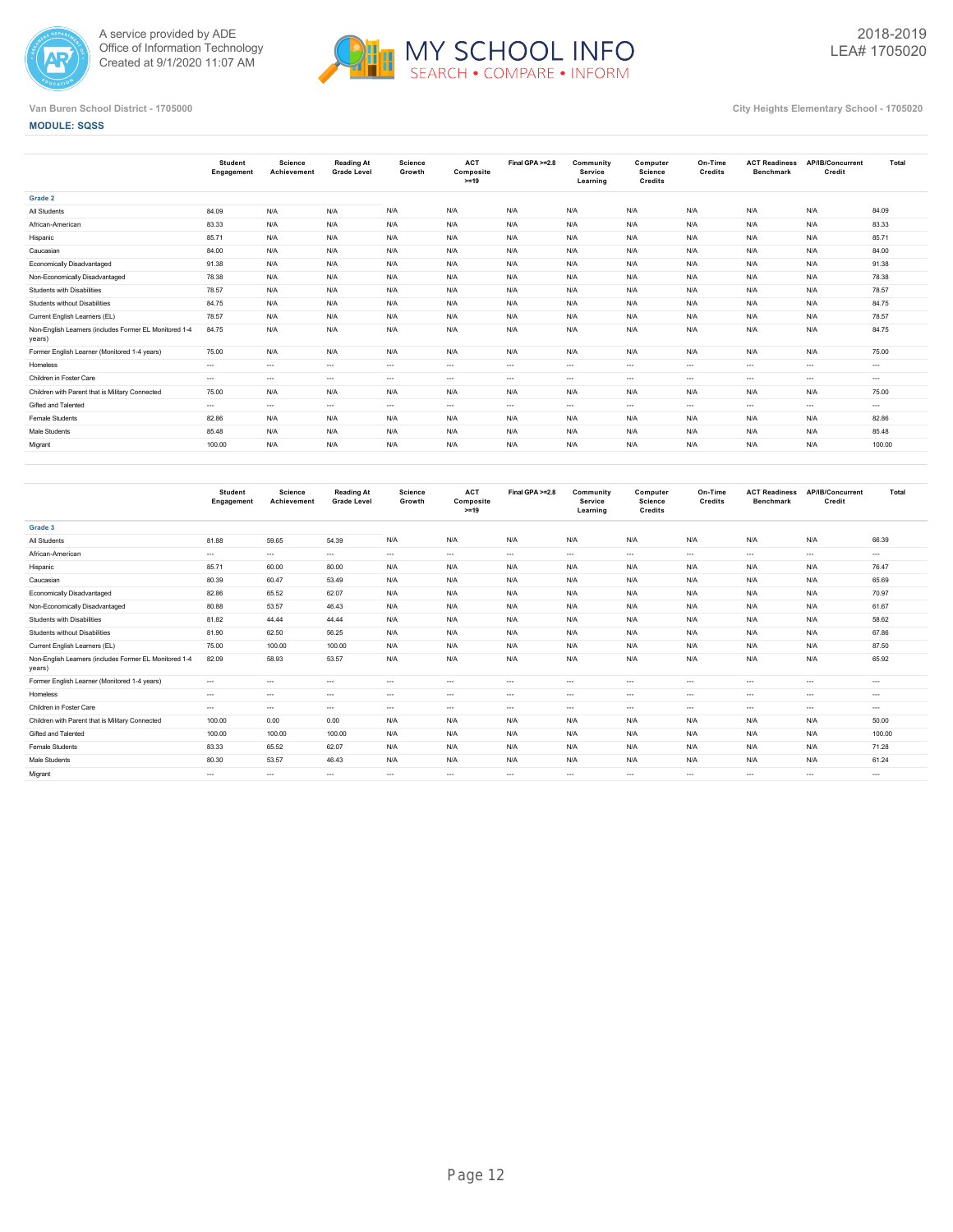



## **MODULE: SQSS**

|                                                                  | <b>Student</b><br>Engagement | <b>Science</b><br>Achievement | <b>Reading At</b><br><b>Grade Level</b> | Science<br>Growth | <b>ACT</b><br>Composite<br>$>=19$ | Final GPA >=2.8 | Community<br>Service<br>Learning | Computer<br><b>Science</b><br>Credits | On-Time<br>Credits | <b>ACT Readiness</b><br><b>Benchmark</b> | AP/IB/Concurrent<br>Credit | Total    |
|------------------------------------------------------------------|------------------------------|-------------------------------|-----------------------------------------|-------------------|-----------------------------------|-----------------|----------------------------------|---------------------------------------|--------------------|------------------------------------------|----------------------------|----------|
| Grade 2                                                          |                              |                               |                                         |                   |                                   |                 |                                  |                                       |                    |                                          |                            |          |
| All Students                                                     | 84.09                        | N/A                           | N/A                                     | N/A               | N/A                               | N/A             | N/A                              | N/A                                   | N/A                | N/A                                      | N/A                        | 84.09    |
| African-American                                                 | 83.33                        | N/A                           | N/A                                     | N/A               | N/A                               | N/A             | N/A                              | N/A                                   | N/A                | N/A                                      | N/A                        | 83.33    |
| Hispanic                                                         | 85.71                        | N/A                           | N/A                                     | N/A               | N/A                               | N/A             | N/A                              | N/A                                   | N/A                | N/A                                      | N/A                        | 85.71    |
| Caucasian                                                        | 84.00                        | N/A                           | N/A                                     | N/A               | N/A                               | N/A             | N/A                              | N/A                                   | N/A                | N/A                                      | N/A                        | 84.00    |
| Economically Disadvantaged                                       | 91.38                        | N/A                           | N/A                                     | N/A               | N/A                               | N/A             | N/A                              | N/A                                   | N/A                | N/A                                      | N/A                        | 91.38    |
| Non-Economically Disadvantaged                                   | 78.38                        | N/A                           | N/A                                     | N/A               | N/A                               | N/A             | N/A                              | N/A                                   | N/A                | N/A                                      | N/A                        | 78.38    |
| <b>Students with Disabilities</b>                                | 78.57                        | N/A                           | N/A                                     | N/A               | N/A                               | N/A             | N/A                              | N/A                                   | N/A                | N/A                                      | N/A                        | 78.57    |
| Students without Disabilities                                    | 84.75                        | N/A                           | N/A                                     | N/A               | N/A                               | N/A             | N/A                              | N/A                                   | N/A                | N/A                                      | N/A                        | 84.75    |
| Current English Learners (EL)                                    | 78.57                        | N/A                           | N/A                                     | N/A               | N/A                               | N/A             | N/A                              | N/A                                   | N/A                | N/A                                      | N/A                        | 78.57    |
| Non-English Learners (includes Former EL Monitored 1-4<br>years) | 84.75                        | N/A                           | N/A                                     | N/A               | N/A                               | N/A             | N/A                              | N/A                                   | N/A                | N/A                                      | N/A                        | 84.75    |
| Former English Learner (Monitored 1-4 years)                     | 75.00                        | N/A                           | N/A                                     | N/A               | N/A                               | N/A             | N/A                              | N/A                                   | N/A                | N/A                                      | N/A                        | 75.00    |
| Homeless                                                         | $---$                        | $\cdots$                      | $\sim$                                  | $\cdots$          | $\cdots$                          | $\cdots$        | $\sim$ $ -$                      | $\cdots$                              | $\cdots$           | $\cdots$                                 | $\cdots$                   | $\cdots$ |
| Children in Foster Care                                          | $---$                        | $- - -$                       | $\cdots$                                | $\cdots$          | $\cdots$                          | $\cdots$        | $\cdots$                         | $\cdots$                              | $\cdots$           | $---$                                    | $\cdots$                   | $\cdots$ |
| Children with Parent that is Military Connected                  | 75.00                        | N/A                           | N/A                                     | N/A               | N/A                               | N/A             | N/A                              | N/A                                   | N/A                | N/A                                      | N/A                        | 75.00    |
| Gifted and Talented                                              | $---$                        | $\cdots$                      | $\sim$                                  | $\sim$ $\sim$     | $\cdots$                          | $\cdots$        | $\cdots$                         | $\cdots$                              | $\cdots$           | $\cdots$                                 | $\cdots$                   | $\cdots$ |
| Female Students                                                  | 82.86                        | N/A                           | N/A                                     | N/A               | N/A                               | N/A             | N/A                              | N/A                                   | N/A                | N/A                                      | N/A                        | 82.86    |
| Male Students                                                    | 85.48                        | N/A                           | N/A                                     | N/A               | N/A                               | N/A             | N/A                              | N/A                                   | N/A                | N/A                                      | N/A                        | 85.48    |
| Migrant                                                          | 100.00                       | N/A                           | N/A                                     | N/A               | N/A                               | N/A             | N/A                              | N/A                                   | N/A                | N/A                                      | N/A                        | 100.00   |
|                                                                  |                              |                               |                                         |                   |                                   |                 |                                  |                                       |                    |                                          |                            |          |

|                                                                  | <b>Student</b><br>Engagement | <b>Science</b><br>Achievement | <b>Reading At</b><br><b>Grade Level</b> | <b>Science</b><br>Growth | <b>ACT</b><br>Composite<br>$>=19$ | Final GPA >=2.8 | Community<br><b>Service</b><br>Learning | Computer<br><b>Science</b><br>Credits | On-Time<br>Credits | <b>ACT Readiness</b><br><b>Benchmark</b> | AP/IB/Concurrent<br>Credit | Total    |
|------------------------------------------------------------------|------------------------------|-------------------------------|-----------------------------------------|--------------------------|-----------------------------------|-----------------|-----------------------------------------|---------------------------------------|--------------------|------------------------------------------|----------------------------|----------|
| Grade 3                                                          |                              |                               |                                         |                          |                                   |                 |                                         |                                       |                    |                                          |                            |          |
| All Students                                                     | 81.88                        | 59.65                         | 54.39                                   | N/A                      | N/A                               | N/A             | N/A                                     | N/A                                   | N/A                | N/A                                      | N/A                        | 66.39    |
| African-American                                                 | $---$                        | $\cdots$                      | $\sim$                                  | $\cdots$                 | $\cdots$                          | $---$           | $\sim$ $\sim$                           | $\cdots$                              | $\sim$             | $\cdots$                                 | $- - -$                    | $\cdots$ |
| Hispanic                                                         | 85.71                        | 60.00                         | 80.00                                   | N/A                      | N/A                               | N/A             | N/A                                     | N/A                                   | N/A                | N/A                                      | N/A                        | 76.47    |
| Caucasian                                                        | 80.39                        | 60.47                         | 53.49                                   | N/A                      | N/A                               | N/A             | N/A                                     | N/A                                   | N/A                | N/A                                      | N/A                        | 65.69    |
| Economically Disadvantaged                                       | 82.86                        | 65.52                         | 62.07                                   | N/A                      | N/A                               | N/A             | N/A                                     | N/A                                   | N/A                | N/A                                      | N/A                        | 70.97    |
| Non-Economically Disadvantaged                                   | 80.88                        | 53.57                         | 46.43                                   | N/A                      | N/A                               | N/A             | N/A                                     | N/A                                   | N/A                | N/A                                      | N/A                        | 61.67    |
| Students with Disabilities                                       | 81.82                        | 44.44                         | 44.44                                   | N/A                      | N/A                               | N/A             | N/A                                     | N/A                                   | N/A                | N/A                                      | N/A                        | 58.62    |
| Students without Disabilities                                    | 81.90                        | 62.50                         | 56.25                                   | N/A                      | N/A                               | N/A             | N/A                                     | N/A                                   | N/A                | N/A                                      | N/A                        | 67.86    |
| Current English Learners (EL)                                    | 75.00                        | 100.00                        | 100.00                                  | N/A                      | N/A                               | N/A             | N/A                                     | N/A                                   | N/A                | N/A                                      | N/A                        | 87.50    |
| Non-English Learners (includes Former EL Monitored 1-4<br>years) | 82.09                        | 58.93                         | 53.57                                   | N/A                      | N/A                               | N/A             | N/A                                     | N/A                                   | N/A                | N/A                                      | N/A                        | 65.92    |
| Former English Learner (Monitored 1-4 years)                     | $\cdots$                     | $\cdots$                      | $\sim$                                  | $\cdots$                 | $\cdots$                          | $---$           | $---$                                   | $\cdots$                              | $\sim$             | $\cdots$                                 | $- - -$                    | $---$    |
| Homeless                                                         | $\cdots$                     | $\cdots$                      | $\cdots$                                | $\cdots$                 | $---$                             | $\cdots$        | $\cdots$                                | $\cdots$                              | $\sim$             | $\cdots$                                 | $\cdots$                   | $\cdots$ |
| Children in Foster Care                                          | $---$                        | $\cdots$                      | $\sim$                                  | $\cdots$                 | $\cdots$                          | $---$           | $\sim$ $\sim$                           | $\cdots$                              | $\sim$             | $\cdots$                                 | $- - -$                    | $\cdots$ |
| Children with Parent that is Military Connected                  | 100.00                       | 0.00                          | 0.00                                    | N/A                      | N/A                               | N/A             | N/A                                     | N/A                                   | N/A                | N/A                                      | N/A                        | 50.00    |
| Gifted and Talented                                              | 100.00                       | 100.00                        | 100.00                                  | N/A                      | N/A                               | N/A             | N/A                                     | N/A                                   | N/A                | N/A                                      | N/A                        | 100.00   |
| Female Students                                                  | 83.33                        | 65.52                         | 62.07                                   | N/A                      | N/A                               | N/A             | N/A                                     | N/A                                   | N/A                | N/A                                      | N/A                        | 71.28    |
| Male Students                                                    | 80.30                        | 53.57                         | 46.43                                   | N/A                      | N/A                               | N/A             | N/A                                     | N/A                                   | N/A                | N/A                                      | N/A                        | 61.24    |
| Migrant                                                          | $\cdots$                     | $\cdots$                      | $\sim$                                  | $\cdots$                 | $\cdots$                          | $---$           | $\sim$ $\sim$                           | $\cdots$                              | $\sim$             | $---$                                    | $\cdots$                   | $\cdots$ |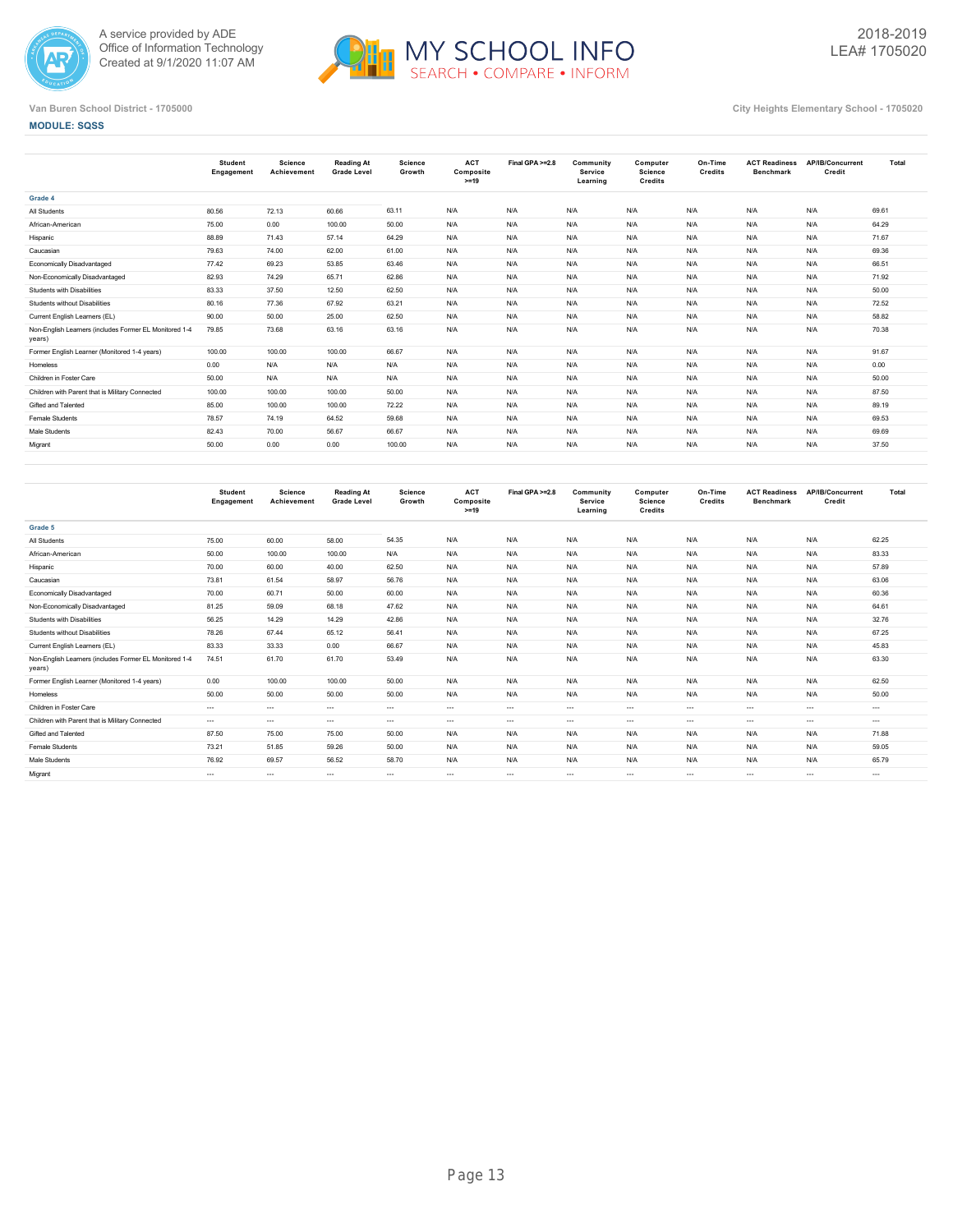



**MODULE: SQSS**

|                                                                  | <b>Student</b><br>Engagement | <b>Science</b><br>Achievement | Reading At<br><b>Grade Level</b> | <b>Science</b><br>Growth | <b>ACT</b><br>Composite<br>$>=19$ | Final GPA >=2.8 | Community<br><b>Service</b><br>Learning | Computer<br>Science<br>Credits | On-Time<br>Credits | <b>ACT Readiness</b><br><b>Benchmark</b> | AP/IB/Concurrent<br>Credit | Total |
|------------------------------------------------------------------|------------------------------|-------------------------------|----------------------------------|--------------------------|-----------------------------------|-----------------|-----------------------------------------|--------------------------------|--------------------|------------------------------------------|----------------------------|-------|
| Grade 4                                                          |                              |                               |                                  |                          |                                   |                 |                                         |                                |                    |                                          |                            |       |
| All Students                                                     | 80.56                        | 72.13                         | 60.66                            | 63.11                    | N/A                               | N/A             | N/A                                     | N/A                            | N/A                | N/A                                      | N/A                        | 69.61 |
| African-American                                                 | 75.00                        | 0.00                          | 100.00                           | 50.00                    | N/A                               | N/A             | N/A                                     | N/A                            | N/A                | N/A                                      | N/A                        | 64.29 |
| Hispanic                                                         | 88.89                        | 71.43                         | 57.14                            | 64.29                    | N/A                               | N/A             | N/A                                     | N/A                            | N/A                | N/A                                      | N/A                        | 71.67 |
| Caucasian                                                        | 79.63                        | 74.00                         | 62.00                            | 61.00                    | N/A                               | N/A             | N/A                                     | N/A                            | N/A                | N/A                                      | N/A                        | 69.36 |
| Economically Disadvantaged                                       | 77.42                        | 69.23                         | 53.85                            | 63.46                    | N/A                               | N/A             | N/A                                     | N/A                            | N/A                | N/A                                      | N/A                        | 66.51 |
| Non-Economically Disadvantaged                                   | 82.93                        | 74.29                         | 65.71                            | 62.86                    | N/A                               | N/A             | N/A                                     | N/A                            | N/A                | N/A                                      | N/A                        | 71.92 |
| Students with Disabilities                                       | 83.33                        | 37.50                         | 12.50                            | 62.50                    | N/A                               | N/A             | N/A                                     | N/A                            | N/A                | N/A                                      | N/A                        | 50.00 |
| Students without Disabilities                                    | 80.16                        | 77.36                         | 67.92                            | 63.21                    | N/A                               | N/A             | N/A                                     | N/A                            | N/A                | N/A                                      | N/A                        | 72.52 |
| Current English Learners (EL)                                    | 90.00                        | 50.00                         | 25.00                            | 62.50                    | N/A                               | N/A             | N/A                                     | N/A                            | N/A                | N/A                                      | N/A                        | 58.82 |
| Non-English Learners (includes Former EL Monitored 1-4<br>years) | 79.85                        | 73.68                         | 63.16                            | 63.16                    | N/A                               | N/A             | N/A                                     | N/A                            | N/A                | N/A                                      | N/A                        | 70.38 |
| Former English Learner (Monitored 1-4 years)                     | 100.00                       | 100.00                        | 100.00                           | 66.67                    | N/A                               | N/A             | N/A                                     | N/A                            | N/A                | N/A                                      | N/A                        | 91.67 |
| Homeless                                                         | 0.00                         | N/A                           | N/A                              | N/A                      | N/A                               | N/A             | N/A                                     | N/A                            | N/A                | N/A                                      | N/A                        | 0.00  |
| Children in Foster Care                                          | 50.00                        | N/A                           | N/A                              | N/A                      | N/A                               | N/A             | N/A                                     | N/A                            | N/A                | N/A                                      | N/A                        | 50.00 |
| Children with Parent that is Military Connected                  | 100.00                       | 100.00                        | 100.00                           | 50.00                    | N/A                               | N/A             | N/A                                     | N/A                            | N/A                | N/A                                      | N/A                        | 87.50 |
| Gifted and Talented                                              | 85.00                        | 100.00                        | 100.00                           | 72.22                    | N/A                               | N/A             | N/A                                     | N/A                            | N/A                | N/A                                      | N/A                        | 89.19 |
| Female Students                                                  | 78.57                        | 74.19                         | 64.52                            | 59.68                    | N/A                               | N/A             | N/A                                     | N/A                            | N/A                | N/A                                      | N/A                        | 69.53 |
| Male Students                                                    | 82.43                        | 70.00                         | 56.67                            | 66.67                    | N/A                               | N/A             | N/A                                     | N/A                            | N/A                | N/A                                      | N/A                        | 69.69 |
| Migrant                                                          | 50.00                        | 0.00                          | 0.00                             | 100.00                   | N/A                               | N/A             | N/A                                     | N/A                            | N/A                | N/A                                      | N/A                        | 37.50 |
|                                                                  |                              |                               |                                  |                          |                                   |                 |                                         |                                |                    |                                          |                            |       |

|                                                                  | <b>Student</b><br>Engagement | Science<br>Achievement | <b>Reading At</b><br><b>Grade Level</b> | <b>Science</b><br>Growth | <b>ACT</b><br>Composite<br>$>=19$ | Final GPA >=2.8 | Community<br><b>Service</b><br>Learning | Computer<br>Science<br><b>Credits</b> | On-Time<br>Credits | <b>ACT Readiness</b><br><b>Benchmark</b> | AP/IB/Concurrent<br>Credit | Total    |
|------------------------------------------------------------------|------------------------------|------------------------|-----------------------------------------|--------------------------|-----------------------------------|-----------------|-----------------------------------------|---------------------------------------|--------------------|------------------------------------------|----------------------------|----------|
| Grade 5                                                          |                              |                        |                                         |                          |                                   |                 |                                         |                                       |                    |                                          |                            |          |
| All Students                                                     | 75.00                        | 60.00                  | 58.00                                   | 54.35                    | N/A                               | N/A             | N/A                                     | N/A                                   | N/A                | N/A                                      | N/A                        | 62.25    |
| African-American                                                 | 50.00                        | 100.00                 | 100.00                                  | N/A                      | N/A                               | N/A             | N/A                                     | N/A                                   | N/A                | N/A                                      | N/A                        | 83.33    |
| Hispanic                                                         | 70.00                        | 60.00                  | 40.00                                   | 62.50                    | N/A                               | N/A             | N/A                                     | N/A                                   | N/A                | N/A                                      | N/A                        | 57.89    |
| Caucasian                                                        | 73.81                        | 61.54                  | 58.97                                   | 56.76                    | N/A                               | N/A             | N/A                                     | N/A                                   | N/A                | N/A                                      | N/A                        | 63.06    |
| Economically Disadvantaged                                       | 70.00                        | 60.71                  | 50.00                                   | 60.00                    | N/A                               | N/A             | N/A                                     | N/A                                   | N/A                | N/A                                      | N/A                        | 60.36    |
| Non-Economically Disadvantaged                                   | 81.25                        | 59.09                  | 68.18                                   | 47.62                    | N/A                               | N/A             | N/A                                     | N/A                                   | N/A                | N/A                                      | N/A                        | 64.61    |
| Students with Disabilities                                       | 56.25                        | 14.29                  | 14.29                                   | 42.86                    | N/A                               | N/A             | N/A                                     | N/A                                   | N/A                | N/A                                      | N/A                        | 32.76    |
| Students without Disabilities                                    | 78.26                        | 67.44                  | 65.12                                   | 56.41                    | N/A                               | N/A             | N/A                                     | N/A                                   | N/A                | N/A                                      | N/A                        | 67.25    |
| Current English Learners (EL)                                    | 83.33                        | 33.33                  | 0.00                                    | 66.67                    | N/A                               | N/A             | N/A                                     | N/A                                   | N/A                | N/A                                      | N/A                        | 45.83    |
| Non-English Learners (includes Former EL Monitored 1-4<br>years) | 74.51                        | 61.70                  | 61.70                                   | 53.49                    | N/A                               | N/A             | N/A                                     | N/A                                   | N/A                | N/A                                      | N/A                        | 63.30    |
| Former English Learner (Monitored 1-4 years)                     | 0.00                         | 100.00                 | 100.00                                  | 50.00                    | N/A                               | N/A             | N/A                                     | N/A                                   | N/A                | N/A                                      | N/A                        | 62.50    |
| Homeless                                                         | 50.00                        | 50.00                  | 50.00                                   | 50.00                    | N/A                               | N/A             | N/A                                     | N/A                                   | N/A                | N/A                                      | N/A                        | 50.00    |
| Children in Foster Care                                          | $---$                        | $\cdots$               | $\sim$                                  | $\cdots$                 | $\cdots$                          | $---$           | $\cdots$                                | $\sim$                                | $\sim$             | $\sim$                                   | ---                        | $\cdots$ |
| Children with Parent that is Military Connected                  | $---$                        | $\cdots$               | $\sim$                                  | $\cdots$                 | $---$                             | $---$           | $\cdots$                                | $\cdots$                              | $\sim$             | $\cdots$                                 | $\cdots$                   | $\cdots$ |
| Gifted and Talented                                              | 87.50                        | 75.00                  | 75.00                                   | 50.00                    | N/A                               | N/A             | N/A                                     | N/A                                   | N/A                | N/A                                      | N/A                        | 71.88    |
| Female Students                                                  | 73.21                        | 51.85                  | 59.26                                   | 50.00                    | N/A                               | N/A             | N/A                                     | N/A                                   | N/A                | N/A                                      | N/A                        | 59.05    |
| Male Students                                                    | 76.92                        | 69.57                  | 56.52                                   | 58.70                    | N/A                               | N/A             | N/A                                     | N/A                                   | N/A                | N/A                                      | N/A                        | 65.79    |
| Migrant                                                          | $\cdots$                     | $\cdots$               | $\cdots$                                | $\cdots$                 | $\cdots$                          | $\cdots$        | $\cdots$                                | $\cdots$                              | $\sim$             | $\cdots$                                 | $\cdots$                   | $- - -$  |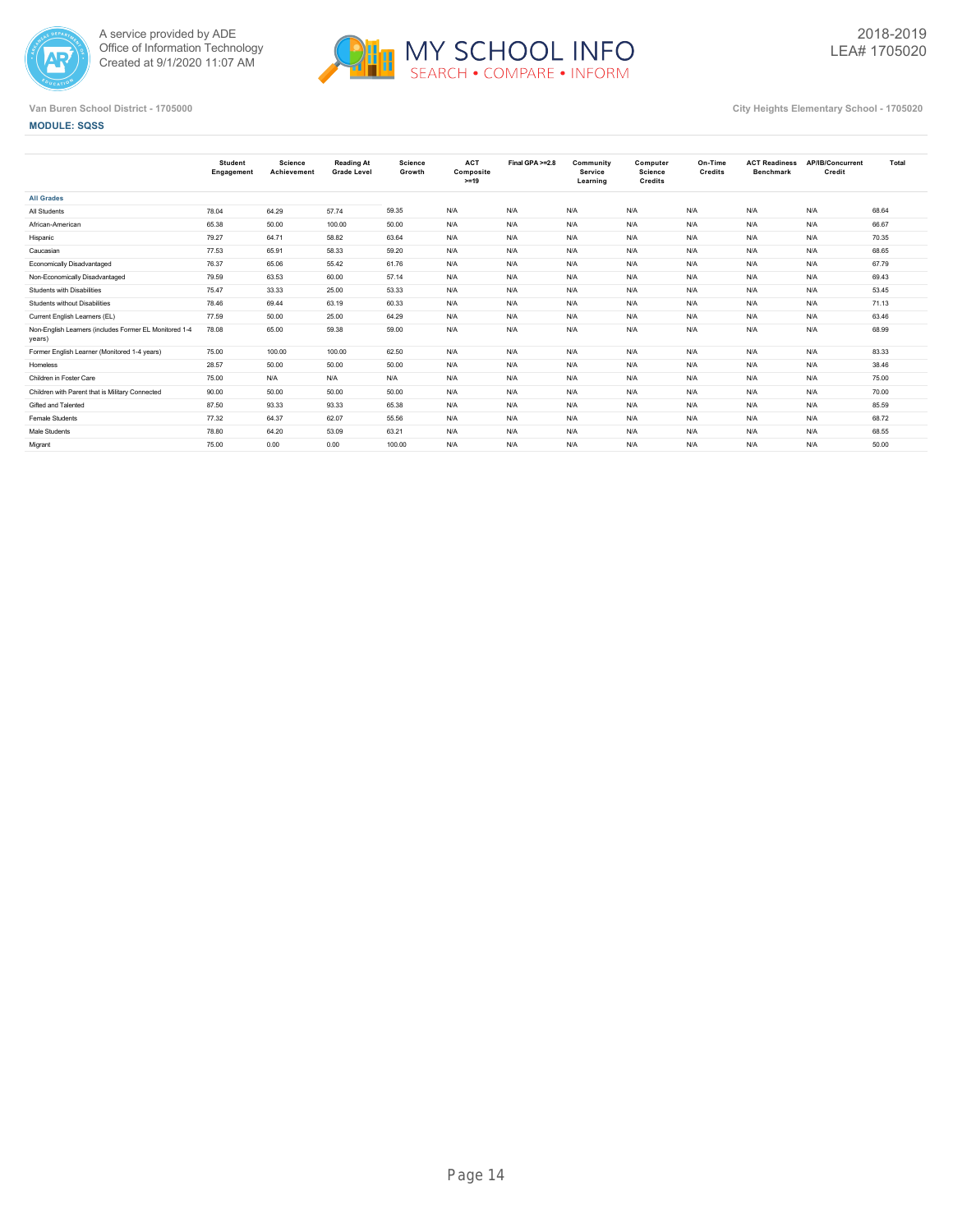



**MODULE: SQSS**

|                                                                  | <b>Student</b><br>Engagement | Science<br>Achievement | <b>Reading At</b><br><b>Grade Level</b> | <b>Science</b><br>Growth | <b>ACT</b><br>Composite<br>$>=19$ | Final GPA >=2.8 | Community<br><b>Service</b><br>Learning | Computer<br>Science<br><b>Credits</b> | On-Time<br>Credits | <b>ACT Readiness</b><br><b>Benchmark</b> | AP/IB/Concurrent<br>Credit | Total |
|------------------------------------------------------------------|------------------------------|------------------------|-----------------------------------------|--------------------------|-----------------------------------|-----------------|-----------------------------------------|---------------------------------------|--------------------|------------------------------------------|----------------------------|-------|
| <b>All Grades</b>                                                |                              |                        |                                         |                          |                                   |                 |                                         |                                       |                    |                                          |                            |       |
| All Students                                                     | 78.04                        | 64.29                  | 57.74                                   | 59.35                    | N/A                               | N/A             | N/A                                     | N/A                                   | N/A                | N/A                                      | N/A                        | 68.64 |
| African-American                                                 | 65.38                        | 50.00                  | 100.00                                  | 50.00                    | N/A                               | N/A             | N/A                                     | N/A                                   | N/A                | N/A                                      | N/A                        | 66.67 |
| Hispanic                                                         | 79.27                        | 64.71                  | 58.82                                   | 63.64                    | N/A                               | N/A             | N/A                                     | N/A                                   | N/A                | N/A                                      | N/A                        | 70.35 |
| Caucasian                                                        | 77.53                        | 65.91                  | 58.33                                   | 59.20                    | N/A                               | N/A             | N/A                                     | N/A                                   | N/A                | N/A                                      | N/A                        | 68.65 |
| Economically Disadvantaged                                       | 76.37                        | 65.06                  | 55.42                                   | 61.76                    | N/A                               | N/A             | N/A                                     | N/A                                   | N/A                | N/A                                      | N/A                        | 67.79 |
| Non-Economically Disadvantaged                                   | 79.59                        | 63.53                  | 60.00                                   | 57.14                    | N/A                               | N/A             | N/A                                     | N/A                                   | N/A                | N/A                                      | N/A                        | 69.43 |
| <b>Students with Disabilities</b>                                | 75.47                        | 33.33                  | 25.00                                   | 53.33                    | N/A                               | N/A             | N/A                                     | N/A                                   | N/A                | N/A                                      | N/A                        | 53.45 |
| <b>Students without Disabilities</b>                             | 78.46                        | 69.44                  | 63.19                                   | 60.33                    | N/A                               | N/A             | N/A                                     | N/A                                   | N/A                | N/A                                      | N/A                        | 71.13 |
| Current English Learners (EL)                                    | 77.59                        | 50.00                  | 25.00                                   | 64.29                    | N/A                               | N/A             | N/A                                     | N/A                                   | N/A                | N/A                                      | N/A                        | 63.46 |
| Non-English Learners (includes Former EL Monitored 1-4<br>years) | 78.08                        | 65.00                  | 59.38                                   | 59.00                    | N/A                               | N/A             | N/A                                     | N/A                                   | N/A                | N/A                                      | N/A                        | 68.99 |
| Former English Learner (Monitored 1-4 years)                     | 75.00                        | 100.00                 | 100.00                                  | 62.50                    | N/A                               | N/A             | N/A                                     | N/A                                   | N/A                | N/A                                      | N/A                        | 83.33 |
| Homeless                                                         | 28.57                        | 50.00                  | 50.00                                   | 50.00                    | N/A                               | N/A             | N/A                                     | N/A                                   | N/A                | N/A                                      | N/A                        | 38.46 |
| Children in Foster Care                                          | 75.00                        | N/A                    | N/A                                     | N/A                      | N/A                               | N/A             | N/A                                     | N/A                                   | N/A                | N/A                                      | N/A                        | 75.00 |
| Children with Parent that is Military Connected                  | 90.00                        | 50.00                  | 50.00                                   | 50.00                    | N/A                               | N/A             | N/A                                     | N/A                                   | N/A                | N/A                                      | N/A                        | 70.00 |
| Gifted and Talented                                              | 87.50                        | 93.33                  | 93.33                                   | 65.38                    | N/A                               | N/A             | N/A                                     | N/A                                   | N/A                | N/A                                      | N/A                        | 85.59 |
| Female Students                                                  | 77.32                        | 64.37                  | 62.07                                   | 55.56                    | N/A                               | N/A             | N/A                                     | N/A                                   | N/A                | N/A                                      | N/A                        | 68.72 |
| Male Students                                                    | 78.80                        | 64.20                  | 53.09                                   | 63.21                    | N/A                               | N/A             | N/A                                     | N/A                                   | N/A                | N/A                                      | N/A                        | 68.55 |
| Migrant                                                          | 75.00                        | 0.00                   | 0.00                                    | 100.00                   | N/A                               | N/A             | N/A                                     | N/A                                   | N/A                | N/A                                      | N/A                        | 50.00 |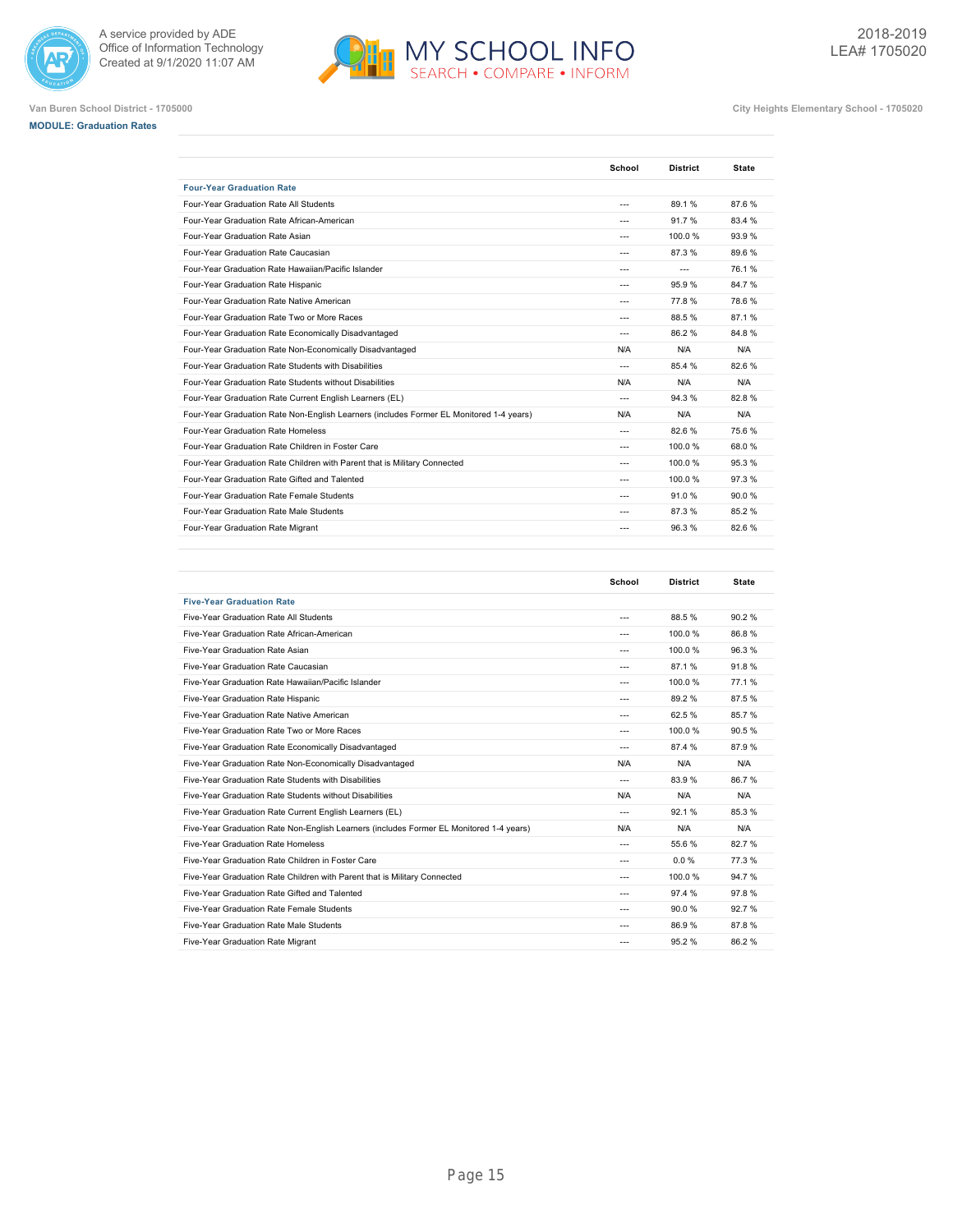





| <b>Four-Year Graduation Rate</b><br>Four-Year Graduation Rate All Students<br>89.1%<br>$\overline{a}$<br>Four-Year Graduation Rate African-American<br>91.7%<br>---<br>Four-Year Graduation Rate Asian<br>100.0%<br>$- - -$<br>Four-Year Graduation Rate Caucasian<br>87.3%<br>$---$<br>Four-Year Graduation Rate Hawaiian/Pacific Islander<br>$---$<br>$---$<br>Four-Year Graduation Rate Hispanic<br>95.9%<br>$---$<br>Four-Year Graduation Rate Native American<br>77.8%<br>$- - -$<br>Four-Year Graduation Rate Two or More Races<br>88.5%<br>$---$<br>Four-Year Graduation Rate Economically Disadvantaged<br>86.2%<br>$- - -$<br>Four-Year Graduation Rate Non-Economically Disadvantaged<br>N/A<br>N/A<br>Four-Year Graduation Rate Students with Disabilities<br>85.4 %<br>$---$ | 87.6%<br>83.4 %<br>93.9%<br>89.6%<br>76.1% |
|------------------------------------------------------------------------------------------------------------------------------------------------------------------------------------------------------------------------------------------------------------------------------------------------------------------------------------------------------------------------------------------------------------------------------------------------------------------------------------------------------------------------------------------------------------------------------------------------------------------------------------------------------------------------------------------------------------------------------------------------------------------------------------------|--------------------------------------------|
|                                                                                                                                                                                                                                                                                                                                                                                                                                                                                                                                                                                                                                                                                                                                                                                          |                                            |
|                                                                                                                                                                                                                                                                                                                                                                                                                                                                                                                                                                                                                                                                                                                                                                                          |                                            |
|                                                                                                                                                                                                                                                                                                                                                                                                                                                                                                                                                                                                                                                                                                                                                                                          |                                            |
|                                                                                                                                                                                                                                                                                                                                                                                                                                                                                                                                                                                                                                                                                                                                                                                          |                                            |
|                                                                                                                                                                                                                                                                                                                                                                                                                                                                                                                                                                                                                                                                                                                                                                                          |                                            |
|                                                                                                                                                                                                                                                                                                                                                                                                                                                                                                                                                                                                                                                                                                                                                                                          |                                            |
|                                                                                                                                                                                                                                                                                                                                                                                                                                                                                                                                                                                                                                                                                                                                                                                          | 84.7%                                      |
|                                                                                                                                                                                                                                                                                                                                                                                                                                                                                                                                                                                                                                                                                                                                                                                          | 78.6%                                      |
|                                                                                                                                                                                                                                                                                                                                                                                                                                                                                                                                                                                                                                                                                                                                                                                          | 87.1%                                      |
|                                                                                                                                                                                                                                                                                                                                                                                                                                                                                                                                                                                                                                                                                                                                                                                          | 84.8%                                      |
|                                                                                                                                                                                                                                                                                                                                                                                                                                                                                                                                                                                                                                                                                                                                                                                          | N/A                                        |
|                                                                                                                                                                                                                                                                                                                                                                                                                                                                                                                                                                                                                                                                                                                                                                                          | 82.6%                                      |
| Four-Year Graduation Rate Students without Disabilities<br>N/A<br>N/A                                                                                                                                                                                                                                                                                                                                                                                                                                                                                                                                                                                                                                                                                                                    | N/A                                        |
| Four-Year Graduation Rate Current English Learners (EL)<br>94.3%<br>$---$                                                                                                                                                                                                                                                                                                                                                                                                                                                                                                                                                                                                                                                                                                                | 82.8%                                      |
| Four-Year Graduation Rate Non-English Learners (includes Former EL Monitored 1-4 years)<br>N/A<br>N/A                                                                                                                                                                                                                                                                                                                                                                                                                                                                                                                                                                                                                                                                                    | N/A                                        |
| Four-Year Graduation Rate Homeless<br>82.6%<br>$---$                                                                                                                                                                                                                                                                                                                                                                                                                                                                                                                                                                                                                                                                                                                                     | 75.6%                                      |
| Four-Year Graduation Rate Children in Foster Care<br>100.0%<br>---                                                                                                                                                                                                                                                                                                                                                                                                                                                                                                                                                                                                                                                                                                                       | 68.0%                                      |
| Four-Year Graduation Rate Children with Parent that is Military Connected<br>100.0%<br>$- - -$                                                                                                                                                                                                                                                                                                                                                                                                                                                                                                                                                                                                                                                                                           | 95.3%                                      |
| Four-Year Graduation Rate Gifted and Talented<br>100.0%<br>$\overline{a}$                                                                                                                                                                                                                                                                                                                                                                                                                                                                                                                                                                                                                                                                                                                | 97.3%                                      |
| Four-Year Graduation Rate Female Students<br>91.0%<br>$---$                                                                                                                                                                                                                                                                                                                                                                                                                                                                                                                                                                                                                                                                                                                              | 90.0%                                      |
| Four-Year Graduation Rate Male Students<br>87.3%<br>$\overline{a}$                                                                                                                                                                                                                                                                                                                                                                                                                                                                                                                                                                                                                                                                                                                       |                                            |
| Four-Year Graduation Rate Migrant<br>96.3%<br>---                                                                                                                                                                                                                                                                                                                                                                                                                                                                                                                                                                                                                                                                                                                                        | 85.2%                                      |

|                                                                                         | School         | <b>District</b> | <b>State</b> |
|-----------------------------------------------------------------------------------------|----------------|-----------------|--------------|
| <b>Five-Year Graduation Rate</b>                                                        |                |                 |              |
| Five-Year Graduation Rate All Students                                                  | $\overline{a}$ | 88.5%           | 90.2%        |
| Five-Year Graduation Rate African-American                                              | $---$          | 100.0%          | 86.8%        |
| Five-Year Graduation Rate Asian                                                         | $- - -$        | 100.0%          | 96.3%        |
| Five-Year Graduation Rate Caucasian                                                     | $\overline{a}$ | 87.1%           | 91.8%        |
| Five-Year Graduation Rate Hawaiian/Pacific Islander                                     | $- - -$        | 100.0%          | 77.1%        |
| Five-Year Graduation Rate Hispanic                                                      | $---$          | 89.2%           | 87.5%        |
| Five-Year Graduation Rate Native American                                               | $\overline{a}$ | 62.5%           | 85.7%        |
| Five-Year Graduation Rate Two or More Races                                             | $- - -$        | 100.0%          | 90.5%        |
| Five-Year Graduation Rate Economically Disadvantaged                                    | $\overline{a}$ | 87.4 %          | 87.9%        |
| Five-Year Graduation Rate Non-Economically Disadvantaged                                | N/A            | N/A             | N/A          |
| Five-Year Graduation Rate Students with Disabilities                                    | $---$          | 83.9%           | 86.7%        |
| Five-Year Graduation Rate Students without Disabilities                                 | N/A            | N/A             | N/A          |
| Five-Year Graduation Rate Current English Learners (EL)                                 | $---$          | 92.1%           | 85.3%        |
| Five-Year Graduation Rate Non-English Learners (includes Former EL Monitored 1-4 years) | N/A            | N/A             | N/A          |
| Five-Year Graduation Rate Homeless                                                      | $\overline{a}$ | 55.6%           | 82.7%        |
| Five-Year Graduation Rate Children in Foster Care                                       | $\overline{a}$ | 0.0%            | 77.3%        |
| Five-Year Graduation Rate Children with Parent that is Military Connected               | $- - -$        | 100.0%          | 94.7%        |
| Five-Year Graduation Rate Gifted and Talented                                           | $\overline{a}$ | 97.4 %          | 97.8%        |
| Five-Year Graduation Rate Female Students                                               | $- - -$        | 90.0%           | 92.7%        |
| Five-Year Graduation Rate Male Students                                                 | $\overline{a}$ | 86.9%           | 87.8%        |
| Five-Year Graduation Rate Migrant                                                       | $- - -$        | 95.2%           | 86.2%        |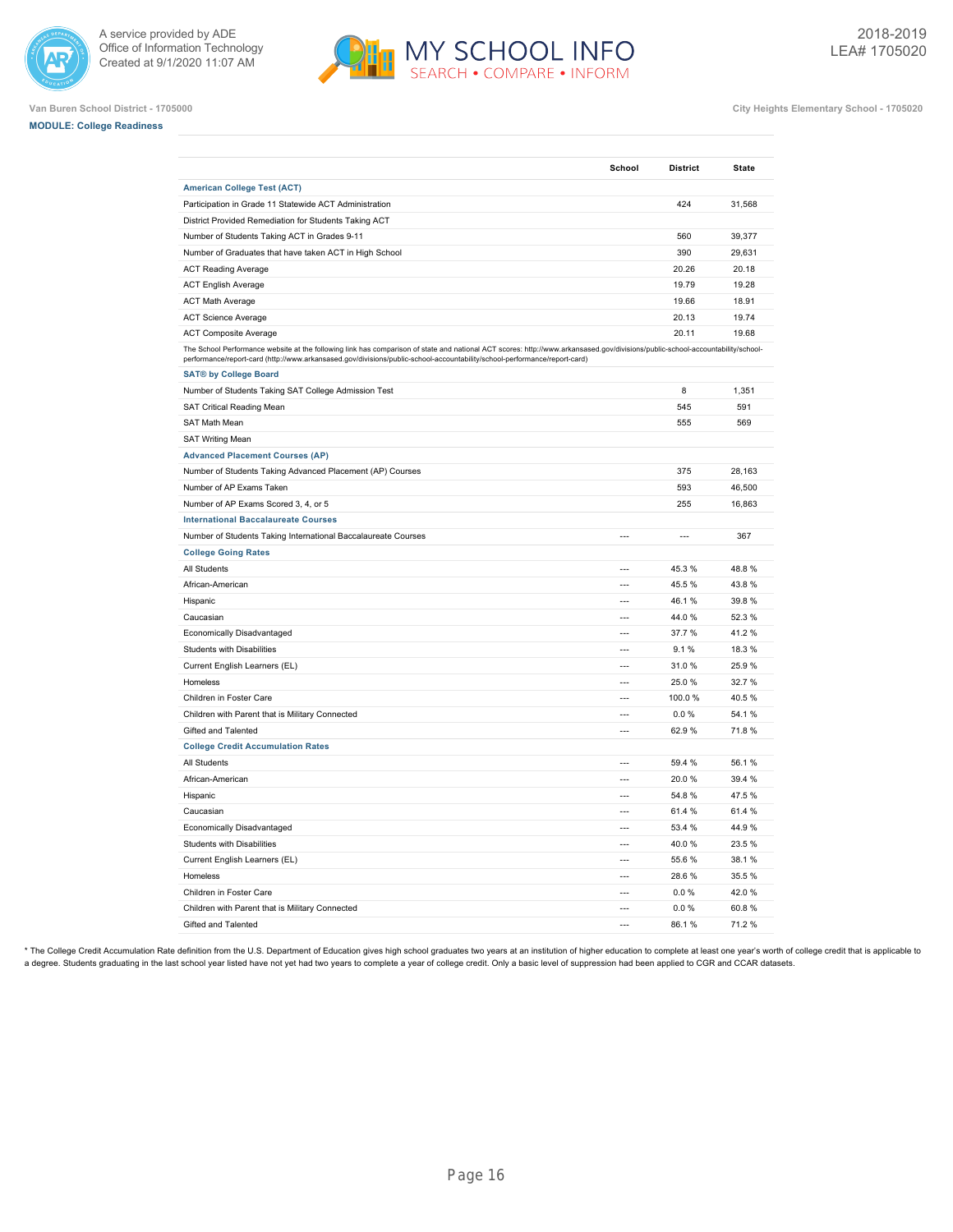



**Van Buren School District - 1705000 City Heights Elementary School - 1705020**

## **MODULE: College Readiness**

|                                                                                                                                                                                                                                                                                                             | School         | <b>District</b>          | <b>State</b> |
|-------------------------------------------------------------------------------------------------------------------------------------------------------------------------------------------------------------------------------------------------------------------------------------------------------------|----------------|--------------------------|--------------|
| <b>American College Test (ACT)</b>                                                                                                                                                                                                                                                                          |                |                          |              |
| Participation in Grade 11 Statewide ACT Administration                                                                                                                                                                                                                                                      |                | 424                      | 31,568       |
| District Provided Remediation for Students Taking ACT                                                                                                                                                                                                                                                       |                |                          |              |
| Number of Students Taking ACT in Grades 9-11                                                                                                                                                                                                                                                                |                | 560                      | 39,377       |
| Number of Graduates that have taken ACT in High School                                                                                                                                                                                                                                                      |                | 390                      | 29,631       |
| <b>ACT Reading Average</b>                                                                                                                                                                                                                                                                                  |                | 20.26                    | 20.18        |
| <b>ACT English Average</b>                                                                                                                                                                                                                                                                                  |                | 19.79                    | 19.28        |
| <b>ACT Math Average</b>                                                                                                                                                                                                                                                                                     |                | 19.66                    | 18.91        |
| <b>ACT Science Average</b>                                                                                                                                                                                                                                                                                  |                | 20.13                    | 19.74        |
| <b>ACT Composite Average</b>                                                                                                                                                                                                                                                                                |                | 20.11                    | 19.68        |
| The School Performance website at the following link has comparison of state and national ACT scores: http://www.arkansased.gov/divisions/public-school-accountability/school-<br>performance/report-card (http://www.arkansased.gov/divisions/public-school-accountability/school-performance/report-card) |                |                          |              |
| <b>SAT® by College Board</b>                                                                                                                                                                                                                                                                                |                |                          |              |
| Number of Students Taking SAT College Admission Test                                                                                                                                                                                                                                                        |                | 8                        | 1,351        |
| SAT Critical Reading Mean                                                                                                                                                                                                                                                                                   |                | 545                      | 591          |
| SAT Math Mean                                                                                                                                                                                                                                                                                               |                | 555                      | 569          |
| <b>SAT Writing Mean</b>                                                                                                                                                                                                                                                                                     |                |                          |              |
| <b>Advanced Placement Courses (AP)</b>                                                                                                                                                                                                                                                                      |                |                          |              |
| Number of Students Taking Advanced Placement (AP) Courses                                                                                                                                                                                                                                                   |                | 375                      | 28,163       |
| Number of AP Exams Taken                                                                                                                                                                                                                                                                                    |                | 593                      | 46,500       |
| Number of AP Exams Scored 3, 4, or 5                                                                                                                                                                                                                                                                        |                | 255                      | 16,863       |
| <b>International Baccalaureate Courses</b>                                                                                                                                                                                                                                                                  |                |                          |              |
| Number of Students Taking International Baccalaureate Courses                                                                                                                                                                                                                                               | ---            | $\overline{\phantom{a}}$ | 367          |
| <b>College Going Rates</b>                                                                                                                                                                                                                                                                                  |                |                          |              |
| All Students                                                                                                                                                                                                                                                                                                | $\overline{a}$ | 45.3%                    | 48.8%        |
| African-American                                                                                                                                                                                                                                                                                            | $\overline{a}$ | 45.5%                    | 43.8%        |
| Hispanic                                                                                                                                                                                                                                                                                                    | $\overline{a}$ | 46.1%                    | 39.8%        |
| Caucasian                                                                                                                                                                                                                                                                                                   | ---            | 44.0%                    | 52.3%        |
| Economically Disadvantaged                                                                                                                                                                                                                                                                                  | $\overline{a}$ | 37.7%                    | 41.2%        |
| Students with Disabilities                                                                                                                                                                                                                                                                                  | $\overline{a}$ | 9.1%                     | 18.3%        |
| Current English Learners (EL)                                                                                                                                                                                                                                                                               | $\overline{a}$ | 31.0%                    | 25.9%        |
| Homeless                                                                                                                                                                                                                                                                                                    | $\overline{a}$ | 25.0%                    | 32.7%        |
| Children in Foster Care                                                                                                                                                                                                                                                                                     | $\overline{a}$ | 100.0%                   | 40.5%        |
| Children with Parent that is Military Connected                                                                                                                                                                                                                                                             | $\overline{a}$ | 0.0%                     | 54.1%        |
| Gifted and Talented                                                                                                                                                                                                                                                                                         | $\overline{a}$ | 62.9%                    | 71.8%        |
| <b>College Credit Accumulation Rates</b>                                                                                                                                                                                                                                                                    |                |                          |              |
| All Students                                                                                                                                                                                                                                                                                                | $\sim$         | 59.4 %                   | 56.1%        |
| African-American                                                                                                                                                                                                                                                                                            | ---            | 20.0%                    | 39.4 %       |
| Hispanic                                                                                                                                                                                                                                                                                                    | $\overline{a}$ | 54.8%                    | 47.5%        |
| Caucasian                                                                                                                                                                                                                                                                                                   | $\overline{a}$ | 61.4%                    | 61.4%        |
| Economically Disadvantaged                                                                                                                                                                                                                                                                                  | $\overline{a}$ | 53.4 %                   | 44.9%        |
| <b>Students with Disabilities</b>                                                                                                                                                                                                                                                                           | ---            | 40.0%                    | 23.5%        |
| Current English Learners (EL)                                                                                                                                                                                                                                                                               | ---            | 55.6%                    | 38.1%        |
| Homeless                                                                                                                                                                                                                                                                                                    | $\overline{a}$ | 28.6%                    | 35.5%        |
| Children in Foster Care                                                                                                                                                                                                                                                                                     | $\overline{a}$ | 0.0 %                    | 42.0%        |
| Children with Parent that is Military Connected                                                                                                                                                                                                                                                             | $\overline{a}$ | 0.0%                     | 60.8%        |
| Gifted and Talented                                                                                                                                                                                                                                                                                         | $\overline{a}$ | 86.1%                    | 71.2%        |
|                                                                                                                                                                                                                                                                                                             |                |                          |              |

\* The College Credit Accumulation Rate definition from the U.S. Department of Education gives high school graduates two years at an institution of higher education to complete at least one year's worth of college credit th a degree. Students graduating in the last school year listed have not yet had two years to complete a year of college credit. Only a basic level of suppression had been applied to CGR and CCAR datasets.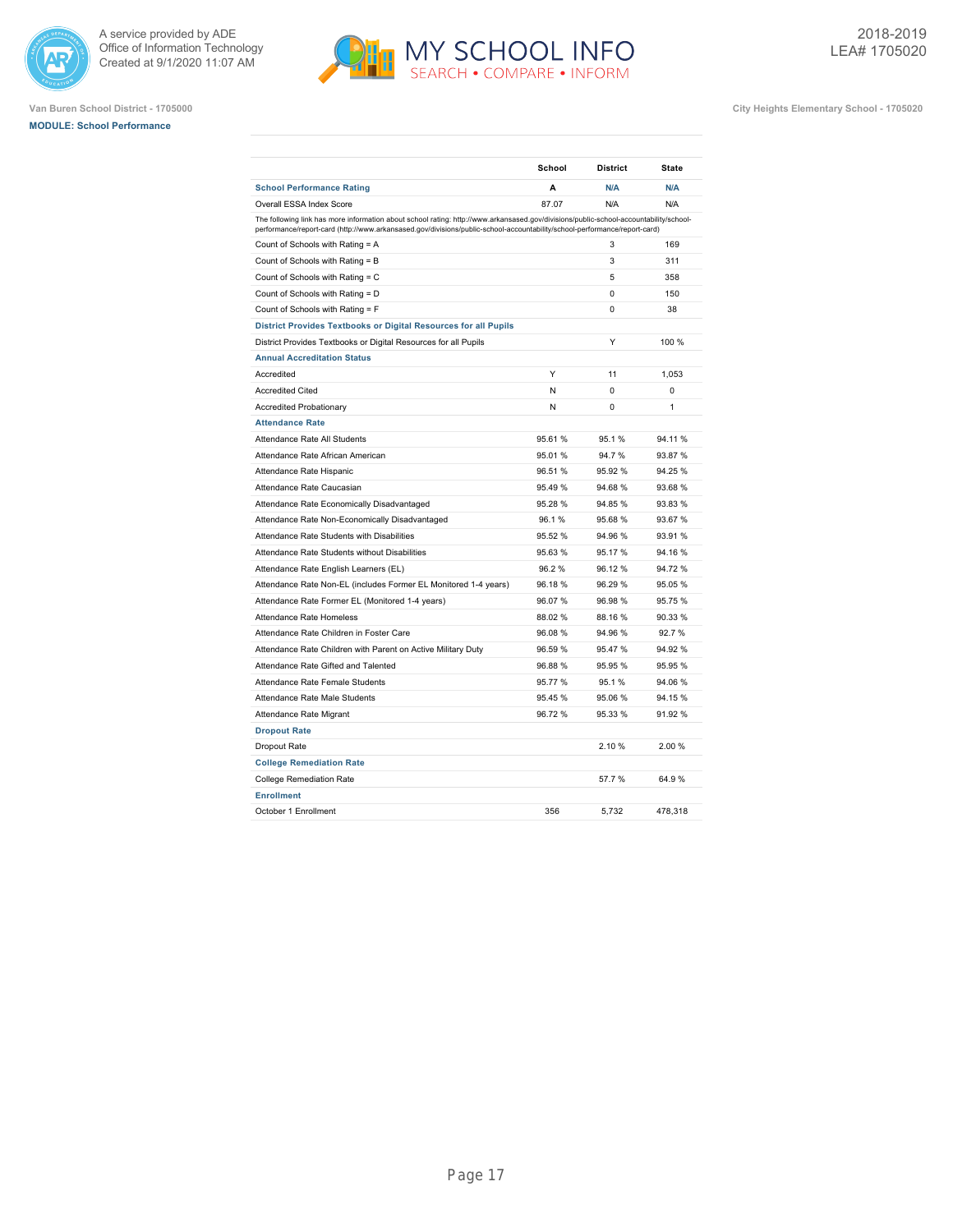





|                                                                                                                                                                                                                                                                    | School  | <b>District</b> | <b>State</b> |
|--------------------------------------------------------------------------------------------------------------------------------------------------------------------------------------------------------------------------------------------------------------------|---------|-----------------|--------------|
| <b>School Performance Rating</b>                                                                                                                                                                                                                                   | A       | N/A             | N/A          |
| Overall ESSA Index Score                                                                                                                                                                                                                                           | 87.07   | N/A             | N/A          |
| The following link has more information about school rating: http://www.arkansased.gov/divisions/public-school-accountability/school-<br>performance/report-card (http://www.arkansased.gov/divisions/public-school-accountability/school-performance/report-card) |         |                 |              |
| Count of Schools with Rating = A                                                                                                                                                                                                                                   |         | 3               | 169          |
| Count of Schools with Rating = B                                                                                                                                                                                                                                   |         | 3               | 311          |
| Count of Schools with Rating = C                                                                                                                                                                                                                                   |         | 5               | 358          |
| Count of Schools with Rating = D                                                                                                                                                                                                                                   |         | 0               | 150          |
| Count of Schools with Rating = F                                                                                                                                                                                                                                   |         | 0               | 38           |
| District Provides Textbooks or Digital Resources for all Pupils                                                                                                                                                                                                    |         |                 |              |
| District Provides Textbooks or Digital Resources for all Pupils                                                                                                                                                                                                    |         | Y               | 100 %        |
| <b>Annual Accreditation Status</b>                                                                                                                                                                                                                                 |         |                 |              |
| Accredited                                                                                                                                                                                                                                                         | Υ       | 11              | 1,053        |
| <b>Accredited Cited</b>                                                                                                                                                                                                                                            | N       | 0               | 0            |
| <b>Accredited Probationary</b>                                                                                                                                                                                                                                     | N       | 0               | 1            |
| <b>Attendance Rate</b>                                                                                                                                                                                                                                             |         |                 |              |
| Attendance Rate All Students                                                                                                                                                                                                                                       | 95.61%  | 95.1%           | 94.11%       |
| Attendance Rate African American                                                                                                                                                                                                                                   | 95.01%  | 94.7%           | 93.87%       |
| Attendance Rate Hispanic                                                                                                                                                                                                                                           | 96.51%  | 95.92%          | 94.25 %      |
| Attendance Rate Caucasian                                                                                                                                                                                                                                          | 95.49 % | 94.68%          | 93.68 %      |
| Attendance Rate Economically Disadvantaged                                                                                                                                                                                                                         | 95.28 % | 94.85%          | 93.83 %      |
| Attendance Rate Non-Economically Disadvantaged                                                                                                                                                                                                                     | 96.1%   | 95.68%          | 93.67%       |
| Attendance Rate Students with Disabilities                                                                                                                                                                                                                         | 95.52 % | 94.96%          | 93.91 %      |
| Attendance Rate Students without Disabilities                                                                                                                                                                                                                      | 95.63%  | 95.17%          | 94.16%       |
| Attendance Rate English Learners (EL)                                                                                                                                                                                                                              | 96.2%   | 96.12%          | 94.72%       |
| Attendance Rate Non-EL (includes Former EL Monitored 1-4 years)                                                                                                                                                                                                    | 96.18%  | 96.29%          | 95.05 %      |
| Attendance Rate Former EL (Monitored 1-4 years)                                                                                                                                                                                                                    | 96.07%  | 96.98%          | 95.75 %      |
| Attendance Rate Homeless                                                                                                                                                                                                                                           | 88.02%  | 88.16%          | 90.33 %      |
| Attendance Rate Children in Foster Care                                                                                                                                                                                                                            | 96.08%  | 94.96%          | 92.7%        |
| Attendance Rate Children with Parent on Active Military Duty                                                                                                                                                                                                       | 96.59 % | 95.47%          | 94.92 %      |
| Attendance Rate Gifted and Talented                                                                                                                                                                                                                                | 96.88%  | 95.95%          | 95.95 %      |
| Attendance Rate Female Students                                                                                                                                                                                                                                    | 95.77 % | 95.1%           | 94.06%       |
| Attendance Rate Male Students                                                                                                                                                                                                                                      | 95.45 % | 95.06%          | 94.15%       |
| Attendance Rate Migrant                                                                                                                                                                                                                                            | 96.72%  | 95.33%          | 91.92%       |
| <b>Dropout Rate</b>                                                                                                                                                                                                                                                |         |                 |              |
| Dropout Rate                                                                                                                                                                                                                                                       |         | 2.10%           | 2.00%        |
| <b>College Remediation Rate</b>                                                                                                                                                                                                                                    |         |                 |              |
| <b>College Remediation Rate</b>                                                                                                                                                                                                                                    |         | 57.7%           | 64.9%        |
| <b>Enrollment</b>                                                                                                                                                                                                                                                  |         |                 |              |
| October 1 Enrollment                                                                                                                                                                                                                                               | 356     | 5.732           | 478,318      |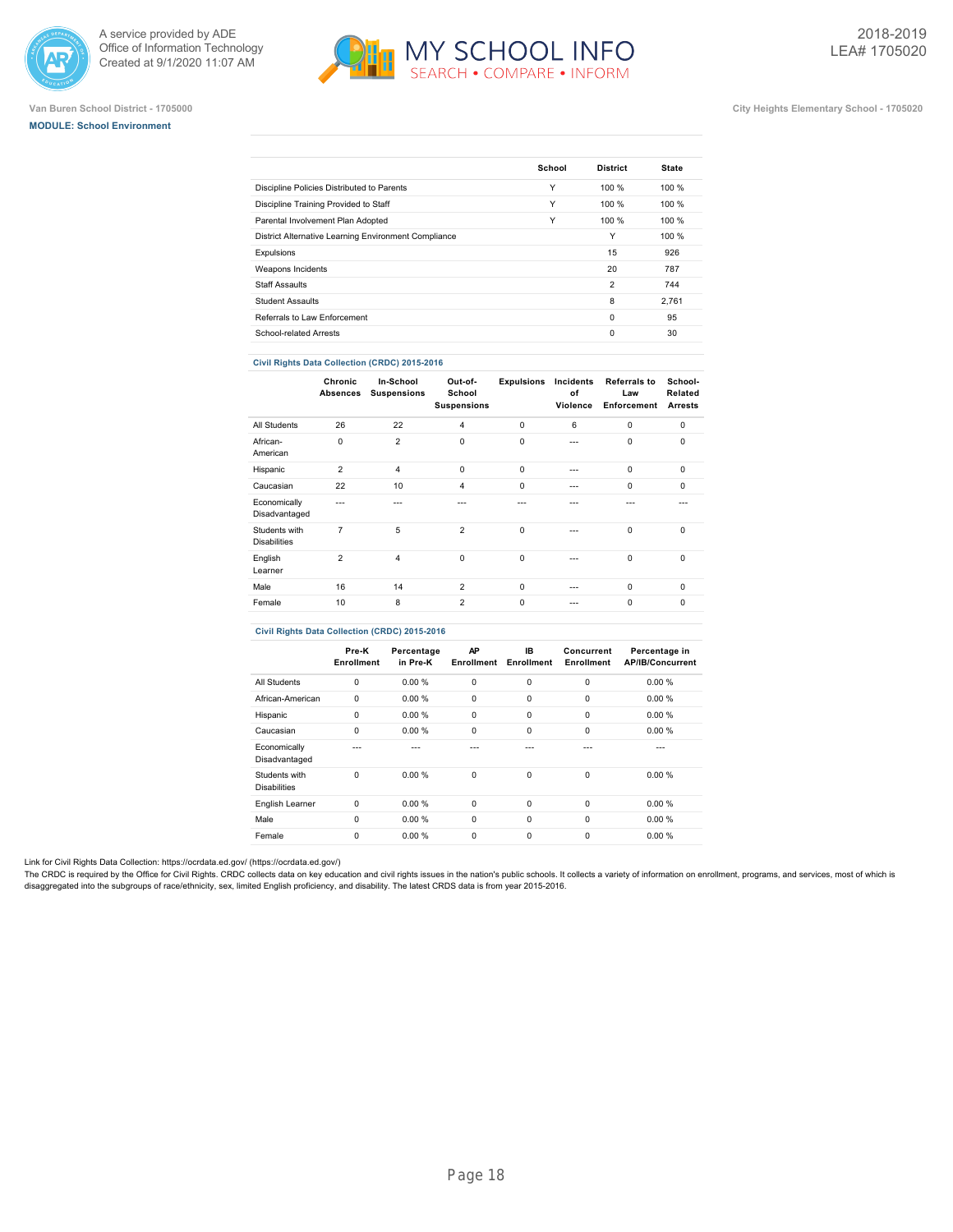





## **Van Buren School District - 1705000 City Heights Elementary School - 1705020**

|                                                      | School | <b>District</b> | <b>State</b> |
|------------------------------------------------------|--------|-----------------|--------------|
| Discipline Policies Distributed to Parents           | Υ      | 100%            | 100%         |
| Discipline Training Provided to Staff                | Υ      | 100 %           | 100 %        |
| Parental Involvement Plan Adopted                    | Υ      | 100 %           | 100%         |
| District Alternative Learning Environment Compliance |        | Υ               | 100 %        |
| Expulsions                                           |        | 15              | 926          |
| Weapons Incidents                                    |        | 20              | 787          |
| <b>Staff Assaults</b>                                |        | $\overline{2}$  | 744          |
| <b>Student Assaults</b>                              |        | 8               | 2.761        |
| Referrals to Law Enforcement                         |        | $\Omega$        | 95           |
| School-related Arrests                               |        | 0               | 30           |
|                                                      |        |                 |              |

## **Civil Rights Data Collection (CRDC) 2015-2016**

|                                      | Chronic<br>Absences | In-School<br><b>Suspensions</b> | Out-of-<br>School<br><b>Suspensions</b> | <b>Expulsions</b> | Incidents<br>of<br>Violence | <b>Referrals to</b><br>Law<br>Enforcement | School-<br>Related<br><b>Arrests</b> |
|--------------------------------------|---------------------|---------------------------------|-----------------------------------------|-------------------|-----------------------------|-------------------------------------------|--------------------------------------|
| All Students                         | 26                  | 22                              | $\overline{4}$                          | $\mathbf 0$       | 6                           | $\mathbf 0$                               | $\mathbf 0$                          |
| African-<br>American                 | $\Omega$            | $\overline{2}$                  | $\mathbf 0$                             | $\mathbf 0$       | ---                         | $\Omega$                                  | $\Omega$                             |
| Hispanic                             | $\overline{2}$      | $\overline{4}$                  | $\Omega$                                | $\Omega$          | ---                         | $\Omega$                                  | $\Omega$                             |
| Caucasian                            | 22                  | 10                              | 4                                       | $\mathbf 0$       | $- - -$                     | $\mathbf 0$                               | $\mathbf 0$                          |
| Economically<br>Disadvantaged        | ---                 | ---                             |                                         | $- - -$           |                             | ---                                       |                                      |
| Students with<br><b>Disabilities</b> | 7                   | 5                               | $\overline{2}$                          | $\mathbf 0$       |                             | $\mathbf 0$                               | $\mathbf 0$                          |
| English<br>Learner                   | $\overline{2}$      | $\overline{4}$                  | $\Omega$                                | $\mathbf 0$       | ---                         | $\Omega$                                  | $\Omega$                             |
| Male                                 | 16                  | 14                              | $\overline{2}$                          | $\Omega$          | $- - -$                     | $\Omega$                                  | $\Omega$                             |
| Female                               | 10                  | 8                               | 2                                       | $\mathbf 0$       | ---                         | $\Omega$                                  | $\mathbf 0$                          |

## **Civil Rights Data Collection (CRDC) 2015-2016**

|                                      | Pre-K<br>Enrollment | Percentage<br>in Pre-K | AP<br><b>Enrollment</b> | IB.<br>Enrollment | Concurrent<br>Enrollment | Percentage in<br><b>AP/IB/Concurrent</b> |
|--------------------------------------|---------------------|------------------------|-------------------------|-------------------|--------------------------|------------------------------------------|
| All Students                         | 0                   | 0.00%                  | 0                       | 0                 | $\mathbf 0$              | 0.00%                                    |
| African-American                     | 0                   | 0.00%                  | $\mathbf 0$             | 0                 | $\mathbf 0$              | 0.00%                                    |
| Hispanic                             | 0                   | 0.00%                  | 0                       | 0                 | 0                        | 0.00%                                    |
| Caucasian                            | 0                   | 0.00%                  | 0                       | $\Omega$          | $\Omega$                 | 0.00%                                    |
| Economically<br>Disadvantaged        |                     |                        |                         |                   |                          |                                          |
| Students with<br><b>Disabilities</b> | $\Omega$            | 0.00%                  | 0                       | 0                 | $\Omega$                 | 0.00%                                    |
| English Learner                      | $\Omega$            | 0.00%                  | $\mathbf 0$             | $\Omega$          | $\Omega$                 | 0.00%                                    |
| Male                                 | $\Omega$            | 0.00%                  | $\mathbf 0$             | $\mathbf 0$       | $\Omega$                 | 0.00%                                    |
| Female                               | $\Omega$            | 0.00%                  | 0                       | 0                 | $\Omega$                 | 0.00%                                    |

Link for Civil Rights Data Collection: [https://ocrdata.ed.gov/ \(https://ocrdata.ed.gov/\)](https://ocrdata.ed.gov/)

The CRDC is required by the Office for Civil Rights. CRDC collects data on key education and civil rights issues in the nation's public schools. It collects a variety of information on enrollment, programs, and services, m disaggregated into the subgroups of race/ethnicity, sex, limited English proficiency, and disability. The latest CRDS data is from year 2015-2016.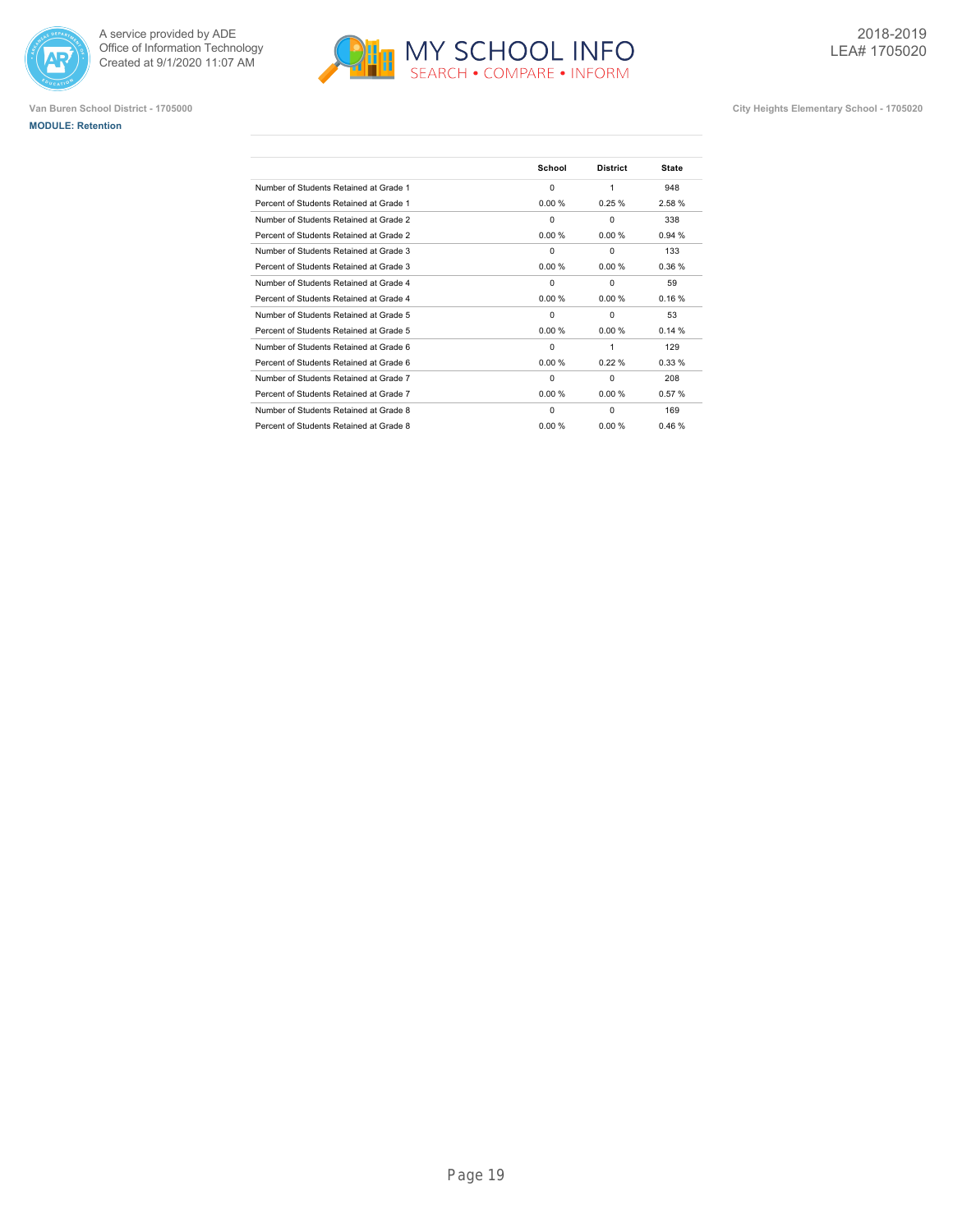





|                                         | School   | <b>District</b> | <b>State</b> |
|-----------------------------------------|----------|-----------------|--------------|
| Number of Students Retained at Grade 1  | $\Omega$ | 1               | 948          |
| Percent of Students Retained at Grade 1 | 0.00%    | 0.25%           | 2.58%        |
| Number of Students Retained at Grade 2  | $\Omega$ | $\Omega$        | 338          |
| Percent of Students Retained at Grade 2 | 0.00%    | 0.00 %          | 0.94%        |
| Number of Students Retained at Grade 3  | $\Omega$ | $\Omega$        | 133          |
| Percent of Students Retained at Grade 3 | 0.00%    | 0.00 %          | 0.36%        |
| Number of Students Retained at Grade 4  | $\Omega$ | $\Omega$        | 59           |
| Percent of Students Retained at Grade 4 | 0.00%    | 0.00%           | 0.16%        |
| Number of Students Retained at Grade 5  | $\Omega$ | $\Omega$        | 53           |
| Percent of Students Retained at Grade 5 | 0.00%    | 0.00%           | 0.14%        |
| Number of Students Retained at Grade 6  | $\Omega$ | 1               | 129          |
| Percent of Students Retained at Grade 6 | 0.00%    | 0.22%           | 0.33%        |
| Number of Students Retained at Grade 7  | $\Omega$ | $\Omega$        | 208          |
| Percent of Students Retained at Grade 7 | 0.00%    | 0.00%           | 0.57%        |
| Number of Students Retained at Grade 8  | $\Omega$ | $\Omega$        | 169          |
| Percent of Students Retained at Grade 8 | 0.00%    | 0.00%           | 0.46%        |
|                                         |          |                 |              |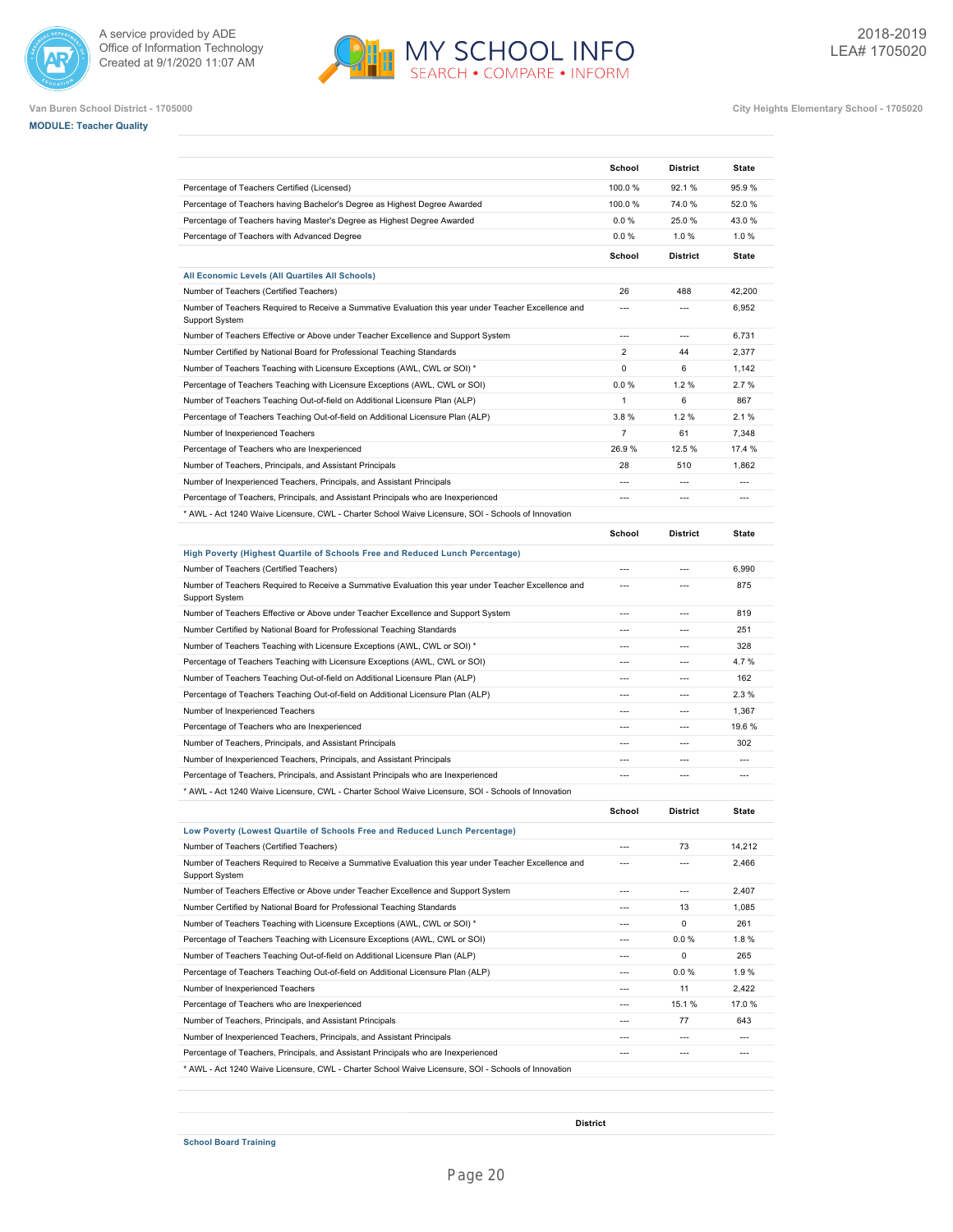







**Van Buren School District - 1705000 City Heights Elementary School - 1705020**

|                                                                                                                                                              | School         | <b>District</b>          | State                    |
|--------------------------------------------------------------------------------------------------------------------------------------------------------------|----------------|--------------------------|--------------------------|
| Percentage of Teachers Certified (Licensed)                                                                                                                  | 100.0%         | 92.1 %                   | 95.9%                    |
| Percentage of Teachers having Bachelor's Degree as Highest Degree Awarded                                                                                    | 100.0%         | 74.0%                    | 52.0%                    |
| Percentage of Teachers having Master's Degree as Highest Degree Awarded                                                                                      | 0.0%           | 25.0%                    | 43.0%                    |
| Percentage of Teachers with Advanced Degree                                                                                                                  | 0.0%           | 1.0%                     | 1.0%                     |
|                                                                                                                                                              | School         | <b>District</b>          | <b>State</b>             |
|                                                                                                                                                              |                |                          |                          |
| All Economic Levels (All Quartiles All Schools)<br>Number of Teachers (Certified Teachers)                                                                   | 26             | 488                      | 42,200                   |
| Number of Teachers Required to Receive a Summative Evaluation this year under Teacher Excellence and<br><b>Support System</b>                                | $\overline{a}$ | $\overline{a}$           | 6,952                    |
| Number of Teachers Effective or Above under Teacher Excellence and Support System                                                                            | $\overline{a}$ | $---$                    | 6,731                    |
| Number Certified by National Board for Professional Teaching Standards                                                                                       | $\overline{2}$ | 44                       | 2,377                    |
| Number of Teachers Teaching with Licensure Exceptions (AWL, CWL or SOI) *                                                                                    | 0              | 6                        | 1,142                    |
| Percentage of Teachers Teaching with Licensure Exceptions (AWL, CWL or SOI)                                                                                  | 0.0%           | 1.2%                     | 2.7%                     |
| Number of Teachers Teaching Out-of-field on Additional Licensure Plan (ALP)                                                                                  | $\mathbf{1}$   | 6                        | 867                      |
| Percentage of Teachers Teaching Out-of-field on Additional Licensure Plan (ALP)                                                                              | 3.8%           | 1.2%                     | 2.1%                     |
| Number of Inexperienced Teachers                                                                                                                             | $\overline{7}$ | 61                       | 7.348                    |
| Percentage of Teachers who are Inexperienced                                                                                                                 | 26.9%          | 12.5 %                   | 17.4 %                   |
| Number of Teachers, Principals, and Assistant Principals                                                                                                     | 28             | 510                      | 1,862                    |
| Number of Inexperienced Teachers, Principals, and Assistant Principals                                                                                       |                | $\overline{a}$           | $\overline{a}$           |
| Percentage of Teachers, Principals, and Assistant Principals who are Inexperienced                                                                           | $\overline{a}$ | $\overline{a}$           | $\overline{a}$           |
| * AWL - Act 1240 Waive Licensure, CWL - Charter School Waive Licensure, SOI - Schools of Innovation                                                          |                |                          |                          |
|                                                                                                                                                              |                |                          |                          |
|                                                                                                                                                              | School         | <b>District</b>          | <b>State</b>             |
| High Poverty (Highest Quartile of Schools Free and Reduced Lunch Percentage)                                                                                 |                |                          |                          |
| Number of Teachers (Certified Teachers)                                                                                                                      | $---$          | $---$                    | 6,990                    |
| Number of Teachers Required to Receive a Summative Evaluation this year under Teacher Excellence and<br>Support System                                       | $\overline{a}$ | $---$                    | 875                      |
| Number of Teachers Effective or Above under Teacher Excellence and Support System                                                                            | $---$          | $---$                    | 819                      |
| Number Certified by National Board for Professional Teaching Standards                                                                                       | $---$          | $---$                    | 251                      |
| Number of Teachers Teaching with Licensure Exceptions (AWL, CWL or SOI) *                                                                                    | $\overline{a}$ | $---$                    | 328                      |
| Percentage of Teachers Teaching with Licensure Exceptions (AWL, CWL or SOI)                                                                                  | $\overline{a}$ | $\overline{a}$           | 4.7%                     |
| Number of Teachers Teaching Out-of-field on Additional Licensure Plan (ALP)                                                                                  |                | $\overline{a}$           | 162                      |
| Percentage of Teachers Teaching Out-of-field on Additional Licensure Plan (ALP)                                                                              | $\overline{a}$ | $\overline{a}$           | 2.3%                     |
| Number of Inexperienced Teachers                                                                                                                             |                | $\overline{a}$           | 1,367                    |
| Percentage of Teachers who are Inexperienced                                                                                                                 | ---            | $\overline{a}$           | 19.6%                    |
| Number of Teachers, Principals, and Assistant Principals                                                                                                     |                | $\overline{a}$           | 302                      |
| Number of Inexperienced Teachers, Principals, and Assistant Principals                                                                                       | ---            | $\overline{a}$           | $\overline{a}$           |
| Percentage of Teachers, Principals, and Assistant Principals who are Inexperienced                                                                           | $\overline{a}$ | $\overline{a}$           | $\overline{a}$           |
| * AWL - Act 1240 Waive Licensure, CWL - Charter School Waive Licensure, SOI - Schools of Innovation                                                          |                |                          |                          |
|                                                                                                                                                              | School         | <b>District</b>          | <b>State</b>             |
| Low Poverty (Lowest Quartile of Schools Free and Reduced Lunch Percentage)                                                                                   |                |                          |                          |
| Number of Teachers (Certified Teachers)                                                                                                                      | $---$          | 73                       | 14,212                   |
| Number of Teachers Required to Receive a Summative Evaluation this year under Teacher Excellence and<br>Support System                                       | $---$          | $\overline{a}$           | 2,466                    |
| Number of Teachers Effective or Above under Teacher Excellence and Support System                                                                            | $---$          | $\overline{a}$           | 2,407                    |
| Number Certified by National Board for Professional Teaching Standards                                                                                       | $---$          | 13                       | 1,085                    |
| Number of Teachers Teaching with Licensure Exceptions (AWL, CWL or SOI) *                                                                                    | $---$          | 0                        | 261                      |
| Percentage of Teachers Teaching with Licensure Exceptions (AWL, CWL or SOI)                                                                                  | $\overline{a}$ | $0.0 \%$                 | 1.8%                     |
| Number of Teachers Teaching Out-of-field on Additional Licensure Plan (ALP)                                                                                  | $---$          | 0                        | 265                      |
| Percentage of Teachers Teaching Out-of-field on Additional Licensure Plan (ALP)                                                                              | $\overline{a}$ | $0.0 \%$                 | 1.9%                     |
| Number of Inexperienced Teachers                                                                                                                             | $\overline{a}$ | 11                       | 2,422                    |
|                                                                                                                                                              |                | 15.1 %                   | 17.0%                    |
|                                                                                                                                                              | $---$          | 77                       | 643                      |
| Percentage of Teachers who are Inexperienced<br>Number of Teachers, Principals, and Assistant Principals                                                     |                |                          |                          |
|                                                                                                                                                              |                | $\overline{a}$           | $\overline{a}$           |
| Number of Inexperienced Teachers, Principals, and Assistant Principals<br>Percentage of Teachers, Principals, and Assistant Principals who are Inexperienced | ---            | $\overline{\phantom{a}}$ | $\hspace{0.05cm} \ldots$ |

MY SCHOOL INFO

**School Board Training**

**District**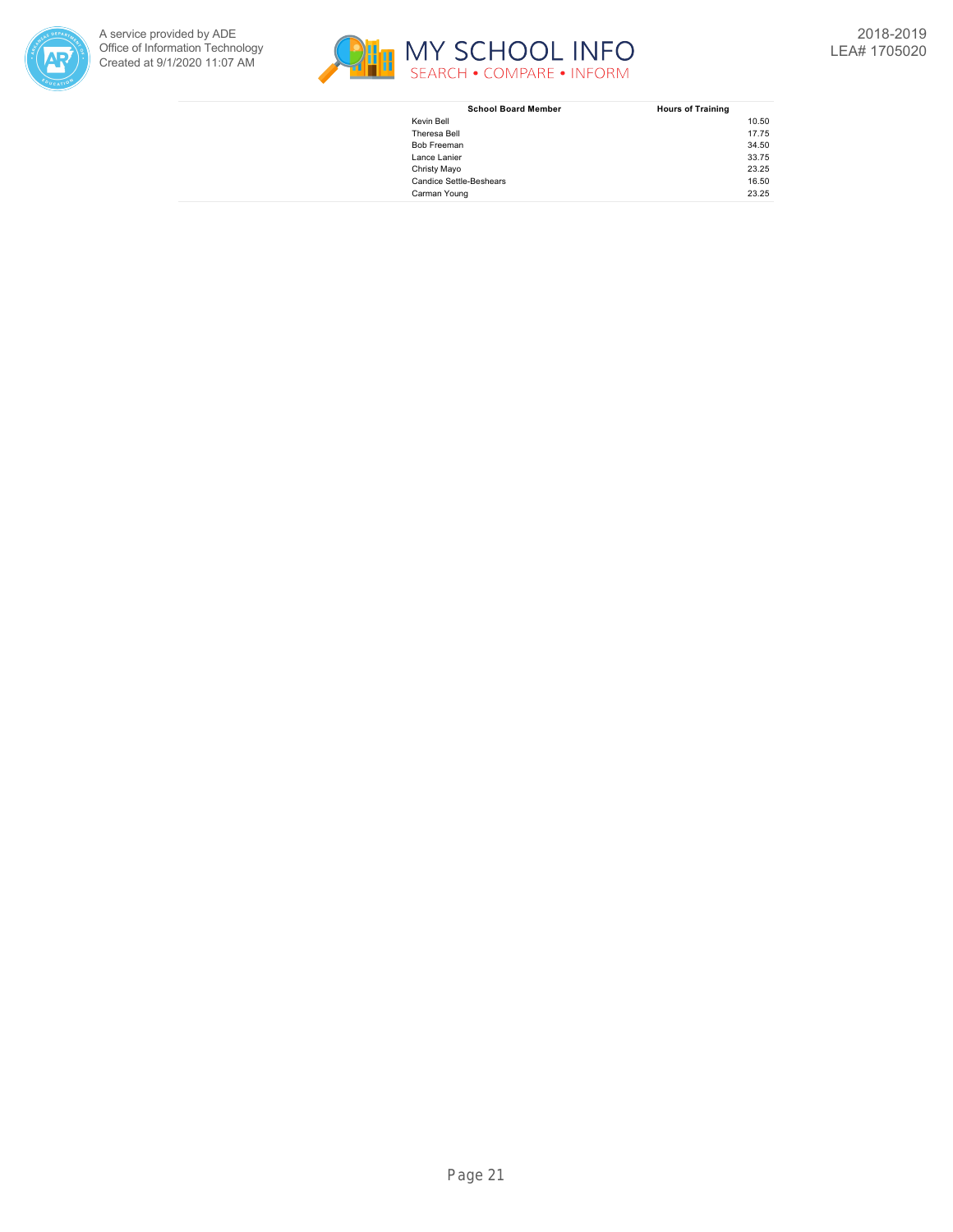



| <b>School Board Member</b>     | <b>Hours of Training</b> |
|--------------------------------|--------------------------|
| Kevin Bell                     | 10.50                    |
| Theresa Bell                   | 17.75                    |
| <b>Bob Freeman</b>             | 34.50                    |
| Lance Lanier                   | 33.75                    |
| Christy Mayo                   | 23.25                    |
| <b>Candice Settle-Beshears</b> | 16.50                    |
| Carman Young                   | 23.25                    |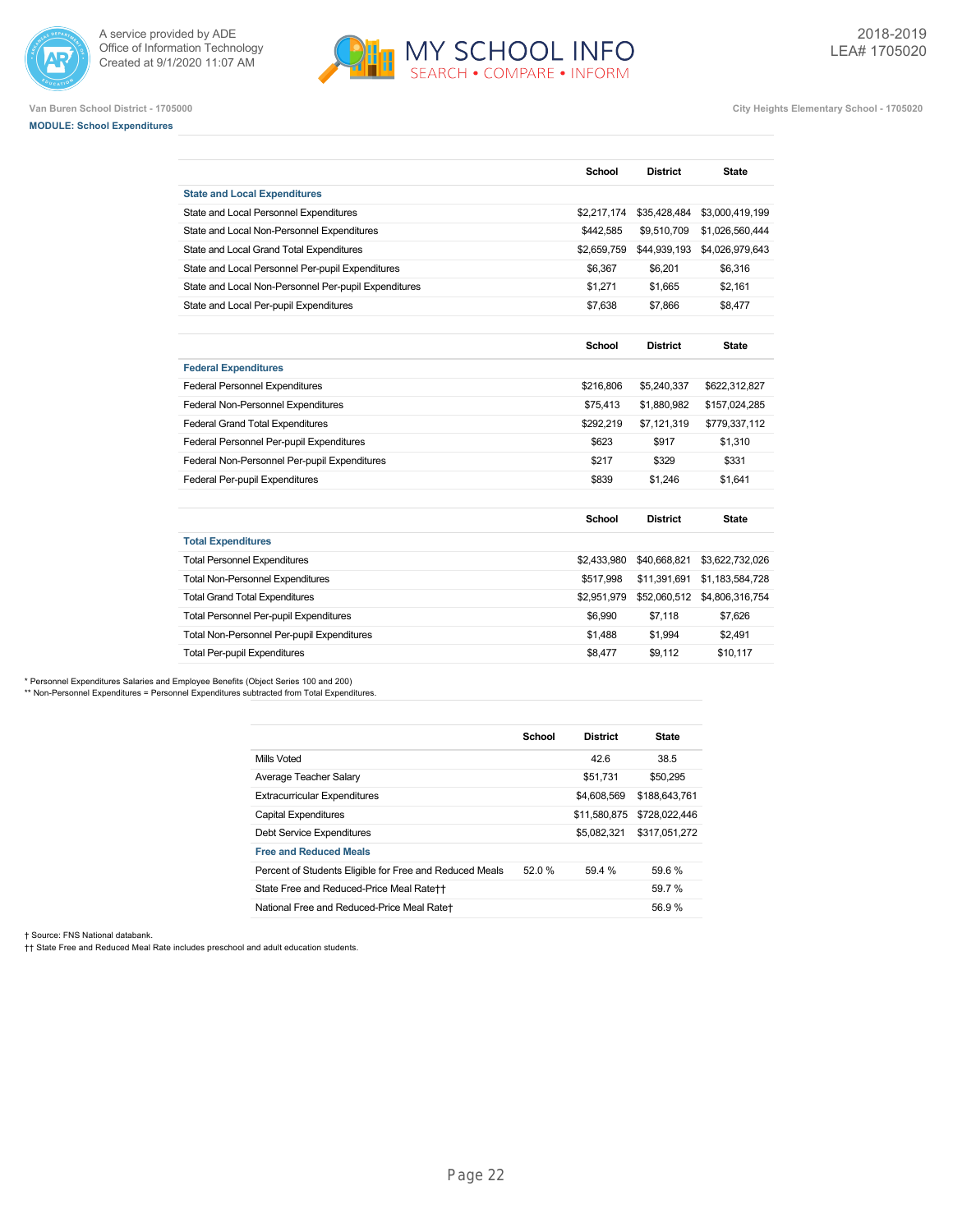



**Van Buren School District - 1705000 City Heights Elementary School - 1705020**

## **MODULE: School Expenditures**

|                                                      | School        | <b>District</b> | <b>State</b>    |
|------------------------------------------------------|---------------|-----------------|-----------------|
| <b>State and Local Expenditures</b>                  |               |                 |                 |
| State and Local Personnel Expenditures               | \$2,217,174   | \$35,428,484    | \$3,000,419,199 |
| State and Local Non-Personnel Expenditures           | \$442,585     | \$9,510,709     | \$1,026,560,444 |
| State and Local Grand Total Expenditures             | \$2,659,759   | \$44,939,193    | \$4,026,979,643 |
| State and Local Personnel Per-pupil Expenditures     | \$6,367       | \$6.201         | \$6,316         |
| State and Local Non-Personnel Per-pupil Expenditures | \$1,271       | \$1.665         | \$2,161         |
| State and Local Per-pupil Expenditures               | \$7,638       | \$7,866         | \$8,477         |
|                                                      | <b>School</b> | <b>District</b> | <b>State</b>    |
| <b>Federal Expenditures</b>                          |               |                 |                 |
| <b>Federal Personnel Expenditures</b>                | \$216,806     | \$5,240,337     | \$622,312,827   |
| Federal Non-Personnel Expenditures                   | \$75,413      | \$1,880,982     | \$157,024,285   |
| <b>Federal Grand Total Expenditures</b>              | \$292,219     | \$7,121,319     | \$779,337,112   |
| Federal Personnel Per-pupil Expenditures             | \$623         | \$917           | \$1.310         |
| Federal Non-Personnel Per-pupil Expenditures         | \$217         | \$329           | \$331           |
| <b>Federal Per-pupil Expenditures</b>                | \$839         | \$1.246         | \$1.641         |
|                                                      | <b>School</b> | <b>District</b> | <b>State</b>    |
| <b>Total Expenditures</b>                            |               |                 |                 |
| <b>Total Personnel Expenditures</b>                  | \$2,433,980   | \$40,668,821    | \$3,622,732,026 |
| <b>Total Non-Personnel Expenditures</b>              | \$517,998     | \$11,391,691    | \$1,183,584,728 |
| <b>Total Grand Total Expenditures</b>                | \$2,951,979   | \$52,060,512    | \$4,806,316,754 |
| <b>Total Personnel Per-pupil Expenditures</b>        | \$6,990       | \$7,118         | \$7,626         |
| Total Non-Personnel Per-pupil Expenditures           | \$1,488       | \$1,994         | \$2,491         |
| <b>Total Per-pupil Expenditures</b>                  | \$8,477       | \$9.112         | \$10.117        |

\* Personnel Expenditures Salaries and Employee Benefits (Object Series 100 and 200)

\*\* Non-Personnel Expenditures = Personnel Expenditures subtracted from Total Expenditures.

|                                                         | School | <b>District</b> | <b>State</b>  |
|---------------------------------------------------------|--------|-----------------|---------------|
| Mills Voted                                             |        | 42.6            | 38.5          |
| Average Teacher Salary                                  |        | \$51.731        | \$50,295      |
| <b>Extracurricular Expenditures</b>                     |        | \$4,608,569     | \$188,643,761 |
| <b>Capital Expenditures</b>                             |        | \$11,580,875    | \$728,022,446 |
| Debt Service Expenditures                               |        | \$5,082,321     | \$317.051.272 |
| <b>Free and Reduced Meals</b>                           |        |                 |               |
| Percent of Students Eligible for Free and Reduced Meals | 52.0 % | 59.4 %          | 59.6%         |
| State Free and Reduced-Price Meal Rate++                |        |                 | 59.7%         |
| National Free and Reduced-Price Meal Rate+              |        |                 | 56.9%         |

† Source: FNS National databank.

†† State Free and Reduced Meal Rate includes preschool and adult education students.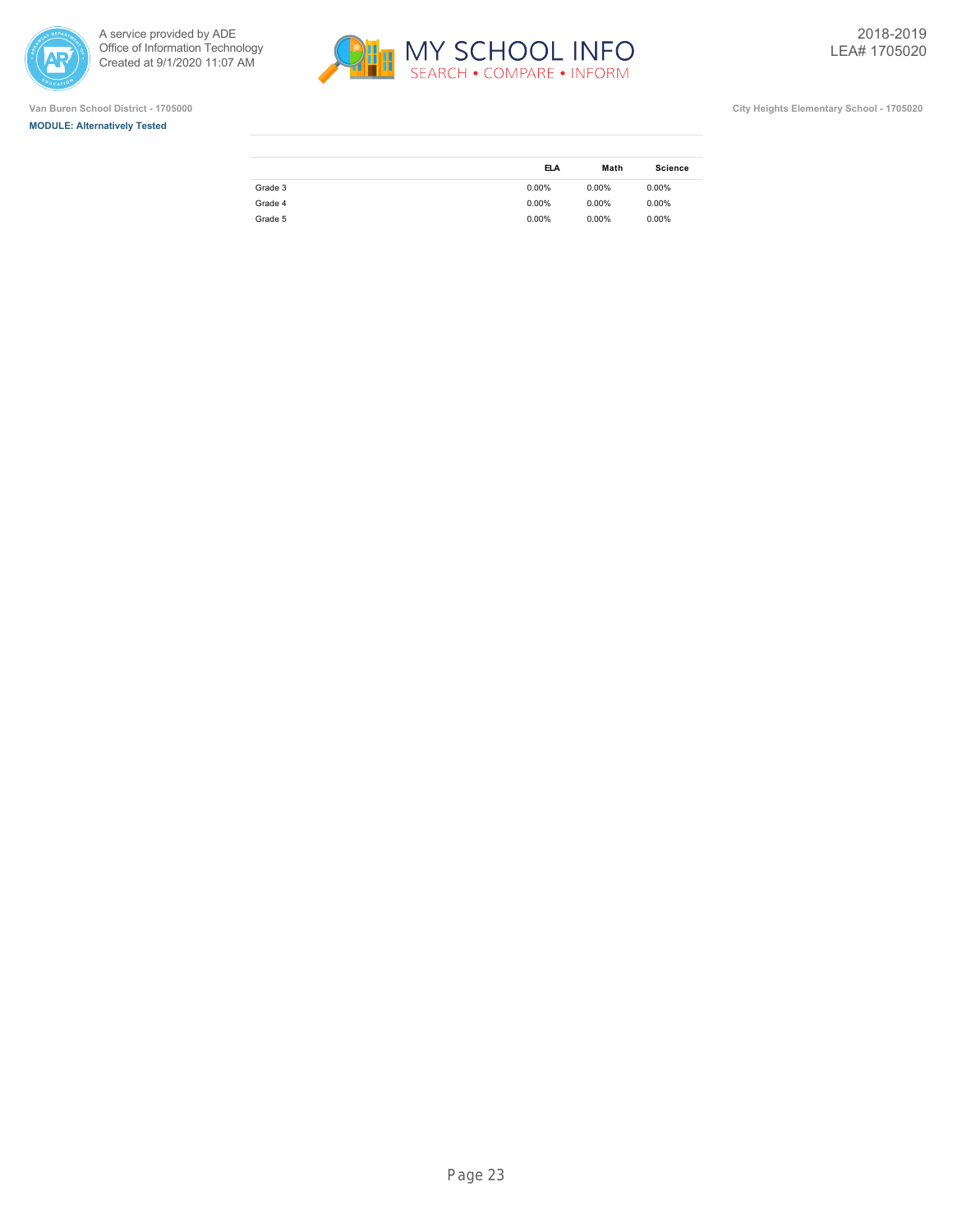

ł.







|         | <b>ELA</b> | Math     | <b>Science</b> |
|---------|------------|----------|----------------|
| Grade 3 | $0.00\%$   | $0.00\%$ | $0.00\%$       |
| Grade 4 | $0.00\%$   | $0.00\%$ | $0.00\%$       |
| Grade 5 | $0.00\%$   | $0.00\%$ | $0.00\%$       |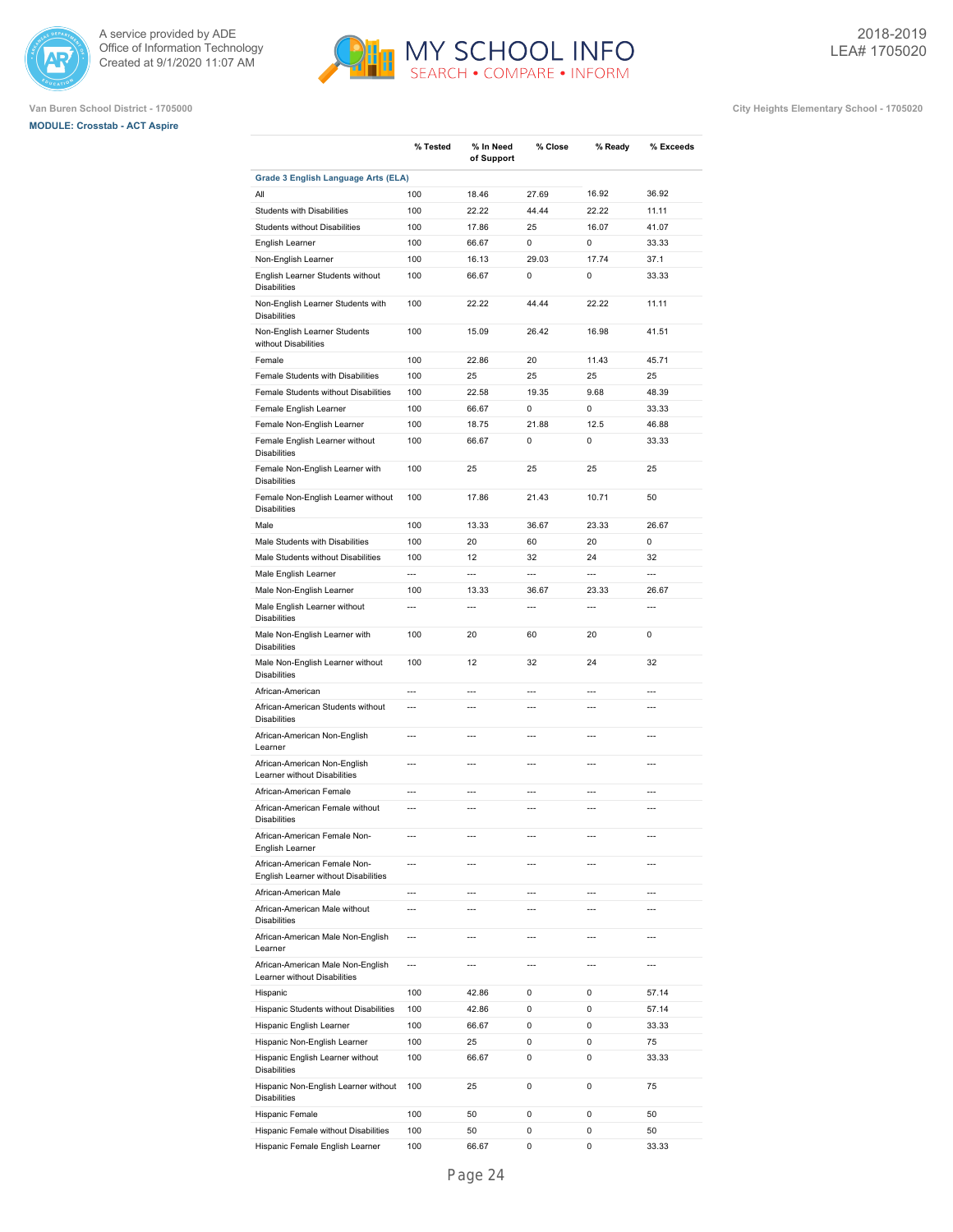





|                                                                      | % Tested       | % In Need      | % Close        |                | % Exceeds      |
|----------------------------------------------------------------------|----------------|----------------|----------------|----------------|----------------|
|                                                                      |                | of Support     |                | % Ready        |                |
| <b>Grade 3 English Language Arts (ELA)</b>                           |                |                |                |                |                |
| All                                                                  | 100            | 18.46          | 27.69          | 16.92          | 36.92          |
| <b>Students with Disabilities</b>                                    | 100            | 22.22          | 44.44          | 22.22          | 11.11          |
| Students without Disabilities                                        | 100            | 17.86          | 25             | 16.07          | 41.07          |
| English Learner                                                      | 100            | 66.67          | $\Omega$       | $\mathbf 0$    | 33.33          |
| Non-English Learner                                                  | 100            | 16.13          | 29.03          | 17.74          | 37.1           |
| English Learner Students without<br><b>Disabilities</b>              | 100            | 66.67          | $\Omega$       | $\Omega$       | 33.33          |
| Non-English Learner Students with<br><b>Disabilities</b>             | 100            | 22.22          | 44.44          | 22.22          | 11.11          |
| Non-English Learner Students<br>without Disabilities                 | 100            | 15.09          | 26.42          | 16.98          | 41.51          |
| Female                                                               | 100            | 22.86          | 20             | 11.43          | 45.71          |
| Female Students with Disabilities                                    | 100            | 25             | 25             | 25             | 25             |
| Female Students without Disabilities                                 | 100            | 22.58          | 19.35          | 9.68           | 48.39          |
| Female English Learner                                               | 100            | 66.67          | 0              | $\Omega$       | 33.33          |
| Female Non-English Learner                                           | 100            | 18.75          | 21.88          | 12.5           | 46.88          |
| Female English Learner without<br><b>Disabilities</b>                | 100            | 66.67          | 0              | 0              | 33.33          |
| Female Non-English Learner with<br><b>Disabilities</b>               | 100            | 25             | 25             | 25             | 25             |
| Female Non-English Learner without<br><b>Disabilities</b>            | 100            | 17.86          | 21.43          | 10.71          | 50             |
| Male                                                                 | 100            | 13.33          | 36.67          | 23.33          | 26.67          |
| Male Students with Disabilities                                      | 100            | 20             | 60             | 20             | $\Omega$       |
| Male Students without Disabilities                                   | 100            | 12             | 32             | 24             | 32             |
| Male English Learner                                                 | $\overline{a}$ | $\overline{a}$ | $\overline{a}$ | $\overline{a}$ | $\overline{a}$ |
| Male Non-English Learner                                             | 100            | 13.33          | 36.67          | 23.33          | 26.67          |
| Male English Learner without<br><b>Disabilities</b>                  | $\overline{a}$ | $\overline{a}$ | $\overline{a}$ | $\overline{a}$ | $\overline{a}$ |
| Male Non-English Learner with<br><b>Disabilities</b>                 | 100            | 20             | 60             | 20             | 0              |
| Male Non-English Learner without<br><b>Disabilities</b>              | 100            | 12             | 32             | 24             | 32             |
| African-American                                                     | $\overline{a}$ | $\overline{a}$ | $\overline{a}$ | $\overline{a}$ | $---$          |
| African-American Students without<br><b>Disabilities</b>             | $\overline{a}$ | $\overline{a}$ | $---$          | $\overline{a}$ | $\overline{a}$ |
| African-American Non-English<br>Learner                              | $\overline{a}$ | $\overline{a}$ | $---$          | $\overline{a}$ | $\overline{a}$ |
| African-American Non-English<br>Learner without Disabilities         | $\overline{a}$ | $\overline{a}$ | $---$          | $\overline{a}$ | $---$          |
| African-American Female                                              | $\overline{a}$ | $-$            | $---$          | $\overline{a}$ | $\overline{a}$ |
| African-American Female without<br><b>Disabilities</b>               | $\overline{a}$ | $\overline{a}$ | $\overline{a}$ | $\overline{a}$ | $\overline{a}$ |
| African-American Female Non-<br>English Learner                      | ---            | ---            | ---            | $\overline{a}$ | ---            |
| African-American Female Non-<br>English Learner without Disabilities | $\overline{a}$ | $\overline{a}$ | $\overline{a}$ | $\overline{a}$ | $\overline{a}$ |
| African-American Male                                                | $\overline{a}$ | $\overline{a}$ | $\overline{a}$ | $\overline{a}$ | $\overline{a}$ |
| African-American Male without<br><b>Disabilities</b>                 | $\overline{a}$ | $\overline{a}$ | $\overline{a}$ | $\overline{a}$ | $\overline{a}$ |
| African-American Male Non-English<br>Learner                         | $\overline{a}$ | $\overline{a}$ | ---            | $\overline{a}$ | $---$          |
| African-American Male Non-English<br>Learner without Disabilities    | $\overline{a}$ | $\overline{a}$ | ---            | $\overline{a}$ | ---            |
| Hispanic                                                             | 100            | 42.86          | 0              | 0              | 57.14          |
| Hispanic Students without Disabilities                               | 100            | 42.86          | 0              | 0              | 57.14          |
| Hispanic English Learner                                             | 100            | 66.67          | 0              | 0              | 33.33          |
| Hispanic Non-English Learner                                         | 100            | 25             | 0              | 0              | 75             |
| Hispanic English Learner without<br>Disabilities                     | 100            | 66.67          | 0              | 0              | 33.33          |
| Hispanic Non-English Learner without<br><b>Disabilities</b>          | 100            | 25             | 0              | 0              | 75             |
| Hispanic Female                                                      | 100            | 50             | 0              | 0              | 50             |
| Hispanic Female without Disabilities                                 | 100            | 50             | 0              | 0              | 50             |
| Hispanic Female English Learner                                      | 100            | 66.67          | 0              | 0              | 33.33          |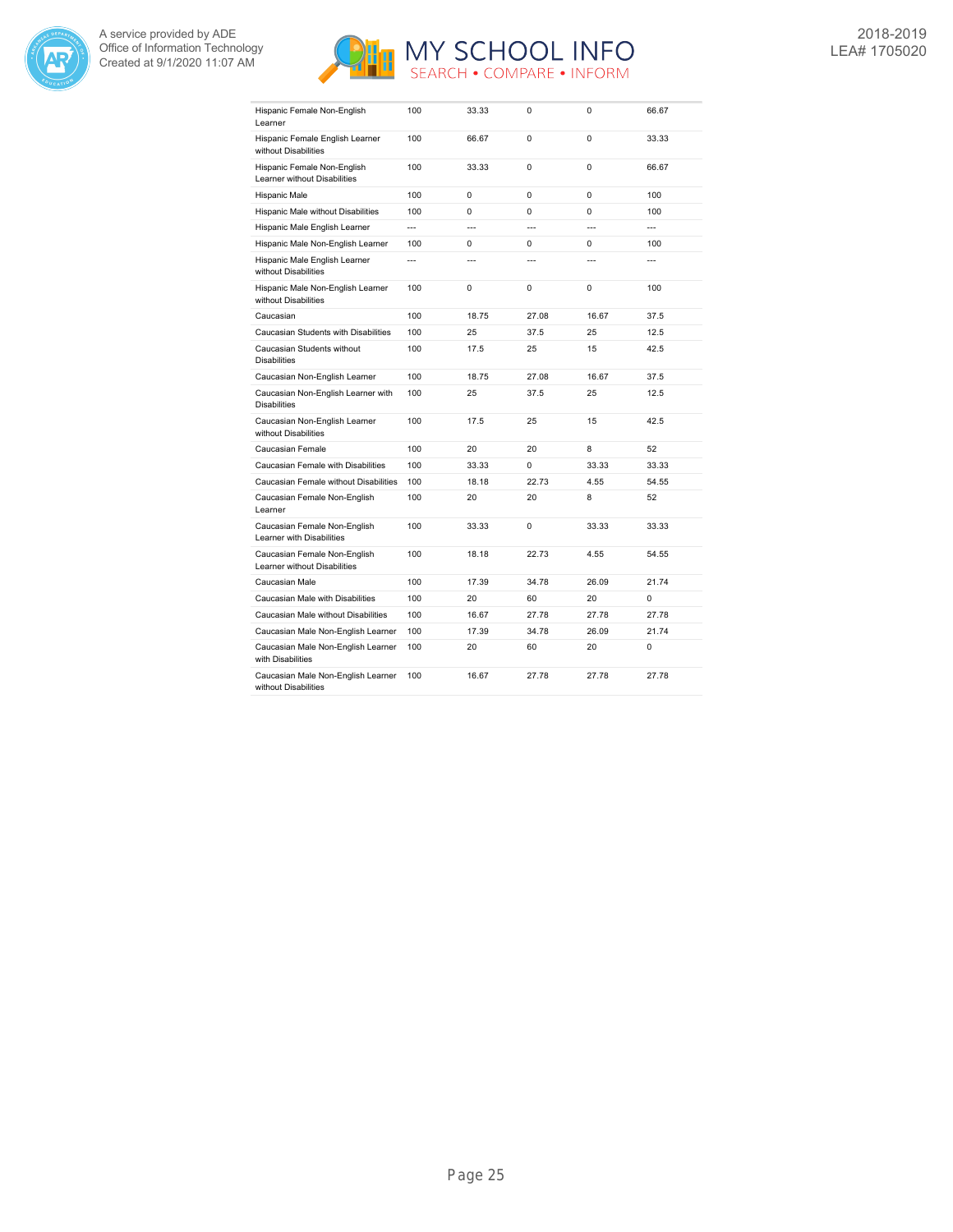



| Hispanic Female Non-English<br>Learner                       | 100            | 33.33          | 0                        | $\Omega$       | 66.67          |
|--------------------------------------------------------------|----------------|----------------|--------------------------|----------------|----------------|
| Hispanic Female English Learner<br>without Disabilities      | 100            | 66.67          | 0                        | $\Omega$       | 33.33          |
| Hispanic Female Non-English<br>Learner without Disabilities  | 100            | 33.33          | $\Omega$                 | $\Omega$       | 66.67          |
| Hispanic Male                                                | 100            | 0              | $\Omega$                 | $\Omega$       | 100            |
| Hispanic Male without Disabilities                           | 100            | 0              | 0                        | 0              | 100            |
| Hispanic Male English Learner                                | $\overline{a}$ | $\overline{a}$ | $\overline{\phantom{a}}$ | $\overline{a}$ | $\overline{a}$ |
| Hispanic Male Non-English Learner                            | 100            | $\Omega$       | $\Omega$                 | $\Omega$       | 100            |
| Hispanic Male English Learner<br>without Disabilities        | $\overline{a}$ | $\overline{a}$ | ---                      |                |                |
| Hispanic Male Non-English Learner<br>without Disabilities    | 100            | 0              | 0                        | 0              | 100            |
| Caucasian                                                    | 100            | 18.75          | 27.08                    | 16.67          | 37.5           |
| Caucasian Students with Disabilities                         | 100            | 25             | 37.5                     | 25             | 12.5           |
| Caucasian Students without<br><b>Disabilities</b>            | 100            | 17.5           | 25                       | 15             | 42.5           |
| Caucasian Non-English Learner                                | 100            | 18.75          | 27.08                    | 16.67          | 37.5           |
| Caucasian Non-English Learner with<br><b>Disabilities</b>    | 100            | 25             | 37.5                     | 25             | 12.5           |
| Caucasian Non-English Learner<br>without Disabilities        | 100            | 17.5           | 25                       | 15             | 42.5           |
| Caucasian Female                                             | 100            | 20             | 20                       | 8              | 52             |
| Caucasian Female with Disabilities                           | 100            | 33.33          | 0                        | 33.33          | 33.33          |
| Caucasian Female without Disabilities                        | 100            | 18.18          | 22.73                    | 4.55           | 54.55          |
| Caucasian Female Non-English<br>Learner                      | 100            | 20             | 20                       | 8              | 52             |
| Caucasian Female Non-English<br>Learner with Disabilities    | 100            | 33.33          | 0                        | 33.33          | 33.33          |
| Caucasian Female Non-English<br>Learner without Disabilities | 100            | 18.18          | 22.73                    | 4.55           | 54.55          |
| Caucasian Male                                               | 100            | 17.39          | 34.78                    | 26.09          | 21.74          |
| Caucasian Male with Disabilities                             | 100            | 20             | 60                       | 20             | $\Omega$       |
| Caucasian Male without Disabilities                          | 100            | 16.67          | 27.78                    | 27.78          | 27.78          |
| Caucasian Male Non-English Learner                           | 100            | 17.39          | 34.78                    | 26.09          | 21.74          |
| Caucasian Male Non-English Learner<br>with Disabilities      | 100            | 20             | 60                       | 20             | 0              |
| Caucasian Male Non-English Learner<br>without Disabilities   | 100            | 16.67          | 27.78                    | 27.78          | 27.78          |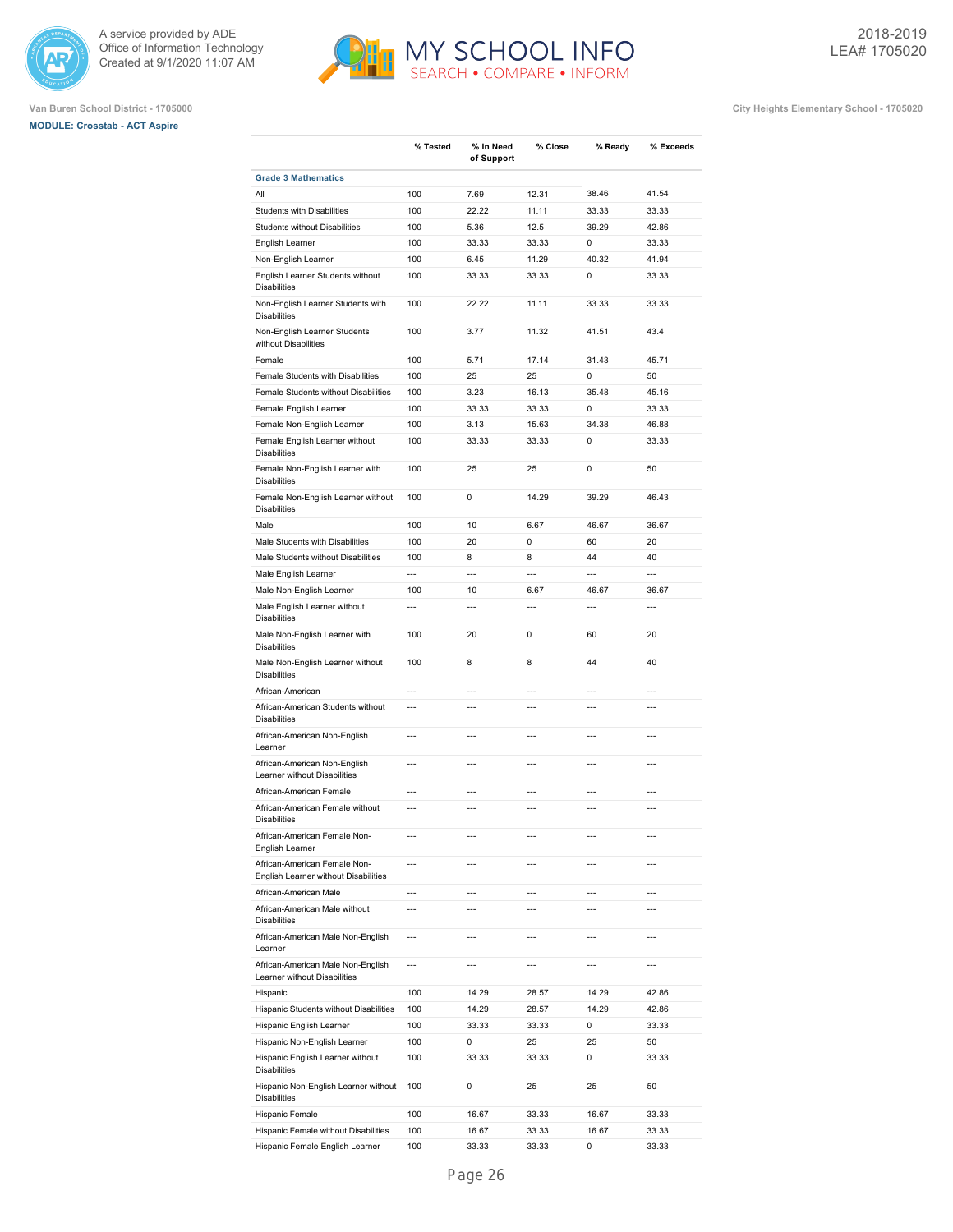





|                                                                      | % Tested       | % In Need<br>of Support  | % Close        | % Ready        | % Exceeds      |
|----------------------------------------------------------------------|----------------|--------------------------|----------------|----------------|----------------|
| <b>Grade 3 Mathematics</b>                                           |                |                          |                |                |                |
| All                                                                  | 100            | 7.69                     | 12.31          | 38.46          | 41.54          |
| <b>Students with Disabilities</b>                                    | 100            | 22.22                    | 11.11          | 33.33          | 33.33          |
| Students without Disabilities                                        | 100            | 5.36                     | 12.5           | 39.29          | 42.86          |
| English Learner                                                      | 100            | 33.33                    | 33.33          | 0              | 33.33          |
| Non-English Learner                                                  | 100            | 6.45                     | 11.29          | 40.32          | 41.94          |
| English Learner Students without<br><b>Disabilities</b>              | 100            | 33.33                    | 33.33          | 0              | 33.33          |
| Non-English Learner Students with<br><b>Disabilities</b>             | 100            | 22.22                    | 11.11          | 33.33          | 33.33          |
| Non-English Learner Students<br>without Disabilities                 | 100            | 3.77                     | 11.32          | 41.51          | 43.4           |
| Female                                                               | 100            | 5.71                     | 17.14          | 31.43          | 45.71          |
| Female Students with Disabilities                                    | 100            | 25                       | 25             | 0              | 50             |
| Female Students without Disabilities                                 | 100            | 3.23                     | 16.13          | 35.48          | 45.16          |
| Female English Learner                                               | 100            | 33.33                    | 33.33          | 0              | 33.33          |
| Female Non-English Learner                                           | 100            | 3.13                     | 15.63          | 34.38          | 46.88          |
| Female English Learner without<br><b>Disabilities</b>                | 100            | 33.33                    | 33.33          | 0              | 33.33          |
| Female Non-English Learner with<br><b>Disabilities</b>               | 100            | 25                       | 25             | 0              | 50             |
| Female Non-English Learner without<br><b>Disabilities</b>            | 100            | 0                        | 14.29          | 39.29          | 46.43          |
| Male                                                                 | 100            | 10                       | 6.67           | 46.67          | 36.67          |
| Male Students with Disabilities                                      | 100            | 20                       | 0              | 60             | 20             |
| Male Students without Disabilities                                   | 100            | 8                        | 8              | 44             | 40             |
| Male English Learner                                                 | $\overline{a}$ | $\overline{a}$           | $\overline{a}$ | $\overline{a}$ | $\overline{a}$ |
| Male Non-English Learner                                             | 100            | 10                       | 6.67           | 46.67          | 36.67          |
| Male English Learner without<br><b>Disabilities</b>                  | $\overline{a}$ | $\overline{a}$           | $\overline{a}$ | $\overline{a}$ | $\overline{a}$ |
| Male Non-English Learner with<br><b>Disabilities</b>                 | 100            | 20                       | $\Omega$       | 60             | 20             |
| Male Non-English Learner without<br><b>Disabilities</b>              | 100            | 8                        | 8              | 44             | 40             |
| African-American                                                     | $\overline{a}$ | $\overline{a}$           | $\overline{a}$ | $\overline{a}$ | $\overline{a}$ |
| African-American Students without<br><b>Disabilities</b>             | $\overline{a}$ | $\overline{a}$           | $\overline{a}$ | $\overline{a}$ | $\overline{a}$ |
| African-American Non-English<br>Learner                              | $\overline{a}$ | $\overline{a}$           | $\overline{a}$ | $\overline{a}$ | $\overline{a}$ |
| African-American Non-English<br>Learner without Disabilities         | $\overline{a}$ | $\overline{a}$           | $\overline{a}$ | $\overline{a}$ | $\overline{a}$ |
| African-American Female                                              | $\overline{a}$ | $\overline{a}$           | $\overline{a}$ | $\overline{a}$ | $\overline{a}$ |
| African-American Female without<br><b>Disabilities</b>               | $\overline{a}$ | $\overline{a}$           | $\overline{a}$ | $\overline{a}$ | $\overline{a}$ |
| African-American Female Non-<br>English Learner                      | ---            | ---                      | ---            | ---            | ---            |
| African-American Female Non-<br>English Learner without Disabilities | ---            | ---                      | ---            | ---            | ---            |
| African-American Male                                                | ---            | ---                      | ---            | ---            | ---            |
| African-American Male without<br><b>Disabilities</b>                 | ---            | $\overline{a}$           | $\overline{a}$ | ---            | ---            |
| African-American Male Non-English<br>Learner                         | ---            | $\overline{\phantom{a}}$ | ---            | ---            | ---            |
| African-American Male Non-English<br>Learner without Disabilities    | ---            | ---                      | ---            | ---            | ---            |
| Hispanic                                                             | 100            | 14.29                    | 28.57          | 14.29          | 42.86          |
| Hispanic Students without Disabilities                               | 100            | 14.29                    | 28.57          | 14.29          | 42.86          |
| Hispanic English Learner                                             | 100            | 33.33                    | 33.33          | 0              | 33.33          |
| Hispanic Non-English Learner                                         | 100            | 0                        | 25             | 25             | 50             |
| Hispanic English Learner without<br><b>Disabilities</b>              | 100            | 33.33                    | 33.33          | 0              | 33.33          |
| Hispanic Non-English Learner without<br><b>Disabilities</b>          | 100            | 0                        | 25             | 25             | 50             |
| Hispanic Female                                                      | 100            | 16.67                    | 33.33          | 16.67          | 33.33          |
| Hispanic Female without Disabilities                                 | 100            | 16.67                    | 33.33          | 16.67          | 33.33          |
| Hispanic Female English Learner                                      | 100            | 33.33                    | 33.33          | 0              | 33.33          |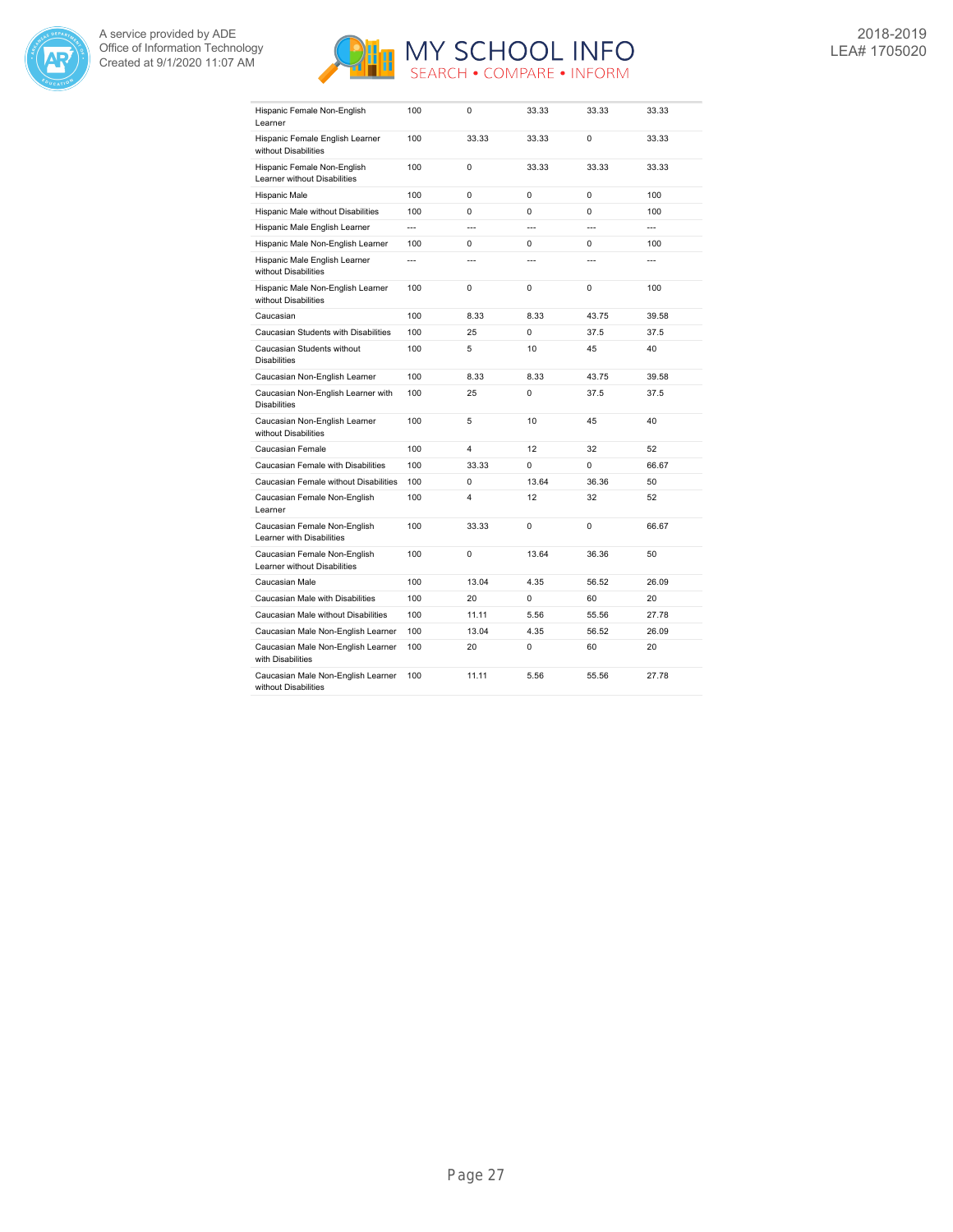



| Hispanic Female Non-English<br>Learner                       | 100            | 0                        | 33.33          | 33.33          | 33.33          |
|--------------------------------------------------------------|----------------|--------------------------|----------------|----------------|----------------|
| Hispanic Female English Learner<br>without Disabilities      | 100            | 33.33                    | 33.33          | $\Omega$       | 33.33          |
| Hispanic Female Non-English<br>Learner without Disabilities  | 100            | 0                        | 33.33          | 33.33          | 33.33          |
| Hispanic Male                                                | 100            | $\Omega$                 | 0              | 0              | 100            |
| Hispanic Male without Disabilities                           | 100            | 0                        | 0              | 0              | 100            |
| Hispanic Male English Learner                                | $\overline{a}$ | $\overline{a}$           | $\overline{a}$ | $\overline{a}$ | $\overline{a}$ |
| Hispanic Male Non-English Learner                            | 100            | 0                        | 0              | 0              | 100            |
| Hispanic Male English Learner<br>without Disabilities        | $\overline{a}$ | $\overline{\phantom{a}}$ | $\overline{a}$ |                |                |
| Hispanic Male Non-English Learner<br>without Disabilities    | 100            | 0                        | $\Omega$       | $\Omega$       | 100            |
| Caucasian                                                    | 100            | 8.33                     | 8.33           | 43.75          | 39.58          |
| Caucasian Students with Disabilities                         | 100            | 25                       | 0              | 37.5           | 37.5           |
| Caucasian Students without<br><b>Disabilities</b>            | 100            | 5                        | 10             | 45             | 40             |
| Caucasian Non-English Learner                                | 100            | 8.33                     | 8.33           | 43.75          | 39.58          |
| Caucasian Non-English Learner with<br><b>Disabilities</b>    | 100            | 25                       | $\Omega$       | 37.5           | 37.5           |
| Caucasian Non-English Learner<br>without Disabilities        | 100            | 5                        | 10             | 45             | 40             |
| Caucasian Female                                             | 100            | 4                        | 12             | 32             | 52             |
| Caucasian Female with Disabilities                           | 100            | 33.33                    | 0              | 0              | 66.67          |
| Caucasian Female without Disabilities                        | 100            | 0                        | 13.64          | 36.36          | 50             |
| Caucasian Female Non-English<br>Learner                      | 100            | 4                        | 12             | 32             | 52             |
| Caucasian Female Non-English<br>Learner with Disabilities    | 100            | 33.33                    | 0              | 0              | 66.67          |
| Caucasian Female Non-English<br>Learner without Disabilities | 100            | 0                        | 13.64          | 36.36          | 50             |
| Caucasian Male                                               | 100            | 13.04                    | 4.35           | 56.52          | 26.09          |
| Caucasian Male with Disabilities                             | 100            | 20                       | 0              | 60             | 20             |
| Caucasian Male without Disabilities                          | 100            | 11.11                    | 5.56           | 55.56          | 27.78          |
| Caucasian Male Non-English Learner                           | 100            | 13.04                    | 4.35           | 56.52          | 26.09          |
| Caucasian Male Non-English Learner<br>with Disabilities      | 100            | 20                       | 0              | 60             | 20             |
| Caucasian Male Non-English Learner<br>without Disabilities   | 100            | 11.11                    | 5.56           | 55.56          | 27.78          |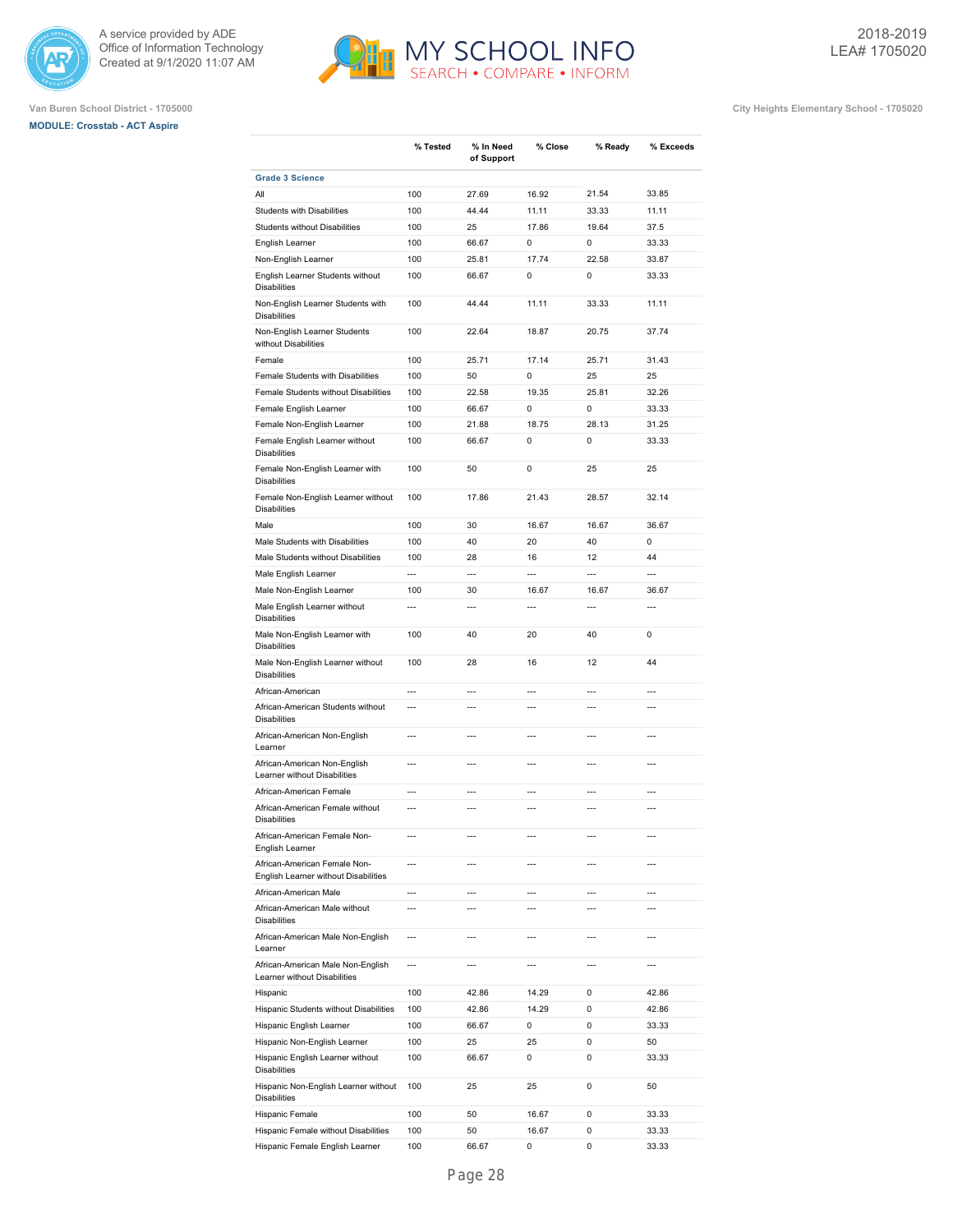





|                                                                      | % Tested                 | % In Need<br>of Support | % Close        | % Ready        | % Exceeds      |
|----------------------------------------------------------------------|--------------------------|-------------------------|----------------|----------------|----------------|
| <b>Grade 3 Science</b>                                               |                          |                         |                |                |                |
| All                                                                  | 100                      | 27.69                   | 16.92          | 21.54          | 33.85          |
| Students with Disabilities                                           | 100                      | 44.44                   | 11.11          | 33.33          | 11.11          |
| <b>Students without Disabilities</b>                                 | 100                      | 25                      | 17.86          | 19.64          | 37.5           |
| English Learner                                                      | 100                      | 66.67                   | 0              | 0              | 33.33          |
| Non-English Learner                                                  | 100                      | 25.81                   | 17.74          | 22.58          | 33.87          |
| English Learner Students without<br><b>Disabilities</b>              | 100                      | 66.67                   | 0              | 0              | 33.33          |
| Non-English Learner Students with<br><b>Disabilities</b>             | 100                      | 44.44                   | 11.11          | 33.33          | 11.11          |
| Non-English Learner Students<br>without Disabilities                 | 100                      | 22.64                   | 18.87          | 20.75          | 37.74          |
| Female                                                               | 100                      | 25.71                   | 17.14          | 25.71          | 31.43          |
| Female Students with Disabilities                                    | 100                      | 50                      | 0              | 25             | 25             |
| Female Students without Disabilities                                 | 100                      | 22.58                   | 19.35          | 25.81          | 32.26          |
| Female English Learner                                               | 100                      | 66.67                   | 0              | 0              | 33.33          |
| Female Non-English Learner                                           | 100                      | 21.88                   | 18.75          | 28.13          | 31.25          |
| Female English Learner without<br><b>Disabilities</b>                | 100                      | 66.67                   | 0              | 0              | 33.33          |
| Female Non-English Learner with<br><b>Disabilities</b>               | 100                      | 50                      | 0              | 25             | 25             |
| Female Non-English Learner without<br><b>Disabilities</b>            | 100                      | 17.86                   | 21.43          | 28.57          | 32.14          |
| Male                                                                 | 100                      | 30                      | 16.67          | 16.67          | 36.67          |
| Male Students with Disabilities                                      | 100                      | 40                      | 20             | 40             | 0              |
| Male Students without Disabilities                                   | 100                      | 28                      | 16             | 12             | 44             |
| Male English Learner                                                 | $\overline{a}$           | $\overline{a}$          | $\overline{a}$ | $\overline{a}$ | $\overline{a}$ |
| Male Non-English Learner                                             | 100                      | 30                      | 16.67          | 16.67          | 36.67          |
| Male English Learner without<br><b>Disabilities</b>                  | $\overline{a}$           | $\overline{a}$          | $\overline{a}$ | $\overline{a}$ | $\overline{a}$ |
| Male Non-English Learner with<br><b>Disabilities</b>                 | 100                      | 40                      | 20             | 40             | 0              |
| Male Non-English Learner without<br><b>Disabilities</b>              | 100                      | 28                      | 16             | 12             | 44             |
| African-American                                                     | $\overline{a}$           | $\overline{a}$          | $\overline{a}$ | $\overline{a}$ | $\overline{a}$ |
| African-American Students without<br><b>Disabilities</b>             | $\overline{a}$           | $\overline{a}$          | $\overline{a}$ | $\overline{a}$ | $\overline{a}$ |
| African-American Non-English<br>Learner                              | $\overline{a}$           | ---                     | $\overline{a}$ | $\overline{a}$ | $\overline{a}$ |
| African-American Non-English<br>Learner without Disabilities         | $\overline{a}$           | $\overline{a}$          | $\overline{a}$ | $\overline{a}$ | $\overline{a}$ |
| African-American Female                                              | $\overline{a}$           | $\overline{a}$          | $\overline{a}$ | $\overline{a}$ | $\overline{a}$ |
| African-American Female without<br><b>Disabilities</b>               | $\overline{a}$           | $\overline{a}$          | $\overline{a}$ | $\overline{a}$ | $\overline{a}$ |
| African-American Female Non-<br>English Learner                      | ---                      | $\overline{a}$          | $\overline{a}$ | $\overline{a}$ | $---$          |
| African-American Female Non-<br>English Learner without Disabilities | $\overline{a}$           | $\overline{a}$          | $---$          | $\overline{a}$ | $\overline{a}$ |
| African-American Male                                                | ---                      | $\overline{a}$          | $\overline{a}$ | $\overline{a}$ | $\overline{a}$ |
| African-American Male without<br><b>Disabilities</b>                 | ---                      | $\overline{a}$          | $\overline{a}$ | $\overline{a}$ | $\overline{a}$ |
| African-American Male Non-English<br>Learner                         | $\overline{a}$           | $\overline{a}$          | $\overline{a}$ | $\overline{a}$ | $\overline{a}$ |
| African-American Male Non-English<br>Learner without Disabilities    | $\overline{\phantom{a}}$ | $\overline{a}$          | $\overline{a}$ | $\overline{a}$ | ---            |
| Hispanic                                                             | 100                      | 42.86                   | 14.29          | 0              | 42.86          |
| Hispanic Students without Disabilities                               | 100                      | 42.86                   | 14.29          | 0              | 42.86          |
| Hispanic English Learner                                             | 100                      | 66.67                   | 0              | 0              | 33.33          |
| Hispanic Non-English Learner                                         | 100                      | 25                      | 25             | 0              | 50             |
| Hispanic English Learner without<br><b>Disabilities</b>              | 100                      | 66.67                   | 0              | 0              | 33.33          |
| Hispanic Non-English Learner without<br><b>Disabilities</b>          | 100                      | 25                      | 25             | 0              | 50             |
| Hispanic Female                                                      | 100                      | 50                      | 16.67          | 0              | 33.33          |
| Hispanic Female without Disabilities                                 | 100                      | 50                      | 16.67          | 0              | 33.33          |
| Hispanic Female English Learner                                      | 100                      | 66.67                   | 0              | 0              | 33.33          |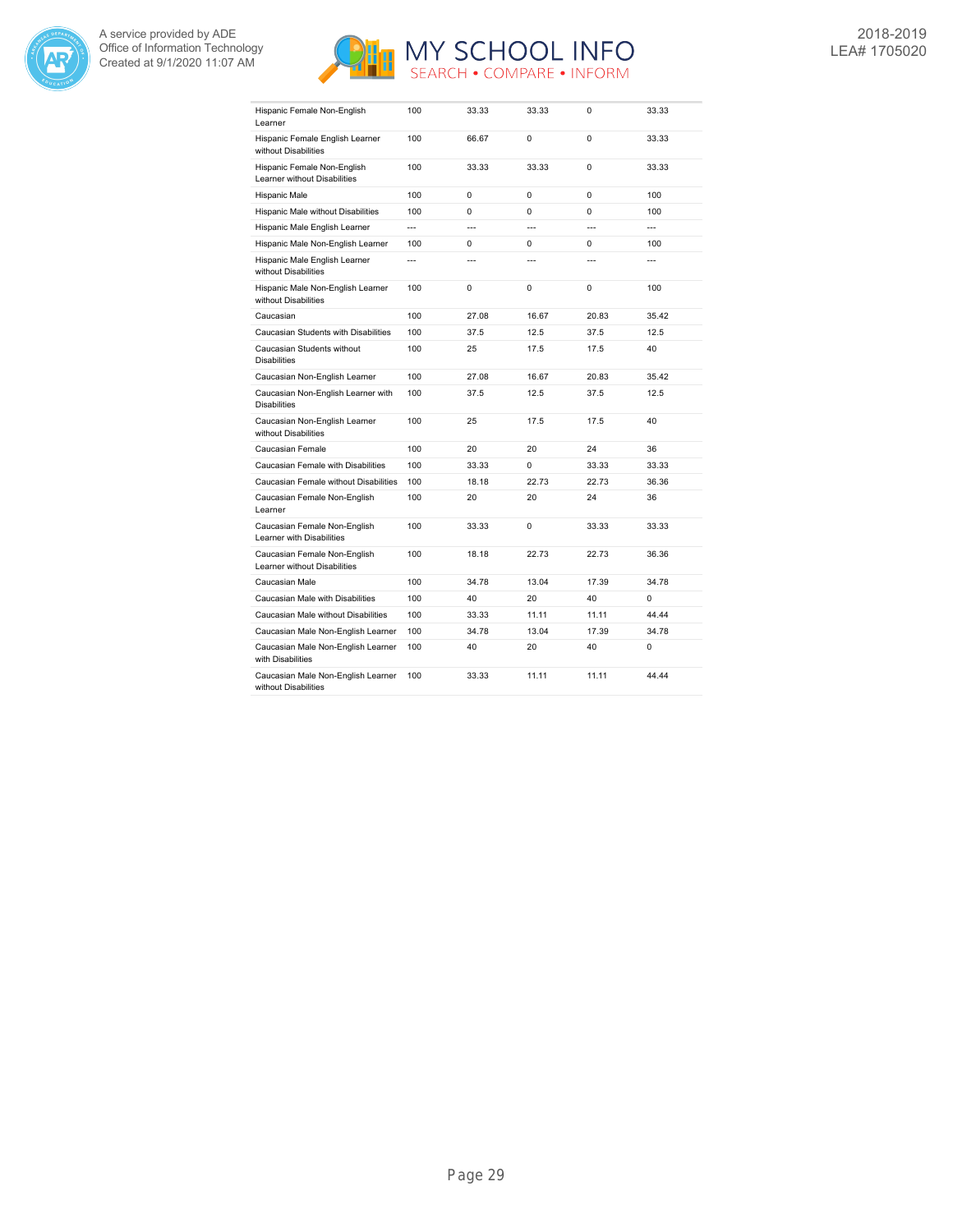



| Hispanic Female Non-English<br>Learner                       | 100            | 33.33          | 33.33          | $\Omega$       | 33.33                    |
|--------------------------------------------------------------|----------------|----------------|----------------|----------------|--------------------------|
| Hispanic Female English Learner<br>without Disabilities      | 100            | 66.67          | $\Omega$       | $\Omega$       | 33.33                    |
| Hispanic Female Non-English<br>Learner without Disabilities  | 100            | 33.33          | 33.33          | $\Omega$       | 33.33                    |
| Hispanic Male                                                | 100            | 0              | $\Omega$       | $\Omega$       | 100                      |
| Hispanic Male without Disabilities                           | 100            | 0              | 0              | 0              | 100                      |
| Hispanic Male English Learner                                | $\overline{a}$ | $\overline{a}$ | $\overline{a}$ | $\overline{a}$ | $\overline{\phantom{a}}$ |
| Hispanic Male Non-English Learner                            | 100            | $\Omega$       | $\Omega$       | $\Omega$       | 100                      |
| Hispanic Male English Learner<br>without Disabilities        | ---            | ---            | ---            | ---            |                          |
| Hispanic Male Non-English Learner<br>without Disabilities    | 100            | 0              | 0              | 0              | 100                      |
| Caucasian                                                    | 100            | 27.08          | 16.67          | 20.83          | 35.42                    |
| Caucasian Students with Disabilities                         | 100            | 37.5           | 12.5           | 37.5           | 12.5                     |
| Caucasian Students without<br><b>Disabilities</b>            | 100            | 25             | 17.5           | 17.5           | 40                       |
| Caucasian Non-English Learner                                | 100            | 27.08          | 16.67          | 20.83          | 35.42                    |
| Caucasian Non-English Learner with<br><b>Disabilities</b>    | 100            | 37.5           | 12.5           | 37.5           | 12.5                     |
| Caucasian Non-English Learner<br>without Disabilities        | 100            | 25             | 17.5           | 17.5           | 40                       |
| Caucasian Female                                             | 100            | 20             | 20             | 24             | 36                       |
| Caucasian Female with Disabilities                           | 100            | 33.33          | $\Omega$       | 33.33          | 33.33                    |
| Caucasian Female without Disabilities                        | 100            | 18.18          | 22.73          | 22.73          | 36.36                    |
| Caucasian Female Non-English<br>Learner                      | 100            | 20             | 20             | 24             | 36                       |
| Caucasian Female Non-English<br>Learner with Disabilities    | 100            | 33.33          | $\Omega$       | 33.33          | 33.33                    |
| Caucasian Female Non-English<br>Learner without Disabilities | 100            | 18.18          | 22.73          | 22.73          | 36.36                    |
| Caucasian Male                                               | 100            | 34.78          | 13.04          | 17.39          | 34.78                    |
| Caucasian Male with Disabilities                             | 100            | 40             | 20             | 40             | 0                        |
| Caucasian Male without Disabilities                          | 100            | 33.33          | 11.11          | 11.11          | 44.44                    |
| Caucasian Male Non-English Learner                           | 100            | 34.78          | 13.04          | 17.39          | 34.78                    |
| Caucasian Male Non-English Learner<br>with Disabilities      | 100            | 40             | 20             | 40             | 0                        |
| Caucasian Male Non-English Learner<br>without Disabilities   | 100            | 33.33          | 11.11          | 11.11          | 44.44                    |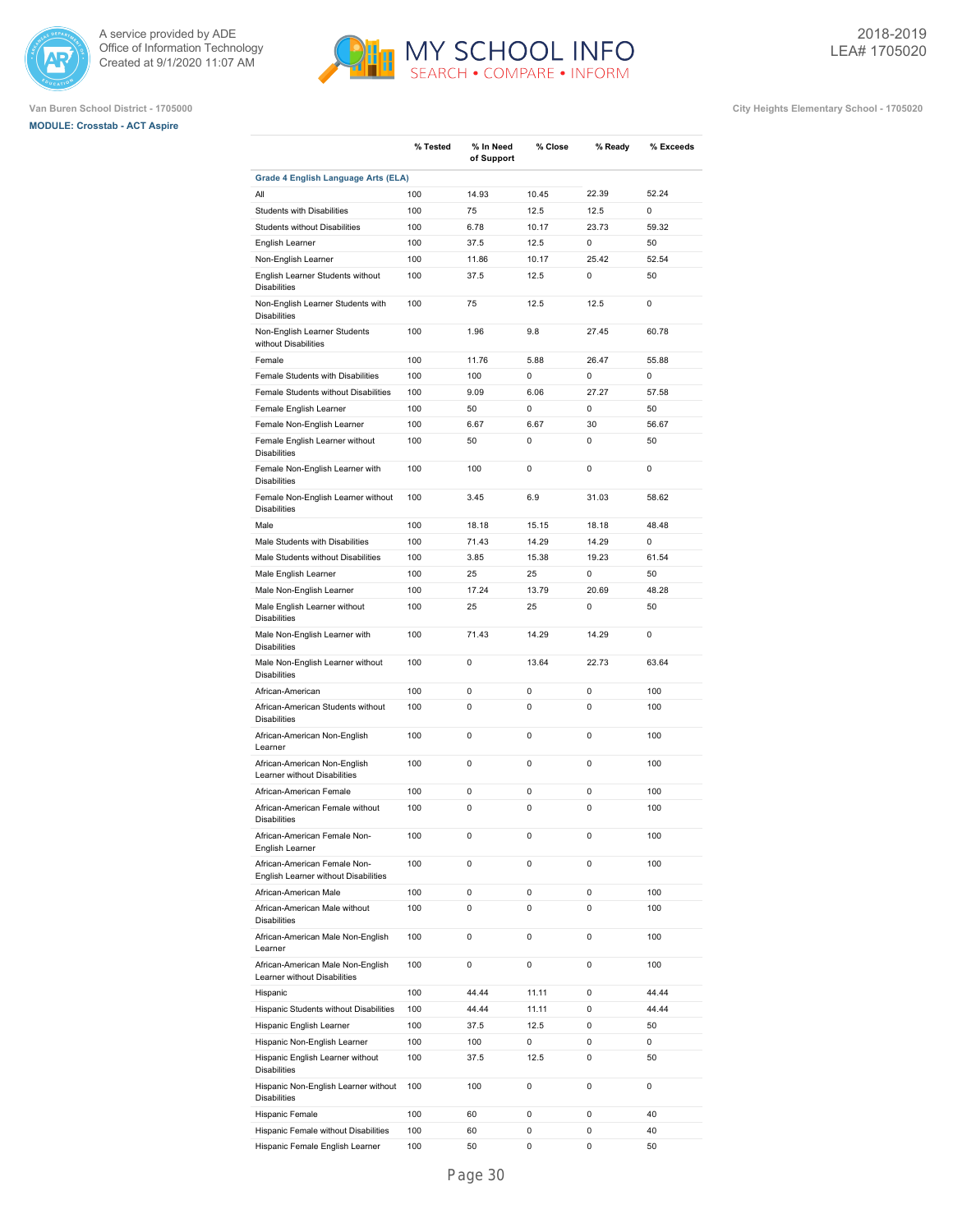





|                                                                      | % Tested   | % In Need     | % Close       | % Ready    | % Exceeds   |
|----------------------------------------------------------------------|------------|---------------|---------------|------------|-------------|
|                                                                      |            | of Support    |               |            |             |
| <b>Grade 4 English Language Arts (ELA)</b>                           |            |               |               |            |             |
| All                                                                  | 100        | 14.93         | 10.45         | 22.39      | 52.24       |
| <b>Students with Disabilities</b>                                    | 100        | 75            | 12.5          | 12.5       | $\Omega$    |
| <b>Students without Disabilities</b>                                 | 100        | 6.78          | 10.17         | 23.73      | 59.32       |
| English Learner                                                      | 100        | 37.5          | 12.5          | 0          | 50          |
| Non-English Learner                                                  | 100<br>100 | 11.86<br>37.5 | 10.17<br>12.5 | 25.42<br>0 | 52.54<br>50 |
| English Learner Students without<br><b>Disabilities</b>              |            |               |               |            |             |
| Non-English Learner Students with<br><b>Disabilities</b>             | 100        | 75            | 12.5          | 12.5       | 0           |
| Non-English Learner Students<br>without Disabilities                 | 100        | 1.96          | 9.8           | 27.45      | 60.78       |
| Female                                                               | 100        | 11.76         | 5.88          | 26.47      | 55.88       |
| Female Students with Disabilities                                    | 100        | 100           | 0             | 0          | 0           |
| Female Students without Disabilities                                 | 100        | 9.09          | 6.06          | 27.27      | 57.58       |
| Female English Learner                                               | 100        | 50            | 0             | 0          | 50          |
| Female Non-English Learner                                           | 100        | 6.67          | 6.67          | 30         | 56.67       |
| Female English Learner without<br><b>Disabilities</b>                | 100        | 50            | 0             | 0          | 50          |
| Female Non-English Learner with<br><b>Disabilities</b>               | 100        | 100           | 0             | 0          | 0           |
| Female Non-English Learner without<br><b>Disabilities</b>            | 100        | 3.45          | 6.9           | 31.03      | 58.62       |
| Male                                                                 | 100        | 18.18         | 15.15         | 18.18      | 48.48       |
| Male Students with Disabilities                                      | 100        | 71.43         | 14.29         | 14.29      | 0           |
| Male Students without Disabilities                                   | 100        | 3.85          | 15.38         | 19.23      | 61.54       |
| Male English Learner                                                 | 100        | 25            | 25            | 0          | 50          |
| Male Non-English Learner                                             | 100        | 17.24         | 13.79         | 20.69      | 48.28       |
| Male English Learner without<br><b>Disabilities</b>                  | 100        | 25            | 25            | 0          | 50          |
| Male Non-English Learner with<br><b>Disabilities</b>                 | 100        | 71.43         | 14.29         | 14.29      | 0           |
| Male Non-English Learner without<br><b>Disabilities</b>              | 100        | 0             | 13.64         | 22.73      | 63.64       |
| African-American                                                     | 100        | 0             | 0             | 0          | 100         |
| African-American Students without<br><b>Disabilities</b>             | 100        | 0             | 0             | 0          | 100         |
| African-American Non-English<br>Learner                              | 100        | 0             | 0             | 0          | 100         |
| African-American Non-English<br>Learner without Disabilities         | 100        | 0             | 0             | 0          | 100         |
| African-American Female                                              | 100        | 0             | 0             | 0          | 100         |
| African-American Female without<br><b>Disabilities</b>               | 100        | 0             | 0             | 0          | 100         |
| African-American Female Non-<br>English Learner                      | 100        | 0             | 0             | 0          | 100         |
| African-American Female Non-<br>English Learner without Disabilities | 100        | 0             | 0             | 0          | 100         |
| African-American Male                                                | 100        | 0             | 0             | 0          | 100         |
| African-American Male without<br><b>Disabilities</b>                 | 100        | 0             | 0             | 0          | 100         |
| African-American Male Non-English<br>Learner                         | 100        | 0             | 0             | 0          | 100         |
| African-American Male Non-English<br>Learner without Disabilities    | 100        | 0             | 0             | 0          | 100         |
| Hispanic                                                             | 100        | 44.44         | 11.11         | 0          | 44.44       |
| Hispanic Students without Disabilities                               | 100        | 44.44         | 11.11         | 0          | 44.44       |
| Hispanic English Learner                                             | 100        | 37.5          | 12.5          | 0          | 50          |
| Hispanic Non-English Learner                                         | 100        | 100           | 0             | 0          | 0           |
| Hispanic English Learner without<br><b>Disabilities</b>              | 100        | 37.5          | 12.5          | 0          | 50          |
| Hispanic Non-English Learner without<br><b>Disabilities</b>          | 100        | 100           | 0             | 0          | 0           |
| Hispanic Female                                                      | 100        | 60            | 0             | 0          | 40          |
| Hispanic Female without Disabilities                                 | 100        | 60            | 0             | 0          | 40          |
| Hispanic Female English Learner                                      | 100        | 50            | 0             | 0          | 50          |
|                                                                      |            |               |               |            |             |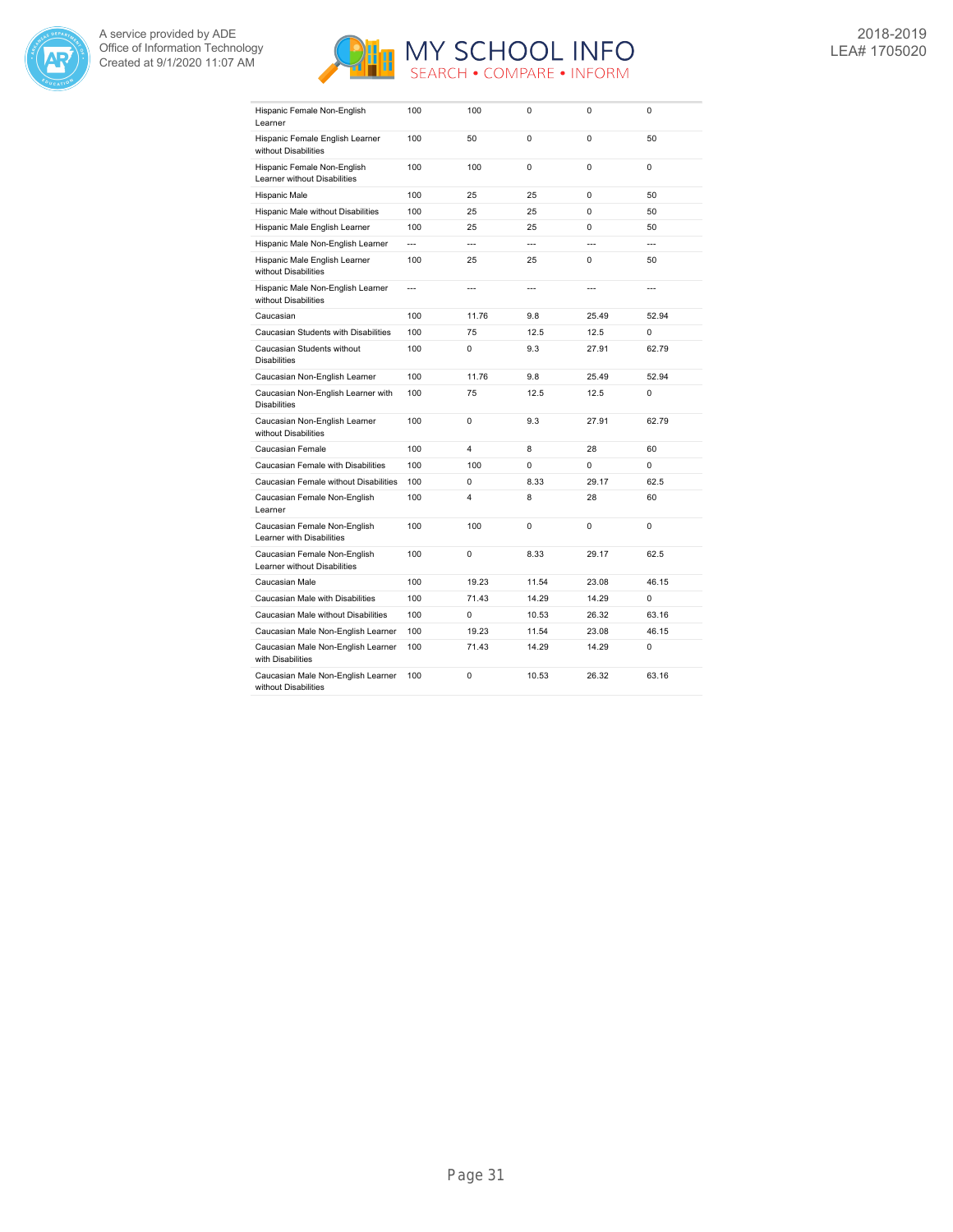



| Hispanic Female Non-English<br>Learner                       | 100            | 100            | $\Omega$       | $\Omega$       | $\Omega$       |
|--------------------------------------------------------------|----------------|----------------|----------------|----------------|----------------|
| Hispanic Female English Learner<br>without Disabilities      | 100            | 50             | $\Omega$       | $\Omega$       | 50             |
| Hispanic Female Non-English<br>Learner without Disabilities  | 100            | 100            | $\Omega$       | $\Omega$       | $\Omega$       |
| Hispanic Male                                                | 100            | 25             | 25             | $\Omega$       | 50             |
| Hispanic Male without Disabilities                           | 100            | 25             | 25             | $\Omega$       | 50             |
| Hispanic Male English Learner                                | 100            | 25             | 25             | $\Omega$       | 50             |
| Hispanic Male Non-English Learner                            | $\overline{a}$ | $\overline{a}$ | $\overline{a}$ | $\overline{a}$ | $\overline{a}$ |
| Hispanic Male English Learner<br>without Disabilities        | 100            | 25             | 25             | 0              | 50             |
| Hispanic Male Non-English Learner<br>without Disabilities    | ---            | ---            | ---            | ---            | ---            |
| Caucasian                                                    | 100            | 11.76          | 9.8            | 25.49          | 52.94          |
| Caucasian Students with Disabilities                         | 100            | 75             | 12.5           | 12.5           | 0              |
| Caucasian Students without<br><b>Disabilities</b>            | 100            | 0              | 9.3            | 27.91          | 62.79          |
| Caucasian Non-English Learner                                | 100            | 11.76          | 9.8            | 25.49          | 52.94          |
| Caucasian Non-English Learner with<br><b>Disabilities</b>    | 100            | 75             | 12.5           | 12.5           | 0              |
| Caucasian Non-English Learner<br>without Disabilities        | 100            | 0              | 9.3            | 27.91          | 62.79          |
| Caucasian Female                                             | 100            | 4              | 8              | 28             | 60             |
| Caucasian Female with Disabilities                           | 100            | 100            | $\Omega$       | 0              | 0              |
| Caucasian Female without Disabilities                        | 100            | 0              | 8.33           | 29.17          | 62.5           |
| Caucasian Female Non-English<br>Learner                      | 100            | 4              | 8              | 28             | 60             |
| Caucasian Female Non-English<br>Learner with Disabilities    | 100            | 100            | 0              | $\Omega$       | 0              |
| Caucasian Female Non-English<br>Learner without Disabilities | 100            | 0              | 8.33           | 29.17          | 62.5           |
| Caucasian Male                                               | 100            | 19.23          | 11.54          | 23.08          | 46.15          |
| Caucasian Male with Disabilities                             | 100            | 71.43          | 14.29          | 14.29          | $\Omega$       |
| Caucasian Male without Disabilities                          | 100            | 0              | 10.53          | 26.32          | 63.16          |
| Caucasian Male Non-English Learner                           | 100            | 19.23          | 11.54          | 23.08          | 46.15          |
| Caucasian Male Non-English Learner<br>with Disabilities      | 100            | 71.43          | 14.29          | 14.29          | 0              |
| Caucasian Male Non-English Learner<br>without Disabilities   | 100            | 0              | 10.53          | 26.32          | 63.16          |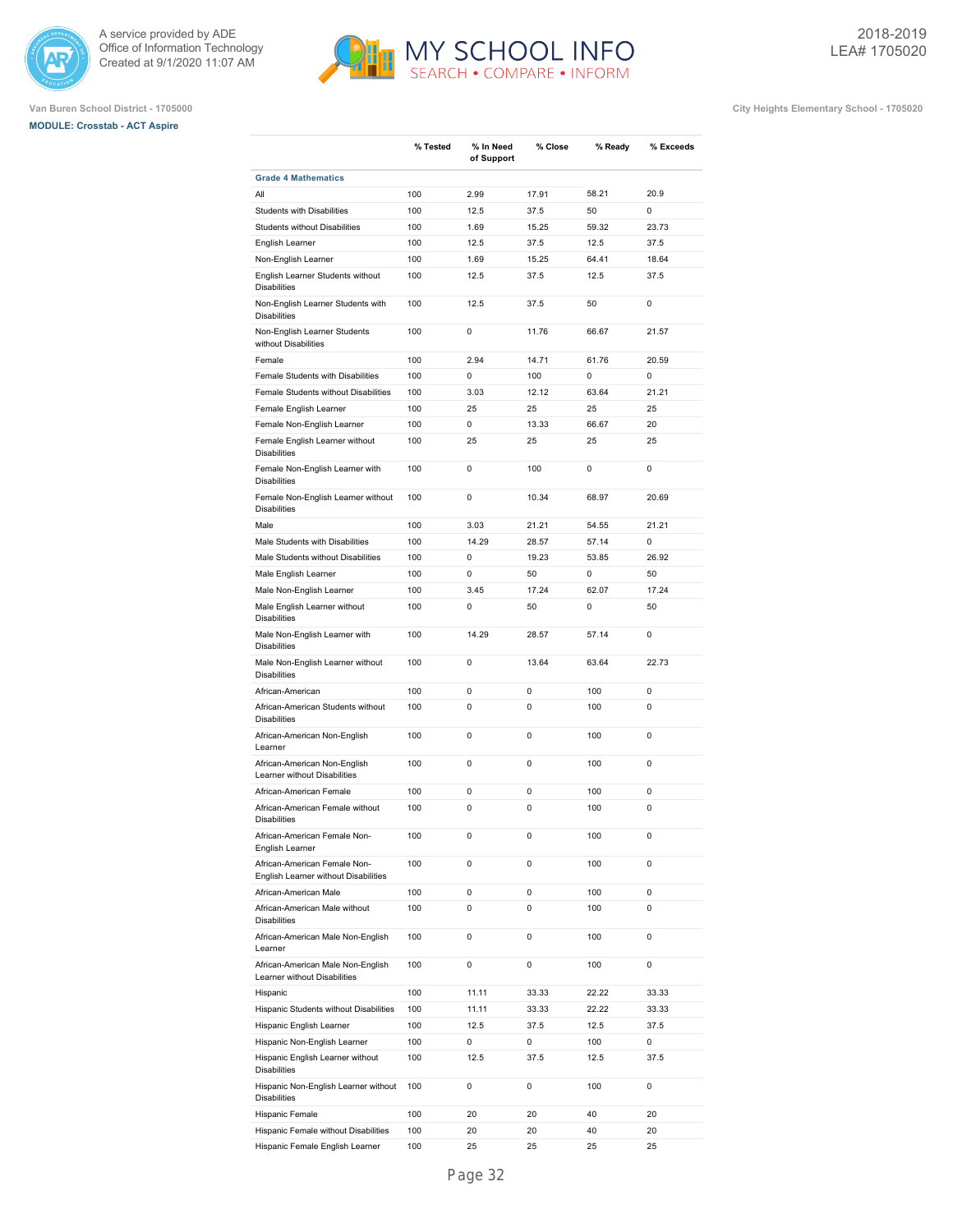





|                                                                      | % Tested | % In Need  | % Close | % Ready | % Exceeds |
|----------------------------------------------------------------------|----------|------------|---------|---------|-----------|
|                                                                      |          | of Support |         |         |           |
| <b>Grade 4 Mathematics</b>                                           |          |            |         |         |           |
| All                                                                  | 100      | 2.99       | 17.91   | 58.21   | 20.9      |
| Students with Disabilities                                           | 100      | 12.5       | 37.5    | 50      | 0         |
| Students without Disabilities                                        | 100      | 1.69       | 15.25   | 59.32   | 23.73     |
| English Learner                                                      | 100      | 12.5       | 37.5    | 12.5    | 37.5      |
| Non-English Learner                                                  | 100      | 1.69       | 15.25   | 64.41   | 18.64     |
| English Learner Students without<br><b>Disabilities</b>              | 100      | 12.5       | 37.5    | 12.5    | 37.5      |
| Non-English Learner Students with<br><b>Disabilities</b>             | 100      | 12.5       | 37.5    | 50      | 0         |
| Non-English Learner Students<br>without Disabilities                 | 100      | 0          | 11.76   | 66.67   | 21.57     |
| Female                                                               | 100      | 2.94       | 14.71   | 61.76   | 20.59     |
| Female Students with Disabilities                                    | 100      | 0          | 100     | 0       | 0         |
| Female Students without Disabilities                                 | 100      | 3.03       | 12.12   | 63.64   | 21.21     |
| Female English Learner                                               | 100      | 25         | 25      | 25      | 25        |
| Female Non-English Learner                                           | 100      | 0          | 13.33   | 66.67   | 20        |
| Female English Learner without<br><b>Disabilities</b>                | 100      | 25         | 25      | 25      | 25        |
| Female Non-English Learner with<br><b>Disabilities</b>               | 100      | 0          | 100     | 0       | 0         |
| Female Non-English Learner without<br><b>Disabilities</b>            | 100      | 0          | 10.34   | 68.97   | 20.69     |
| Male                                                                 | 100      | 3.03       | 21.21   | 54.55   | 21.21     |
| Male Students with Disabilities                                      | 100      | 14.29      | 28.57   | 57.14   | 0         |
| Male Students without Disabilities                                   | 100      | 0          | 19.23   | 53.85   | 26.92     |
| Male English Learner                                                 | 100      | 0          | 50      | 0       | 50        |
| Male Non-English Learner                                             | 100      | 3.45       | 17.24   | 62.07   | 17.24     |
| Male English Learner without<br><b>Disabilities</b>                  | 100      | 0          | 50      | 0       | 50        |
| Male Non-English Learner with<br><b>Disabilities</b>                 | 100      | 14.29      | 28.57   | 57.14   | 0         |
| Male Non-English Learner without<br><b>Disabilities</b>              | 100      | 0          | 13.64   | 63.64   | 22.73     |
| African-American                                                     | 100      | 0          | 0       | 100     | 0         |
| African-American Students without<br><b>Disabilities</b>             | 100      | 0          | 0       | 100     | 0         |
| African-American Non-English<br>Learner                              | 100      | 0          | 0       | 100     | 0         |
| African-American Non-English<br>Learner without Disabilities         | 100      | 0          | 0       | 100     | 0         |
| African-American Female                                              | 100      | 0          | 0       | 100     | 0         |
| African-American Female without<br><b>Disabilities</b>               | 100      | 0          | 0       | 100     | 0         |
| African-American Female Non-<br>English Learner                      | 100      | 0          | 0       | 100     | 0         |
| African-American Female Non-<br>English Learner without Disabilities | 100      | 0          | 0       | 100     | 0         |
| African-American Male                                                | 100      | 0          | 0       | 100     | 0         |
| African-American Male without<br>Disabilities                        | 100      | 0          | 0       | 100     | 0         |
| African-American Male Non-English<br>Learner                         | 100      | 0          | 0       | 100     | 0         |
| African-American Male Non-English<br>Learner without Disabilities    | 100      | 0          | 0       | 100     | 0         |
| Hispanic                                                             | 100      | 11.11      | 33.33   | 22.22   | 33.33     |
| Hispanic Students without Disabilities                               | 100      | 11.11      | 33.33   | 22.22   | 33.33     |
| Hispanic English Learner                                             | 100      | 12.5       | 37.5    | 12.5    | 37.5      |
| Hispanic Non-English Learner                                         | 100      | 0          | 0       | 100     | 0         |
| Hispanic English Learner without<br><b>Disabilities</b>              | 100      | 12.5       | 37.5    | 12.5    | 37.5      |
| Hispanic Non-English Learner without<br><b>Disabilities</b>          | 100      | 0          | 0       | 100     | 0         |
| Hispanic Female                                                      | 100      | 20         | 20      | 40      | 20        |
| Hispanic Female without Disabilities                                 | 100      | 20         | 20      | 40      | 20        |
| Hispanic Female English Learner                                      | 100      | 25         | 25      | 25      | 25        |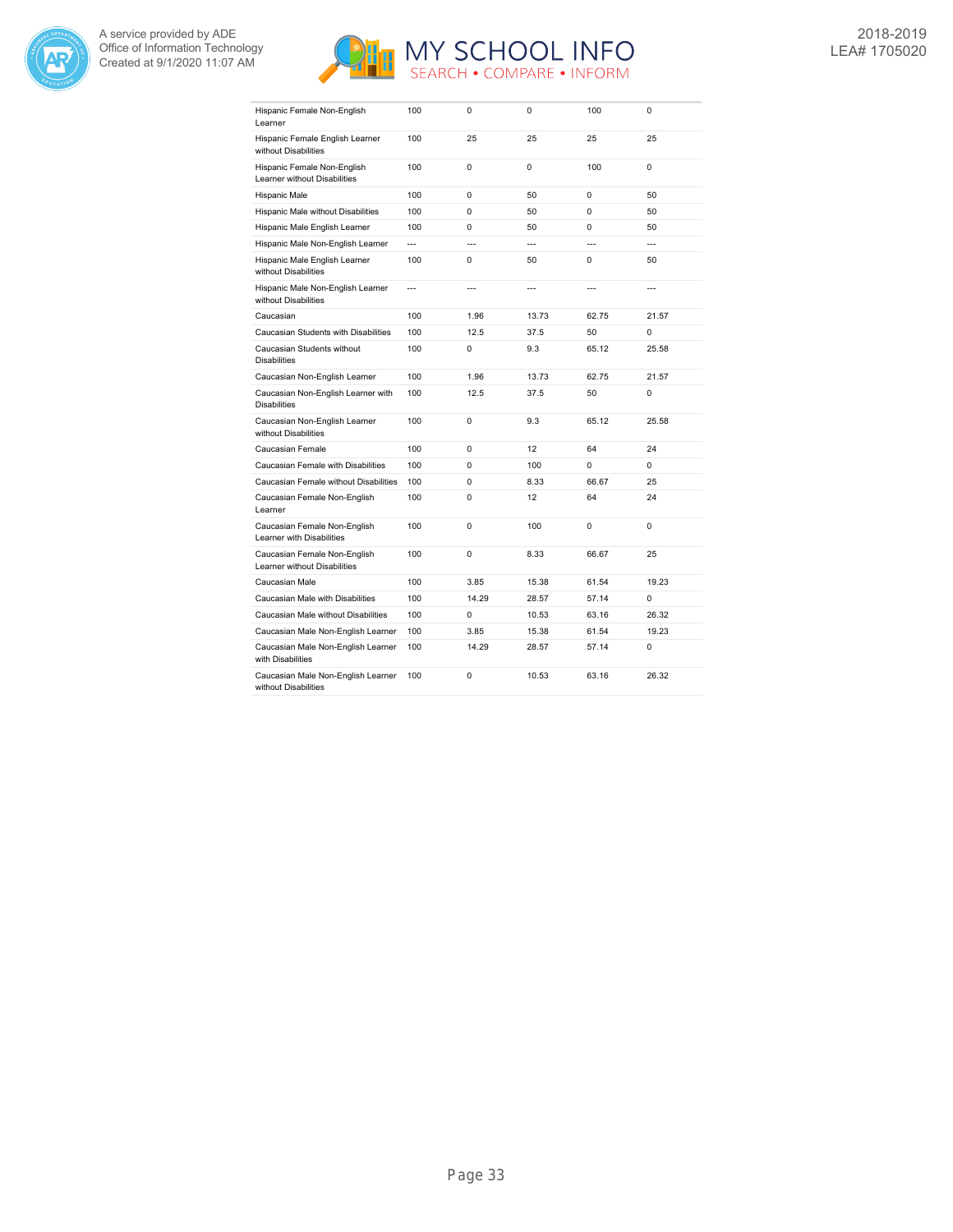



| Hispanic Female Non-English<br>Learner                       | 100            | 0              | 0              | 100            | 0              |
|--------------------------------------------------------------|----------------|----------------|----------------|----------------|----------------|
| Hispanic Female English Learner<br>without Disabilities      | 100            | 25             | 25             | 25             | 25             |
| Hispanic Female Non-English<br>Learner without Disabilities  | 100            | $\Omega$       | $\Omega$       | 100            | 0              |
| Hispanic Male                                                | 100            | $\Omega$       | 50             | $\Omega$       | 50             |
| Hispanic Male without Disabilities                           | 100            | $\Omega$       | 50             | $\Omega$       | 50             |
| Hispanic Male English Learner                                | 100            | $\Omega$       | 50             | $\Omega$       | 50             |
| Hispanic Male Non-English Learner                            | $\overline{a}$ | $\overline{a}$ | $\overline{a}$ | $\overline{a}$ | $\overline{a}$ |
| Hispanic Male English Learner<br>without Disabilities        | 100            | 0              | 50             | $\Omega$       | 50             |
| Hispanic Male Non-English Learner<br>without Disabilities    | $\overline{a}$ | $\overline{a}$ | ---            | $\overline{a}$ | $\overline{a}$ |
| Caucasian                                                    | 100            | 1.96           | 13.73          | 62.75          | 21.57          |
| Caucasian Students with Disabilities                         | 100            | 12.5           | 37.5           | 50             | 0              |
| Caucasian Students without<br><b>Disabilities</b>            | 100            | 0              | 9.3            | 65.12          | 25.58          |
| Caucasian Non-English Learner                                | 100            | 1.96           | 13.73          | 62.75          | 21.57          |
| Caucasian Non-English Learner with<br><b>Disabilities</b>    | 100            | 12.5           | 37.5           | 50             | 0              |
| Caucasian Non-English Learner<br>without Disabilities        | 100            | $\Omega$       | 9.3            | 65.12          | 25.58          |
| Caucasian Female                                             | 100            | 0              | 12             | 64             | 24             |
| Caucasian Female with Disabilities                           | 100            | $\Omega$       | 100            | $\Omega$       | $\Omega$       |
| Caucasian Female without Disabilities                        | 100            | $\Omega$       | 8.33           | 66.67          | 25             |
| Caucasian Female Non-English<br>Learner                      | 100            | 0              | 12             | 64             | 24             |
| Caucasian Female Non-English<br>Learner with Disabilities    | 100            | 0              | 100            | 0              | 0              |
| Caucasian Female Non-English<br>Learner without Disabilities | 100            | 0              | 8.33           | 66.67          | 25             |
| Caucasian Male                                               | 100            | 3.85           | 15.38          | 61.54          | 19.23          |
| Caucasian Male with Disabilities                             | 100            | 14.29          | 28.57          | 57.14          | 0              |
| Caucasian Male without Disabilities                          | 100            | 0              | 10.53          | 63.16          | 26.32          |
| Caucasian Male Non-English Learner                           | 100            | 3.85           | 15.38          | 61.54          | 19.23          |
| Caucasian Male Non-English Learner<br>with Disabilities      | 100            | 14.29          | 28.57          | 57.14          | 0              |
| Caucasian Male Non-English Learner<br>without Disabilities   | 100            | 0              | 10.53          | 63.16          | 26.32          |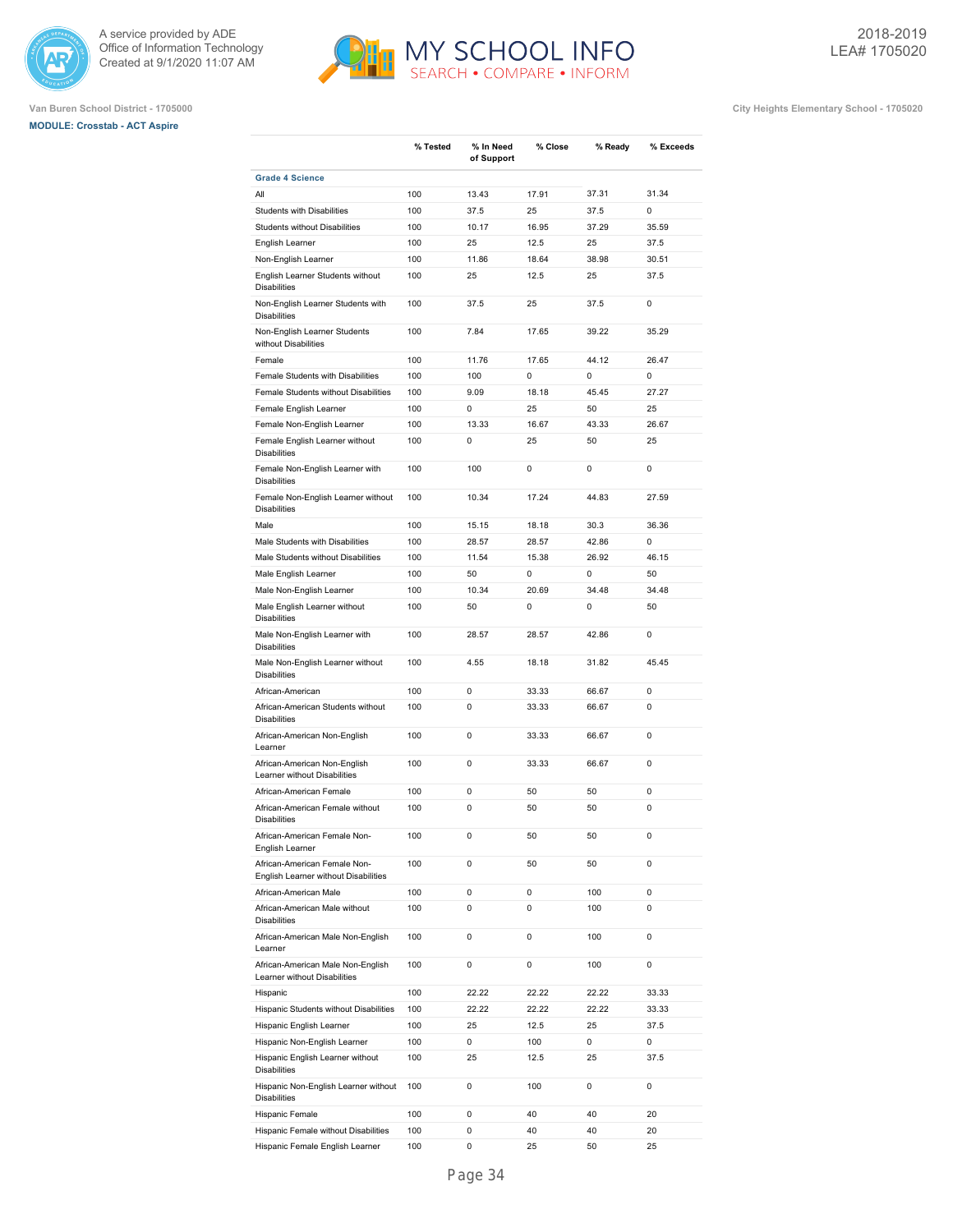





|                                                                      | % Tested | % In Need<br>of Support | % Close | % Ready | % Exceeds |
|----------------------------------------------------------------------|----------|-------------------------|---------|---------|-----------|
| <b>Grade 4 Science</b>                                               |          |                         |         |         |           |
| All                                                                  | 100      | 13.43                   | 17.91   | 37.31   | 31.34     |
| <b>Students with Disabilities</b>                                    | 100      | 37.5                    | 25      | 37.5    | 0         |
| <b>Students without Disabilities</b>                                 | 100      | 10.17                   | 16.95   | 37.29   | 35.59     |
| English Learner                                                      | 100      | 25                      | 12.5    | 25      | 37.5      |
| Non-English Learner                                                  | 100      | 11.86                   | 18.64   | 38.98   | 30.51     |
| English Learner Students without<br><b>Disabilities</b>              | 100      | 25                      | 12.5    | 25      | 37.5      |
| Non-English Learner Students with<br><b>Disabilities</b>             | 100      | 37.5                    | 25      | 37.5    | 0         |
| Non-English Learner Students<br>without Disabilities                 | 100      | 7.84                    | 17.65   | 39.22   | 35.29     |
| Female                                                               | 100      | 11.76                   | 17.65   | 44.12   | 26.47     |
| Female Students with Disabilities                                    | 100      | 100                     | 0       | 0       | 0         |
| Female Students without Disabilities                                 | 100      | 9.09                    | 18.18   | 45.45   | 27.27     |
| Female English Learner                                               | 100      | 0                       | 25      | 50      | 25        |
| Female Non-English Learner                                           | 100      | 13.33                   | 16.67   | 43.33   | 26.67     |
| Female English Learner without<br><b>Disabilities</b>                | 100      | 0                       | 25      | 50      | 25        |
| Female Non-English Learner with<br><b>Disabilities</b>               | 100      | 100                     | 0       | 0       | 0         |
| Female Non-English Learner without<br><b>Disabilities</b>            | 100      | 10.34                   | 17.24   | 44.83   | 27.59     |
| Male                                                                 | 100      | 15.15                   | 18.18   | 30.3    | 36.36     |
| Male Students with Disabilities                                      | 100      | 28.57                   | 28.57   | 42.86   | 0         |
| Male Students without Disabilities                                   | 100      | 11.54                   | 15.38   | 26.92   | 46.15     |
| Male English Learner                                                 | 100      | 50                      | 0       | 0       | 50        |
| Male Non-English Learner                                             | 100      | 10.34                   | 20.69   | 34.48   | 34.48     |
| Male English Learner without<br><b>Disabilities</b>                  | 100      | 50                      | 0       | 0       | 50        |
| Male Non-English Learner with<br><b>Disabilities</b>                 | 100      | 28.57                   | 28.57   | 42.86   | 0         |
| Male Non-English Learner without<br><b>Disabilities</b>              | 100      | 4.55                    | 18.18   | 31.82   | 45.45     |
| African-American                                                     | 100      | 0                       | 33.33   | 66.67   | 0         |
| African-American Students without<br><b>Disabilities</b>             | 100      | 0                       | 33.33   | 66.67   | 0         |
| African-American Non-English<br>Learner                              | 100      | 0                       | 33.33   | 66.67   | 0         |
| African-American Non-English<br>Learner without Disabilities         | 100      | 0                       | 33.33   | 66.67   | 0         |
| African-American Female                                              | 100      | 0                       | 50      | 50      | 0         |
| African-American Female without<br><b>Disabilities</b>               | 100      | 0                       | 50      | 50      | 0         |
| African-American Female Non-<br>English Learner                      | 100      | 0                       | 50      | 50      | 0         |
| African-American Female Non-<br>English Learner without Disabilities | 100      | 0                       | 50      | 50      | 0         |
| African-American Male                                                | 100      | 0                       | 0       | 100     | 0         |
| African-American Male without<br><b>Disabilities</b>                 | 100      | 0                       | 0       | 100     | 0         |
| African-American Male Non-English<br>Learner                         | 100      | 0                       | 0       | 100     | 0         |
| African-American Male Non-English<br>Learner without Disabilities    | 100      | 0                       | 0       | 100     | 0         |
| Hispanic                                                             | 100      | 22.22                   | 22.22   | 22.22   | 33.33     |
| Hispanic Students without Disabilities                               | 100      | 22.22                   | 22.22   | 22.22   | 33.33     |
| Hispanic English Learner                                             | 100      | 25                      | 12.5    | 25      | 37.5      |
| Hispanic Non-English Learner                                         | 100      | 0                       | 100     | 0       | 0         |
| Hispanic English Learner without<br><b>Disabilities</b>              | 100      | 25                      | 12.5    | 25      | 37.5      |
| Hispanic Non-English Learner without<br><b>Disabilities</b>          | 100      | 0                       | 100     | 0       | 0         |
| Hispanic Female                                                      | 100      | 0                       | 40      | 40      | 20        |
| Hispanic Female without Disabilities                                 | 100      | 0                       | 40      | 40      | 20        |
| Hispanic Female English Learner                                      | 100      | 0                       | 25      | 50      | 25        |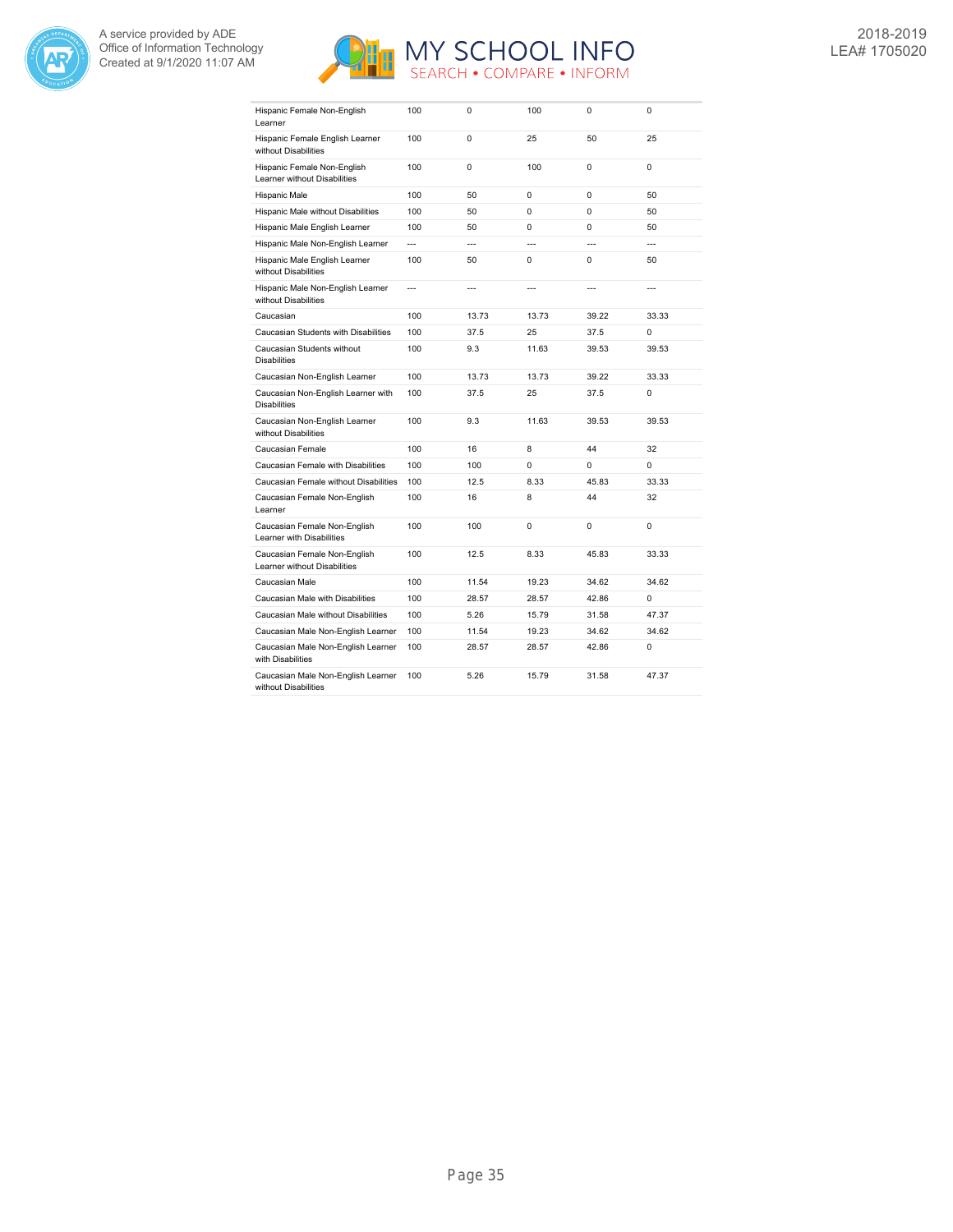



| Hispanic Female Non-English<br>Learner                       | 100            | 0              | 100            | $\Omega$       | 0              |
|--------------------------------------------------------------|----------------|----------------|----------------|----------------|----------------|
| Hispanic Female English Learner<br>without Disabilities      | 100            | 0              | 25             | 50             | 25             |
| Hispanic Female Non-English<br>Learner without Disabilities  | 100            | 0              | 100            | $\Omega$       | 0              |
| Hispanic Male                                                | 100            | 50             | 0              | $\Omega$       | 50             |
| Hispanic Male without Disabilities                           | 100            | 50             | $\Omega$       | $\Omega$       | 50             |
| Hispanic Male English Learner                                | 100            | 50             | 0              | 0              | 50             |
| Hispanic Male Non-English Learner                            | $\overline{a}$ | ---            | $\overline{a}$ | $\overline{a}$ | $\overline{a}$ |
| Hispanic Male English Learner<br>without Disabilities        | 100            | 50             | $\Omega$       | $\Omega$       | 50             |
| Hispanic Male Non-English Learner<br>without Disabilities    | $\overline{a}$ | $\overline{a}$ | $\overline{a}$ | $\overline{a}$ | $\overline{a}$ |
| Caucasian                                                    | 100            | 13.73          | 13.73          | 39.22          | 33.33          |
| Caucasian Students with Disabilities                         | 100            | 37.5           | 25             | 37.5           | $\Omega$       |
| Caucasian Students without<br><b>Disabilities</b>            | 100            | 9.3            | 11.63          | 39.53          | 39.53          |
| Caucasian Non-English Learner                                | 100            | 13.73          | 13.73          | 39.22          | 33.33          |
| Caucasian Non-English Learner with<br><b>Disabilities</b>    | 100            | 37.5           | 25             | 37.5           | 0              |
| Caucasian Non-English Learner<br>without Disabilities        | 100            | 9.3            | 11.63          | 39.53          | 39.53          |
| Caucasian Female                                             | 100            | 16             | 8              | 44             | 32             |
| Caucasian Female with Disabilities                           | 100            | 100            | $\Omega$       | $\Omega$       | 0              |
| Caucasian Female without Disabilities                        | 100            | 12.5           | 8.33           | 45.83          | 33.33          |
| Caucasian Female Non-English<br>Learner                      | 100            | 16             | 8              | 44             | 32             |
| Caucasian Female Non-English<br>Learner with Disabilities    | 100            | 100            | 0              | 0              | 0              |
| Caucasian Female Non-English<br>Learner without Disabilities | 100            | 12.5           | 8.33           | 45.83          | 33.33          |
| Caucasian Male                                               | 100            | 11.54          | 19.23          | 34.62          | 34.62          |
| Caucasian Male with Disabilities                             | 100            | 28.57          | 28.57          | 42.86          | 0              |
| Caucasian Male without Disabilities                          | 100            | 5.26           | 15.79          | 31.58          | 47.37          |
| Caucasian Male Non-English Learner                           | 100            | 11.54          | 19.23          | 34.62          | 34.62          |
| Caucasian Male Non-English Learner<br>with Disabilities      | 100            | 28.57          | 28.57          | 42.86          | 0              |
| Caucasian Male Non-English Learner<br>without Disabilities   | 100            | 5.26           | 15.79          | 31.58          | 47.37          |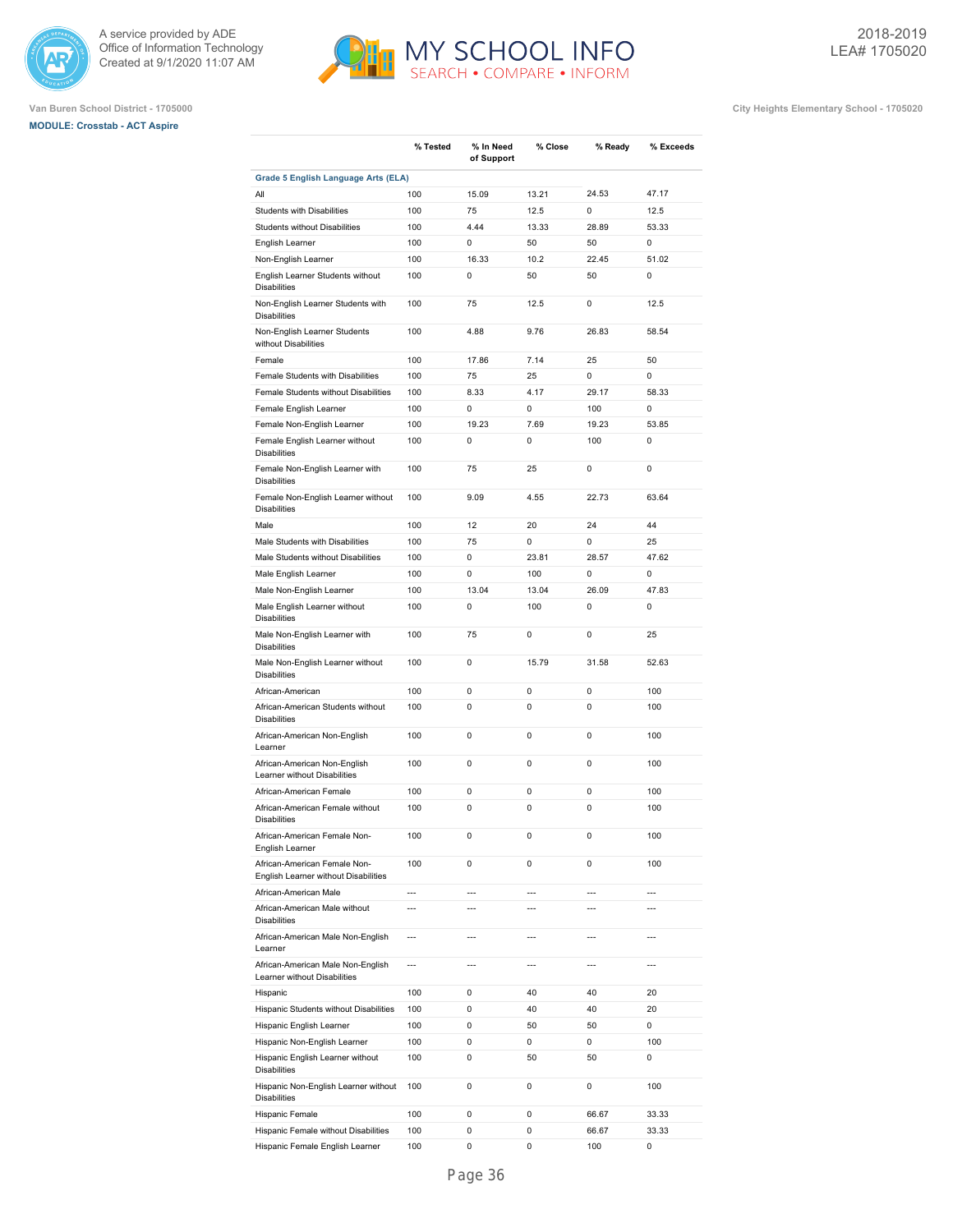





|                                                                                         | % Tested       | % In Need      | % Close        | % Ready        | % Exceeds                |
|-----------------------------------------------------------------------------------------|----------------|----------------|----------------|----------------|--------------------------|
|                                                                                         |                | of Support     |                |                |                          |
| Grade 5 English Language Arts (ELA)                                                     |                |                |                |                |                          |
| All                                                                                     | 100            | 15.09          | 13.21          | 24.53          | 47.17                    |
| <b>Students with Disabilities</b>                                                       | 100            | 75             | 12.5           | 0              | 12.5                     |
| <b>Students without Disabilities</b>                                                    | 100            | 4.44           | 13.33          | 28.89          | 53.33                    |
| English Learner                                                                         | 100            | 0              | 50             | 50             | 0                        |
| Non-English Learner                                                                     | 100            | 16.33          | 10.2           | 22.45          | 51.02                    |
| English Learner Students without<br><b>Disabilities</b>                                 | 100            | 0              | 50             | 50             | 0                        |
| Non-English Learner Students with<br><b>Disabilities</b>                                | 100            | 75             | 12.5           | 0              | 12.5                     |
| Non-English Learner Students<br>without Disabilities                                    | 100            | 4.88           | 9.76           | 26.83          | 58.54                    |
| Female                                                                                  | 100            | 17.86          | 7.14           | 25             | 50                       |
| Female Students with Disabilities                                                       | 100            | 75             | 25             | 0              | 0                        |
| Female Students without Disabilities                                                    | 100            | 8.33           | 4.17           | 29.17          | 58.33                    |
| Female English Learner                                                                  | 100            | 0              | 0              | 100            | 0                        |
| Female Non-English Learner                                                              | 100            | 19.23          | 7.69           | 19.23          | 53.85                    |
| Female English Learner without<br><b>Disabilities</b>                                   | 100            | 0              | 0              | 100            | 0                        |
| Female Non-English Learner with<br><b>Disabilities</b>                                  | 100            | 75             | 25             | 0              | 0                        |
| Female Non-English Learner without<br><b>Disabilities</b>                               | 100            | 9.09           | 4.55           | 22.73          | 63.64                    |
| Male                                                                                    | 100            | 12             | 20             | 24             | 44                       |
| Male Students with Disabilities                                                         | 100            | 75             | 0              | 0              | 25                       |
| Male Students without Disabilities                                                      | 100            | 0              | 23.81          | 28.57          | 47.62                    |
| Male English Learner                                                                    | 100            | 0              | 100            | 0              | $\mathbf 0$              |
| Male Non-English Learner                                                                | 100            | 13.04          | 13.04          | 26.09          | 47.83                    |
| Male English Learner without<br><b>Disabilities</b>                                     | 100            | 0              | 100            | 0              | 0                        |
| Male Non-English Learner with<br><b>Disabilities</b>                                    | 100            | 75             | 0              | 0              | 25                       |
| Male Non-English Learner without<br><b>Disabilities</b>                                 | 100            | 0              | 15.79          | 31.58          | 52.63                    |
| African-American                                                                        | 100            | 0              | 0              | 0              | 100                      |
| African-American Students without<br><b>Disabilities</b>                                | 100            | 0              | 0              | 0              | 100                      |
| African-American Non-English<br>Learner                                                 | 100            | 0              | 0              | 0              | 100                      |
| African-American Non-English<br>Learner without Disabilities                            | 100            | 0              | 0              | 0              | 100                      |
| African-American Female                                                                 | 100            | 0              | 0              | 0              | 100                      |
| African-American Female without                                                         | 100            | 0              | 0              | 0              | 100                      |
| <b>Disabilities</b><br>African-American Female Non-                                     | 100            | 0              | 0              | 0              | 100                      |
| English Learner<br>African-American Female Non-<br>English Learner without Disabilities | 100            | 0              | 0              | 0              | 100                      |
| African-American Male                                                                   | $\overline{a}$ | $\overline{a}$ | $\overline{a}$ | $\overline{a}$ | $\overline{\phantom{a}}$ |
| African-American Male without<br><b>Disabilities</b>                                    | $\overline{a}$ | $\overline{a}$ | $\overline{a}$ | $\overline{a}$ | $\overline{a}$           |
| African-American Male Non-English<br>Learner                                            | $\overline{a}$ | $\overline{a}$ | $\overline{a}$ | ---            | $\overline{a}$           |
| African-American Male Non-English<br>Learner without Disabilities                       | ---            | $\overline{a}$ | $\overline{a}$ | ---            | ---                      |
| Hispanic                                                                                | 100            | 0              | 40             | 40             | 20                       |
| Hispanic Students without Disabilities                                                  | 100            | 0              | 40             | 40             | 20                       |
| Hispanic English Learner                                                                | 100            | 0              | 50             | 50             | 0                        |
| Hispanic Non-English Learner                                                            | 100            | 0              | 0              | 0              | 100                      |
| Hispanic English Learner without<br><b>Disabilities</b>                                 | 100            | 0              | 50             | 50             | 0                        |
| Hispanic Non-English Learner without<br><b>Disabilities</b>                             | 100            | 0              | 0              | 0              | 100                      |
| Hispanic Female                                                                         | 100            | 0              | 0              | 66.67          | 33.33                    |
| Hispanic Female without Disabilities                                                    | 100            | 0              | 0              | 66.67          | 33.33                    |
| Hispanic Female English Learner                                                         | 100            | 0              | 0              | 100            | 0                        |
|                                                                                         |                |                |                |                |                          |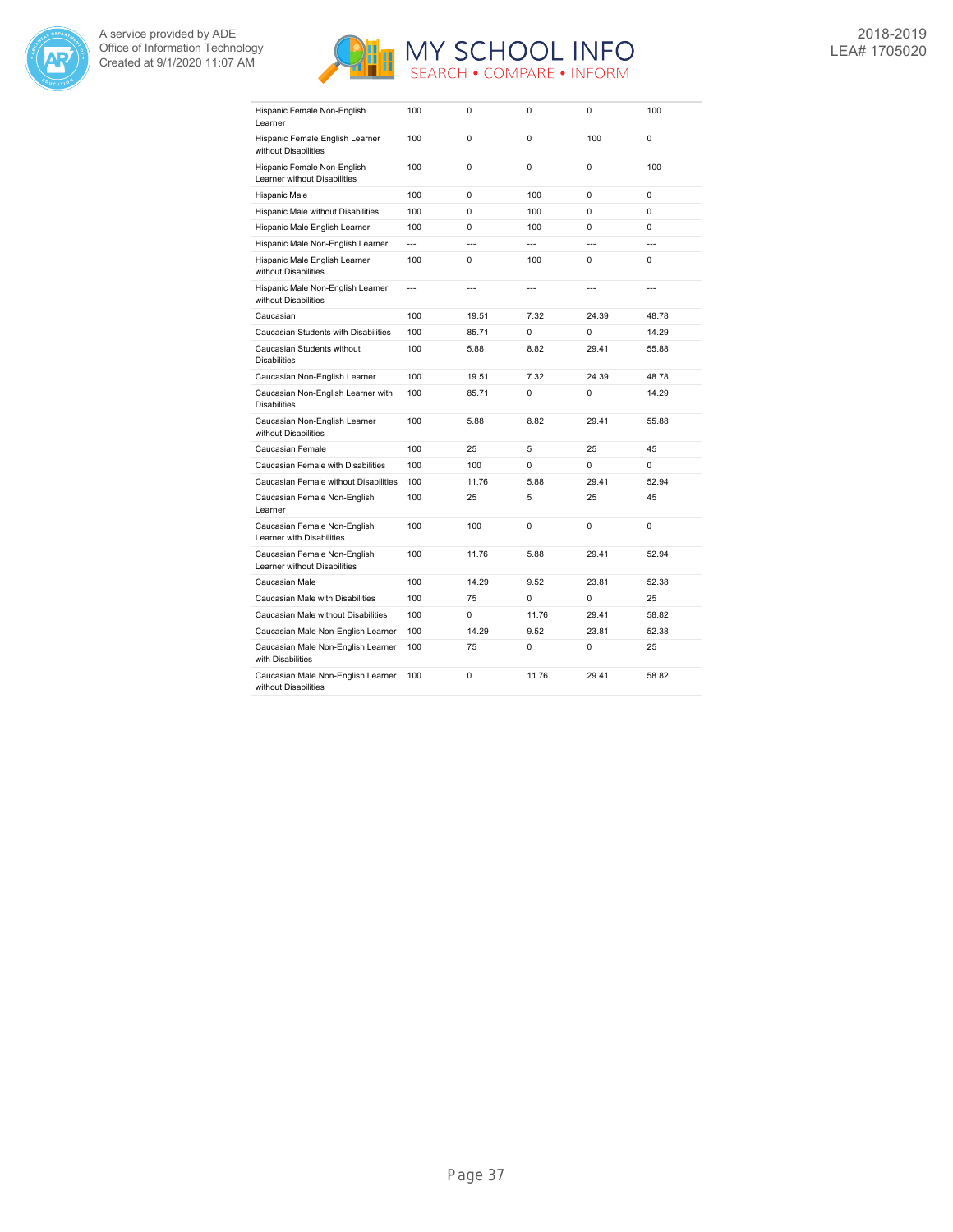



| Hispanic Female Non-English<br>Learner                       | 100            | 0              | 0              | 0              | 100            |
|--------------------------------------------------------------|----------------|----------------|----------------|----------------|----------------|
| Hispanic Female English Learner<br>without Disabilities      | 100            | 0              | 0              | 100            | 0              |
| Hispanic Female Non-English<br>Learner without Disabilities  | 100            | 0              | $\Omega$       | $\Omega$       | 100            |
| Hispanic Male                                                | 100            | $\Omega$       | 100            | $\Omega$       | $\Omega$       |
| Hispanic Male without Disabilities                           | 100            | 0              | 100            | $\Omega$       | $\Omega$       |
| Hispanic Male English Learner                                | 100            | 0              | 100            | $\Omega$       | $\Omega$       |
| Hispanic Male Non-English Learner                            | $\overline{a}$ | ---            | $\overline{a}$ | $\overline{a}$ | $\overline{a}$ |
| Hispanic Male English Learner<br>without Disabilities        | 100            | 0              | 100            | $\Omega$       | $\Omega$       |
| Hispanic Male Non-English Learner<br>without Disabilities    | ---            | $\overline{a}$ | ---            | $\overline{a}$ | ---            |
| Caucasian                                                    | 100            | 19.51          | 7.32           | 24.39          | 48.78          |
| Caucasian Students with Disabilities                         | 100            | 85.71          | 0              | 0              | 14.29          |
| Caucasian Students without<br><b>Disabilities</b>            | 100            | 5.88           | 8.82           | 29.41          | 55.88          |
| Caucasian Non-English Learner                                | 100            | 19.51          | 7.32           | 24.39          | 48.78          |
| Caucasian Non-English Learner with<br><b>Disabilities</b>    | 100            | 85.71          | 0              | 0              | 14.29          |
| Caucasian Non-English Learner<br>without Disabilities        | 100            | 5.88           | 8.82           | 29.41          | 55.88          |
| Caucasian Female                                             | 100            | 25             | 5              | 25             | 45             |
| Caucasian Female with Disabilities                           | 100            | 100            | 0              | 0              | $\Omega$       |
| Caucasian Female without Disabilities                        | 100            | 11.76          | 5.88           | 29.41          | 52.94          |
| Caucasian Female Non-English<br>Learner                      | 100            | 25             | 5              | 25             | 45             |
| Caucasian Female Non-English<br>Learner with Disabilities    | 100            | 100            | 0              | 0              | 0              |
| Caucasian Female Non-English<br>Learner without Disabilities | 100            | 11.76          | 5.88           | 29.41          | 52.94          |
| Caucasian Male                                               | 100            | 14.29          | 9.52           | 23.81          | 52.38          |
| Caucasian Male with Disabilities                             | 100            | 75             | 0              | 0              | 25             |
| Caucasian Male without Disabilities                          | 100            | 0              | 11.76          | 29.41          | 58.82          |
| Caucasian Male Non-English Learner                           | 100            | 14.29          | 9.52           | 23.81          | 52.38          |
| Caucasian Male Non-English Learner<br>with Disabilities      | 100            | 75             | 0              | 0              | 25             |
| Caucasian Male Non-English Learner<br>without Disabilities   | 100            | 0              | 11.76          | 29.41          | 58.82          |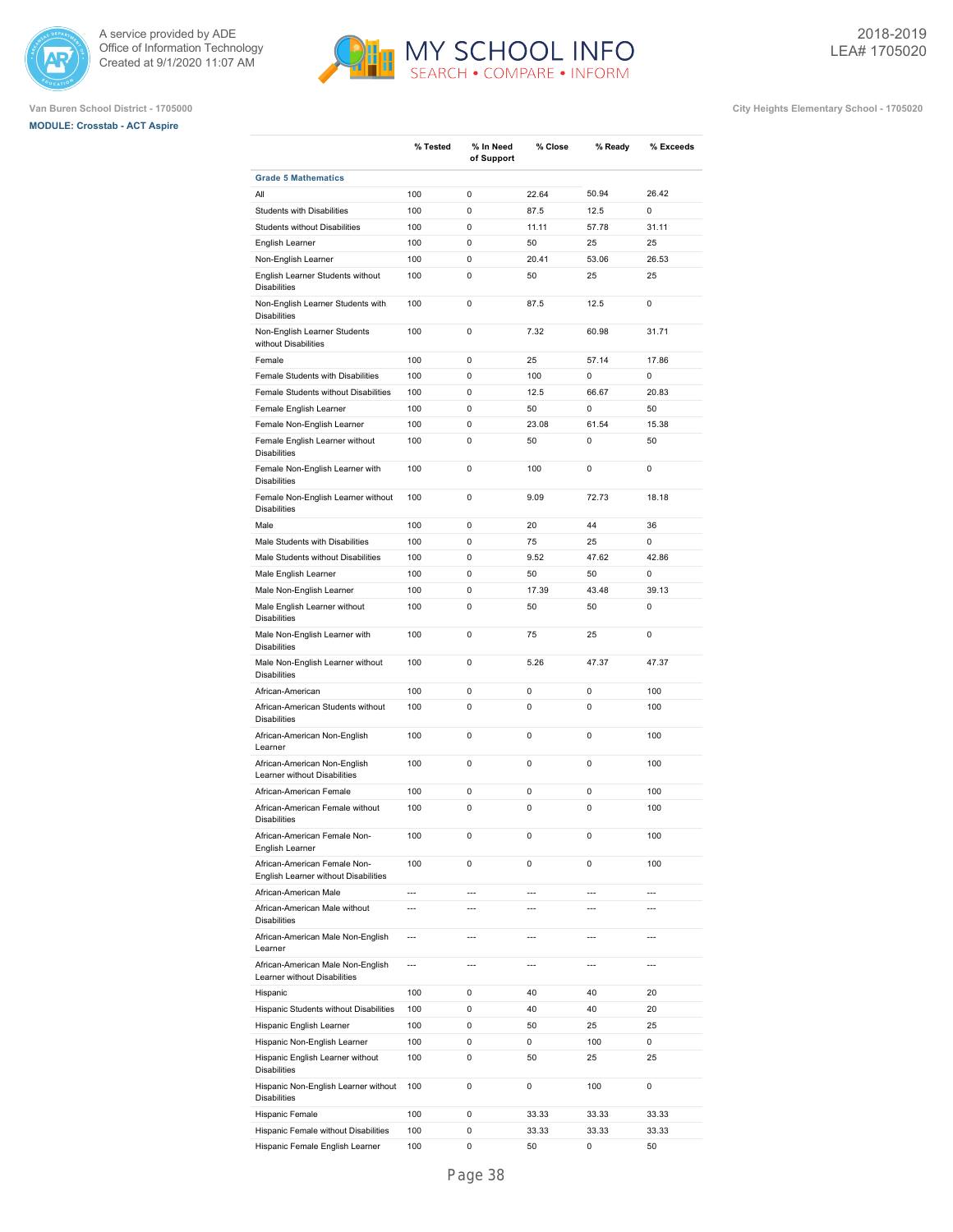





|                                                                           | % Tested   | % In Need      | % Close        | % Ready                  | % Exceeds      |
|---------------------------------------------------------------------------|------------|----------------|----------------|--------------------------|----------------|
|                                                                           |            | of Support     |                |                          |                |
| <b>Grade 5 Mathematics</b>                                                |            |                |                |                          |                |
| All                                                                       | 100        | 0              | 22.64          | 50.94                    | 26.42          |
| <b>Students with Disabilities</b><br><b>Students without Disabilities</b> | 100<br>100 | 0<br>0         | 87.5<br>11.11  | 12.5<br>57.78            | 0<br>31.11     |
|                                                                           | 100        | 0              | 50             | 25                       | 25             |
| English Learner<br>Non-English Learner                                    | 100        | 0              | 20.41          | 53.06                    | 26.53          |
| English Learner Students without<br><b>Disabilities</b>                   | 100        | 0              | 50             | 25                       | 25             |
| Non-English Learner Students with<br><b>Disabilities</b>                  | 100        | 0              | 87.5           | 12.5                     | 0              |
| Non-English Learner Students<br>without Disabilities                      | 100        | 0              | 7.32           | 60.98                    | 31.71          |
| Female                                                                    | 100        | 0              | 25             | 57.14                    | 17.86          |
| Female Students with Disabilities                                         | 100        | 0              | 100            | 0                        | 0              |
| Female Students without Disabilities                                      | 100        | 0              | 12.5           | 66.67                    | 20.83          |
| Female English Learner                                                    | 100        | 0              | 50             | 0                        | 50             |
| Female Non-English Learner                                                | 100        | 0              | 23.08          | 61.54                    | 15.38          |
| Female English Learner without<br><b>Disabilities</b>                     | 100        | 0              | 50             | 0                        | 50             |
| Female Non-English Learner with<br><b>Disabilities</b>                    | 100        | 0              | 100            | 0                        | 0              |
| Female Non-English Learner without<br><b>Disabilities</b>                 | 100        | 0              | 9.09           | 72.73                    | 18.18          |
| Male                                                                      | 100        | 0              | 20             | 44                       | 36             |
| Male Students with Disabilities                                           | 100        | 0              | 75             | 25                       | 0              |
| Male Students without Disabilities                                        | 100        | 0              | 9.52           | 47.62                    | 42.86          |
| Male English Learner                                                      | 100        | 0              | 50             | 50                       | 0              |
| Male Non-English Learner                                                  | 100        | 0              | 17.39          | 43.48                    | 39.13          |
| Male English Learner without<br><b>Disabilities</b>                       | 100        | 0              | 50             | 50                       | 0              |
| Male Non-English Learner with<br><b>Disabilities</b>                      | 100        | 0              | 75             | 25                       | $\mathbf 0$    |
| Male Non-English Learner without<br><b>Disabilities</b>                   | 100        | 0              | 5.26           | 47.37                    | 47.37          |
| African-American                                                          | 100        | 0              | 0              | 0                        | 100            |
| African-American Students without<br><b>Disabilities</b>                  | 100        | 0              | 0              | 0                        | 100            |
| African-American Non-English<br>Learner                                   | 100        | 0              | 0              | 0                        | 100            |
| African-American Non-English<br>Learner without Disabilities              | 100        | 0              | 0              | 0                        | 100            |
| African-American Female                                                   | 100        | 0              | 0              | 0                        | 100            |
| African-American Female without<br><b>Disabilities</b>                    | 100        | 0              | 0              | 0                        | 100            |
| African-American Female Non-<br>English Learner                           | 100        | 0              | 0              | 0                        | 100            |
| African-American Female Non-<br>English Learner without Disabilities      | 100        | 0              | 0              | 0                        | 100            |
| African-American Male                                                     | ---        | ---            | ---            | $\overline{\phantom{a}}$ | ---            |
| African-American Male without<br><b>Disabilities</b>                      | ---        | $\overline{a}$ | $\overline{a}$ | $\overline{a}$           | $\overline{a}$ |
| African-American Male Non-English<br>Learner                              | ---        | ---            | $\overline{a}$ | $\overline{a}$           | ---            |
| African-American Male Non-English<br>Learner without Disabilities         | ---        | $\overline{a}$ | $\overline{a}$ | $\overline{a}$           | ---            |
| Hispanic                                                                  | 100        | 0              | 40             | 40                       | 20             |
| Hispanic Students without Disabilities                                    | 100        | 0              | 40             | 40                       | 20             |
| Hispanic English Learner                                                  | 100        | 0              | 50             | 25                       | 25             |
| Hispanic Non-English Learner                                              | 100        | 0              | 0              | 100                      | 0              |
| Hispanic English Learner without<br><b>Disabilities</b>                   | 100        | 0              | 50             | 25                       | 25             |
| Hispanic Non-English Learner without<br><b>Disabilities</b>               | 100        | 0              | 0              | 100                      | 0              |
| Hispanic Female                                                           | 100        | 0              | 33.33          | 33.33                    | 33.33          |
| Hispanic Female without Disabilities                                      | 100        | 0              | 33.33          | 33.33                    | 33.33          |
| Hispanic Female English Learner                                           | 100        | 0              | 50             | 0                        | 50             |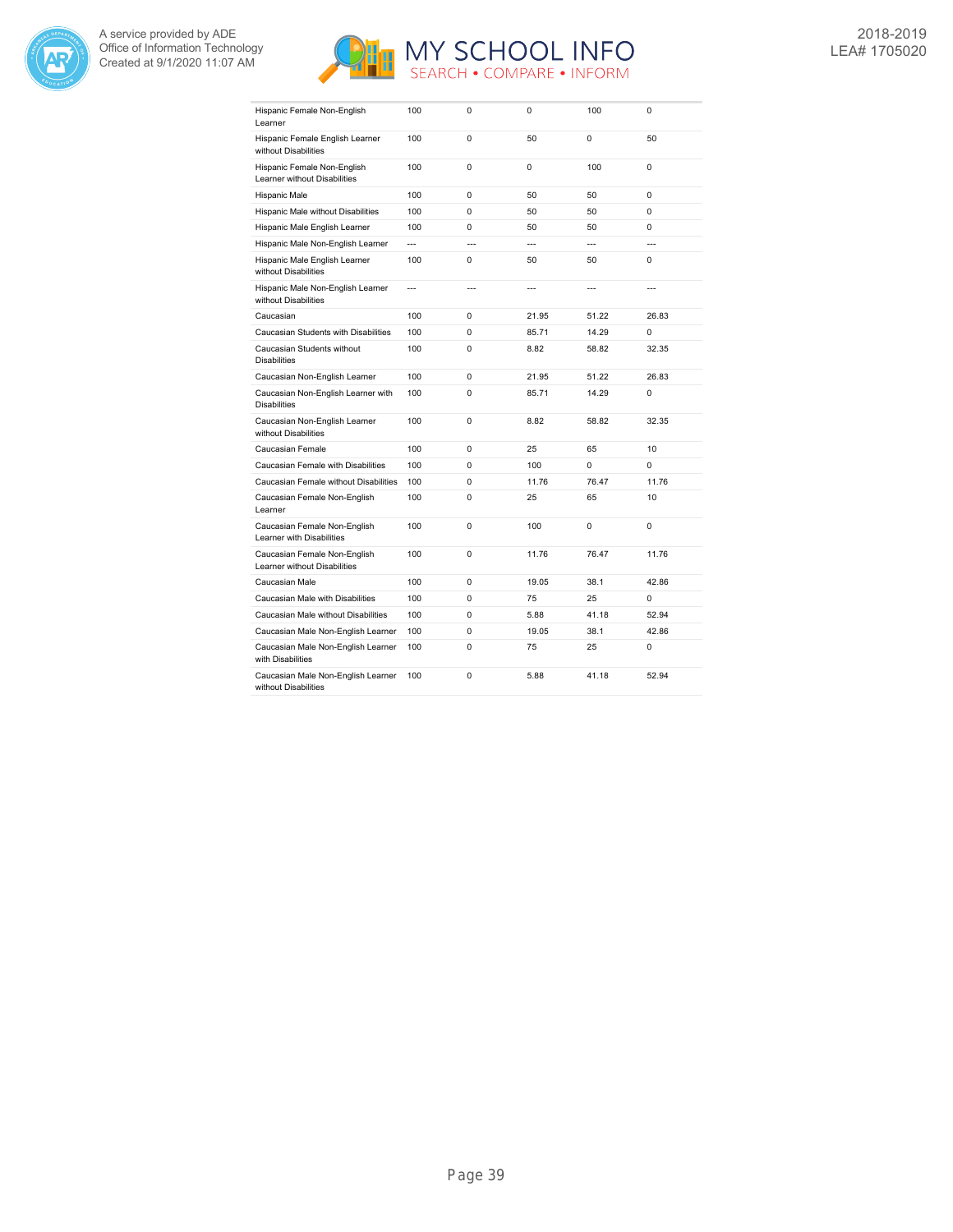



| Hispanic Female Non-English<br>Learner                       | 100 | $\Omega$       | 0     | 100            | 0              |
|--------------------------------------------------------------|-----|----------------|-------|----------------|----------------|
| Hispanic Female English Learner<br>without Disabilities      | 100 | $\Omega$       | 50    | $\Omega$       | 50             |
| Hispanic Female Non-English<br>Learner without Disabilities  | 100 | 0              | 0     | 100            | 0              |
| Hispanic Male                                                | 100 | 0              | 50    | 50             | 0              |
| Hispanic Male without Disabilities                           | 100 | $\mathbf 0$    | 50    | 50             | $\Omega$       |
| Hispanic Male English Learner                                | 100 | $\Omega$       | 50    | 50             | $\Omega$       |
| Hispanic Male Non-English Learner                            | --- | $\overline{a}$ | ---   | $\overline{a}$ | $\overline{a}$ |
| Hispanic Male English Learner<br>without Disabilities        | 100 | $\Omega$       | 50    | 50             | $\Omega$       |
| Hispanic Male Non-English Learner<br>without Disabilities    | --- | $\overline{a}$ | ---   | $\overline{a}$ | ---            |
| Caucasian                                                    | 100 | 0              | 21.95 | 51.22          | 26.83          |
| Caucasian Students with Disabilities                         | 100 | $\Omega$       | 85.71 | 14.29          | 0              |
| Caucasian Students without<br><b>Disabilities</b>            | 100 | $\Omega$       | 8.82  | 58.82          | 32.35          |
| Caucasian Non-English Learner                                | 100 | $\Omega$       | 21.95 | 51.22          | 26.83          |
| Caucasian Non-English Learner with<br><b>Disabilities</b>    | 100 | $\Omega$       | 85.71 | 14.29          | 0              |
| Caucasian Non-English Learner<br>without Disabilities        | 100 | $\Omega$       | 8.82  | 58.82          | 32.35          |
| Caucasian Female                                             | 100 | 0              | 25    | 65             | 10             |
| Caucasian Female with Disabilities                           | 100 | 0              | 100   | 0              | 0              |
| Caucasian Female without Disabilities                        | 100 | 0              | 11.76 | 76.47          | 11.76          |
| Caucasian Female Non-English<br>Learner                      | 100 | $\Omega$       | 25    | 65             | 10             |
| Caucasian Female Non-English<br>Learner with Disabilities    | 100 | $\Omega$       | 100   | $\Omega$       | $\Omega$       |
| Caucasian Female Non-English<br>Learner without Disabilities | 100 | $\Omega$       | 11.76 | 76.47          | 11.76          |
| Caucasian Male                                               | 100 | 0              | 19.05 | 38.1           | 42.86          |
| Caucasian Male with Disabilities                             | 100 | 0              | 75    | 25             | 0              |
| Caucasian Male without Disabilities                          | 100 | $\mathbf 0$    | 5.88  | 41.18          | 52.94          |
| Caucasian Male Non-English Learner                           | 100 | 0              | 19.05 | 38.1           | 42.86          |
| Caucasian Male Non-English Learner<br>with Disabilities      | 100 | 0              | 75    | 25             | 0              |
| Caucasian Male Non-English Learner<br>without Disabilities   | 100 | 0              | 5.88  | 41.18          | 52.94          |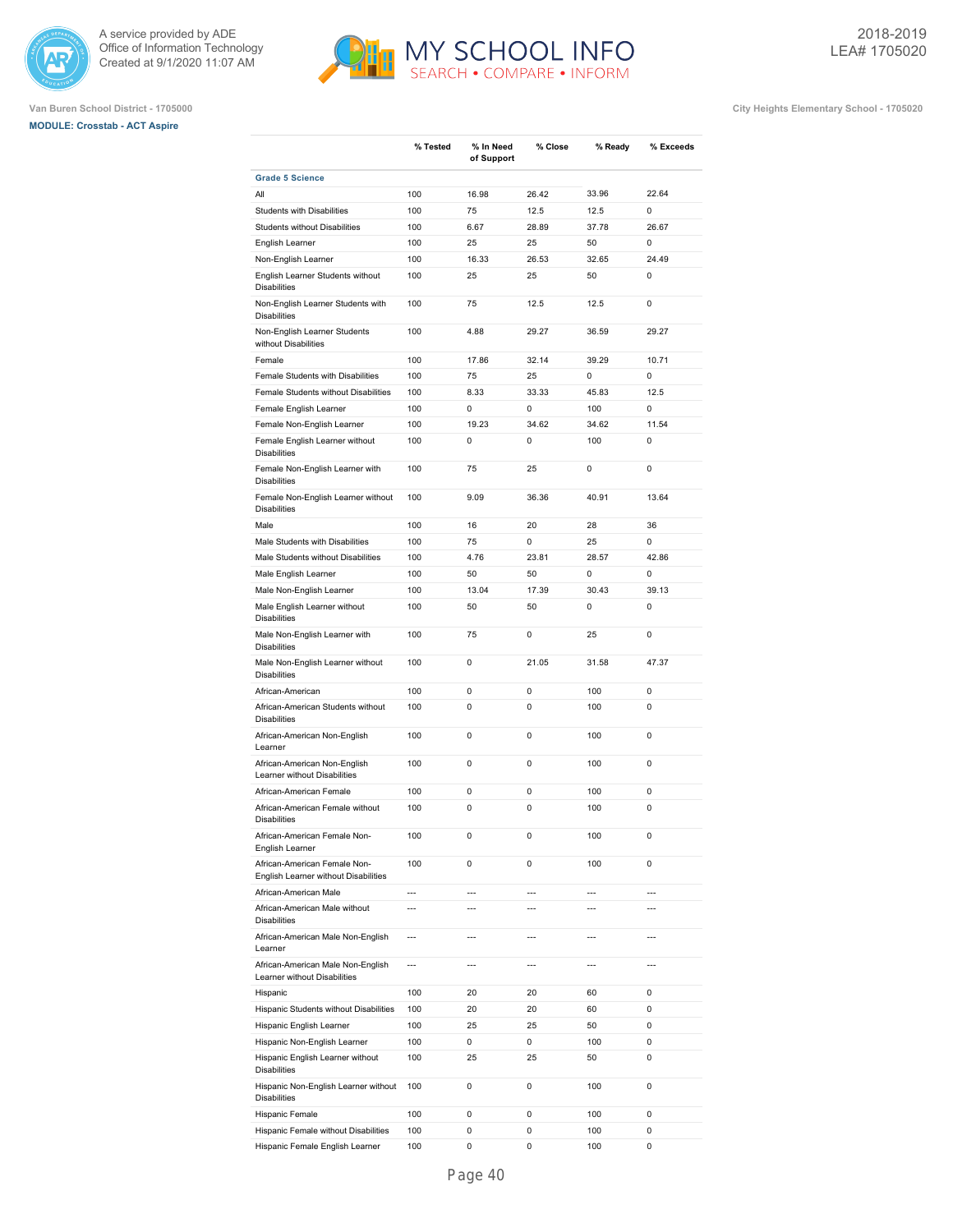





|                                                                      | % Tested | % In Need<br>of Support | % Close        | % Ready | % Exceeds      |
|----------------------------------------------------------------------|----------|-------------------------|----------------|---------|----------------|
| <b>Grade 5 Science</b>                                               |          |                         |                |         |                |
| All                                                                  | 100      | 16.98                   | 26.42          | 33.96   | 22.64          |
| <b>Students with Disabilities</b>                                    | 100      | 75                      | 12.5           | 12.5    | $\mathbf 0$    |
| <b>Students without Disabilities</b>                                 | 100      | 6.67                    | 28.89          | 37.78   | 26.67          |
| English Learner                                                      | 100      | 25                      | 25             | 50      | 0              |
| Non-English Learner                                                  | 100      | 16.33                   | 26.53          | 32.65   | 24.49          |
| English Learner Students without<br><b>Disabilities</b>              | 100      | 25                      | 25             | 50      | $\mathbf 0$    |
| Non-English Learner Students with<br><b>Disabilities</b>             | 100      | 75                      | 12.5           | 12.5    | 0              |
| Non-English Learner Students<br>without Disabilities                 | 100      | 4.88                    | 29.27          | 36.59   | 29.27          |
| Female                                                               | 100      | 17.86                   | 32.14          | 39.29   | 10.71          |
| Female Students with Disabilities                                    | 100      | 75                      | 25             | 0       | $\mathbf 0$    |
| Female Students without Disabilities                                 | 100      | 8.33                    | 33.33          | 45.83   | 12.5           |
| Female English Learner                                               | 100      | 0                       | 0              | 100     | $\mathbf 0$    |
| Female Non-English Learner                                           | 100      | 19.23                   | 34.62          | 34.62   | 11.54          |
| Female English Learner without<br><b>Disabilities</b>                | 100      | 0                       | 0              | 100     | 0              |
| Female Non-English Learner with<br><b>Disabilities</b>               | 100      | 75                      | 25             | 0       | $\mathbf 0$    |
| Female Non-English Learner without<br><b>Disabilities</b>            | 100      | 9.09                    | 36.36          | 40.91   | 13.64          |
| Male                                                                 | 100      | 16                      | 20             | 28      | 36             |
| Male Students with Disabilities                                      | 100      | 75                      | 0              | 25      | 0              |
| Male Students without Disabilities                                   | 100      | 4.76                    | 23.81          | 28.57   | 42.86          |
| Male English Learner                                                 | 100      | 50                      | 50             | 0       | $\mathbf 0$    |
| Male Non-English Learner                                             | 100      | 13.04                   | 17.39          | 30.43   | 39.13          |
| Male English Learner without<br><b>Disabilities</b>                  | 100      | 50                      | 50             | 0       | 0              |
| Male Non-English Learner with<br><b>Disabilities</b>                 | 100      | 75                      | 0              | 25      | $\mathbf 0$    |
| Male Non-English Learner without<br><b>Disabilities</b>              | 100      | 0                       | 21.05          | 31.58   | 47.37          |
| African-American                                                     | 100      | 0                       | 0              | 100     | 0              |
| African-American Students without<br><b>Disabilities</b>             | 100      | 0                       | 0              | 100     | 0              |
| African-American Non-English<br>Learner                              | 100      | 0                       | 0              | 100     | 0              |
| African-American Non-English<br>Learner without Disabilities         | 100      | 0                       | 0              | 100     | 0              |
| African-American Female                                              | 100      | 0                       | 0              | 100     | 0              |
| African-American Female without<br><b>Disabilities</b>               | 100      | 0                       | 0              | 100     | 0              |
| African-American Female Non-<br>English Learner                      | 100      | 0                       | 0              | 100     | 0              |
| African-American Female Non-<br>English Learner without Disabilities | 100      | 0                       | 0              | 100     | 0              |
| African-American Male                                                | ---      | ---                     | $\overline{a}$ | ---     | $\overline{a}$ |
| African-American Male without<br><b>Disabilities</b>                 | ---      | $\overline{a}$          | ---            | ---     | $\overline{a}$ |
| African-American Male Non-English<br>Learner                         | ---      | $\overline{a}$          | ---            | ---     | $\overline{a}$ |
| African-American Male Non-English<br>Learner without Disabilities    | ---      | $\overline{a}$          | ---            | ---     | ---            |
| Hispanic                                                             | 100      | 20                      | 20             | 60      | 0              |
| Hispanic Students without Disabilities                               | 100      | 20                      | 20             | 60      | 0              |
| Hispanic English Learner                                             | 100      | 25                      | 25             | 50      | 0              |
| Hispanic Non-English Learner                                         | 100      | 0                       | 0              | 100     | 0              |
| Hispanic English Learner without<br><b>Disabilities</b>              | 100      | 25                      | 25             | 50      | 0              |
| Hispanic Non-English Learner without<br><b>Disabilities</b>          | 100      | 0                       | 0              | 100     | 0              |
| Hispanic Female                                                      | 100      | 0                       | 0              | 100     | 0              |
| Hispanic Female without Disabilities                                 | 100      | 0                       | 0              | 100     | 0              |
| Hispanic Female English Learner                                      | 100      | 0                       | 0              | 100     | 0              |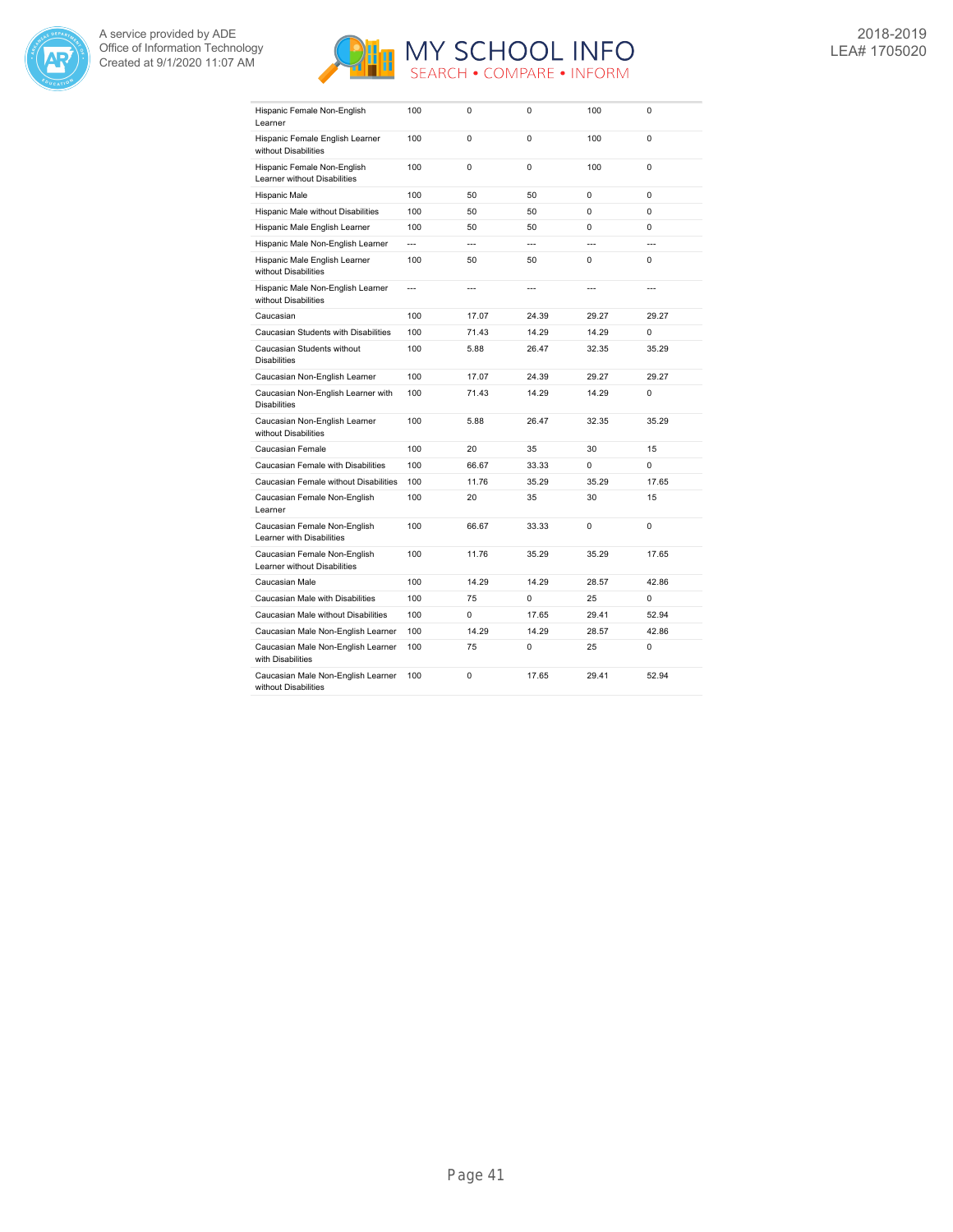



| Hispanic Female Non-English<br>Learner                       | 100            | 0              | 0              | 100            | $\mathbf 0$    |
|--------------------------------------------------------------|----------------|----------------|----------------|----------------|----------------|
| Hispanic Female English Learner<br>without Disabilities      | 100            | 0              | 0              | 100            | 0              |
| Hispanic Female Non-English<br>Learner without Disabilities  | 100            | $\Omega$       | $\Omega$       | 100            | 0              |
| Hispanic Male                                                | 100            | 50             | 50             | 0              | $\Omega$       |
| Hispanic Male without Disabilities                           | 100            | 50             | 50             | $\Omega$       | $\Omega$       |
| Hispanic Male English Learner                                | 100            | 50             | 50             | 0              | $\Omega$       |
| Hispanic Male Non-English Learner                            | $\overline{a}$ | $\overline{a}$ | $\overline{a}$ | $\overline{a}$ | $\overline{a}$ |
| Hispanic Male English Learner<br>without Disabilities        | 100            | 50             | 50             | $\Omega$       | $\Omega$       |
| Hispanic Male Non-English Learner<br>without Disabilities    | $\overline{a}$ | $\overline{a}$ | $\overline{a}$ | $\overline{a}$ | $\overline{a}$ |
| Caucasian                                                    | 100            | 17.07          | 24.39          | 29.27          | 29.27          |
| Caucasian Students with Disabilities                         | 100            | 71.43          | 14.29          | 14.29          | 0              |
| Caucasian Students without<br><b>Disabilities</b>            | 100            | 5.88           | 26.47          | 32.35          | 35.29          |
| Caucasian Non-English Learner                                | 100            | 17.07          | 24.39          | 29.27          | 29.27          |
| Caucasian Non-English Learner with<br><b>Disabilities</b>    | 100            | 71.43          | 14.29          | 14.29          | 0              |
| Caucasian Non-English Learner<br>without Disabilities        | 100            | 5.88           | 26.47          | 32.35          | 35.29          |
| Caucasian Female                                             | 100            | 20             | 35             | 30             | 15             |
| Caucasian Female with Disabilities                           | 100            | 66.67          | 33.33          | $\Omega$       | 0              |
| Caucasian Female without Disabilities                        | 100            | 11.76          | 35.29          | 35.29          | 17.65          |
| Caucasian Female Non-English<br>Learner                      | 100            | 20             | 35             | 30             | 15             |
| Caucasian Female Non-English<br>Learner with Disabilities    | 100            | 66.67          | 33.33          | 0              | $\mathbf 0$    |
| Caucasian Female Non-English<br>Learner without Disabilities | 100            | 11.76          | 35.29          | 35.29          | 17.65          |
| Caucasian Male                                               | 100            | 14.29          | 14.29          | 28.57          | 42.86          |
| Caucasian Male with Disabilities                             | 100            | 75             | 0              | 25             | 0              |
| Caucasian Male without Disabilities                          | 100            | 0              | 17.65          | 29.41          | 52.94          |
| Caucasian Male Non-English Learner                           | 100            | 14.29          | 14.29          | 28.57          | 42.86          |
| Caucasian Male Non-English Learner<br>with Disabilities      | 100            | 75             | 0              | 25             | 0              |
| Caucasian Male Non-English Learner<br>without Disabilities   | 100            | 0              | 17.65          | 29.41          | 52.94          |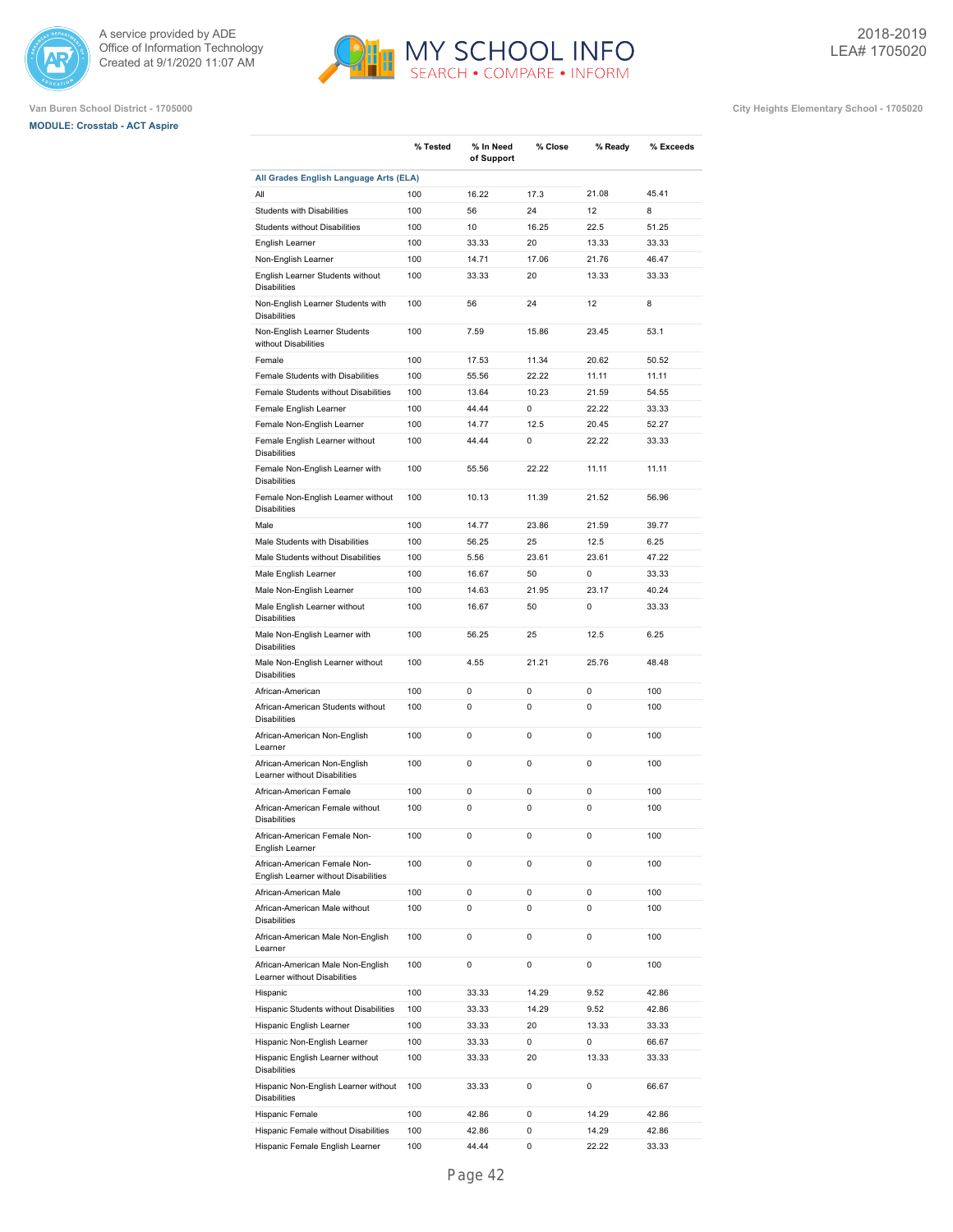





|                                                                      | % Tested | % In Need  | % Close     | % Ready | % Exceeds |
|----------------------------------------------------------------------|----------|------------|-------------|---------|-----------|
|                                                                      |          | of Support |             |         |           |
| All Grades English Language Arts (ELA)                               |          |            |             |         |           |
| All                                                                  | 100      | 16.22      | 17.3        | 21.08   | 45.41     |
| Students with Disabilities                                           | 100      | 56         | 24          | 12      | 8         |
| <b>Students without Disabilities</b>                                 | 100      | 10         | 16.25       | 22.5    | 51.25     |
| English Learner                                                      | 100      | 33.33      | 20          | 13.33   | 33.33     |
| Non-English Learner                                                  | 100      | 14.71      | 17.06<br>20 | 21.76   | 46.47     |
| English Learner Students without<br><b>Disabilities</b>              | 100      | 33.33      |             | 13.33   | 33.33     |
| Non-English Learner Students with<br><b>Disabilities</b>             | 100      | 56         | 24          | 12      | 8         |
| Non-English Learner Students<br>without Disabilities                 | 100      | 7.59       | 15.86       | 23.45   | 53.1      |
| Female                                                               | 100      | 17.53      | 11.34       | 20.62   | 50.52     |
| Female Students with Disabilities                                    | 100      | 55.56      | 22.22       | 11.11   | 11.11     |
| Female Students without Disabilities                                 | 100      | 13.64      | 10.23       | 21.59   | 54.55     |
| Female English Learner                                               | 100      | 44.44      | 0           | 22.22   | 33.33     |
| Female Non-English Learner                                           | 100      | 14.77      | 12.5        | 20.45   | 52.27     |
| Female English Learner without<br><b>Disabilities</b>                | 100      | 44.44      | 0           | 22.22   | 33.33     |
| Female Non-English Learner with<br><b>Disabilities</b>               | 100      | 55.56      | 22.22       | 11.11   | 11.11     |
| Female Non-English Learner without<br><b>Disabilities</b>            | 100      | 10.13      | 11.39       | 21.52   | 56.96     |
| Male                                                                 | 100      | 14.77      | 23.86       | 21.59   | 39.77     |
| Male Students with Disabilities                                      | 100      | 56.25      | 25          | 12.5    | 6.25      |
| Male Students without Disabilities                                   | 100      | 5.56       | 23.61       | 23.61   | 47.22     |
| Male English Learner                                                 | 100      | 16.67      | 50          | 0       | 33.33     |
| Male Non-English Learner                                             | 100      | 14.63      | 21.95       | 23.17   | 40.24     |
| Male English Learner without<br><b>Disabilities</b>                  | 100      | 16.67      | 50          | 0       | 33.33     |
| Male Non-English Learner with<br><b>Disabilities</b>                 | 100      | 56.25      | 25          | 12.5    | 6.25      |
| Male Non-English Learner without<br><b>Disabilities</b>              | 100      | 4.55       | 21.21       | 25.76   | 48.48     |
| African-American                                                     | 100      | 0          | 0           | 0       | 100       |
| African-American Students without<br><b>Disabilities</b>             | 100      | 0          | 0           | 0       | 100       |
| African-American Non-English<br>Learner                              | 100      | 0          | 0           | 0       | 100       |
| African-American Non-English<br>Learner without Disabilities         | 100      | 0          | 0           | 0       | 100       |
| African-American Female                                              | 100      | 0          | 0           | 0       | 100       |
| African-American Female without<br><b>Disabilities</b>               | 100      | 0          | 0           | 0       | 100       |
| African-American Female Non-<br>English Learner                      | 100      | 0          | 0           | 0       | 100       |
| African-American Female Non-<br>English Learner without Disabilities | 100      | 0          | 0           | 0       | 100       |
| African-American Male                                                | 100      | 0          | 0           | 0       | 100       |
| African-American Male without<br><b>Disabilities</b>                 | 100      | 0          | 0           | 0       | 100       |
| African-American Male Non-English<br>Learner                         | 100      | 0          | 0           | 0       | 100       |
| African-American Male Non-English<br>Learner without Disabilities    | 100      | 0          | 0           | 0       | 100       |
| Hispanic                                                             | 100      | 33.33      | 14.29       | 9.52    | 42.86     |
| Hispanic Students without Disabilities                               | 100      | 33.33      | 14.29       | 9.52    | 42.86     |
| Hispanic English Learner                                             | 100      | 33.33      | 20          | 13.33   | 33.33     |
| Hispanic Non-English Learner                                         | 100      | 33.33      | 0           | 0       | 66.67     |
| Hispanic English Learner without<br><b>Disabilities</b>              | 100      | 33.33      | 20          | 13.33   | 33.33     |
| Hispanic Non-English Learner without                                 | 100      | 33.33      | 0           | 0       | 66.67     |
| <b>Disabilities</b>                                                  |          |            |             |         |           |
| Hispanic Female                                                      | 100      | 42.86      | 0           | 14.29   | 42.86     |
| Hispanic Female without Disabilities                                 | 100      | 42.86      | 0           | 14.29   | 42.86     |
| Hispanic Female English Learner                                      | 100      | 44.44      | 0           | 22.22   | 33.33     |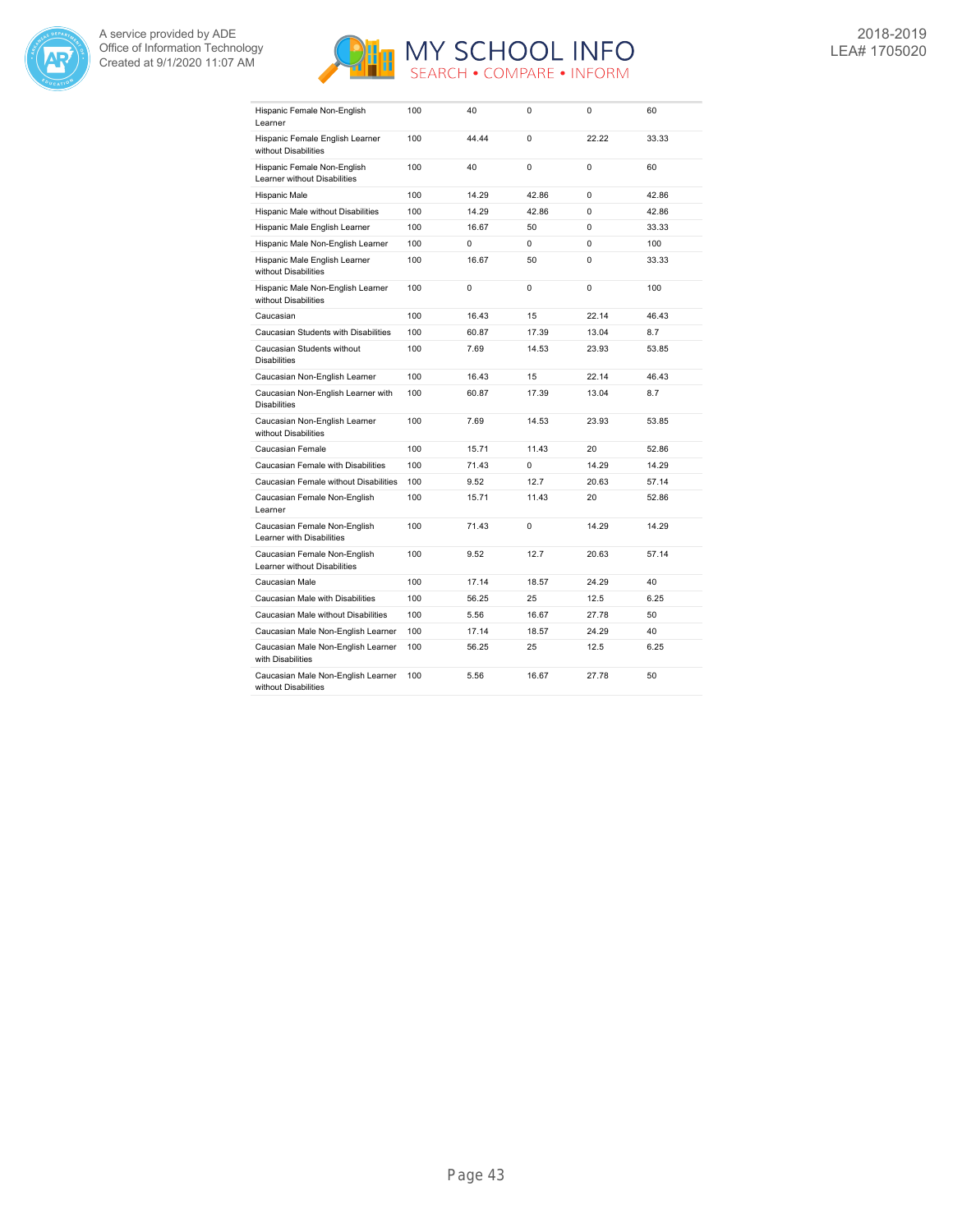



| Hispanic Female Non-English<br>Learner                       | 100 | 40    | 0        | 0        | 60    |
|--------------------------------------------------------------|-----|-------|----------|----------|-------|
| Hispanic Female English Learner<br>without Disabilities      | 100 | 44.44 | 0        | 22.22    | 33.33 |
| Hispanic Female Non-English<br>Learner without Disabilities  | 100 | 40    | $\Omega$ | $\Omega$ | 60    |
| Hispanic Male                                                | 100 | 14.29 | 42.86    | $\Omega$ | 42.86 |
| Hispanic Male without Disabilities                           | 100 | 14.29 | 42.86    | $\Omega$ | 42.86 |
| Hispanic Male English Learner                                | 100 | 16.67 | 50       | $\Omega$ | 33.33 |
| Hispanic Male Non-English Learner                            | 100 | 0     | $\Omega$ | $\Omega$ | 100   |
| Hispanic Male English Learner<br>without Disabilities        | 100 | 16.67 | 50       | $\Omega$ | 33.33 |
| Hispanic Male Non-English Learner<br>without Disabilities    | 100 | 0     | $\Omega$ | $\Omega$ | 100   |
| Caucasian                                                    | 100 | 16.43 | 15       | 22.14    | 46.43 |
| Caucasian Students with Disabilities                         | 100 | 60.87 | 17.39    | 13.04    | 8.7   |
| Caucasian Students without<br><b>Disabilities</b>            | 100 | 7.69  | 14.53    | 23.93    | 53.85 |
| Caucasian Non-English Learner                                | 100 | 16.43 | 15       | 22.14    | 46.43 |
| Caucasian Non-English Learner with<br><b>Disabilities</b>    | 100 | 60.87 | 17.39    | 13.04    | 8.7   |
| Caucasian Non-English Learner<br>without Disabilities        | 100 | 7.69  | 14.53    | 23.93    | 53.85 |
| Caucasian Female                                             | 100 | 15.71 | 11.43    | 20       | 52.86 |
| Caucasian Female with Disabilities                           | 100 | 71.43 | $\Omega$ | 14.29    | 14.29 |
| Caucasian Female without Disabilities                        | 100 | 9.52  | 12.7     | 20.63    | 57.14 |
| Caucasian Female Non-English<br>Learner                      | 100 | 15.71 | 11.43    | 20       | 52.86 |
| Caucasian Female Non-English<br>Learner with Disabilities    | 100 | 71.43 | 0        | 14.29    | 14.29 |
| Caucasian Female Non-English<br>Learner without Disabilities | 100 | 9.52  | 12.7     | 20.63    | 57.14 |
| Caucasian Male                                               | 100 | 17.14 | 18.57    | 24.29    | 40    |
| Caucasian Male with Disabilities                             | 100 | 56.25 | 25       | 12.5     | 6.25  |
| Caucasian Male without Disabilities                          | 100 | 5.56  | 16.67    | 27.78    | 50    |
| Caucasian Male Non-English Learner                           | 100 | 17.14 | 18.57    | 24.29    | 40    |
| Caucasian Male Non-English Learner<br>with Disabilities      | 100 | 56.25 | 25       | 12.5     | 6.25  |
| Caucasian Male Non-English Learner<br>without Disabilities   | 100 | 5.56  | 16.67    | 27.78    | 50    |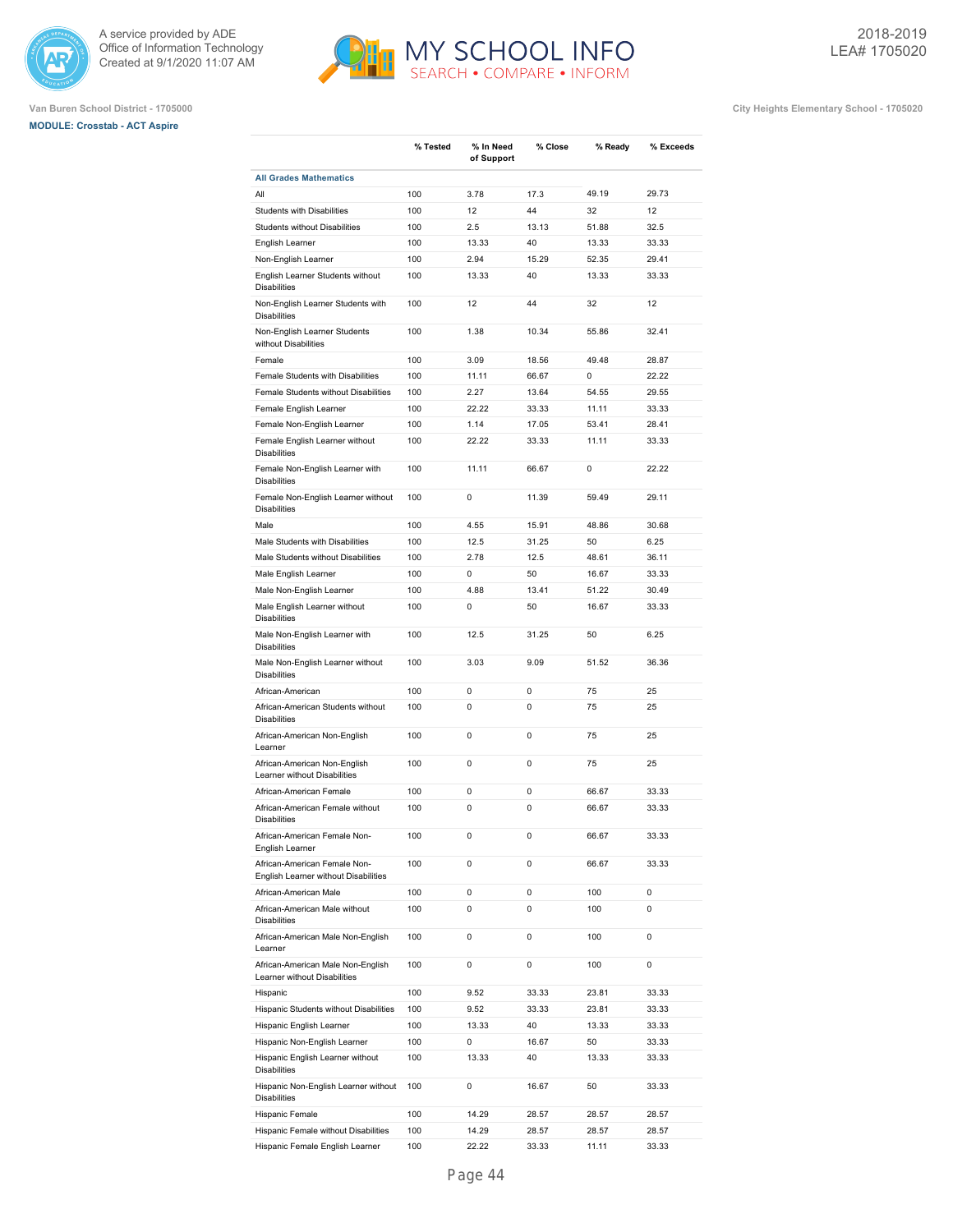





|                                                                      | % Tested | % In Need  | % Close | % Ready | % Exceeds   |
|----------------------------------------------------------------------|----------|------------|---------|---------|-------------|
| <b>All Grades Mathematics</b>                                        |          | of Support |         |         |             |
| All                                                                  | 100      | 3.78       | 17.3    | 49.19   | 29.73       |
| <b>Students with Disabilities</b>                                    | 100      | 12         | 44      | 32      | 12          |
| <b>Students without Disabilities</b>                                 | 100      | 2.5        | 13.13   | 51.88   | 32.5        |
| English Learner                                                      | 100      | 13.33      | 40      | 13.33   | 33.33       |
| Non-English Learner                                                  | 100      | 2.94       | 15.29   | 52.35   | 29.41       |
| English Learner Students without<br><b>Disabilities</b>              | 100      | 13.33      | 40      | 13.33   | 33.33       |
| Non-English Learner Students with<br><b>Disabilities</b>             | 100      | 12         | 44      | 32      | 12          |
| Non-English Learner Students<br>without Disabilities                 | 100      | 1.38       | 10.34   | 55.86   | 32.41       |
| Female                                                               | 100      | 3.09       | 18.56   | 49.48   | 28.87       |
| Female Students with Disabilities                                    | 100      | 11.11      | 66.67   | 0       | 22.22       |
| Female Students without Disabilities                                 | 100      | 2.27       | 13.64   | 54.55   | 29.55       |
| Female English Learner                                               | 100      | 22.22      | 33.33   | 11.11   | 33.33       |
| Female Non-English Learner                                           | 100      | 1.14       | 17.05   | 53.41   | 28.41       |
| Female English Learner without<br><b>Disabilities</b>                | 100      | 22.22      | 33.33   | 11.11   | 33.33       |
| Female Non-English Learner with<br><b>Disabilities</b>               | 100      | 11.11      | 66.67   | 0       | 22.22       |
| Female Non-English Learner without<br><b>Disabilities</b>            | 100      | 0          | 11.39   | 59.49   | 29.11       |
| Male                                                                 | 100      | 4.55       | 15.91   | 48.86   | 30.68       |
| Male Students with Disabilities                                      | 100      | 12.5       | 31.25   | 50      | 6.25        |
| Male Students without Disabilities                                   | 100      | 2.78       | 12.5    | 48.61   | 36.11       |
| Male English Learner                                                 | 100      | 0          | 50      | 16.67   | 33.33       |
| Male Non-English Learner                                             | 100      | 4.88       | 13.41   | 51.22   | 30.49       |
| Male English Learner without<br><b>Disabilities</b>                  | 100      | 0          | 50      | 16.67   | 33.33       |
| Male Non-English Learner with<br><b>Disabilities</b>                 | 100      | 12.5       | 31.25   | 50      | 6.25        |
| Male Non-English Learner without<br><b>Disabilities</b>              | 100      | 3.03       | 9.09    | 51.52   | 36.36       |
| African-American                                                     | 100      | 0          | 0       | 75      | 25          |
| African-American Students without<br><b>Disabilities</b>             | 100      | 0          | 0       | 75      | 25          |
| African-American Non-English<br>Learner                              | 100      | 0          | 0       | 75      | 25          |
| African-American Non-English<br>Learner without Disabilities         | 100      | 0          | 0       | 75      | 25          |
| African-American Female                                              | 100      | 0          | 0       | 66.67   | 33.33       |
| African-American Female without<br><b>Disabilities</b>               | 100      | 0          | 0       | 66.67   | 33.33       |
| African-American Female Non-<br>English Learner                      | 100      | 0          | 0       | 66.67   | 33.33       |
| African-American Female Non-<br>English Learner without Disabilities | 100      | 0          | 0       | 66.67   | 33.33       |
| African-American Male                                                | 100      | 0          | 0       | 100     | 0           |
| African-American Male without<br><b>Disabilities</b>                 | 100      | 0          | 0       | 100     | $\mathbf 0$ |
| African-American Male Non-English<br>Learner                         | 100      | 0          | 0       | 100     | 0           |
| African-American Male Non-English<br>Learner without Disabilities    | 100      | 0          | 0       | 100     | 0           |
| Hispanic                                                             | 100      | 9.52       | 33.33   | 23.81   | 33.33       |
| Hispanic Students without Disabilities                               | 100      | 9.52       | 33.33   | 23.81   | 33.33       |
| Hispanic English Learner                                             | 100      | 13.33      | 40      | 13.33   | 33.33       |
| Hispanic Non-English Learner                                         | 100      | 0          | 16.67   | 50      | 33.33       |
| Hispanic English Learner without<br><b>Disabilities</b>              | 100      | 13.33      | 40      | 13.33   | 33.33       |
| Hispanic Non-English Learner without<br><b>Disabilities</b>          | 100      | 0          | 16.67   | 50      | 33.33       |
| Hispanic Female                                                      | 100      | 14.29      | 28.57   | 28.57   | 28.57       |
| Hispanic Female without Disabilities                                 | 100      | 14.29      | 28.57   | 28.57   | 28.57       |
| Hispanic Female English Learner                                      | 100      | 22.22      | 33.33   | 11.11   | 33.33       |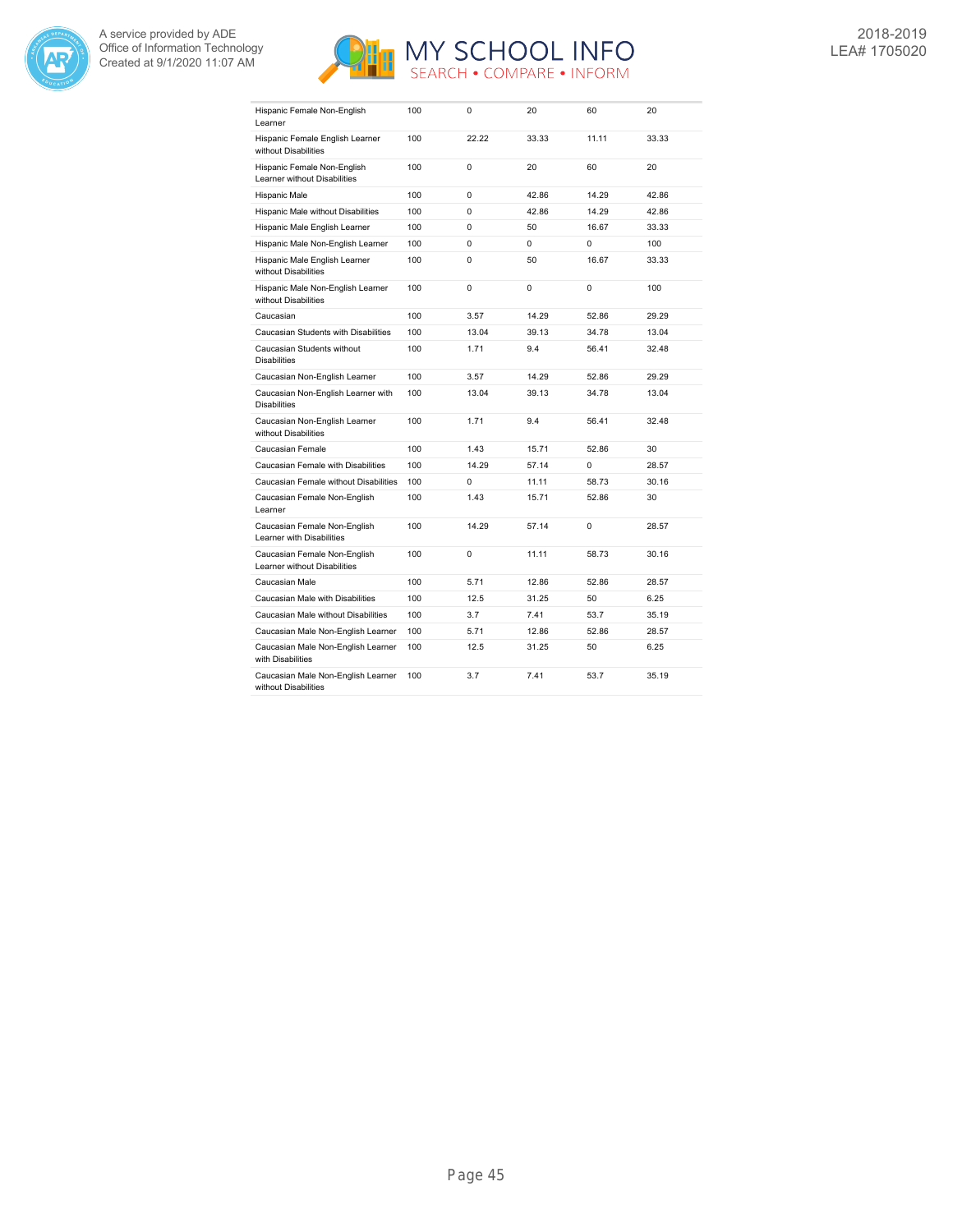



| Hispanic Female Non-English<br>Learner                       | 100 | 0        | 20    | 60       | 20    |
|--------------------------------------------------------------|-----|----------|-------|----------|-------|
| Hispanic Female English Learner<br>without Disabilities      | 100 | 22.22    | 33.33 | 11.11    | 33.33 |
| Hispanic Female Non-English<br>Learner without Disabilities  | 100 | $\Omega$ | 20    | 60       | 20    |
| Hispanic Male                                                | 100 | $\Omega$ | 42.86 | 14.29    | 42.86 |
| Hispanic Male without Disabilities                           | 100 | $\Omega$ | 42.86 | 14.29    | 42.86 |
| Hispanic Male English Learner                                | 100 | $\Omega$ | 50    | 16.67    | 33.33 |
| Hispanic Male Non-English Learner                            | 100 | $\Omega$ | 0     | $\Omega$ | 100   |
| Hispanic Male English Learner<br>without Disabilities        | 100 | 0        | 50    | 16.67    | 33.33 |
| Hispanic Male Non-English Learner<br>without Disabilities    | 100 | $\Omega$ | 0     | $\Omega$ | 100   |
| Caucasian                                                    | 100 | 3.57     | 14.29 | 52.86    | 29.29 |
| Caucasian Students with Disabilities                         | 100 | 13.04    | 39.13 | 34.78    | 13.04 |
| Caucasian Students without<br><b>Disabilities</b>            | 100 | 1.71     | 9.4   | 56.41    | 32.48 |
| Caucasian Non-English Learner                                | 100 | 3.57     | 14.29 | 52.86    | 29.29 |
| Caucasian Non-English Learner with<br><b>Disabilities</b>    | 100 | 13.04    | 39.13 | 34.78    | 13.04 |
| Caucasian Non-English Learner<br>without Disabilities        | 100 | 1.71     | 9.4   | 56.41    | 32.48 |
| Caucasian Female                                             | 100 | 1.43     | 15.71 | 52.86    | 30    |
| Caucasian Female with Disabilities                           | 100 | 14.29    | 57.14 | $\Omega$ | 28.57 |
| Caucasian Female without Disabilities                        | 100 | $\Omega$ | 11.11 | 58.73    | 30.16 |
| Caucasian Female Non-English<br>Learner                      | 100 | 1.43     | 15.71 | 52.86    | 30    |
| Caucasian Female Non-English<br>Learner with Disabilities    | 100 | 14.29    | 57.14 | 0        | 28.57 |
| Caucasian Female Non-English<br>Learner without Disabilities | 100 | 0        | 11.11 | 58.73    | 30.16 |
| Caucasian Male                                               | 100 | 5.71     | 12.86 | 52.86    | 28.57 |
| Caucasian Male with Disabilities                             | 100 | 12.5     | 31.25 | 50       | 6.25  |
| Caucasian Male without Disabilities                          | 100 | 3.7      | 7.41  | 53.7     | 35.19 |
| Caucasian Male Non-English Learner                           | 100 | 5.71     | 12.86 | 52.86    | 28.57 |
| Caucasian Male Non-English Learner<br>with Disabilities      | 100 | 12.5     | 31.25 | 50       | 6.25  |
| Caucasian Male Non-English Learner<br>without Disabilities   | 100 | 3.7      | 7.41  | 53.7     | 35.19 |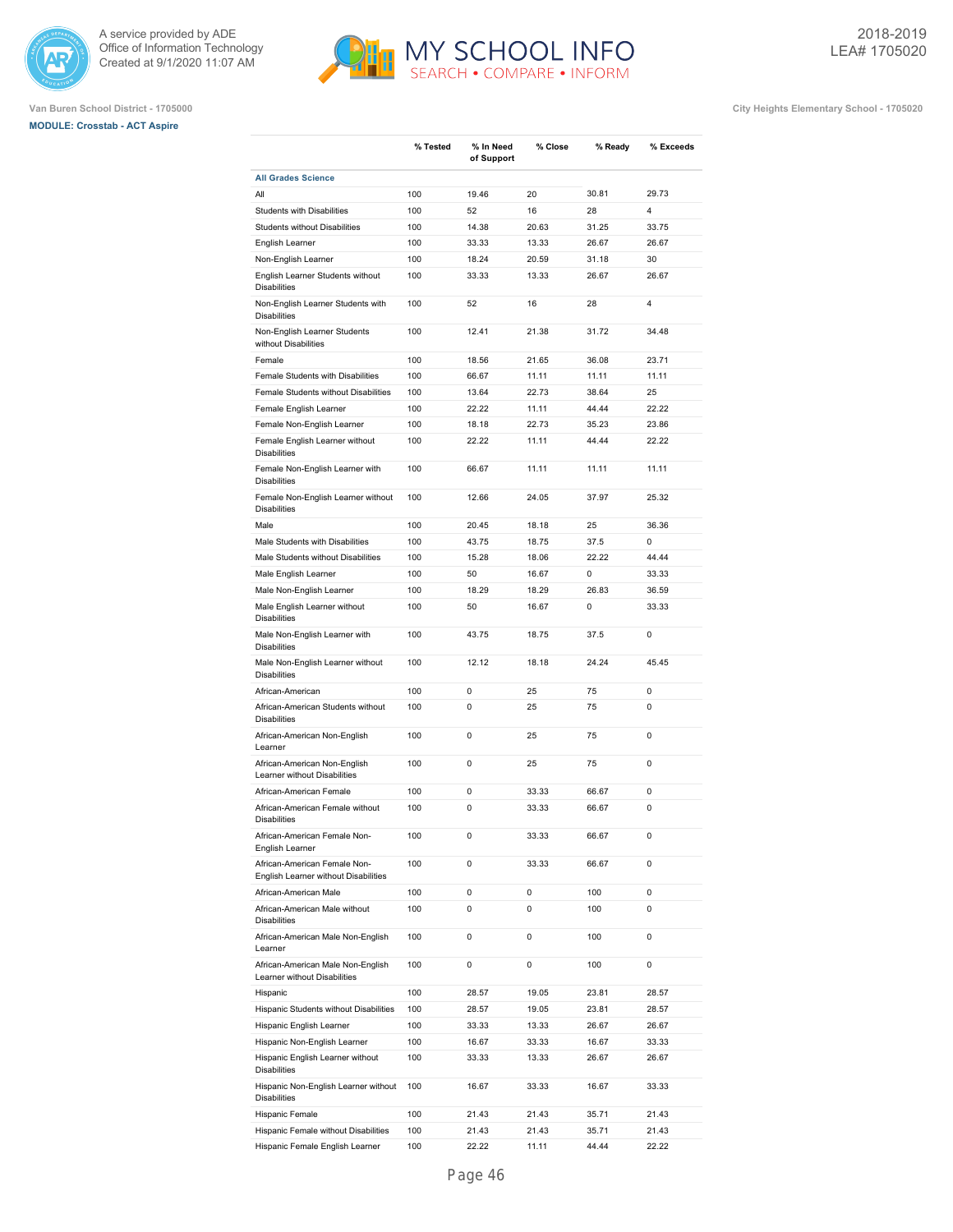

# **MODULE: Crosstab - ACT Aspire**





MY SCHOOL INFO

|                                                                               | % Tested | % In Need<br>of Support | % Close | % Ready | % Exceeds |
|-------------------------------------------------------------------------------|----------|-------------------------|---------|---------|-----------|
| <b>All Grades Science</b>                                                     |          |                         |         |         |           |
| All                                                                           | 100      | 19.46                   | 20      | 30.81   | 29.73     |
| <b>Students with Disabilities</b>                                             | 100      | 52                      | 16      | 28      | 4         |
| <b>Students without Disabilities</b>                                          | 100      | 14.38                   | 20.63   | 31.25   | 33.75     |
| English Learner                                                               | 100      | 33.33                   | 13.33   | 26.67   | 26.67     |
| Non-English Learner                                                           | 100      | 18.24                   | 20.59   | 31.18   | 30        |
| English Learner Students without<br><b>Disabilities</b>                       | 100      | 33.33                   | 13.33   | 26.67   | 26.67     |
| Non-English Learner Students with<br><b>Disabilities</b>                      | 100      | 52                      | 16      | 28      | 4         |
| Non-English Learner Students<br>without Disabilities                          | 100      | 12.41                   | 21.38   | 31.72   | 34.48     |
| Female                                                                        | 100      | 18.56                   | 21.65   | 36.08   | 23.71     |
| Female Students with Disabilities                                             | 100      | 66.67                   | 11.11   | 11.11   | 11.11     |
| Female Students without Disabilities                                          | 100      | 13.64                   | 22.73   | 38.64   | 25        |
| Female English Learner                                                        | 100      | 22.22                   | 11.11   | 44.44   | 22.22     |
| Female Non-English Learner                                                    | 100      | 18.18                   | 22.73   | 35.23   | 23.86     |
| Female English Learner without                                                | 100      | 22.22                   | 11.11   | 44.44   | 22.22     |
| <b>Disabilities</b><br>Female Non-English Learner with<br><b>Disabilities</b> | 100      | 66.67                   | 11.11   | 11.11   | 11.11     |
| Female Non-English Learner without<br><b>Disabilities</b>                     | 100      | 12.66                   | 24.05   | 37.97   | 25.32     |
| Male                                                                          | 100      | 20.45                   | 18.18   | 25      | 36.36     |
| Male Students with Disabilities                                               | 100      | 43.75                   | 18.75   | 37.5    | 0         |
| Male Students without Disabilities                                            | 100      | 15.28                   | 18.06   | 22.22   | 44.44     |
| Male English Learner                                                          | 100      | 50                      | 16.67   | 0       | 33.33     |
|                                                                               |          |                         |         |         |           |
| Male Non-English Learner                                                      | 100      | 18.29                   | 18.29   | 26.83   | 36.59     |
| Male English Learner without<br><b>Disabilities</b>                           | 100      | 50                      | 16.67   | 0       | 33.33     |
| Male Non-English Learner with<br><b>Disabilities</b>                          | 100      | 43.75                   | 18.75   | 37.5    | 0         |
| Male Non-English Learner without<br><b>Disabilities</b>                       | 100      | 12.12                   | 18.18   | 24.24   | 45.45     |
| African-American                                                              | 100      | 0                       | 25      | 75      | 0         |
| African-American Students without<br><b>Disabilities</b>                      | 100      | 0                       | 25      | 75      | 0         |
| African-American Non-English<br>Learner                                       | 100      | 0                       | 25      | 75      | 0         |
| African-American Non-English<br>Learner without Disabilities                  | 100      | 0                       | 25      | 75      | 0         |
| African-American Female                                                       | 100      | 0                       | 33.33   | 66.67   | 0         |
| African-American Female without<br><b>Disabilities</b>                        | 100      | 0                       | 33.33   | 66.67   | 0         |
| African-American Female Non-<br>English Learner                               | 100      | 0                       | 33.33   | 66.67   | 0         |
| African-American Female Non-<br>English Learner without Disabilities          | 100      | 0                       | 33.33   | 66.67   | 0         |
| African-American Male                                                         | 100      | 0                       | 0       | 100     | 0         |
| African-American Male without<br><b>Disabilities</b>                          | 100      | 0                       | 0       | 100     | 0         |
| African-American Male Non-English<br>Learner                                  | 100      | 0                       | 0       | 100     | 0         |
| African-American Male Non-English<br>Learner without Disabilities             | 100      | 0                       | 0       | 100     | 0         |
| Hispanic                                                                      | 100      | 28.57                   | 19.05   | 23.81   | 28.57     |
| Hispanic Students without Disabilities                                        | 100      | 28.57                   | 19.05   | 23.81   | 28.57     |
| Hispanic English Learner                                                      | 100      | 33.33                   | 13.33   | 26.67   | 26.67     |
| Hispanic Non-English Learner                                                  | 100      | 16.67                   | 33.33   | 16.67   | 33.33     |
| Hispanic English Learner without<br><b>Disabilities</b>                       | 100      | 33.33                   | 13.33   | 26.67   | 26.67     |
| Hispanic Non-English Learner without<br><b>Disabilities</b>                   | 100      | 16.67                   | 33.33   | 16.67   | 33.33     |
| Hispanic Female                                                               | 100      | 21.43                   | 21.43   | 35.71   | 21.43     |
| Hispanic Female without Disabilities                                          | 100      | 21.43                   | 21.43   | 35.71   | 21.43     |
| Hispanic Female English Learner                                               | 100      | 22.22                   | 11.11   | 44.44   | 22.22     |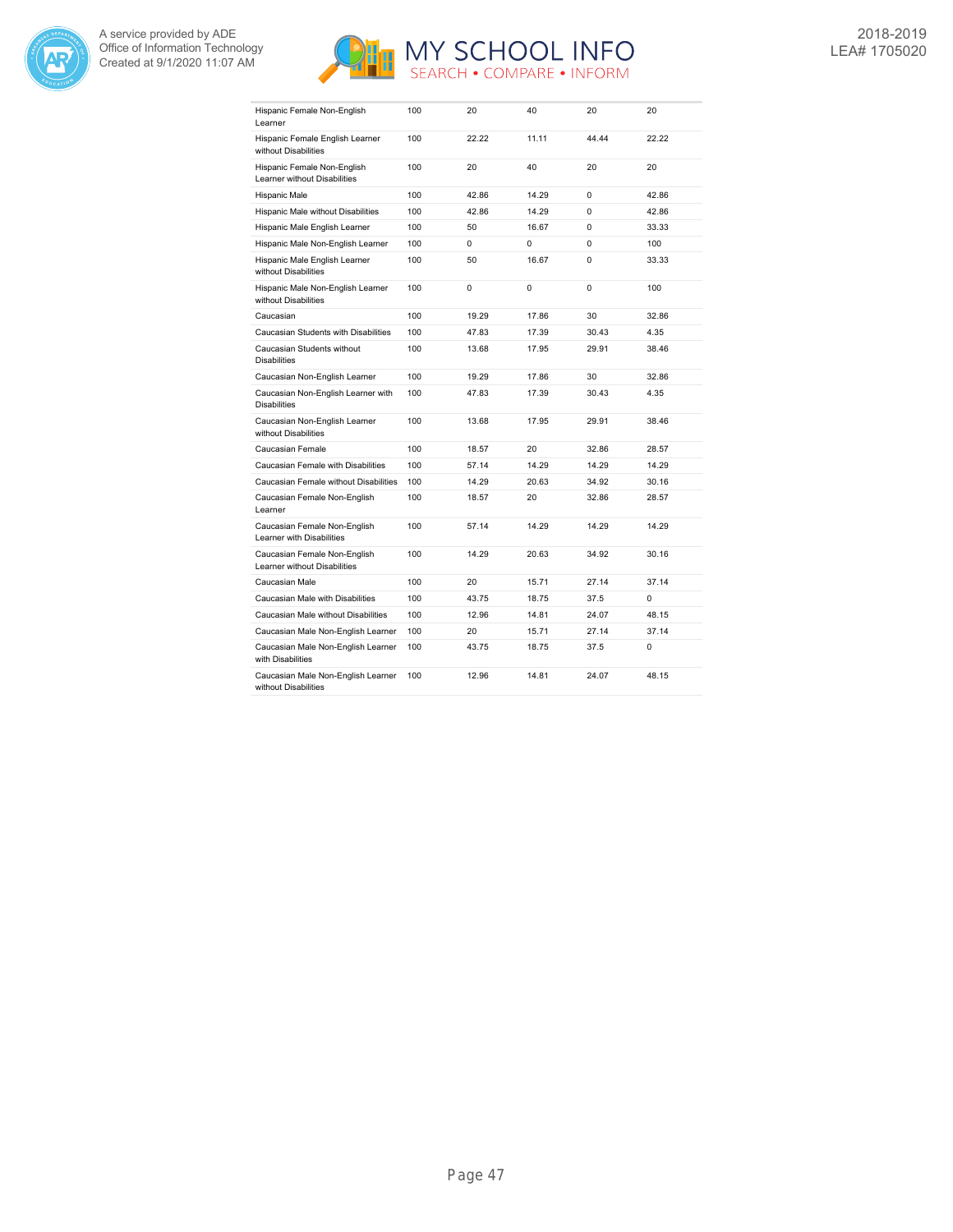



| Hispanic Female Non-English<br>Learner                       | 100 | 20       | 40       | 20       | 20    |
|--------------------------------------------------------------|-----|----------|----------|----------|-------|
| Hispanic Female English Learner<br>without Disabilities      | 100 | 22.22    | 11.11    | 44.44    | 22.22 |
| Hispanic Female Non-English<br>Learner without Disabilities  | 100 | 20       | 40       | 20       | 20    |
| Hispanic Male                                                | 100 | 42.86    | 14.29    | $\Omega$ | 42.86 |
| Hispanic Male without Disabilities                           | 100 | 42.86    | 14.29    | 0        | 42.86 |
| Hispanic Male English Learner                                | 100 | 50       | 16.67    | $\Omega$ | 33.33 |
| Hispanic Male Non-English Learner                            | 100 | $\Omega$ | $\Omega$ | $\Omega$ | 100   |
| Hispanic Male English Learner<br>without Disabilities        | 100 | 50       | 16.67    | 0        | 33.33 |
| Hispanic Male Non-English Learner<br>without Disabilities    | 100 | 0        | 0        | 0        | 100   |
| Caucasian                                                    | 100 | 19.29    | 17.86    | 30       | 32.86 |
| Caucasian Students with Disabilities                         | 100 | 47.83    | 17.39    | 30.43    | 4.35  |
| Caucasian Students without<br><b>Disabilities</b>            | 100 | 13.68    | 17.95    | 29.91    | 38.46 |
| Caucasian Non-English Learner                                | 100 | 19.29    | 17.86    | 30       | 32.86 |
| Caucasian Non-English Learner with<br><b>Disabilities</b>    | 100 | 47.83    | 17.39    | 30.43    | 4.35  |
| Caucasian Non-English Learner<br>without Disabilities        | 100 | 13.68    | 17.95    | 29.91    | 38.46 |
| Caucasian Female                                             | 100 | 18.57    | 20       | 32.86    | 28.57 |
| Caucasian Female with Disabilities                           | 100 | 57.14    | 14.29    | 14.29    | 14.29 |
| Caucasian Female without Disabilities                        | 100 | 14.29    | 20.63    | 34.92    | 30.16 |
| Caucasian Female Non-English<br>Learner                      | 100 | 18.57    | 20       | 32.86    | 28.57 |
| Caucasian Female Non-English<br>Learner with Disabilities    | 100 | 57.14    | 14.29    | 14.29    | 14.29 |
| Caucasian Female Non-English<br>Learner without Disabilities | 100 | 14.29    | 20.63    | 34.92    | 30.16 |
| Caucasian Male                                               | 100 | 20       | 15.71    | 27.14    | 37.14 |
| Caucasian Male with Disabilities                             | 100 | 43.75    | 18.75    | 37.5     | 0     |
| Caucasian Male without Disabilities                          | 100 | 12.96    | 14.81    | 24.07    | 48.15 |
| Caucasian Male Non-English Learner                           | 100 | 20       | 15.71    | 27.14    | 37.14 |
| Caucasian Male Non-English Learner<br>with Disabilities      | 100 | 43.75    | 18.75    | 37.5     | 0     |
| Caucasian Male Non-English Learner<br>without Disabilities   | 100 | 12.96    | 14.81    | 24.07    | 48.15 |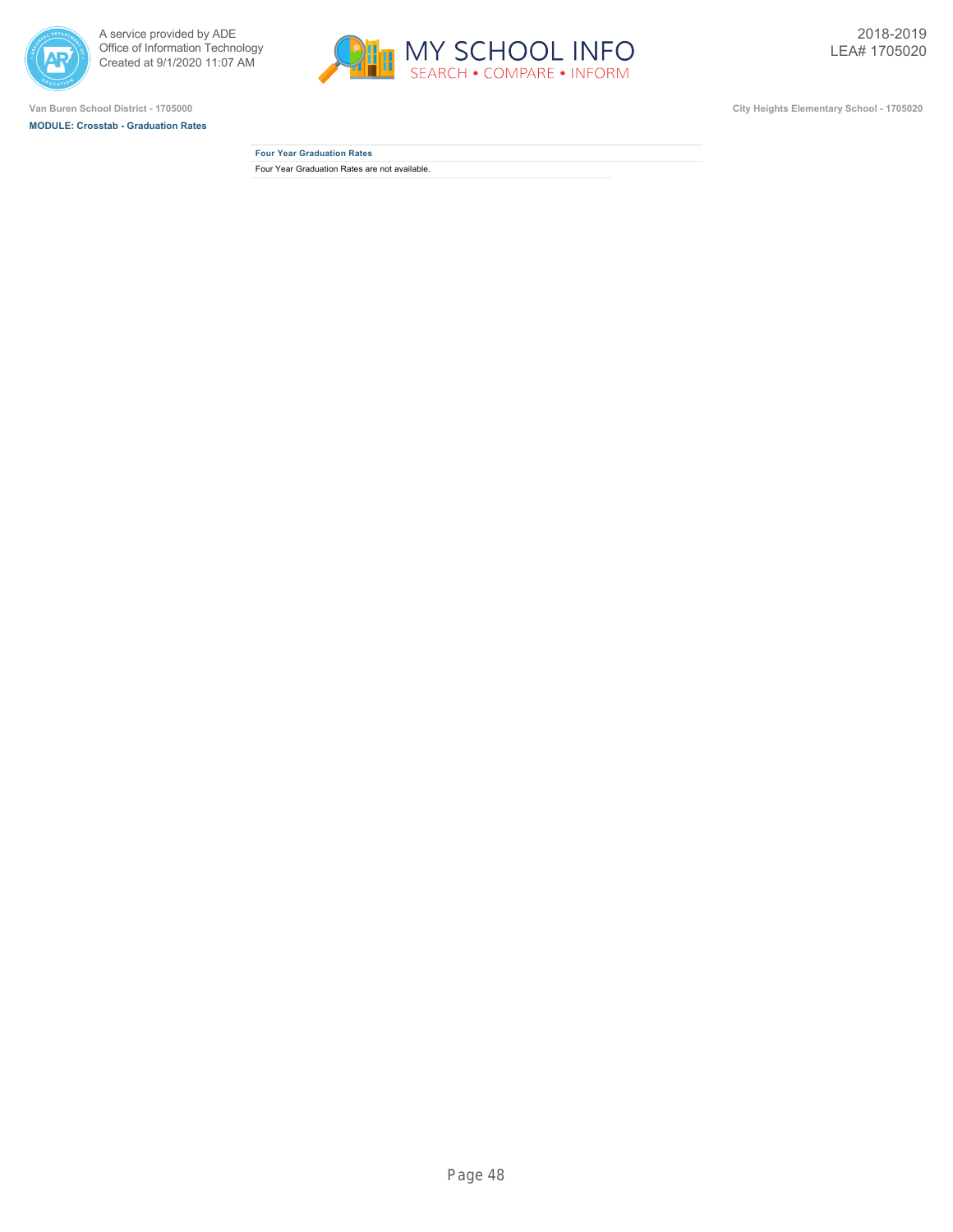



**MODULE: Crosstab - Graduation Rates**



**Four Year Graduation Rates** Four Year Graduation Rates are not available.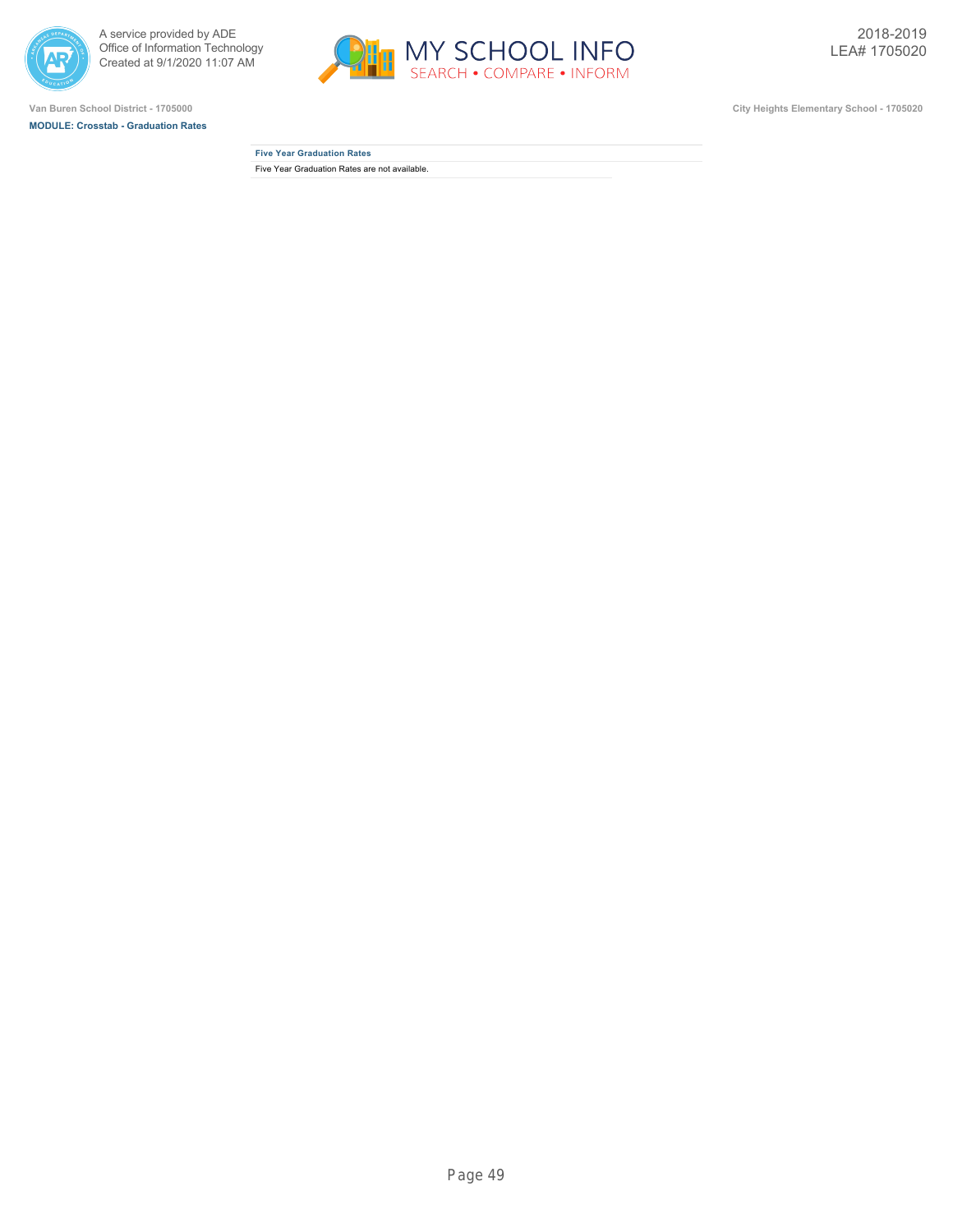



**MODULE: Crosstab - Graduation Rates**



| <b>Five Year Graduation Rates</b>             |  |
|-----------------------------------------------|--|
| Five Year Graduation Rates are not available. |  |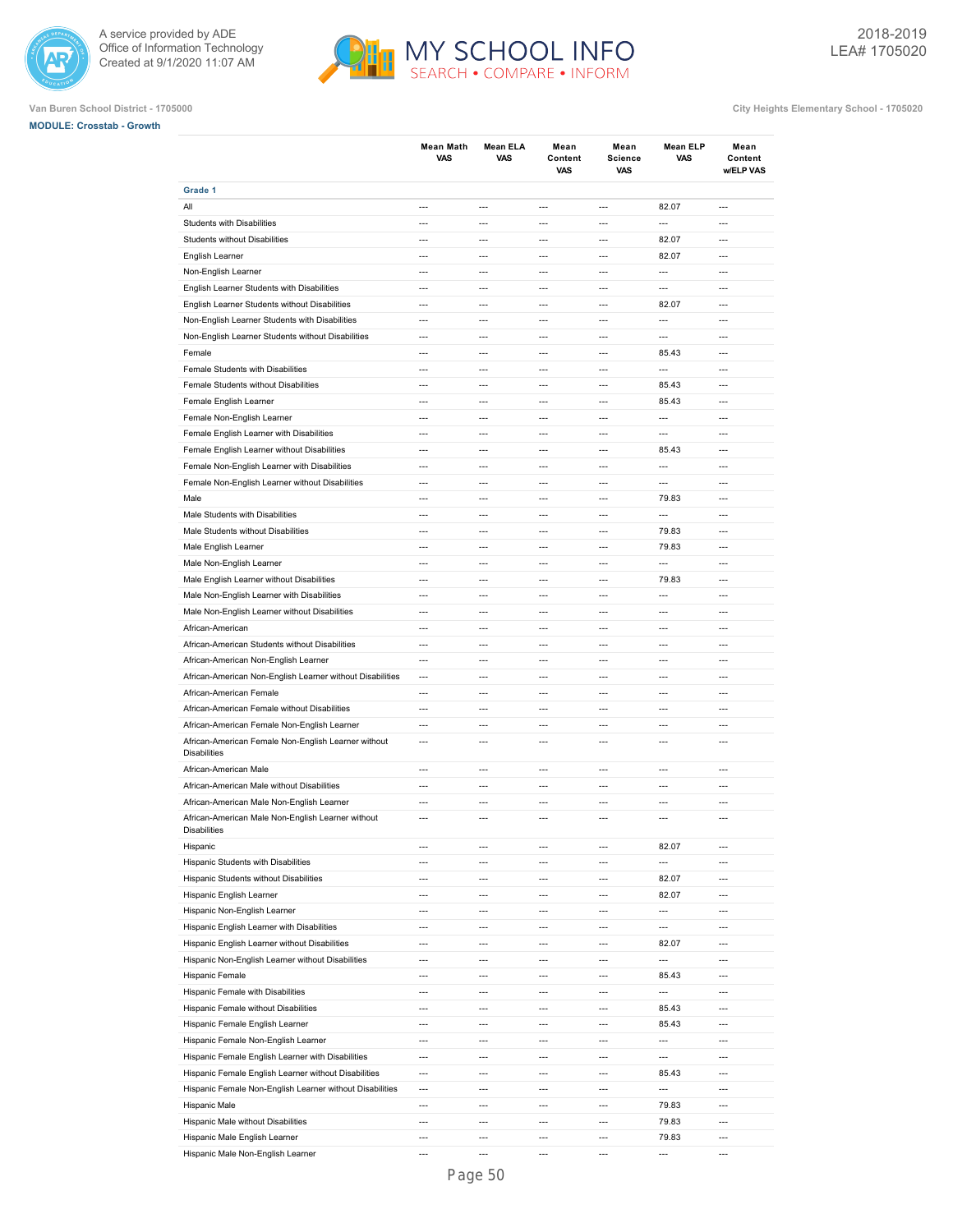



## **Van Buren School District - 1705000 City Heights Elementary School - 1705020**

**MODULE: Crosstab - Growth**

|                                                                     | <b>Mean Math</b><br>VAS  | <b>Mean ELA</b><br>VAS   | Mean<br>Content<br>VAS   | Mean<br><b>Science</b><br>VAS | <b>Mean ELP</b><br>VAS   | Mean<br>Content<br>w/ELP VAS |
|---------------------------------------------------------------------|--------------------------|--------------------------|--------------------------|-------------------------------|--------------------------|------------------------------|
| Grade 1                                                             |                          |                          |                          |                               |                          |                              |
| All                                                                 | $---$                    | $---$                    | $---$                    | $\overline{a}$                | 82.07                    | $---$                        |
| Students with Disabilities                                          | $\overline{a}$           | ---                      | $---$                    | $\overline{a}$                | $\overline{a}$           | ---                          |
| Students without Disabilities                                       | $---$                    | $---$                    | $---$                    | $---$                         | 82.07                    | $---$                        |
| English Learner                                                     | $---$                    | $---$                    | $---$                    | $\overline{a}$                | 82.07                    | $---$                        |
| Non-English Learner                                                 | $\overline{a}$           | $\overline{a}$           | $\overline{\phantom{a}}$ | $\overline{\phantom{a}}$      | ---                      | $\overline{a}$               |
| English Learner Students with Disabilities                          | $\overline{a}$           | $\overline{a}$           | $\overline{a}$           | $\overline{a}$                | $\overline{a}$           | $\overline{a}$               |
| English Learner Students without Disabilities                       | $\overline{a}$           | $\overline{a}$           | $\overline{\phantom{a}}$ | $\overline{\phantom{a}}$      | 82.07                    | $\overline{a}$               |
| Non-English Learner Students with Disabilities                      | $\overline{a}$           | $\overline{a}$           | $\overline{a}$           | $\overline{a}$                | $\overline{a}$           | $\overline{a}$               |
| Non-English Learner Students without Disabilities                   | $\overline{a}$           | ---                      | $\overline{a}$           | $\overline{\phantom{a}}$      | ---                      | $\overline{a}$               |
| Female                                                              | ---                      | ---                      | $\overline{a}$           | $\overline{a}$                | 85.43                    | $\overline{a}$               |
| Female Students with Disabilities                                   | $\overline{a}$           | $\overline{a}$           | $\overline{a}$           | $\overline{\phantom{a}}$      | ---                      | $\overline{\phantom{a}}$     |
| Female Students without Disabilities                                | $\overline{a}$           | ---                      | $\overline{a}$           | $\overline{a}$                | 85.43                    | $\overline{a}$               |
|                                                                     | $\overline{\phantom{a}}$ | $\overline{a}$           | $\overline{a}$           | $\overline{a}$                |                          | $\overline{a}$               |
| Female English Learner                                              | $\overline{a}$           | $\overline{a}$           |                          |                               | 85.43                    | $\overline{a}$               |
| Female Non-English Learner                                          |                          |                          | $\overline{a}$           | $\overline{a}$                | $\overline{a}$           |                              |
| Female English Learner with Disabilities                            | $\overline{\phantom{a}}$ | $\overline{a}$           | $\overline{a}$           | $\overline{a}$                | $\overline{a}$           | $\overline{\phantom{a}}$     |
| Female English Learner without Disabilities                         | $\overline{a}$           | $\overline{a}$           | $\overline{a}$           | $\overline{a}$                | 85.43                    | $\overline{a}$               |
| Female Non-English Learner with Disabilities                        | $---$                    | ---                      | $---$                    | $\overline{a}$                | $\overline{a}$           | $---$                        |
| Female Non-English Learner without Disabilities                     | $---$                    | $---$                    | $---$                    | $\overline{a}$                | $\overline{a}$           | $---$                        |
| Male                                                                | $---$                    | $---$                    | $---$                    | $\overline{\phantom{a}}$      | 79.83                    | $---$                        |
| Male Students with Disabilities                                     | $---$                    | $---$                    | $---$                    | $\overline{a}$                | $\overline{a}$           | $---$                        |
| Male Students without Disabilities                                  | $\overline{a}$           | $\overline{a}$           | $\overline{a}$           | $\overline{a}$                | 79.83                    | $\overline{a}$               |
| Male English Learner                                                | $\overline{a}$           | $\overline{a}$           | $\overline{\phantom{a}}$ | $\overline{\phantom{a}}$      | 79.83                    | $\overline{a}$               |
| Male Non-English Learner                                            | $\overline{a}$           | $\overline{a}$           | $\overline{a}$           | $\overline{a}$                | $\overline{a}$           | $\overline{a}$               |
| Male English Learner without Disabilities                           | $\overline{\phantom{a}}$ | ---                      | $\overline{\phantom{a}}$ | $\overline{\phantom{a}}$      | 79.83                    | $\overline{\phantom{a}}$     |
| Male Non-English Learner with Disabilities                          | $\overline{a}$           | ---                      | $\overline{a}$           | $\overline{a}$                | ---                      | $\overline{a}$               |
| Male Non-English Learner without Disabilities                       | $\overline{a}$           | $\overline{a}$           | $\overline{a}$           | $\overline{\phantom{a}}$      | $\overline{a}$           | $\overline{\phantom{a}}$     |
| African-American                                                    | $\overline{a}$           | ---                      | $\overline{a}$           | $\overline{a}$                | ---                      | $\overline{a}$               |
| African-American Students without Disabilities                      | $\overline{\phantom{a}}$ | ---                      | $\overline{a}$           | $\overline{\phantom{a}}$      | ---                      | $\overline{a}$               |
| African-American Non-English Learner                                | $\overline{a}$           | $\overline{a}$           | $\overline{a}$           | $\overline{a}$                | $\overline{a}$           | $\overline{a}$               |
| African-American Non-English Learner without Disabilities           | $\overline{\phantom{a}}$ | $\overline{a}$           | $\overline{a}$           | $\overline{a}$                | ---                      | $\overline{\phantom{a}}$     |
| African-American Female                                             | $\overline{a}$           | $\overline{a}$           | $\overline{a}$           | $\overline{a}$                | $\overline{a}$           | $\overline{a}$               |
| African-American Female without Disabilities                        | $\overline{a}$           | $\overline{a}$           | $\overline{a}$           | $\overline{a}$                | $\overline{a}$           | $\overline{a}$               |
| African-American Female Non-English Learner                         | $---$                    | $---$                    | $---$                    | $\overline{a}$                | $---$                    | $---$                        |
| African-American Female Non-English Learner without                 | $---$                    | $---$                    | $---$                    | $\overline{a}$                | $\overline{a}$           | $\overline{a}$               |
| <b>Disabilities</b>                                                 |                          |                          |                          |                               |                          |                              |
| African-American Male                                               | $---$                    | ---                      | $---$                    | $\overline{a}$                | $\overline{a}$           | $---$                        |
| African-American Male without Disabilities                          | $---$                    | $---$                    | $---$                    | $---$                         | $---$                    | $---$                        |
| African-American Male Non-English Learner                           | $\overline{a}$           | ---                      | $---$                    | $\overline{a}$                | ---                      | $\overline{a}$               |
| African-American Male Non-English Learner without                   | $---$                    | ---                      | $---$                    | $\overline{a}$                | $\overline{a}$           | $\overline{a}$               |
| <b>Disabilities</b>                                                 |                          |                          |                          |                               |                          |                              |
| Hispanic                                                            | $---$                    | $---$                    | $\overline{a}$           | $\overline{\phantom{a}}$      | 82.07                    | $\overline{\phantom{a}}$     |
| Hispanic Students with Disabilities                                 | ---                      | ---                      | $\overline{a}$           | $\overline{\phantom{a}}$      | ---                      | ---                          |
| Hispanic Students without Disabilities                              | $\overline{\phantom{a}}$ | $\overline{a}$           | $\overline{a}$           | $\overline{a}$                | 82.07                    | $\overline{\phantom{a}}$     |
| Hispanic English Learner                                            | $---$                    | $\overline{a}$           | $\overline{a}$           | $\overline{a}$                | 82.07                    | $\overline{\phantom{a}}$     |
| Hispanic Non-English Learner                                        | $\overline{\phantom{a}}$ | $\overline{a}$           | $\overline{a}$           | $\overline{a}$                | ---                      | $\overline{\phantom{a}}$     |
|                                                                     |                          |                          |                          |                               |                          |                              |
| Hispanic English Learner with Disabilities                          | $\overline{\phantom{a}}$ | ---                      | $\overline{a}$           | $\overline{a}$                | ---                      | $\overline{\phantom{a}}$     |
| Hispanic English Learner without Disabilities                       | $\overline{\phantom{a}}$ | ---                      | $\overline{\phantom{a}}$ | $\overline{\phantom{a}}$      | 82.07                    | $\overline{\phantom{a}}$     |
| Hispanic Non-English Learner without Disabilities                   | $\overline{a}$           | ---                      | $\overline{a}$           | $\overline{a}$                | $\overline{\phantom{a}}$ | ---                          |
| Hispanic Female                                                     | $\overline{\phantom{a}}$ | $\overline{\phantom{a}}$ | $\hspace{0.05cm} \ldots$ | $\hspace{0.05cm} \ldots$      | 85.43                    | $\hspace{0.05cm} \ldots$     |
| Hispanic Female with Disabilities                                   | ---                      | ---                      | $\overline{a}$           | $\overline{\phantom{a}}$      | $\overline{\phantom{a}}$ | $\overline{a}$               |
| Hispanic Female without Disabilities                                | ---                      | ---                      | $\overline{\phantom{a}}$ | $\overline{\phantom{a}}$      | 85.43                    | $\overline{\phantom{a}}$     |
| Hispanic Female English Learner                                     | $\overline{a}$           | ---                      | $\overline{a}$           | $\overline{\phantom{a}}$      | 85.43                    | $\overline{\phantom{a}}$     |
| Hispanic Female Non-English Learner                                 | $\overline{\phantom{a}}$ | $\overline{\phantom{a}}$ | $\overline{\phantom{a}}$ | $\overline{\phantom{a}}$      | ---                      | $\overline{\phantom{a}}$     |
| Hispanic Female English Learner with Disabilities                   | $\overline{a}$           | $\overline{a}$           | $\overline{a}$           | $\overline{a}$                | ---                      | $\overline{\phantom{a}}$     |
| Hispanic Female English Learner without Disabilities                |                          |                          |                          |                               |                          | $\overline{\phantom{a}}$     |
|                                                                     | $---$                    | ---                      | $\overline{\phantom{a}}$ | $\overline{\phantom{a}}$      | 85.43                    |                              |
| Hispanic Female Non-English Learner without Disabilities            | $\overline{\phantom{a}}$ | $---$                    | $\overline{a}$           | $\overline{\phantom{a}}$      | $\overline{a}$           | $---$                        |
| Hispanic Male                                                       | $\overline{\phantom{a}}$ | $\overline{\phantom{a}}$ | $\overline{\phantom{a}}$ | $\overline{\phantom{a}}$      | 79.83                    | $\overline{\phantom{a}}$     |
|                                                                     | $---$                    | $---$                    | $\overline{a}$           | $\overline{\phantom{a}}$      | 79.83                    | $---$                        |
| Hispanic Male without Disabilities<br>Hispanic Male English Learner | $\overline{\phantom{a}}$ | ---                      | $\overline{a}$           | $\overline{a}$                | 79.83                    | $\overline{a}$               |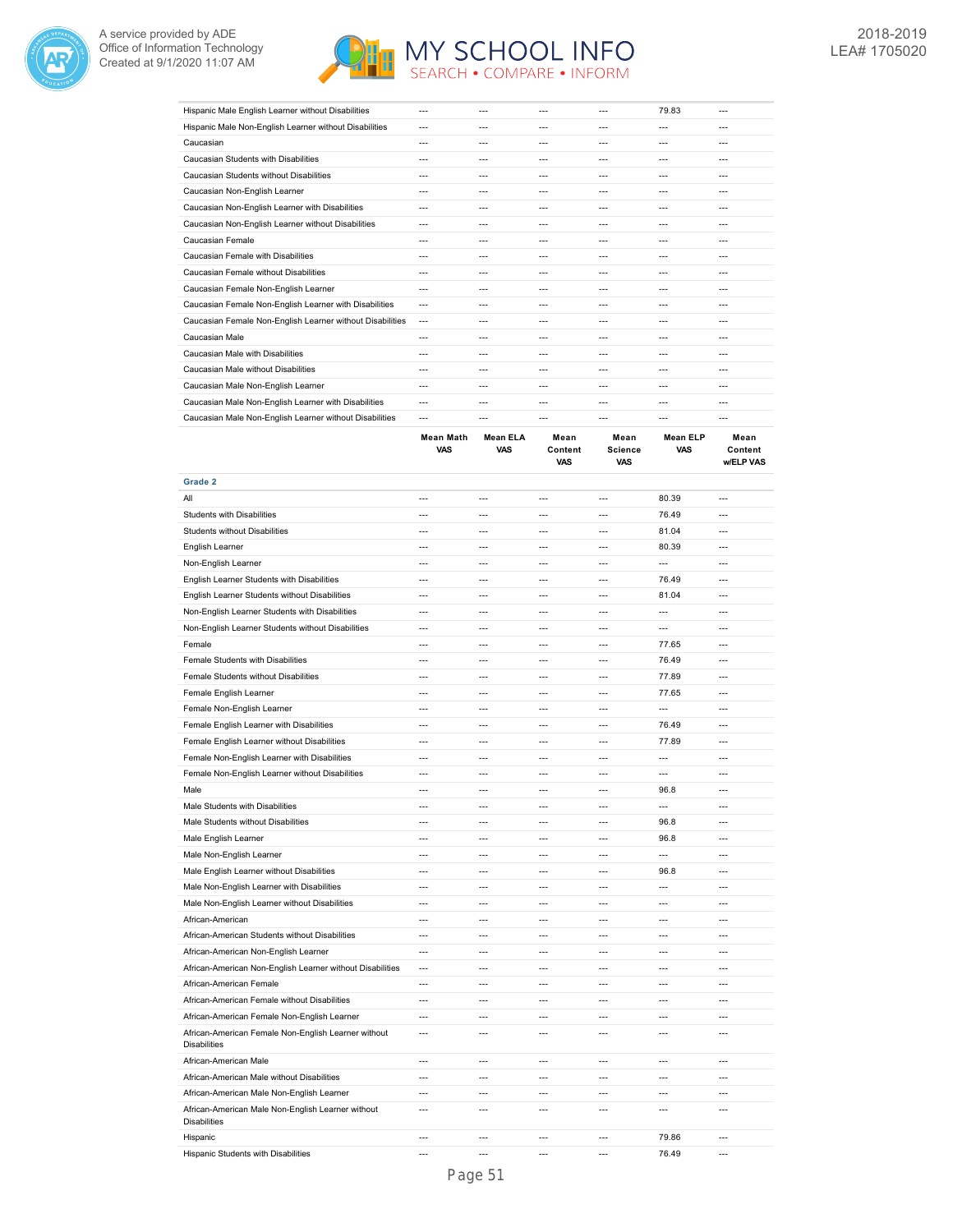



| Hispanic Male English Learner without Disabilities        | ---     | --- |         | --- | 79.83 | $- - -$ |
|-----------------------------------------------------------|---------|-----|---------|-----|-------|---------|
| Hispanic Male Non-English Learner without Disabilities    | $---$   | --- | $- - -$ | --- | ---   | ---     |
| Caucasian                                                 | ---     | --- | $- - -$ | --- | ---   | $- - -$ |
| Caucasian Students with Disabilities                      | $- - -$ | --- | $- - -$ | --- | ---   | ---     |
| Caucasian Students without Disabilities                   | $- - -$ | --- | $- - -$ | --- | $- -$ | ---     |
| Caucasian Non-English Learner                             | $- - -$ | --- | $- - -$ | --- | ---   | ---     |
| Caucasian Non-English Learner with Disabilities           | $---$   | --- | $- - -$ | --- | $- -$ | $---$   |
| Caucasian Non-English Learner without Disabilities        | ---     | --- | $- - -$ | --- | ---   | $- - -$ |
| Caucasian Female                                          | $- - -$ | --- | ---     | --- | $- -$ | ---     |
| Caucasian Female with Disabilities                        | $- - -$ | --- |         | --- | $- -$ | ---     |
| Caucasian Female without Disabilities                     | ---     | --- | ---     | --- | ---   | ---     |
| Caucasian Female Non-English Learner                      | ---     | --- | ---     | --- | ---   | $---$   |
| Caucasian Female Non-English Learner with Disabilities    | ---     | --- | $- - -$ | --- | ---   | ---     |
| Caucasian Female Non-English Learner without Disabilities | $- - -$ | --- | $- - -$ | --- | ---   | ---     |
| Caucasian Male                                            | ---     | --- | $- - -$ | --- | $- -$ | ---     |
| Caucasian Male with Disabilities                          | $- - -$ | --- | $- - -$ | --- | ---   | $- - -$ |
| Caucasian Male without Disabilities                       | $---$   | --- | $- - -$ | --- | $- -$ | $- - -$ |
| Caucasian Male Non-English Learner                        | $- - -$ | --- | $- - -$ | --- | $- -$ | ---     |
| Caucasian Male Non-English Learner with Disabilities      | ---     | --- |         | --- |       | ---     |
| Caucasian Male Non-English Learner without Disabilities   | ---     |     |         |     |       | ---     |

|                                                                          | <b>Mean Math</b><br><b>VAS</b> | <b>Mean ELA</b><br><b>VAS</b> | Mean<br>Content<br>VAS | Mean<br><b>Science</b><br>VAS | <b>Mean ELP</b><br><b>VAS</b> | Mean<br>Content<br>w/ELP VAS |
|--------------------------------------------------------------------------|--------------------------------|-------------------------------|------------------------|-------------------------------|-------------------------------|------------------------------|
| Grade 2                                                                  |                                |                               |                        |                               |                               |                              |
| All                                                                      | ---                            | ---                           | $\overline{a}$         | $\overline{a}$                | 80.39                         | $\overline{a}$               |
| Students with Disabilities                                               | $\overline{a}$                 | $\overline{a}$                | $\overline{a}$         | $\overline{a}$                | 76.49                         | $\overline{a}$               |
| Students without Disabilities                                            | $---$                          | ---                           | $\overline{a}$         | ---                           | 81.04                         | $\overline{a}$               |
| English Learner                                                          | $\overline{a}$                 | ---                           | $\overline{a}$         | ---                           | 80.39                         | $\overline{a}$               |
| Non-English Learner                                                      | $\overline{a}$                 | $\overline{a}$                | $\overline{a}$         | $\overline{a}$                | $\overline{a}$                | $\overline{a}$               |
| English Learner Students with Disabilities                               | ---                            | $---$                         | $---$                  | $\overline{a}$                | 76.49                         | $---$                        |
| English Learner Students without Disabilities                            | ---                            | ---                           | ---                    | $\overline{\phantom{a}}$      | 81.04                         | $\overline{a}$               |
| Non-English Learner Students with Disabilities                           | $\overline{a}$                 | $---$                         | $\overline{a}$         | $\overline{a}$                | $\overline{a}$                | $---$                        |
| Non-English Learner Students without Disabilities                        | $\overline{a}$                 | ---                           | $\overline{a}$         | $\overline{a}$                | $\overline{a}$                | ---                          |
| Female                                                                   | ---                            | $\overline{a}$                | $\overline{a}$         | $\overline{a}$                | 77.65                         | $\overline{a}$               |
| Female Students with Disabilities                                        | ---                            | ---                           | ---                    | $\overline{a}$                | 76.49                         | ---                          |
| Female Students without Disabilities                                     |                                |                               | $\overline{a}$         | ---                           | 77.89                         | ---                          |
| Female English Learner                                                   | $\overline{a}$                 | $\overline{a}$                | $\overline{a}$         | $\overline{a}$                | 77.65                         | $\overline{a}$               |
| Female Non-English Learner                                               | ---                            | ---                           | $\overline{a}$         | $\overline{a}$                | ---                           | $\overline{a}$               |
| Female English Learner with Disabilities                                 | $\overline{a}$                 | $\overline{a}$                | $\overline{a}$         | $\overline{a}$                | 76.49                         | $\overline{a}$               |
| Female English Learner without Disabilities                              | $\overline{a}$                 | $---$                         | $\overline{a}$         | $---$                         | 77.89                         | $---$                        |
| Female Non-English Learner with Disabilities                             | ---                            | ---                           | ---                    | $\overline{a}$                | ---                           | ---                          |
| Female Non-English Learner without Disabilities                          | $\overline{a}$                 | $\sim$                        | $\overline{a}$         | $\overline{a}$                | $\overline{a}$                | $\overline{a}$               |
| Male                                                                     | $\overline{a}$                 | $\overline{a}$                | $\overline{a}$         | $\overline{a}$                | 96.8                          | $\overline{a}$               |
| Male Students with Disabilities                                          | ---                            | ---                           | $\overline{a}$         | $\overline{\phantom{a}}$      | ---                           | $\overline{a}$               |
| Male Students without Disabilities                                       | $-$                            | $\overline{a}$                | $\overline{a}$         | $\overline{a}$                | 96.8                          | $\overline{a}$               |
| Male English Learner                                                     | $\overline{a}$                 | ---                           | $\overline{a}$         | $\overline{a}$                | 96.8                          | $---$                        |
| Male Non-English Learner                                                 | $\overline{a}$                 | ---                           | ---                    | ---                           | ---                           | $\overline{a}$               |
| Male English Learner without Disabilities                                | $\overline{a}$                 | $\overline{a}$                | $\overline{a}$         | $\overline{a}$                | 96.8                          | $\overline{a}$               |
| Male Non-English Learner with Disabilities                               | ---                            | ---                           | $\overline{a}$         | ---                           | $\overline{a}$                | ---                          |
| Male Non-English Learner without Disabilities                            | $\overline{a}$                 | ---                           | $\overline{a}$         | ---                           | $\overline{a}$                | ---                          |
| African-American                                                         | $\overline{a}$                 | ---                           | $\overline{a}$         | $\overline{a}$                | $---$                         | $---$                        |
| African-American Students without Disabilities                           | $\overline{a}$                 | ---                           | $\overline{a}$         | $\overline{a}$                | $\overline{a}$                | ---                          |
| African-American Non-English Learner                                     | ---                            | ---                           | ---                    | $\overline{a}$                | $\overline{a}$                | $\overline{a}$               |
| African-American Non-English Learner without Disabilities                | $---$                          | $---$                         | $---$                  | $---$                         | $---$                         | $---$                        |
| African-American Female                                                  | $\overline{a}$                 | ---                           | $\overline{a}$         | ---                           | ---                           | ---                          |
| African-American Female without Disabilities                             | $\overline{a}$                 | $\overline{a}$                | $\overline{a}$         | $\overline{a}$                | $\overline{a}$                | $\overline{a}$               |
| African-American Female Non-English Learner                              | $\overline{a}$                 | $\overline{a}$                | $\overline{a}$         | $\overline{a}$                | $\overline{a}$                | $\overline{a}$               |
| African-American Female Non-English Learner without                      | ---                            | ---                           | $\overline{a}$         | ---                           | ---                           | $\overline{a}$               |
| <b>Disabilities</b>                                                      |                                |                               |                        |                               |                               |                              |
| African-American Male                                                    | $\overline{a}$                 | $---$                         | $---$                  | $---$                         | $---$                         | $---$                        |
| African-American Male without Disabilities                               | $---$                          | ---                           | $\overline{a}$         | $\overline{a}$                | $\overline{a}$                | ---                          |
| African-American Male Non-English Learner                                | $\overline{a}$                 | $\overline{a}$                | $\overline{a}$         | $\overline{a}$                | $\overline{a}$                | $\overline{a}$               |
| African-American Male Non-English Learner without<br><b>Disabilities</b> | $\overline{a}$                 | $\overline{a}$                | $\overline{a}$         | $\overline{a}$                | $\overline{a}$                | $\overline{a}$               |
| Hispanic                                                                 | ---                            | $\overline{a}$                | $\overline{a}$         | ---                           | 79.86                         | ---                          |
| Hispanic Students with Disabilities                                      | $-$                            | $---$                         | $\overline{a}$         | $\overline{a}$                | 76.49                         | $\overline{a}$               |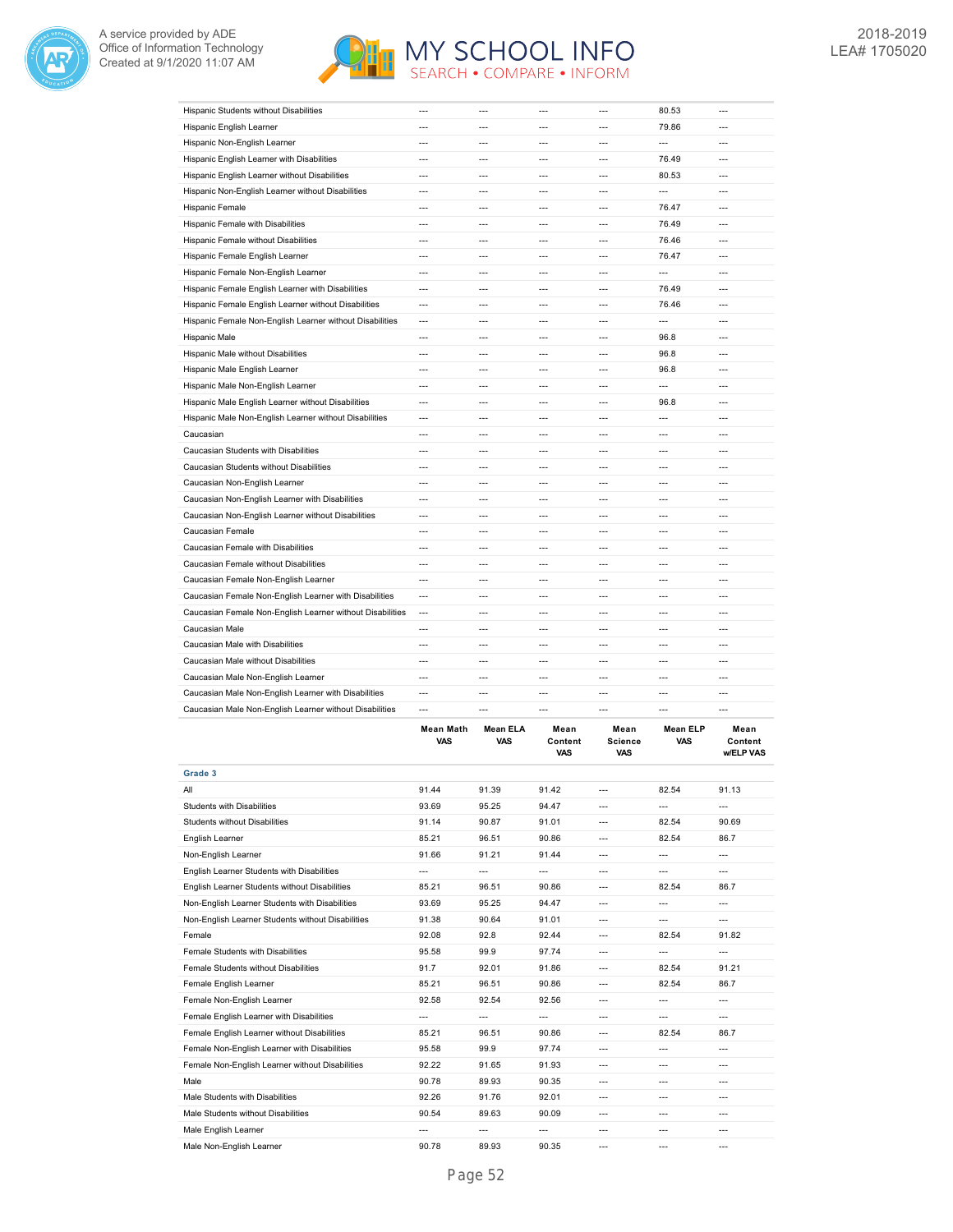



|                                                           |                          |                |                |                          | EL D                     |                |
|-----------------------------------------------------------|--------------------------|----------------|----------------|--------------------------|--------------------------|----------------|
| Caucasian Male Non-English Learner without Disabilities   | $\overline{a}$           | ---            | ---            | $\overline{a}$           | $---$                    | $---$          |
| Caucasian Male Non-English Learner with Disabilities      | ---                      | ---            | ---            | ---                      | ---                      | ---            |
| Caucasian Male Non-English Learner                        | ---                      | ---            | ---            | ---                      | ---                      | ---            |
| Caucasian Male without Disabilities                       | $\overline{a}$           | $\overline{a}$ | ---            | ---                      | $\overline{a}$           | $\overline{a}$ |
| Caucasian Male with Disabilities                          | ---                      | $---$          | $---$          | $\overline{a}$           | $\overline{\phantom{a}}$ | ---            |
| Caucasian Male                                            | $\overline{a}$           | ---            | ---            | $\overline{a}$           | $\overline{a}$           | $---$          |
| Caucasian Female Non-English Learner without Disabilities | $\overline{\phantom{a}}$ | ---            | ---            | $\overline{\phantom{a}}$ | $---$                    | ---            |
| Caucasian Female Non-English Learner with Disabilities    | $\overline{\phantom{a}}$ | ---            | ---            | ---                      | $\overline{a}$           | ---            |
| Caucasian Female Non-English Learner                      | $\overline{a}$           | $\overline{a}$ | $---$          | $\overline{a}$           | $\overline{a}$           | $\overline{a}$ |
| Caucasian Female without Disabilities                     | $---$                    | $---$          | $---$          | $---$                    | $---$                    | $---$          |
| Caucasian Female with Disabilities                        | $---$                    | $---$          | ---            | $\overline{a}$           | $\overline{a}$           | $\overline{a}$ |
| Caucasian Female                                          | $\overline{a}$           | $\overline{a}$ | ---            | ---                      | $\overline{a}$           | ---            |
| Caucasian Non-English Learner without Disabilities        | $\overline{a}$           | $---$          | ---            | $\overline{a}$           | $---$                    | $---$          |
| Caucasian Non-English Learner with Disabilities           | $\overline{a}$           | $\overline{a}$ | ---            | $\overline{a}$           | $\overline{a}$           | $\overline{a}$ |
| Caucasian Non-English Learner                             | $---$                    | $---$          | $---$          | $\overline{a}$           | $---$                    | $---$          |
| Caucasian Students without Disabilities                   | $---$                    | $---$          | ---            | $\overline{a}$           | $---$                    | $\overline{a}$ |
| Caucasian Students with Disabilities                      | ---                      | ---            | ---            | ---                      | $\cdots$                 | ---            |
| Caucasian                                                 | ---                      | ---            | ---            | ---                      | $\overline{a}$           | ---            |
| Hispanic Male Non-English Learner without Disabilities    | ---                      | ---            | ---            | $\overline{a}$           | $\overline{a}$           | $---$          |
| Hispanic Male English Learner without Disabilities        | $---$                    | $---$          | $---$          | $\overline{a}$           | 96.8                     | $---$          |
| Hispanic Male Non-English Learner                         | ---                      | $\overline{a}$ | $\overline{a}$ | $\overline{a}$           | $\overline{a}$           | ---            |
| Hispanic Male English Learner                             | ---                      | ---            | ---            | ---                      | 96.8                     | ---            |
| Hispanic Male without Disabilities                        | $\overline{a}$           | $---$          | ---            | $\overline{a}$           | 96.8                     | ---            |
| Hispanic Male                                             | $\overline{a}$           | $\overline{a}$ | ---            | $\overline{a}$           | 96.8                     | $\overline{a}$ |
| Hispanic Female Non-English Learner without Disabilities  | ---                      | ---            | ---            | ---                      | $\qquad \qquad -$        | ---            |
| Hispanic Female English Learner without Disabilities      | ---                      | ---            | ---            | ---                      | 76.46                    | $\overline{a}$ |
| Hispanic Female English Learner with Disabilities         | ---                      | ---            | ---            | ---                      | 76.49                    | ---            |
| Hispanic Female Non-English Learner                       | $\overline{\phantom{a}}$ | ---            | ---            | ---                      | $---$                    | ---            |
| Hispanic Female English Learner                           | $---$                    | ---            | $---$          | $\overline{a}$           | 76.47                    | $---$          |
| Hispanic Female without Disabilities                      | ---                      | ---            | ---            | ---                      | 76.46                    | ---            |
| Hispanic Female with Disabilities                         | $\overline{a}$           | $\overline{a}$ | $\overline{a}$ | $\overline{a}$           | 76.49                    | $\overline{a}$ |
| Hispanic Female                                           | ---                      | ---            | ---            | ---                      | 76.47                    | ---            |
| Hispanic Non-English Learner without Disabilities         | $\overline{a}$           | $\overline{a}$ | $---$          | $\overline{a}$           | $\overline{a}$           | $\overline{a}$ |
| Hispanic English Learner without Disabilities             | $\overline{a}$           | $\overline{a}$ | ---            | $\overline{a}$           | 80.53                    | $---$          |
| Hispanic English Learner with Disabilities                | ---                      | ---            | ---            | ---                      | 76.49                    | ---            |
| Hispanic Non-English Learner                              | $\overline{a}$           | $\overline{a}$ | ---            | ---                      | $\overline{\phantom{a}}$ | $\overline{a}$ |
| Hispanic English Learner                                  | ---                      | ---            | ---            | ---                      | 79.86                    | ---            |
| Hispanic Students without Disabilities                    | $---$                    | $---$          | $---$          | ---                      | 80.53                    | $---$          |

|                                                   | <b>Mean Math</b><br><b>VAS</b> | <b>Mean ELA</b><br><b>VAS</b> | Mean<br>Content<br><b>VAS</b> | Mean<br><b>Science</b><br><b>VAS</b> | <b>Mean ELP</b><br><b>VAS</b> | Mean<br>Content<br><b>w/ELP VAS</b> |
|---------------------------------------------------|--------------------------------|-------------------------------|-------------------------------|--------------------------------------|-------------------------------|-------------------------------------|
| Grade 3                                           |                                |                               |                               |                                      |                               |                                     |
| All                                               | 91.44                          | 91.39                         | 91.42                         | ---                                  | 82.54                         | 91.13                               |
| Students with Disabilities                        | 93.69                          | 95.25                         | 94.47                         | ---                                  | ---                           | $---$                               |
| Students without Disabilities                     | 91.14                          | 90.87                         | 91.01                         | ---                                  | 82.54                         | 90.69                               |
| English Learner                                   | 85.21                          | 96.51                         | 90.86                         | ---                                  | 82.54                         | 86.7                                |
| Non-English Learner                               | 91.66                          | 91.21                         | 91.44                         | $---$                                | $---$                         | ---                                 |
| English Learner Students with Disabilities        | ---                            | ---                           | $---$                         | ---                                  | $---$                         | ---                                 |
| English Learner Students without Disabilities     | 85.21                          | 96.51                         | 90.86                         | $---$                                | 82.54                         | 86.7                                |
| Non-English Learner Students with Disabilities    | 93.69                          | 95.25                         | 94.47                         | ---                                  | ---                           | ---                                 |
| Non-English Learner Students without Disabilities | 91.38                          | 90.64                         | 91.01                         | ---                                  | ---                           | ---                                 |
| Female                                            | 92.08                          | 92.8                          | 92.44                         | ---                                  | 82.54                         | 91.82                               |
| Female Students with Disabilities                 | 95.58                          | 99.9                          | 97.74                         | $---$                                | ---                           | ---                                 |
| Female Students without Disabilities              | 91.7                           | 92.01                         | 91.86                         | ---                                  | 82.54                         | 91.21                               |
| Female English Learner                            | 85.21                          | 96.51                         | 90.86                         | ---                                  | 82.54                         | 86.7                                |
| Female Non-English Learner                        | 92.58                          | 92.54                         | 92.56                         | ---                                  | ---                           | ---                                 |
| Female English Learner with Disabilities          | ---                            | $- - -$                       | ---                           | ---                                  | ---                           | $---$                               |
| Female English Learner without Disabilities       | 85.21                          | 96.51                         | 90.86                         | ---                                  | 82.54                         | 86.7                                |
| Female Non-English Learner with Disabilities      | 95.58                          | 99.9                          | 97.74                         | ---                                  | $---$                         | ---                                 |
| Female Non-English Learner without Disabilities   | 92.22                          | 91.65                         | 91.93                         | ---                                  | ---                           | ---                                 |
| Male                                              | 90.78                          | 89.93                         | 90.35                         | ---                                  | $-$ --                        | ---                                 |
| Male Students with Disabilities                   | 92.26                          | 91.76                         | 92.01                         | ---                                  | ---                           | ---                                 |
| Male Students without Disabilities                | 90.54                          | 89.63                         | 90.09                         | ---                                  | $---$                         | ---                                 |
| Male English Learner                              | $\overline{a}$                 | $- - -$                       | $---$                         | ---                                  | $---$                         | ---                                 |
| Male Non-English Learner                          | 90.78                          | 89.93                         | 90.35                         | ---                                  | ---                           |                                     |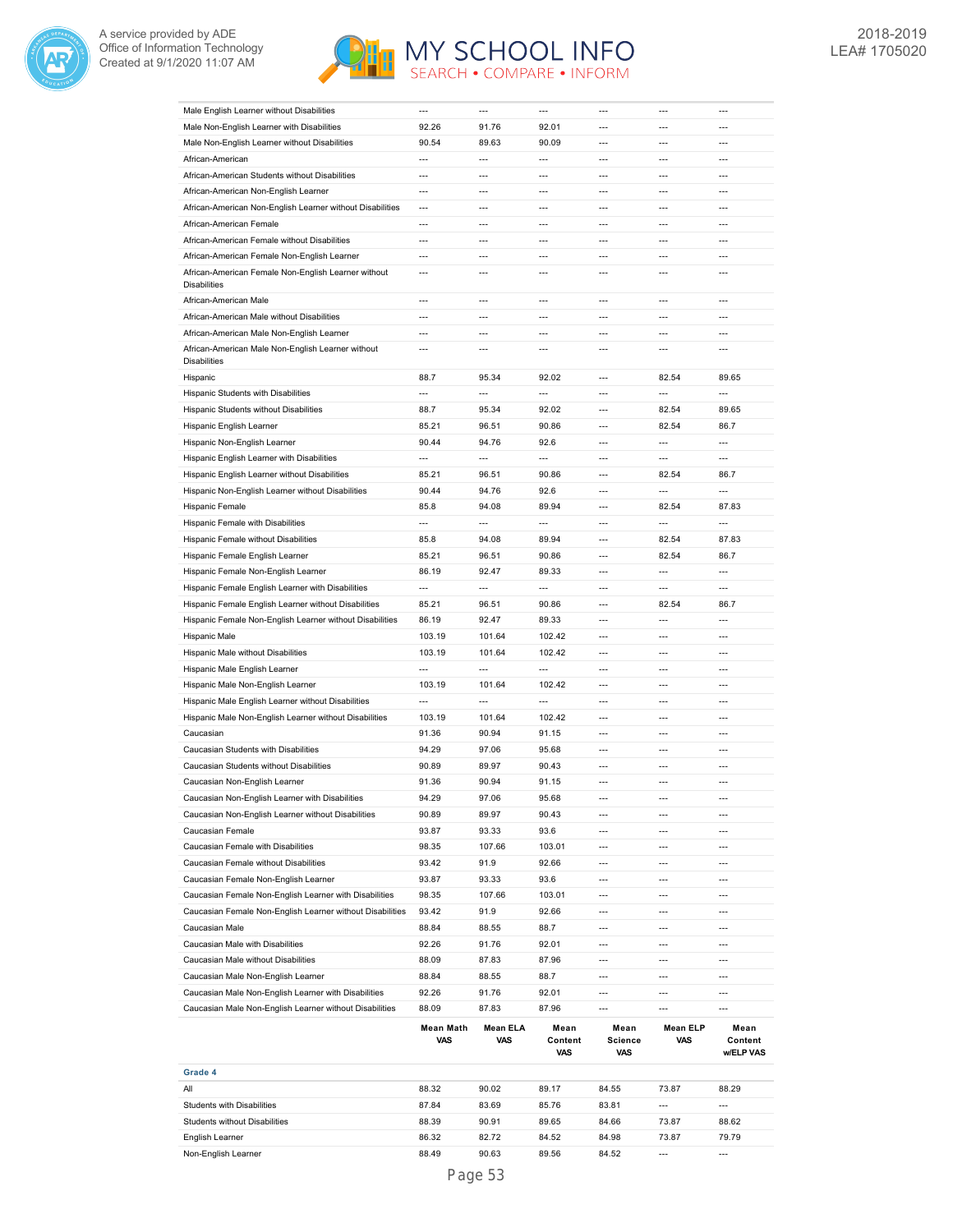



| Male English Learner without Disabilities                                  | ---                       | ---                             | $\overline{a}$                         | ---                      | $---$                    | $---$                        |
|----------------------------------------------------------------------------|---------------------------|---------------------------------|----------------------------------------|--------------------------|--------------------------|------------------------------|
| Male Non-English Learner with Disabilities                                 | 92.26                     | 91.76                           | 92.01                                  | $\overline{a}$           | $---$                    | $---$                        |
| Male Non-English Learner without Disabilities                              | 90.54                     | 89.63                           | 90.09                                  | $\overline{a}$           | $\overline{a}$           | $\overline{a}$               |
| African-American                                                           | $\overline{a}$            | $\overline{a}$                  | $\overline{\phantom{a}}$               | $\overline{\phantom{a}}$ | $\overline{a}$           | $\overline{a}$               |
|                                                                            |                           |                                 |                                        |                          |                          |                              |
| African-American Students without Disabilities                             | $\overline{a}$            | $\overline{a}$                  | $\overline{a}$                         | $\overline{a}$           | $\overline{a}$           | $\overline{a}$               |
| African-American Non-English Learner                                       | ---                       | ---                             | ---                                    | $\overline{\phantom{a}}$ | $\overline{\phantom{a}}$ | $\overline{a}$               |
| African-American Non-English Learner without Disabilities                  | ---                       | ---                             | $\overline{a}$                         | ---                      | $\overline{a}$           |                              |
| African-American Female                                                    | $\overline{a}$            | $\overline{\phantom{a}}$        | $\overline{a}$                         | $\overline{a}$           | $\overline{a}$           | ---                          |
| African-American Female without Disabilities                               | ---                       | ---                             | $\overline{a}$                         | ---                      | $\overline{a}$           | ---                          |
| African-American Female Non-English Learner                                | $---$                     | ---                             | $\overline{a}$                         | $\overline{\phantom{a}}$ | ---                      | ---                          |
|                                                                            |                           |                                 |                                        |                          |                          |                              |
| African-American Female Non-English Learner without<br><b>Disabilities</b> | $\overline{a}$            | $\overline{a}$                  | $\overline{a}$                         | $\overline{a}$           | $\overline{a}$           | $\overline{a}$               |
|                                                                            |                           |                                 |                                        |                          |                          |                              |
| African-American Male                                                      |                           | ---                             | $\overline{a}$                         | $\overline{a}$           | $\overline{a}$           |                              |
| African-American Male without Disabilities                                 | ---                       | $\overline{a}$                  | $\overline{a}$                         | $\overline{a}$           | $\overline{a}$           | $\overline{a}$               |
| African-American Male Non-English Learner                                  | $\overline{a}$            | $\overline{a}$                  | $\overline{a}$                         | $\overline{a}$           | $\overline{a}$           | $\overline{a}$               |
| African-American Male Non-English Learner without                          | $\overline{a}$            | $\overline{a}$                  | $\overline{a}$                         | $\overline{a}$           | $\overline{a}$           | $\overline{a}$               |
| <b>Disabilities</b>                                                        |                           |                                 |                                        |                          |                          |                              |
| Hispanic                                                                   | 88.7                      | 95.34                           | 92.02                                  | $\overline{a}$           | 82.54                    | 89.65                        |
| Hispanic Students with Disabilities                                        | $\overline{a}$            | $\overline{a}$                  | $\overline{a}$                         | $\overline{a}$           | $\overline{a}$           | $\overline{a}$               |
| Hispanic Students without Disabilities                                     |                           | 95.34                           | 92.02                                  | $\overline{\phantom{a}}$ | 82.54                    | 89.65                        |
|                                                                            | 88.7                      |                                 |                                        |                          |                          |                              |
| Hispanic English Learner                                                   | 85.21                     | 96.51                           | 90.86                                  | $\overline{a}$           | 82.54                    | 86.7                         |
| Hispanic Non-English Learner                                               | 90.44                     | 94.76                           | 92.6                                   | $\overline{a}$           | $\overline{\phantom{a}}$ | $---$                        |
| Hispanic English Learner with Disabilities                                 | $\overline{a}$            | $\overline{a}$                  | $\overline{a}$                         | $\overline{a}$           | $\overline{a}$           | $---$                        |
| Hispanic English Learner without Disabilities                              | 85.21                     | 96.51                           | 90.86                                  | $\overline{\phantom{a}}$ | 82.54                    | 86.7                         |
| Hispanic Non-English Learner without Disabilities                          | 90.44                     | 94.76                           | 92.6                                   | $\overline{a}$           | $\overline{a}$           | $\overline{a}$               |
| Hispanic Female                                                            | 85.8                      | 94.08                           | 89.94                                  | $\overline{a}$           | 82.54                    | 87.83                        |
|                                                                            |                           |                                 |                                        |                          |                          |                              |
| Hispanic Female with Disabilities                                          | ---                       | $\overline{a}$                  | $\overline{a}$                         | $\overline{\phantom{a}}$ | $\overline{\phantom{a}}$ | $\overline{a}$               |
| Hispanic Female without Disabilities                                       | 85.8                      | 94.08                           | 89.94                                  | $\overline{a}$           | 82.54                    | 87.83                        |
| Hispanic Female English Learner                                            | 85.21                     | 96.51                           | 90.86                                  | ---                      | 82.54                    | 86.7                         |
| Hispanic Female Non-English Learner                                        | 86.19                     | 92.47                           | 89.33                                  | ---                      | $\overline{\phantom{a}}$ | $\overline{a}$               |
| Hispanic Female English Learner with Disabilities                          | ---                       | $\overline{a}$                  | $\overline{a}$                         | $\overline{\phantom{a}}$ | $\overline{a}$           | $\overline{a}$               |
|                                                                            | 85.21                     | 96.51                           | 90.86                                  | $\overline{a}$           | 82.54                    | 86.7                         |
| Hispanic Female English Learner without Disabilities                       |                           |                                 |                                        |                          |                          |                              |
| Hispanic Female Non-English Learner without Disabilities                   | 86.19                     | 92.47                           | 89.33                                  | $\overline{\phantom{a}}$ | $\overline{\phantom{a}}$ | $\overline{a}$               |
| Hispanic Male                                                              | 103.19                    | 101.64                          | 102.42                                 | $\overline{a}$           | $\overline{a}$           | $\overline{a}$               |
| Hispanic Male without Disabilities                                         | 103.19                    | 101.64                          | 102.42                                 | $\overline{a}$           | $\overline{a}$           | ---                          |
| Hispanic Male English Learner                                              | $\overline{a}$            | $\overline{a}$                  | $\overline{a}$                         | $\overline{a}$           | $\overline{a}$           | $\overline{a}$               |
| Hispanic Male Non-English Learner                                          | 103.19                    | 101.64                          | 102.42                                 | $\overline{a}$           | $\overline{a}$           | $---$                        |
| Hispanic Male English Learner without Disabilities                         | $\overline{a}$            | $\overline{a}$                  | $\overline{a}$                         | $\overline{a}$           | $---$                    | $---$                        |
|                                                                            |                           |                                 |                                        |                          |                          |                              |
| Hispanic Male Non-English Learner without Disabilities                     | 103.19                    | 101.64                          | 102.42                                 | $\overline{a}$           | $---$                    | $---$                        |
| Caucasian                                                                  | 91.36                     | 90.94                           | 91.15                                  | $\overline{a}$           | $---$                    | $---$                        |
| Caucasian Students with Disabilities                                       | 94.29                     | 97.06                           | 95.68                                  | $\overline{a}$           | $\overline{a}$           | $---$                        |
| Caucasian Students without Disabilities                                    | 90.89                     | 89.97                           | 90.43                                  | $\overline{a}$           | $\overline{a}$           | $---$                        |
| Caucasian Non-English Learner                                              | 91.36                     | 90.94                           | 91.15                                  | $\overline{a}$           | $\overline{a}$           | $\overline{a}$               |
| Caucasian Non-English Learner with Disabilities                            | 94.29                     | 97.06                           | 95.68                                  | ---                      | $\overline{a}$           | ---                          |
|                                                                            |                           |                                 |                                        |                          | $\overline{a}$           | $\overline{a}$               |
| Caucasian Non-English Learner without Disabilities                         | 90.89                     | 89.97                           | 90.43                                  | $\overline{a}$           |                          |                              |
| Caucasian Female                                                           | 93.87                     | 93.33                           | 93.6                                   | $\hspace{0.05cm} \ldots$ | $---$                    | $\overline{\phantom{a}}$     |
| Caucasian Female with Disabilities                                         | 98.35                     | 107.66                          | 103.01                                 | $\overline{\phantom{a}}$ | $\overline{a}$           | ---                          |
| Caucasian Female without Disabilities                                      | 93.42                     | 91.9                            | 92.66                                  | $\overline{\phantom{a}}$ | $---$                    | $\overline{\phantom{a}}$     |
|                                                                            |                           |                                 |                                        |                          |                          |                              |
| Caucasian Female Non-English Learner                                       | 93.87                     | 93.33                           | 93.6                                   | $\overline{a}$           | $\overline{a}$           | ---                          |
| Caucasian Female Non-English Learner with Disabilities                     | 98.35                     | 107.66                          | 103.01                                 | $\overline{\phantom{a}}$ | $\overline{\phantom{a}}$ | $\overline{\phantom{a}}$     |
|                                                                            |                           |                                 |                                        |                          |                          |                              |
| Caucasian Female Non-English Learner without Disabilities                  | 93.42                     | 91.9                            | 92.66                                  | ---                      | $\overline{\phantom{a}}$ | $\overline{a}$               |
| Caucasian Male                                                             | 88.84                     | 88.55                           | 88.7                                   | ---                      | $\overline{\phantom{a}}$ | $\overline{\phantom{a}}$     |
| Caucasian Male with Disabilities                                           | 92.26                     | 91.76                           | 92.01                                  | $\overline{a}$           | $\overline{a}$           | $\overline{a}$               |
| Caucasian Male without Disabilities                                        | 88.09                     | 87.83                           | 87.96                                  | $\overline{\phantom{a}}$ | $\overline{a}$           | $\overline{\phantom{a}}$     |
| Caucasian Male Non-English Learner                                         | 88.84                     | 88.55                           | 88.7                                   | ---                      | $\overline{a}$           | $---$                        |
| Caucasian Male Non-English Learner with Disabilities                       | 92.26                     | 91.76                           | 92.01                                  | $\overline{\phantom{a}}$ | ---                      | ---                          |
|                                                                            |                           |                                 |                                        | $\overline{\phantom{a}}$ | $\overline{a}$           | $---$                        |
| Caucasian Male Non-English Learner without Disabilities                    | 88.09<br>Mean Math<br>VAS | 87.83<br><b>Mean ELA</b><br>VAS | 87.96<br>Mean<br>Content<br><b>VAS</b> | Mean<br>Science<br>VAS   | Mean ELP<br>VAS          | Mean<br>Content<br>w/ELP VAS |
|                                                                            |                           |                                 |                                        |                          |                          |                              |
| Grade 4                                                                    |                           |                                 |                                        |                          |                          |                              |
| All                                                                        | 88.32                     | 90.02                           | 89.17                                  | 84.55                    | 73.87                    | 88.29                        |
| Students with Disabilities                                                 | 87.84                     | 83.69                           | 85.76                                  | 83.81                    | $\hspace{0.05cm} \cdots$ | ---                          |
| Students without Disabilities                                              | 88.39                     | 90.91                           | 89.65                                  | 84.66                    | 73.87                    | 88.62                        |
| English Learner                                                            | 86.32                     | 82.72                           | 84.52                                  | 84.98                    | 73.87                    | 79.79                        |
| Non-English Learner                                                        | 88.49                     | 90.63                           | 89.56                                  | 84.52                    | $\overline{\phantom{a}}$ | $\overline{a}$               |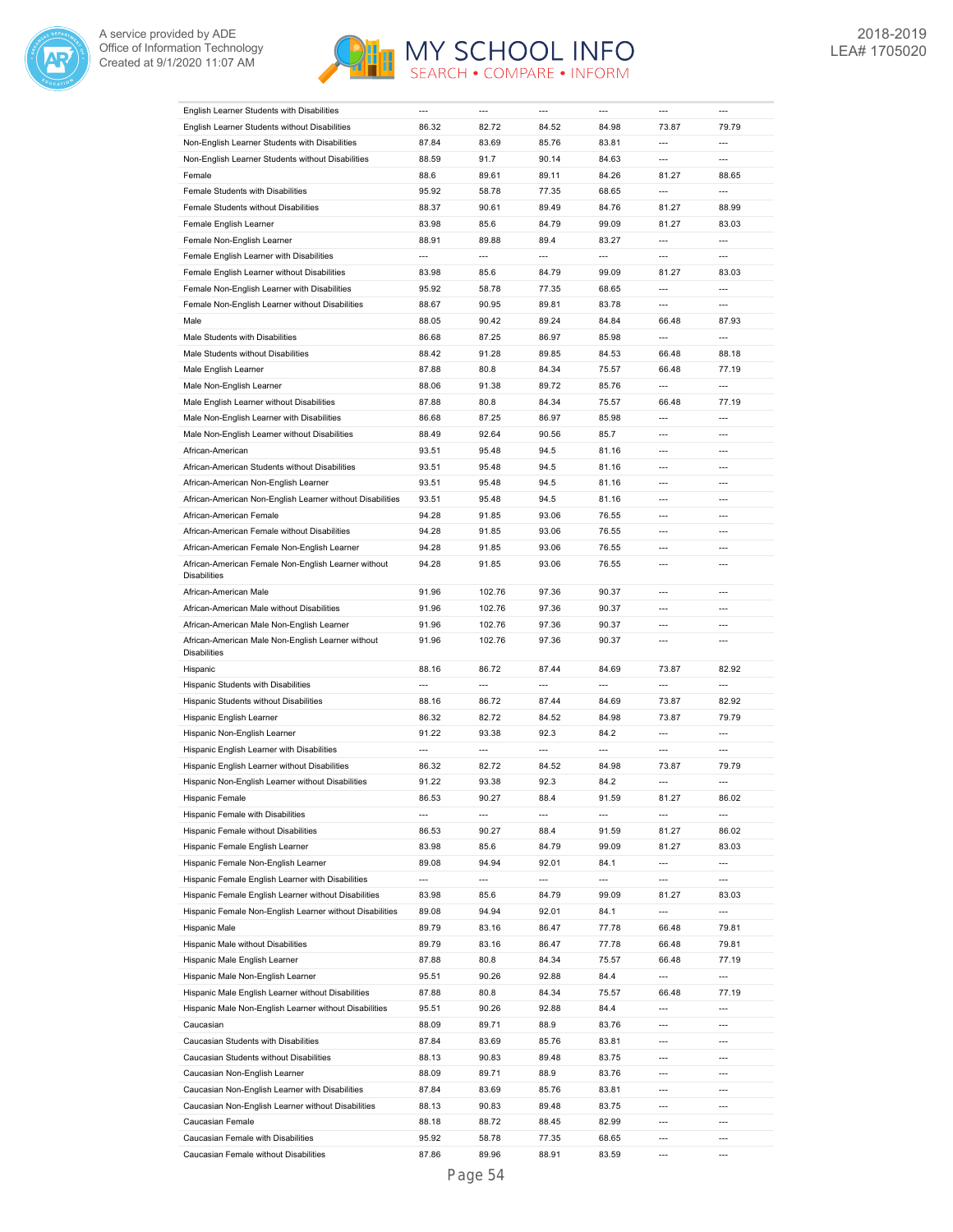



| English Learner Students with Disabilities                                 | ---                      | ---            | ---            | ---                      | $\overline{a}$                    | ---                      |
|----------------------------------------------------------------------------|--------------------------|----------------|----------------|--------------------------|-----------------------------------|--------------------------|
| English Learner Students without Disabilities                              | 86.32                    | 82.72          | 84.52          | 84.98                    | 73.87                             | 79.79                    |
| Non-English Learner Students with Disabilities                             | 87.84                    | 83.69          | 85.76          | 83.81                    | $\overline{a}$                    | $\overline{a}$           |
| Non-English Learner Students without Disabilities                          | 88.59                    | 91.7           | 90.14          | 84.63                    | ---                               | $\overline{a}$           |
| Female                                                                     | 88.6                     | 89.61          | 89.11          | 84.26                    | 81.27                             | 88.65                    |
| Female Students with Disabilities                                          | 95.92                    | 58.78          | 77.35          | 68.65                    | ---                               | $\overline{a}$           |
| Female Students without Disabilities                                       | 88.37                    | 90.61          | 89.49          | 84.76                    | 81.27                             | 88.99                    |
| Female English Learner                                                     | 83.98                    | 85.6           | 84.79          | 99.09                    | 81.27                             | 83.03                    |
| Female Non-English Learner                                                 | 88.91                    | 89.88          | 89.4           | 83.27                    | $\overline{a}$                    | ---                      |
| Female English Learner with Disabilities                                   | $\overline{\phantom{a}}$ | ---            | ---            | $\overline{\phantom{a}}$ | ---                               | $\overline{a}$           |
| Female English Learner without Disabilities                                | 83.98                    | 85.6           | 84.79          | 99.09                    | 81.27                             | 83.03                    |
| Female Non-English Learner with Disabilities                               | 95.92                    | 58.78          | 77.35          | 68.65                    | ---                               | $\overline{a}$           |
| Female Non-English Learner without Disabilities                            | 88.67                    | 90.95          | 89.81          | 83.78                    | $\overline{a}$                    | $\overline{a}$           |
| Male                                                                       | 88.05                    | 90.42          | 89.24          | 84.84                    | 66.48                             | 87.93                    |
| Male Students with Disabilities                                            | 86.68                    | 87.25          | 86.97          | 85.98                    | $\overline{a}$                    | $\overline{a}$           |
|                                                                            |                          |                |                |                          |                                   |                          |
| Male Students without Disabilities                                         | 88.42                    | 91.28          | 89.85          | 84.53                    | 66.48                             | 88.18                    |
| Male English Learner                                                       | 87.88                    | 80.8           | 84.34          | 75.57                    | 66.48                             | 77.19                    |
| Male Non-English Learner                                                   | 88.06                    | 91.38          | 89.72          | 85.76                    | $\overline{a}$                    | $\overline{a}$           |
| Male English Learner without Disabilities                                  | 87.88                    | 80.8           | 84.34          | 75.57                    | 66.48                             | 77.19                    |
| Male Non-English Learner with Disabilities                                 | 86.68                    | 87.25          | 86.97          | 85.98                    | $\overline{a}$                    | $\overline{a}$           |
| Male Non-English Learner without Disabilities                              | 88.49                    | 92.64          | 90.56          | 85.7                     | ---                               | ---                      |
| African-American                                                           | 93.51                    | 95.48          | 94.5           | 81.16                    | $\overline{a}$                    | $\overline{a}$           |
| African-American Students without Disabilities                             | 93.51                    | 95.48          | 94.5           | 81.16                    | $\overline{a}$                    | $\overline{a}$           |
| African-American Non-English Learner                                       | 93.51                    | 95.48          | 94.5           | 81.16                    | $\overline{a}$                    | ---                      |
| African-American Non-English Learner without Disabilities                  | 93.51                    | 95.48          | 94.5           | 81.16                    | $\overline{a}$                    | ---                      |
| African-American Female                                                    | 94.28                    | 91.85          | 93.06          | 76.55                    | $\overline{a}$                    | ---                      |
| African-American Female without Disabilities                               | 94.28                    | 91.85          | 93.06          | 76.55                    | ---                               | ---                      |
| African-American Female Non-English Learner                                | 94.28                    | 91.85          | 93.06          | 76.55                    | $\overline{a}$                    | $---$                    |
| African-American Female Non-English Learner without<br><b>Disabilities</b> | 94.28                    | 91.85          | 93.06          | 76.55                    | ---                               | $-$ --                   |
| African-American Male                                                      | 91.96                    | 102.76         | 97.36          | 90.37                    | $\overline{a}$                    | ---                      |
| African-American Male without Disabilities                                 | 91.96                    | 102.76         | 97.36          | 90.37                    | $\overline{a}$                    | $\overline{a}$           |
| African-American Male Non-English Learner                                  | 91.96                    | 102.76         | 97.36          | 90.37                    | $\overline{a}$                    | $\overline{a}$           |
| African-American Male Non-English Learner without                          | 91.96                    | 102.76         | 97.36          | 90.37                    | $---$                             | $---$                    |
| <b>Disabilities</b>                                                        |                          |                |                |                          |                                   |                          |
| Hispanic                                                                   | 88.16                    | 86.72          | 87.44          | 84.69                    | 73.87                             | 82.92                    |
| Hispanic Students with Disabilities                                        | ---                      | $\overline{a}$ | $\overline{a}$ | $\overline{a}$           | ---                               | $\overline{a}$           |
| Hispanic Students without Disabilities                                     | 88.16                    | 86.72          | 87.44          | 84.69                    | 73.87                             | 82.92                    |
| Hispanic English Learner                                                   | 86.32                    | 82.72          | 84.52          | 84.98                    | 73.87                             | 79.79                    |
| Hispanic Non-English Learner                                               | 91.22                    | 93.38          | 92.3           | 84.2                     | $\overline{a}$                    | $\overline{a}$           |
| Hispanic English Learner with Disabilities                                 | $\overline{a}$           | $\overline{a}$ | ---            | $\overline{a}$           | $\overline{a}$                    | $---$                    |
| Hispanic English Learner without Disabilities                              | 86.32                    | 82.72          | 84.52          | 84.98                    | 73.87                             | 79.79                    |
| Hispanic Non-English Learner without Disabilities                          | 91.22                    | 93.38          | 92.3           | 84.2                     |                                   |                          |
| Hispanic Female                                                            | 86.53                    | 90.27          | 88.4           | 91.59                    | 81.27                             | 86.02                    |
| Hispanic Female with Disabilities                                          | ---                      | ---            | $\overline{a}$ | ---                      | ---                               | ---                      |
| Hispanic Female without Disabilities                                       | 86.53                    | 90.27          | 88.4           | 91.59                    | 81.27                             | 86.02                    |
| Hispanic Female English Learner                                            | 83.98                    | 85.6           | 84.79          | 99.09                    | 81.27                             | 83.03                    |
| Hispanic Female Non-English Learner                                        | 89.08                    | 94.94          | 92.01          | 84.1                     | ---                               | ---                      |
| Hispanic Female English Learner with Disabilities                          | ---                      | ---            | ---            | ---                      | ---                               | $\overline{a}$           |
| Hispanic Female English Learner without Disabilities                       | 83.98                    |                | 84.79          | 99.09                    |                                   |                          |
|                                                                            |                          | 85.6           |                | 84.1                     | 81.27<br>$\overline{\phantom{a}}$ | 83.03                    |
|                                                                            |                          |                |                |                          |                                   | $\overline{\phantom{a}}$ |
| Hispanic Female Non-English Learner without Disabilities                   | 89.08                    | 94.94          | 92.01          |                          |                                   |                          |
| Hispanic Male                                                              | 89.79                    | 83.16          | 86.47          | 77.78                    | 66.48                             | 79.81                    |
| Hispanic Male without Disabilities                                         | 89.79                    | 83.16          | 86.47          | 77.78                    | 66.48                             | 79.81                    |
| Hispanic Male English Learner                                              | 87.88                    | 80.8           | 84.34          | 75.57                    | 66.48                             | 77.19                    |
| Hispanic Male Non-English Learner                                          | 95.51                    | 90.26          | 92.88          | 84.4                     | ---                               | ---                      |
| Hispanic Male English Learner without Disabilities                         | 87.88                    | 80.8           | 84.34          | 75.57                    | 66.48                             | 77.19                    |
| Hispanic Male Non-English Learner without Disabilities                     | 95.51                    | 90.26          | 92.88          | 84.4                     | ---                               | $\overline{a}$           |
| Caucasian                                                                  | 88.09                    | 89.71          | 88.9           | 83.76                    | $\overline{a}$                    | $\overline{a}$           |
| Caucasian Students with Disabilities                                       | 87.84                    | 83.69          | 85.76          | 83.81                    | $\overline{a}$                    | $\overline{a}$           |
| Caucasian Students without Disabilities                                    | 88.13                    | 90.83          | 89.48          | 83.75                    | $\overline{a}$                    | $\overline{a}$           |
| Caucasian Non-English Learner                                              | 88.09                    | 89.71          | 88.9           | 83.76                    | $\overline{a}$                    | $\overline{a}$           |
| Caucasian Non-English Learner with Disabilities                            | 87.84                    | 83.69          | 85.76          | 83.81                    | ---                               | $\overline{a}$           |
| Caucasian Non-English Learner without Disabilities                         | 88.13                    | 90.83          | 89.48          | 83.75                    | $---$                             | $\overline{\phantom{a}}$ |
| Caucasian Female                                                           | 88.18                    | 88.72          | 88.45          | 82.99                    | $\overline{a}$                    | ---                      |
| Caucasian Female with Disabilities                                         | 95.92                    | 58.78          | 77.35          | 68.65                    | ---                               | ---                      |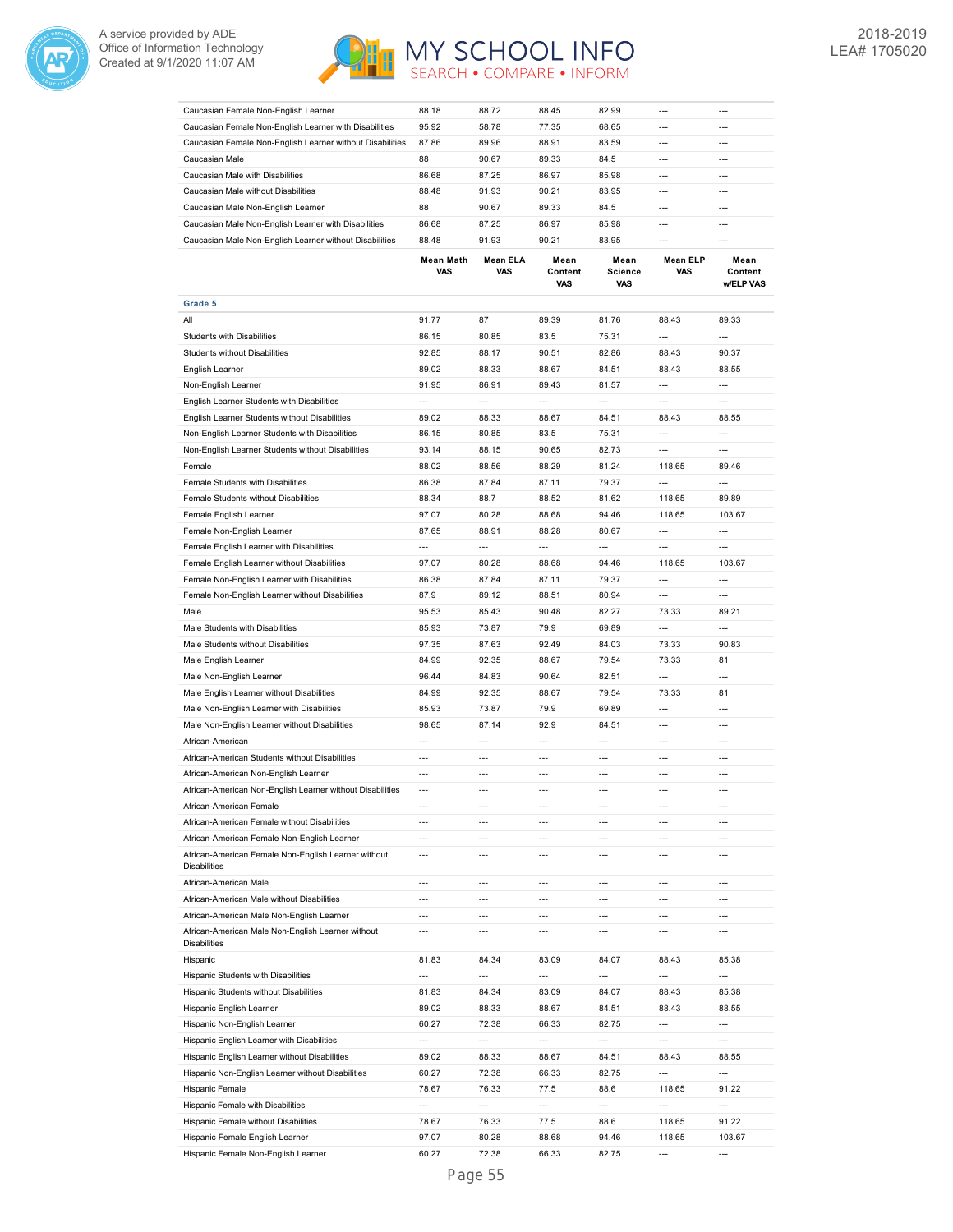



| Caucasian Female Non-English Learner                                     | 88.18                    | 88.72                  | 88.45                  | 82.99                         | ---                      | $---$                               |
|--------------------------------------------------------------------------|--------------------------|------------------------|------------------------|-------------------------------|--------------------------|-------------------------------------|
| Caucasian Female Non-English Learner with Disabilities                   | 95.92                    | 58.78                  | 77.35                  | 68.65                         | $\overline{a}$           | $---$                               |
| Caucasian Female Non-English Learner without Disabilities                | 87.86                    | 89.96                  | 88.91                  | 83.59                         | $\overline{a}$           | $\overline{a}$                      |
| Caucasian Male                                                           | 88                       | 90.67                  | 89.33                  | 84.5                          | ---                      | $\overline{a}$                      |
| Caucasian Male with Disabilities                                         | 86.68                    | 87.25                  | 86.97                  | 85.98                         | $\overline{a}$           | $\overline{a}$                      |
| Caucasian Male without Disabilities                                      | 88.48                    | 91.93                  | 90.21                  | 83.95                         | $\overline{a}$           | $\overline{a}$                      |
| Caucasian Male Non-English Learner                                       | 88                       | 90.67                  | 89.33                  | 84.5                          | ---                      | $\overline{a}$                      |
| Caucasian Male Non-English Learner with Disabilities                     | 86.68                    | 87.25                  | 86.97                  | 85.98                         | $\overline{a}$           | $\overline{a}$                      |
| Caucasian Male Non-English Learner without Disabilities                  | 88.48                    | 91.93                  | 90.21                  | 83.95                         | $\overline{\phantom{a}}$ | $\overline{a}$                      |
|                                                                          |                          |                        |                        |                               |                          |                                     |
|                                                                          | <b>Mean Math</b><br>VAS  | <b>Mean ELA</b><br>VAS | Mean<br>Content<br>VAS | Mean<br><b>Science</b><br>VAS | <b>Mean ELP</b><br>VAS   | Mean<br>Content<br><b>w/ELP VAS</b> |
| Grade 5                                                                  |                          |                        |                        |                               |                          |                                     |
| All                                                                      | 91.77                    | 87                     | 89.39                  | 81.76                         | 88.43                    | 89.33                               |
| <b>Students with Disabilities</b>                                        | 86.15                    | 80.85                  | 83.5                   | 75.31                         | ---                      | ---                                 |
| <b>Students without Disabilities</b>                                     |                          | 88.17                  | 90.51                  |                               | 88.43                    | 90.37                               |
|                                                                          | 92.85                    |                        |                        | 82.86                         |                          |                                     |
| English Learner                                                          | 89.02                    | 88.33                  | 88.67                  | 84.51                         | 88.43                    | 88.55                               |
| Non-English Learner                                                      | 91.95                    | 86.91                  | 89.43                  | 81.57                         | $\overline{\phantom{a}}$ | ---                                 |
| English Learner Students with Disabilities                               | $\overline{\phantom{a}}$ | ---                    | ---                    | $\overline{\phantom{a}}$      | ---                      | $\overline{a}$                      |
| English Learner Students without Disabilities                            | 89.02                    | 88.33                  | 88.67                  | 84.51                         | 88.43                    | 88.55                               |
| Non-English Learner Students with Disabilities                           | 86.15                    | 80.85                  | 83.5                   | 75.31                         | ---                      | $\overline{a}$                      |
| Non-English Learner Students without Disabilities                        | 93.14                    | 88.15                  | 90.65                  | 82.73                         | $\overline{\phantom{a}}$ | $\overline{a}$                      |
| Female                                                                   | 88.02                    | 88.56                  | 88.29                  | 81.24                         | 118.65                   | 89.46                               |
| Female Students with Disabilities                                        | 86.38                    | 87.84                  | 87.11                  | 79.37                         | $\overline{\phantom{a}}$ | $\overline{\phantom{a}}$            |
| Female Students without Disabilities                                     | 88.34                    | 88.7                   | 88.52                  | 81.62                         | 118.65                   | 89.89                               |
|                                                                          |                          |                        |                        |                               |                          |                                     |
| Female English Learner                                                   | 97.07                    | 80.28                  | 88.68                  | 94.46                         | 118.65                   | 103.67                              |
| Female Non-English Learner                                               | 87.65                    | 88.91                  | 88.28                  | 80.67                         | $\overline{a}$           | $\overline{a}$                      |
| Female English Learner with Disabilities                                 | $\overline{\phantom{a}}$ | ---                    | $\overline{a}$         | $\overline{a}$                | ---                      | ---                                 |
| Female English Learner without Disabilities                              | 97.07                    | 80.28                  | 88.68                  | 94.46                         | 118.65                   | 103.67                              |
| Female Non-English Learner with Disabilities                             | 86.38                    | 87.84                  | 87.11                  | 79.37                         | ---                      | $---$                               |
| Female Non-English Learner without Disabilities                          | 87.9                     | 89.12                  | 88.51                  | 80.94                         | ---                      | ---                                 |
| Male                                                                     | 95.53                    | 85.43                  | 90.48                  | 82.27                         | 73.33                    | 89.21                               |
| Male Students with Disabilities                                          | 85.93                    | 73.87                  | 79.9                   | 69.89                         | ---                      | ---                                 |
| Male Students without Disabilities                                       | 97.35                    | 87.63                  | 92.49                  | 84.03                         | 73.33                    | 90.83                               |
| Male English Learner                                                     | 84.99                    | 92.35                  | 88.67                  | 79.54                         | 73.33                    | 81                                  |
| Male Non-English Learner                                                 | 96.44                    | 84.83                  | 90.64                  | 82.51                         | ---                      | $\overline{a}$                      |
|                                                                          |                          |                        |                        |                               |                          |                                     |
| Male English Learner without Disabilities                                | 84.99                    | 92.35                  | 88.67                  | 79.54                         | 73.33                    | 81                                  |
| Male Non-English Learner with Disabilities                               | 85.93                    | 73.87                  | 79.9                   | 69.89                         | ---                      | $\overline{a}$                      |
| Male Non-English Learner without Disabilities                            | 98.65                    | 87.14                  | 92.9                   | 84.51                         | ---                      | ---                                 |
| African-American                                                         | ---                      | $\overline{a}$         | $\overline{a}$         | ---                           | $\overline{a}$           | $\overline{a}$                      |
| African-American Students without Disabilities                           | ---                      | ---                    | ---                    | ---                           | ---                      | ---                                 |
| African-American Non-English Learner                                     | $\overline{a}$           | $\overline{a}$         | $\overline{a}$         | ---                           | ---                      | $\overline{a}$                      |
| African-American Non-English Learner without Disabilities                | $\overline{a}$           | ---                    | $\overline{a}$         | ---                           | $\overline{a}$           | $\overline{a}$                      |
| African-American Female                                                  | ---                      | ---                    | $---$                  | $---$                         | $---$                    | $---$                               |
| African-American Female without Disabilities                             | ---                      | ---                    | $---$                  | ---                           | $\overline{a}$           | $---$                               |
| African-American Female Non-English Learner                              | ---                      | $---$                  | $---$                  | $---$                         | $---$                    | $---$                               |
| African-American Female Non-English Learner without<br>Disabilities      | $-$                      | $\overline{a}$         | ---                    | ---                           | $\overline{a}$           | $\overline{a}$                      |
| African-American Male                                                    | ---                      | ---                    | ---                    | ---                           | $---$                    | $---$                               |
| African-American Male without Disabilities                               | ---                      | ---                    | ---                    | ---                           | $\overline{a}$           | $\overline{a}$                      |
| African-American Male Non-English Learner                                | ---                      | ---                    | $\overline{a}$         | ---                           | $\overline{a}$           | $\overline{a}$                      |
| African-American Male Non-English Learner without<br><b>Disabilities</b> | ---                      | ---                    | ---                    | ---                           | ---                      | $\overline{a}$                      |
| Hispanic                                                                 | 81.83                    | 84.34                  | 83.09                  | 84.07                         | 88.43                    | 85.38                               |
| Hispanic Students with Disabilities                                      | ---                      | ---                    | ---                    | ---                           | ---                      | ---                                 |
|                                                                          |                          |                        |                        |                               |                          |                                     |
| Hispanic Students without Disabilities                                   | 81.83                    | 84.34                  | 83.09                  | 84.07                         | 88.43                    | 85.38                               |
| Hispanic English Learner                                                 | 89.02                    | 88.33                  | 88.67                  | 84.51                         | 88.43                    | 88.55                               |
| Hispanic Non-English Learner                                             | 60.27                    | 72.38                  | 66.33                  | 82.75                         | ---                      | ---                                 |
| Hispanic English Learner with Disabilities                               | ---                      | ---                    | ---                    | ---                           | ---                      | $\overline{a}$                      |
| Hispanic English Learner without Disabilities                            | 89.02                    | 88.33                  | 88.67                  | 84.51                         | 88.43                    | 88.55                               |
| Hispanic Non-English Learner without Disabilities                        | 60.27                    | 72.38                  | 66.33                  | 82.75                         | ---                      | $\overline{a}$                      |
| Hispanic Female                                                          | 78.67                    | 76.33                  | 77.5                   | 88.6                          | 118.65                   | 91.22                               |
| Hispanic Female with Disabilities                                        | ---                      | $\overline{a}$         | $\overline{a}$         | ---                           | ---                      | $\overline{a}$                      |
| Hispanic Female without Disabilities                                     | 78.67                    | 76.33                  | 77.5                   | 88.6                          | 118.65                   | 91.22                               |
| Hispanic Female English Learner                                          | 97.07                    | 80.28                  | 88.68                  | 94.46                         | 118.65                   | 103.67                              |
| Hispanic Female Non-English Learner                                      | 60.27                    | 72.38                  | 66.33                  | 82.75                         | $\overline{\phantom{a}}$ | $\overline{a}$                      |
|                                                                          |                          |                        |                        |                               |                          |                                     |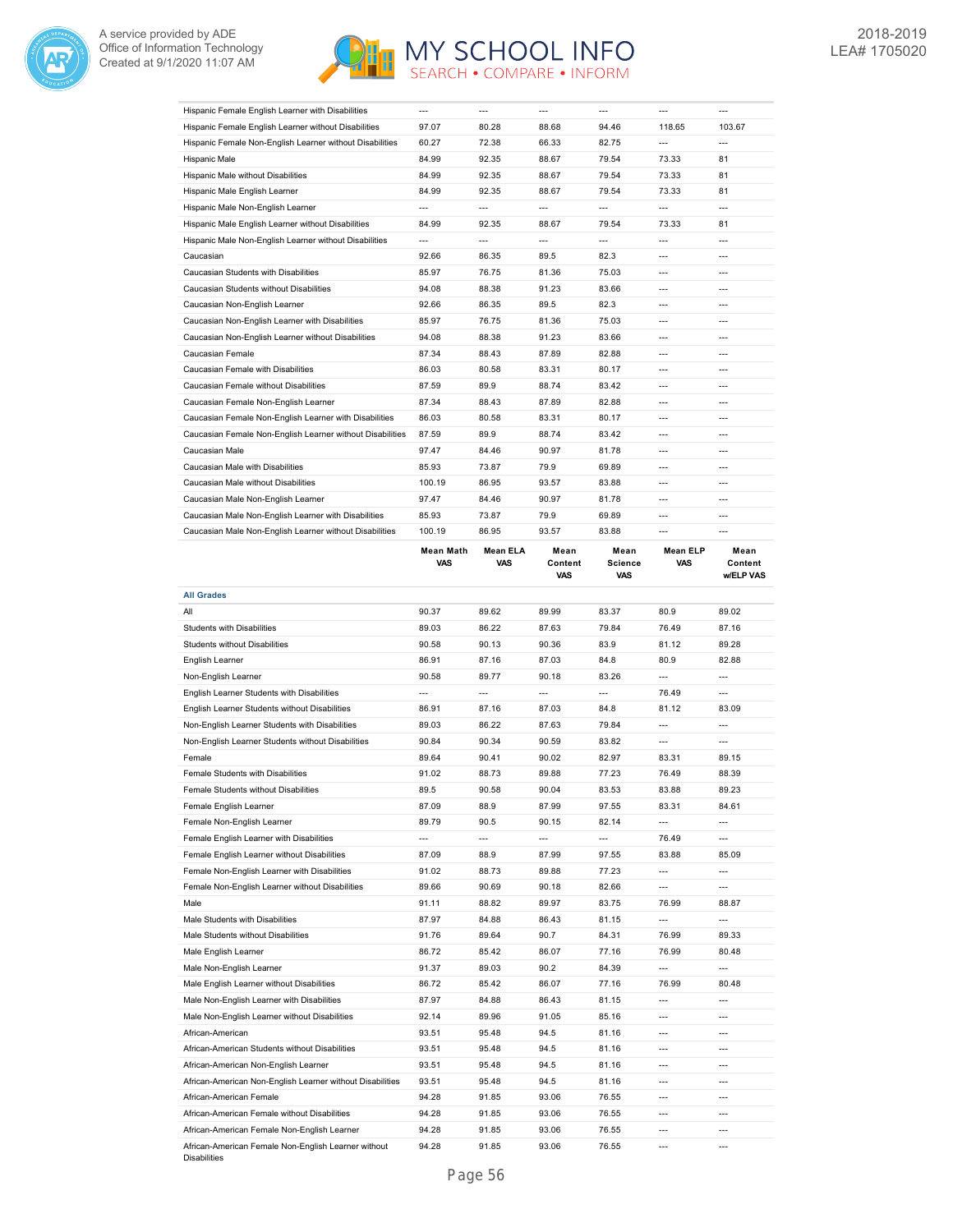



| Hispanic Female English Learner with Disabilities                      |                          |                          |                               |                          |                               |                              |
|------------------------------------------------------------------------|--------------------------|--------------------------|-------------------------------|--------------------------|-------------------------------|------------------------------|
| Hispanic Female English Learner without Disabilities                   | 97.07                    | 80.28                    | 88.68                         | 94.46                    | 118.65                        | 103.67                       |
| Hispanic Female Non-English Learner without Disabilities               | 60.27                    | 72.38                    | 66.33                         | 82.75                    | $\overline{a}$                | $---$                        |
| Hispanic Male                                                          | 84.99                    | 92.35                    | 88.67                         | 79.54                    | 73.33                         | 81                           |
| Hispanic Male without Disabilities                                     | 84.99                    | 92.35                    | 88.67                         | 79.54                    | 73.33                         | 81                           |
| Hispanic Male English Learner                                          | 84.99                    | 92.35                    | 88.67                         | 79.54                    | 73.33                         | 81                           |
| Hispanic Male Non-English Learner                                      | $\overline{a}$           | $\overline{a}$           | $\overline{a}$                | $\overline{a}$           | $\overline{a}$                | $\overline{a}$               |
| Hispanic Male English Learner without Disabilities                     | 84.99                    | 92.35                    | 88.67                         | 79.54                    | 73.33                         | 81                           |
| Hispanic Male Non-English Learner without Disabilities                 | ---                      | $\overline{a}$           | $\overline{a}$                | ---                      | $\overline{a}$                | $\overline{a}$               |
| Caucasian                                                              | 92.66                    | 86.35                    | 89.5                          | 82.3                     | ---                           | $\overline{a}$               |
| Caucasian Students with Disabilities                                   | 85.97                    | 76.75                    | 81.36                         | 75.03                    | ---                           | ---                          |
| Caucasian Students without Disabilities                                | 94.08                    | 88.38                    | 91.23                         | 83.66                    | $---$                         | ---                          |
| Caucasian Non-English Learner                                          | 92.66                    | 86.35                    | 89.5                          | 82.3                     | ---                           | ---                          |
| Caucasian Non-English Learner with Disabilities                        | 85.97                    | 76.75                    | 81.36                         | 75.03                    | $---$                         | ---                          |
|                                                                        | 94.08                    | 88.38                    | 91.23                         | 83.66                    | ---                           | $\overline{a}$               |
| Caucasian Non-English Learner without Disabilities<br>Caucasian Female | 87.34                    | 88.43                    | 87.89                         | 82.88                    | $\overline{\phantom{a}}$      | ---                          |
|                                                                        |                          |                          |                               |                          |                               |                              |
| Caucasian Female with Disabilities                                     | 86.03                    | 80.58                    | 83.31                         | 80.17                    | ---                           | $\overline{a}$               |
| Caucasian Female without Disabilities                                  | 87.59                    | 89.9                     | 88.74                         | 83.42                    | ---                           | ---                          |
| Caucasian Female Non-English Learner                                   | 87.34                    | 88.43                    | 87.89                         | 82.88                    | $---$                         | $---$                        |
| Caucasian Female Non-English Learner with Disabilities                 | 86.03                    | 80.58                    | 83.31                         | 80.17                    | ---                           | $---$                        |
| Caucasian Female Non-English Learner without Disabilities              | 87.59                    | 89.9                     | 88.74                         | 83.42                    | $---$                         | $---$                        |
| Caucasian Male                                                         | 97.47                    | 84.46                    | 90.97                         | 81.78                    | $\overline{a}$                | $---$                        |
| Caucasian Male with Disabilities                                       | 85.93                    | 73.87                    | 79.9                          | 69.89                    | ---                           | $\overline{a}$               |
| Caucasian Male without Disabilities                                    | 100.19                   | 86.95                    | 93.57                         | 83.88                    | $\overline{a}$                | ---                          |
| Caucasian Male Non-English Learner                                     | 97.47                    | 84.46                    | 90.97                         | 81.78                    | ---                           | $\overline{a}$               |
| Caucasian Male Non-English Learner with Disabilities                   | 85.93                    | 73.87                    | 79.9                          | 69.89                    | $\overline{a}$                | $\overline{a}$               |
| Caucasian Male Non-English Learner without Disabilities                | 100.19                   | 86.95                    | 93.57                         | 83.88                    | $\overline{a}$                | ---                          |
|                                                                        | <b>Mean Math</b><br>VAS  | Mean ELA<br>VAS          | Mean<br>Content<br><b>VAS</b> | Mean<br>Science<br>VAS   | <b>Mean ELP</b><br><b>VAS</b> | Mean<br>Content<br>w/ELP VAS |
| <b>All Grades</b>                                                      |                          |                          |                               |                          |                               |                              |
|                                                                        |                          |                          |                               |                          |                               |                              |
| All                                                                    | 90.37                    | 89.62                    | 89.99                         | 83.37                    | 80.9                          | 89.02                        |
| <b>Students with Disabilities</b>                                      | 89.03                    | 86.22                    | 87.63                         | 79.84                    | 76.49                         | 87.16                        |
| Students without Disabilities                                          | 90.58                    | 90.13                    | 90.36                         | 83.9                     | 81.12                         | 89.28                        |
| English Learner                                                        | 86.91                    | 87.16                    | 87.03                         | 84.8                     | 80.9                          | 82.88                        |
|                                                                        | 90.58                    | 89.77                    | 90.18                         | 83.26                    | ---                           | ---                          |
| Non-English Learner                                                    | $\overline{a}$           | $\overline{a}$           | $\overline{a}$                | $\overline{a}$           |                               | $\overline{a}$               |
| English Learner Students with Disabilities                             |                          |                          |                               |                          | 76.49                         |                              |
| English Learner Students without Disabilities                          | 86.91                    | 87.16                    | 87.03                         | 84.8                     | 81.12                         | 83.09                        |
| Non-English Learner Students with Disabilities                         | 89.03                    | 86.22                    | 87.63                         | 79.84                    | ---                           |                              |
| Non-English Learner Students without Disabilities                      | 90.84                    | 90.34                    | 90.59                         | 83.82                    | ---                           | ---                          |
| Female                                                                 | 89.64                    | 90.41                    | 90.02                         | 82.97                    | 83.31                         | 89.15                        |
| Female Students with Disabilities                                      | 91.02                    | 88.73                    | 89.88                         | 77.23                    | 76.49                         | 88.39                        |
| Female Students without Disabilities                                   | 89.5                     | 90.58                    | 90.04                         | 83.53                    | 83.88                         | 89.23                        |
| Female English Learner                                                 | 87.09                    | 88.9                     | 87.99                         | 97.55                    | 83.31                         | 84.61                        |
| Female Non-English Learner                                             | 89.79                    | 90.5                     | 90.15                         | 82.14                    | $\overline{\phantom{a}}$      | ---                          |
| Female English Learner with Disabilities                               | $\overline{\phantom{a}}$ | $\overline{\phantom{a}}$ | $\overline{\phantom{a}}$      | $\hspace{0.05cm} \cdots$ | 76.49                         | ---                          |
| Female English Learner without Disabilities                            | 87.09                    | 88.9                     | 87.99                         | 97.55                    | 83.88                         | 85.09                        |
| Female Non-English Learner with Disabilities                           | 91.02                    | 88.73                    | 89.88                         | 77.23                    | $\overline{\phantom{a}}$      | ---                          |
| Female Non-English Learner without Disabilities                        | 89.66                    | 90.69                    | 90.18                         | 82.66                    | $\overline{\phantom{a}}$      | ---                          |
| Male                                                                   | 91.11                    | 88.82                    | 89.97                         | 83.75                    | 76.99                         | 88.87                        |
| Male Students with Disabilities                                        | 87.97                    | 84.88                    | 86.43                         | 81.15                    | $\overline{\phantom{a}}$      | ---                          |
| Male Students without Disabilities                                     | 91.76                    | 89.64                    | 90.7                          | 84.31                    | 76.99                         | 89.33                        |
| Male English Learner                                                   | 86.72                    | 85.42                    | 86.07                         | 77.16                    | 76.99                         | 80.48                        |
| Male Non-English Learner                                               | 91.37                    | 89.03                    | 90.2                          | 84.39                    | $\overline{a}$                | ---                          |
| Male English Learner without Disabilities                              | 86.72                    | 85.42                    | 86.07                         | 77.16                    | 76.99                         | 80.48                        |
| Male Non-English Learner with Disabilities                             | 87.97                    | 84.88                    | 86.43                         | 81.15                    | $\overline{\phantom{a}}$      | ---                          |
|                                                                        |                          |                          |                               |                          | $\cdots$                      | ---                          |
| Male Non-English Learner without Disabilities                          | 92.14                    | 89.96                    | 91.05                         | 85.16                    |                               | ---                          |
| African-American                                                       | 93.51                    | 95.48                    | 94.5                          | 81.16                    | ---                           |                              |
| African-American Students without Disabilities                         | 93.51                    | 95.48                    | 94.5                          | 81.16                    | ---                           | ---                          |
| African-American Non-English Learner                                   | 93.51                    | 95.48                    | 94.5                          | 81.16                    | ---                           | ---                          |
| African-American Non-English Learner without Disabilities              | 93.51                    | 95.48                    | 94.5                          | 81.16                    | $\overline{\phantom{a}}$      | ---                          |
| African-American Female                                                | 94.28                    | 91.85                    | 93.06                         | 76.55                    | ---                           | ---                          |
| African-American Female without Disabilities                           | 94.28                    | 91.85                    | 93.06                         | 76.55                    | ---                           | ---                          |
| African-American Female Non-English Learner                            | 94.28<br>94.28           | 91.85                    | 93.06<br>93.06                | 76.55<br>76.55           | ---                           | $---$                        |

Disabilities